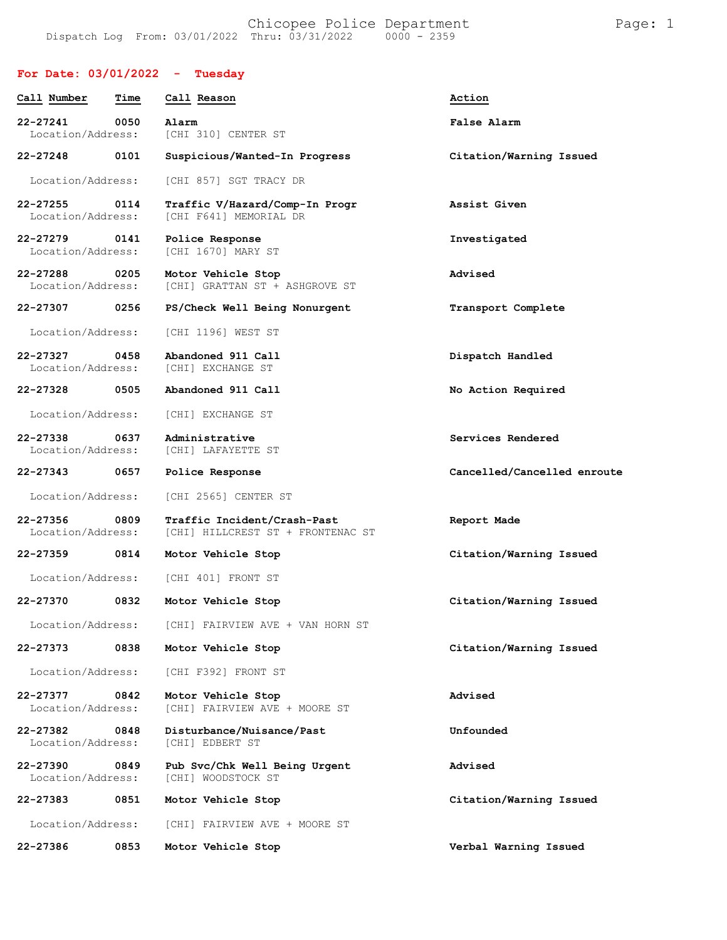## **For Date: 03/01/2022 - Tuesday**

| Call Number                   | Time | Call Reason                                                      | Action                      |
|-------------------------------|------|------------------------------------------------------------------|-----------------------------|
| 22-27241<br>Location/Address: | 0050 | Alarm<br>[CHI 310] CENTER ST                                     | False Alarm                 |
| 22-27248                      | 0101 | Suspicious/Wanted-In Progress                                    | Citation/Warning Issued     |
| Location/Address:             |      | [CHI 857] SGT TRACY DR                                           |                             |
| 22-27255<br>Location/Address: | 0114 | Traffic V/Hazard/Comp-In Progr<br>[CHI F641] MEMORIAL DR         | Assist Given                |
| 22-27279<br>Location/Address: | 0141 | Police Response<br>[CHI 1670] MARY ST                            | Investigated                |
| 22-27288<br>Location/Address: | 0205 | Motor Vehicle Stop<br>[CHI] GRATTAN ST + ASHGROVE ST             | Advised                     |
| 22-27307 0256                 |      | PS/Check Well Being Nonurgent                                    | Transport Complete          |
| Location/Address:             |      | [CHI 1196] WEST ST                                               |                             |
| 22-27327<br>Location/Address: | 0458 | Abandoned 911 Call<br>[CHI] EXCHANGE ST                          | Dispatch Handled            |
| 22-27328                      | 0505 | Abandoned 911 Call                                               | No Action Required          |
| Location/Address:             |      | [CHI] EXCHANGE ST                                                |                             |
| 22-27338<br>Location/Address: | 0637 | Administrative<br>[CHI] LAFAYETTE ST                             | Services Rendered           |
| 22-27343                      | 0657 | Police Response                                                  | Cancelled/Cancelled enroute |
| Location/Address:             |      | [CHI 2565] CENTER ST                                             |                             |
| 22-27356<br>Location/Address: | 0809 | Traffic Incident/Crash-Past<br>[CHI] HILLCREST ST + FRONTENAC ST | Report Made                 |
| 22-27359                      | 0814 | Motor Vehicle Stop                                               | Citation/Warning Issued     |
| Location/Address:             |      | [CHI 401] FRONT ST                                               |                             |
| 22-27370                      | 0832 | Motor Vehicle Stop                                               | Citation/Warning Issued     |
| Location/Address:             |      | [CHI] FAIRVIEW AVE + VAN HORN ST                                 |                             |
| 22-27373                      | 0838 | Motor Vehicle Stop                                               | Citation/Warning Issued     |
| Location/Address:             |      | [CHI F392] FRONT ST                                              |                             |
| 22-27377<br>Location/Address: | 0842 | Motor Vehicle Stop<br>[CHI] FAIRVIEW AVE + MOORE ST              | Advised                     |
| 22-27382<br>Location/Address: | 0848 | Disturbance/Nuisance/Past<br><b>[CHI] EDBERT ST</b>              | Unfounded                   |
| 22-27390<br>Location/Address: | 0849 | Pub Svc/Chk Well Being Urgent<br>[CHI] WOODSTOCK ST              | Advised                     |
| 22-27383                      | 0851 | Motor Vehicle Stop                                               | Citation/Warning Issued     |
| Location/Address:             |      | [CHI] FAIRVIEW AVE + MOORE ST                                    |                             |
| 22-27386                      | 0853 | Motor Vehicle Stop                                               | Verbal Warning Issued       |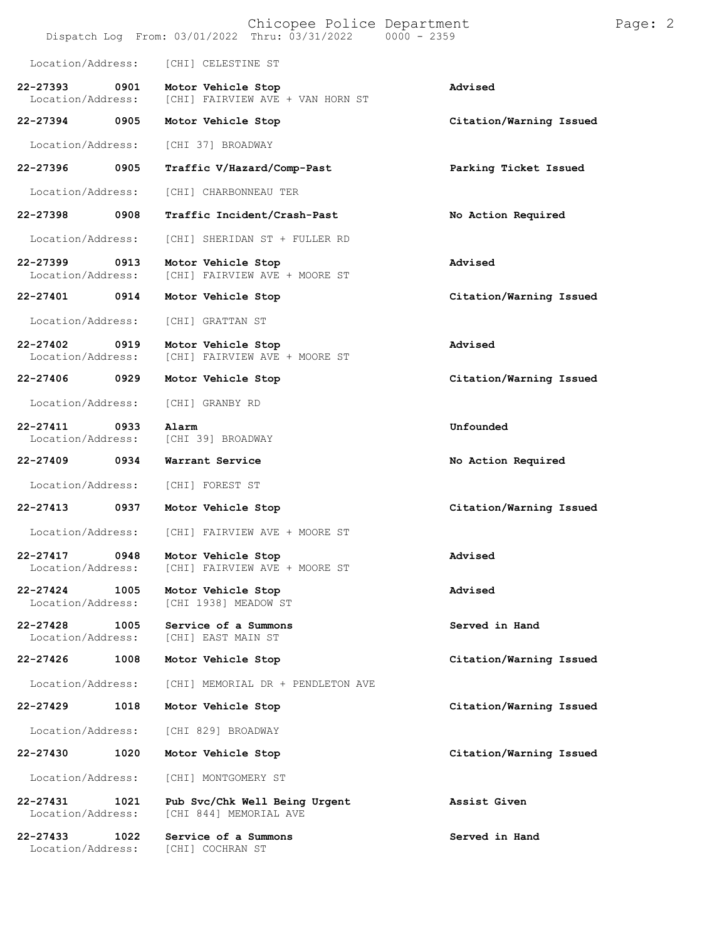|                                   |      | Chicopee Police Department<br>Dispatch Log From: 03/01/2022 Thru: 03/31/2022 | $0000 - 2359$           | Page: 2 |
|-----------------------------------|------|------------------------------------------------------------------------------|-------------------------|---------|
| Location/Address:                 |      | [CHI] CELESTINE ST                                                           |                         |         |
| 22-27393<br>Location/Address:     | 0901 | Motor Vehicle Stop<br>[CHI] FAIRVIEW AVE + VAN HORN ST                       | Advised                 |         |
| 22-27394                          | 0905 | Motor Vehicle Stop                                                           | Citation/Warning Issued |         |
| Location/Address:                 |      | [CHI 37] BROADWAY                                                            |                         |         |
| 22-27396                          | 0905 | Traffic V/Hazard/Comp-Past                                                   | Parking Ticket Issued   |         |
| Location/Address:                 |      | [CHI] CHARBONNEAU TER                                                        |                         |         |
| 22-27398                          | 0908 | Traffic Incident/Crash-Past                                                  | No Action Required      |         |
| Location/Address:                 |      | [CHI] SHERIDAN ST + FULLER RD                                                |                         |         |
| 22-27399<br>Location/Address:     | 0913 | Motor Vehicle Stop<br>[CHI] FAIRVIEW AVE + MOORE ST                          | Advised                 |         |
| 22-27401                          | 0914 | Motor Vehicle Stop                                                           | Citation/Warning Issued |         |
| Location/Address:                 |      | [CHI] GRATTAN ST                                                             |                         |         |
| 22-27402<br>Location/Address:     | 0919 | Motor Vehicle Stop<br>[CHI] FAIRVIEW AVE + MOORE ST                          | Advised                 |         |
| 22-27406                          | 0929 | Motor Vehicle Stop                                                           | Citation/Warning Issued |         |
| Location/Address:                 |      | [CHI] GRANBY RD                                                              |                         |         |
| $22 - 27411$<br>Location/Address: | 0933 | Alarm<br>[CHI 39] BROADWAY                                                   | Unfounded               |         |
| 22-27409                          | 0934 | Warrant Service                                                              | No Action Required      |         |
| Location/Address:                 |      | [CHI] FOREST ST                                                              |                         |         |
| 22-27413                          | 0937 | Motor Vehicle Stop                                                           | Citation/Warning Issued |         |
| Location/Address:                 |      | [CHI] FAIRVIEW AVE + MOORE ST                                                |                         |         |
| $22 - 27417$<br>Location/Address: | 0948 | Motor Vehicle Stop<br>[CHI] FAIRVIEW AVE + MOORE ST                          | Advised                 |         |
| 22-27424<br>Location/Address:     | 1005 | Motor Vehicle Stop<br>[CHI 1938] MEADOW ST                                   | Advised                 |         |
| $22 - 27428$<br>Location/Address: | 1005 | Service of a Summons<br>[CHI] EAST MAIN ST                                   | Served in Hand          |         |
| 22-27426                          | 1008 | Motor Vehicle Stop                                                           | Citation/Warning Issued |         |
| Location/Address:                 |      | [CHI] MEMORIAL DR + PENDLETON AVE                                            |                         |         |
| 22-27429                          | 1018 | Motor Vehicle Stop                                                           | Citation/Warning Issued |         |
| Location/Address:                 |      | [CHI 829] BROADWAY                                                           |                         |         |
| 22-27430                          | 1020 | Motor Vehicle Stop                                                           | Citation/Warning Issued |         |
| Location/Address:                 |      | [CHI] MONTGOMERY ST                                                          |                         |         |
| 22-27431<br>Location/Address:     | 1021 | Pub Svc/Chk Well Being Urgent<br>[CHI 844] MEMORIAL AVE                      | Assist Given            |         |
| 22-27433<br>Location/Address:     | 1022 | Service of a Summons<br>[CHI] COCHRAN ST                                     | Served in Hand          |         |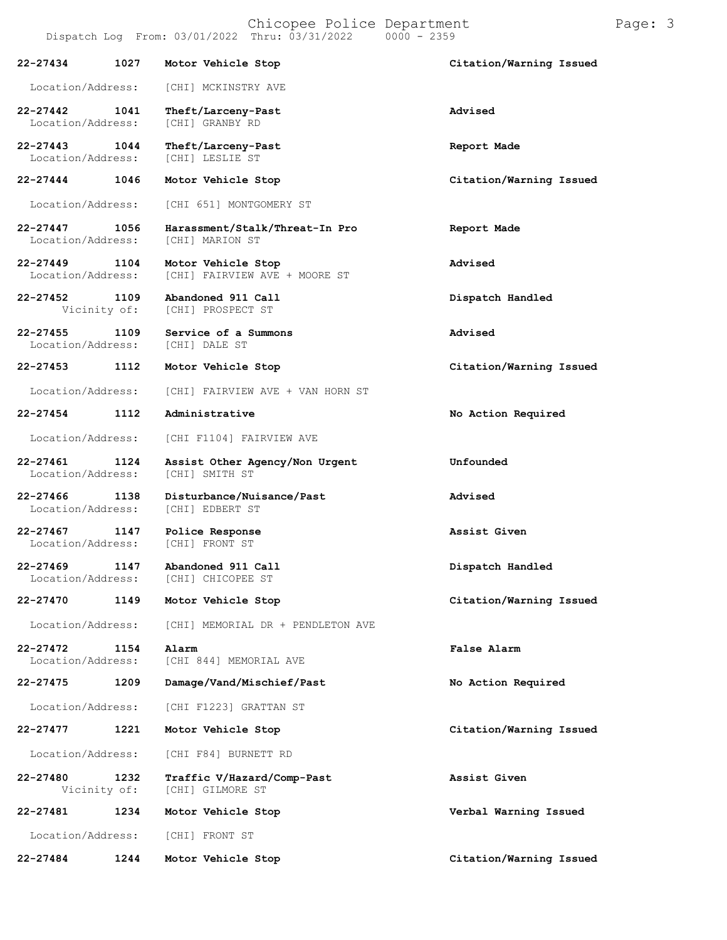|                                   |      | Dispatch Log From: 03/01/2022 Thru: 03/31/2022<br>$0000 - 2359$ |                         |
|-----------------------------------|------|-----------------------------------------------------------------|-------------------------|
| 22-27434                          | 1027 | Motor Vehicle Stop                                              | Citation/Warning Issued |
| Location/Address:                 |      | [CHI] MCKINSTRY AVE                                             |                         |
| 22-27442<br>Location/Address:     | 1041 | Theft/Larceny-Past<br>[CHI] GRANBY RD                           | Advised                 |
| 22-27443<br>Location/Address:     | 1044 | Theft/Larceny-Past<br>[CHI] LESLIE ST                           | Report Made             |
| 22-27444                          | 1046 | Motor Vehicle Stop                                              | Citation/Warning Issued |
| Location/Address:                 |      | [CHI 651] MONTGOMERY ST                                         |                         |
| 22-27447<br>Location/Address:     | 1056 | Harassment/Stalk/Threat-In Pro<br>[CHI] MARION ST               | Report Made             |
| $22 - 27449$<br>Location/Address: | 1104 | Motor Vehicle Stop<br>[CHI] FAIRVIEW AVE + MOORE ST             | Advised                 |
| 22-27452<br>Vicinity of:          | 1109 | Abandoned 911 Call<br>[CHI] PROSPECT ST                         | Dispatch Handled        |
| $22 - 27455$<br>Location/Address: | 1109 | Service of a Summons<br>[CHI] DALE ST                           | Advised                 |
| 22-27453                          | 1112 | Motor Vehicle Stop                                              | Citation/Warning Issued |
| Location/Address:                 |      | [CHI] FAIRVIEW AVE + VAN HORN ST                                |                         |
| 22-27454                          | 1112 | Administrative                                                  | No Action Required      |
| Location/Address:                 |      | [CHI F1104] FAIRVIEW AVE                                        |                         |
| 22-27461<br>Location/Address:     | 1124 | Assist Other Agency/Non Urgent<br>[CHI] SMITH ST                | Unfounded               |
| $22 - 27466$<br>Location/Address: | 1138 | Disturbance/Nuisance/Past<br>[CHI] EDBERT ST                    | Advised                 |
| 22-27467<br>Location/Address:     | 1147 | Police Response<br>[CHI] FRONT ST                               | Assist Given            |
| 22-27469<br>Location/Address:     | 1147 | Abandoned 911 Call<br>[CHI] CHICOPEE ST                         | Dispatch Handled        |
| 22-27470                          | 1149 | Motor Vehicle Stop                                              | Citation/Warning Issued |
| Location/Address:                 |      | [CHI] MEMORIAL DR + PENDLETON AVE                               |                         |
| 22-27472<br>Location/Address:     | 1154 | Alarm<br>[CHI 844] MEMORIAL AVE                                 | False Alarm             |
| 22-27475                          | 1209 | Damage/Vand/Mischief/Past                                       | No Action Required      |
| Location/Address:                 |      | [CHI F1223] GRATTAN ST                                          |                         |
| 22-27477                          | 1221 | Motor Vehicle Stop                                              | Citation/Warning Issued |
| Location/Address:                 |      | [CHI F84] BURNETT RD                                            |                         |
| 22-27480<br>Vicinity of:          | 1232 | Traffic V/Hazard/Comp-Past<br>[CHI] GILMORE ST                  | Assist Given            |
| 22-27481                          | 1234 | Motor Vehicle Stop                                              | Verbal Warning Issued   |
| Location/Address:                 |      | [CHI] FRONT ST                                                  |                         |
| 22-27484                          | 1244 | Motor Vehicle Stop                                              | Citation/Warning Issued |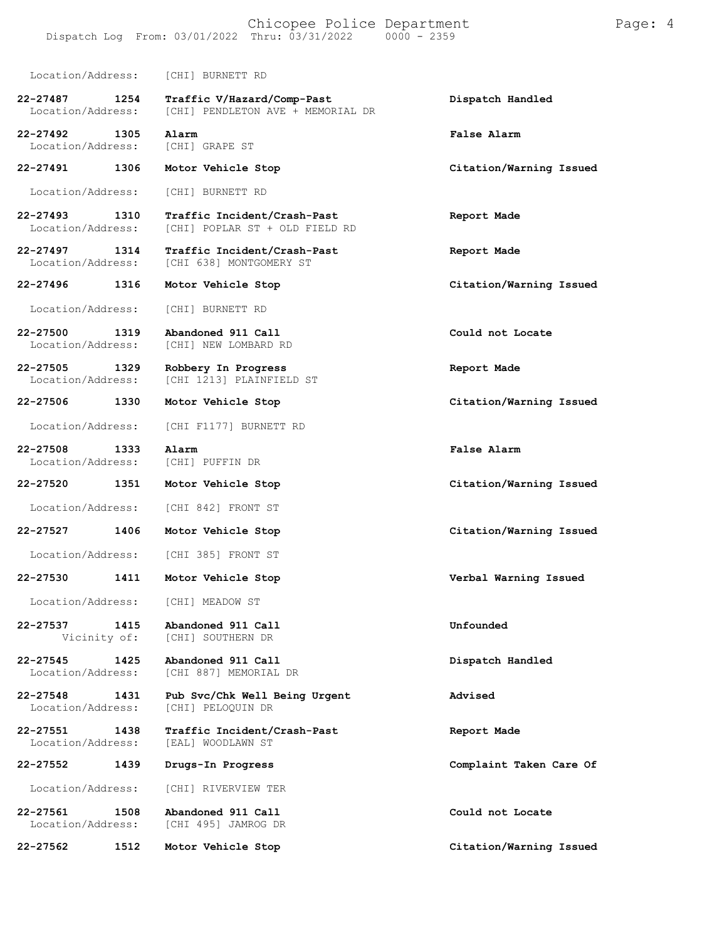## Chicopee Police Department Page: 4 Dispatch Log From:  $03/01/2022$  Thru:  $03/31/2022$

Location/Address: [CHI] BURNETT RD **22-27487 1254 Traffic V/Hazard/Comp-Past Dispatch Handled** [CHI] PENDLETON AVE + MEMORIAL DR **22-27492 1305 Alarm False Alarm** Location/Address: [CHI] GRAPE ST **22-27491 1306 Motor Vehicle Stop Citation/Warning Issued** Location/Address: [CHI] BURNETT RD **22-27493 1310 Traffic Incident/Crash-Past Report Made** [CHI] POPLAR ST + OLD FIELD RD **22-27497 1314 Traffic Incident/Crash-Past Report Made** [CHI 638] MONTGOMERY ST **22-27496 1316 Motor Vehicle Stop Citation/Warning Issued** Location/Address: [CHI] BURNETT RD **22-27500 1319 Abandoned 911 Call Could not Locate** [CHI] NEW LOMBARD RD **22-27505 1329 Robbery In Progress Report Made** [CHI 1213] PLAINFIELD ST **22-27506 1330 Motor Vehicle Stop Citation/Warning Issued** Location/Address: [CHI F1177] BURNETT RD **22-27508 1333 Alarm False Alarm** Location/Address: [CHI] PUFFIN DR **22-27520 1351 Motor Vehicle Stop Citation/Warning Issued** Location/Address: [CHI 842] FRONT ST **22-27527 1406 Motor Vehicle Stop Citation/Warning Issued** Location/Address: [CHI 385] FRONT ST **22-27530 1411 Motor Vehicle Stop Verbal Warning Issued** Location/Address: [CHI] MEADOW ST **22-27537 1415 Abandoned 911 Call Unfounded** [CHI] SOUTHERN DR **22-27545 1425 Abandoned 911 Call Dispatch Handled** [CHI 887] MEMORIAL DR **22-27548 1431 Pub Svc/Chk Well Being Urgent Advised** [CHI] PELOQUIN DR **22-27551 1438 Traffic Incident/Crash-Past Report Made** Location/Address: **22-27552 1439 Drugs-In Progress Complaint Taken Care Of**

Location/Address: [CHI] RIVERVIEW TER

**22-27561 1508 Abandoned 911 Call Could not Locate** [CHI 495] JAMROG DR

**22-27562 1512 Motor Vehicle Stop Citation/Warning Issued**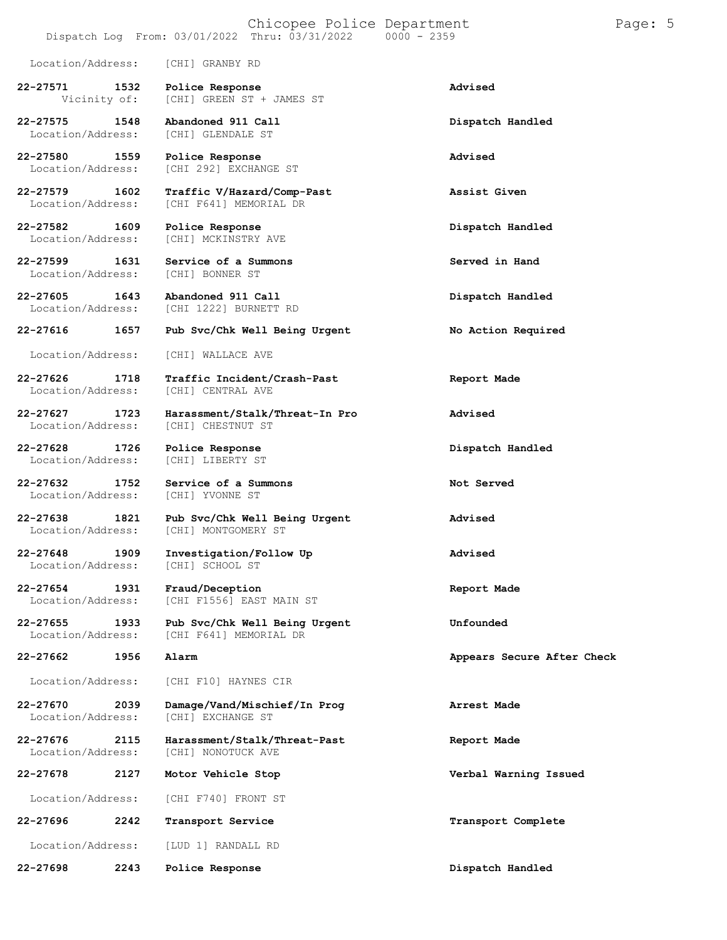- Dispatch Log From:  $03/01/2022$  Thru:  $03/31/2022$
- Location/Address: [CHI] GRANBY RD
- **22-27571 1532 Police Response Advised** [CHI] GREEN ST + JAMES ST
- **22-27575 1548 Abandoned 911 Call Dispatch Handled** Location/Address:
- **22-27580 1559 Police Response Advised**
- **22-27579 1602 Traffic V/Hazard/Comp-Past Assist Given**
- **22-27582 1609 Police Response Dispatch Handled**
- **22-27599 1631 Service of a Summons Served in Hand** Location/Address:
- **22-27605 1643 Abandoned 911 Call Dispatch Handled**
- 
- 
- **22-27626 1718 Traffic Incident/Crash-Past Report Made**
- Location/Address:
- **22-27628 1726 Police Response Dispatch Handled** Location/Address:
- Location/Address:
- 
- Location/Address:
- 
- 
- -
- 
- 
- 
- -
- **22-27696 2242 Transport Service Transport Complete**
- Location/Address: [LUD 1] RANDALL RD
- **22-27698 2243 Police Response Dispatch Handled**

[CHI] MCKINSTRY AVE

[CHI 292] EXCHANGE ST

[CHI F641] MEMORIAL DR

- [CHI 1222] BURNETT RD
- **22-27616 1657 Pub Svc/Chk Well Being Urgent No Action Required**
- Location/Address: [CHI] WALLACE AVE
	- [CHI] CENTRAL AVE
- **22-27627 1723 Harassment/Stalk/Threat-In Pro Advised**
	-
- **22-27632 1752 Service of a Summons Not Served**
- **22-27638 1821 Pub Svc/Chk Well Being Urgent Advised** [CHI] MONTGOMERY ST
- **22-27648 1909 Investigation/Follow Up Advised**
- **22-27654 1931 Fraud/Deception Report Made** Location/Address: [CHI F1556] EAST MAIN ST
- **22-27655 1933 Pub Svc/Chk Well Being Urgent Unfounded** [CHI F641] MEMORIAL DR
	-
- Location/Address: [CHI F10] HAYNES CIR
- **22-27670 2039 Damage/Vand/Mischief/In Prog Arrest Made** Location/Address: [CHI] EXCHANGE ST
- **22-27676 2115 Harassment/Stalk/Threat-Past Report Made** [CHI] NONOTUCK AVE
- **22-27678 2127 Motor Vehicle Stop Verbal Warning Issued**
	- Location/Address: [CHI F740] FRONT ST
- 
- 
- 
- 
- 
- 
- 
- 
- 
- 
- 
- 
- 
- 
- 
- **22-27662 1956 Alarm Appears Secure After Check**
	-
	-
	-
	-
	-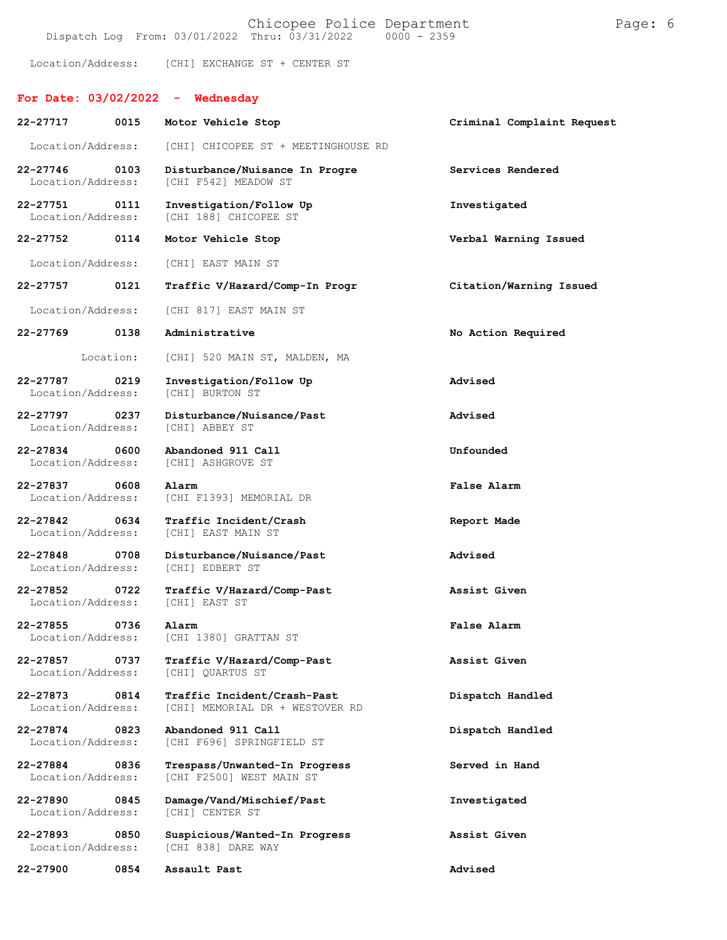|                                   |           | Dispatch Log From: 03/01/2022 Thru: 03/31/2022<br>$0000 - 2359$ |                            |
|-----------------------------------|-----------|-----------------------------------------------------------------|----------------------------|
|                                   |           | Location/Address: [CHI] EXCHANGE ST + CENTER ST                 |                            |
|                                   |           | For Date: $03/02/2022 -$ Wednesday                              |                            |
| 22-27717                          | 0015      | Motor Vehicle Stop                                              | Criminal Complaint Request |
| Location/Address:                 |           | [CHI] CHICOPEE ST + MEETINGHOUSE RD                             |                            |
| $22 - 27746$<br>Location/Address: | 0103      | Disturbance/Nuisance In Progre<br>[CHI F542] MEADOW ST          | Services Rendered          |
| 22-27751<br>Location/Address:     | 0111      | Investigation/Follow Up<br>[CHI 188] CHICOPEE ST                | Investigated               |
| 22-27752 0114                     |           | Motor Vehicle Stop                                              | Verbal Warning Issued      |
| Location/Address:                 |           | [CHI] EAST MAIN ST                                              |                            |
| 22-27757                          | 0121      | Traffic V/Hazard/Comp-In Progr                                  | Citation/Warning Issued    |
| Location/Address:                 |           | [CHI 817] EAST MAIN ST                                          |                            |
| 22-27769                          | 0138      | Administrative                                                  | No Action Required         |
|                                   | Location: | [CHI] 520 MAIN ST, MALDEN, MA                                   |                            |
| 22-27787<br>Location/Address:     | 0219      | Investigation/Follow Up<br>[CHI] BURTON ST                      | Advised                    |
| 22-27797<br>Location/Address:     | 0237      | Disturbance/Nuisance/Past<br>[CHI] ABBEY ST                     | Advised                    |
| 22-27834<br>Location/Address:     | 0600      | Abandoned 911 Call<br>[CHI] ASHGROVE ST                         | Unfounded                  |
| 22-27837<br>Location/Address:     | 0608      | Alarm<br>[CHI F1393] MEMORIAL DR                                | False Alarm                |
| $22 - 27842$<br>Location/Address: | 0634      | Traffic Incident/Crash<br>[CHI] EAST MAIN ST                    | Report Made                |
| 22-27848<br>Location/Address:     | 0708      | Disturbance/Nuisance/Past<br>[CHI] EDBERT ST                    | Advised                    |
| 22-27852<br>Location/Address:     | 0722      | Traffic V/Hazard/Comp-Past<br>[CHI] EAST ST                     | Assist Given               |
| 22-27855<br>Location/Address:     | 0736      | Alarm<br>[CHI 1380] GRATTAN ST                                  | False Alarm                |
| 22-27857<br>Location/Address:     | 0737      | Traffic V/Hazard/Comp-Past<br>[CHI] OUARTUS ST                  | Assist Given               |
| 22-27873<br>Location/Address:     | 0814      | Traffic Incident/Crash-Past<br>[CHI] MEMORIAL DR + WESTOVER RD  | Dispatch Handled           |
| 22-27874<br>Location/Address:     | 0823      | Abandoned 911 Call<br>[CHI F696] SPRINGFIELD ST                 | Dispatch Handled           |
| 22-27884<br>Location/Address:     | 0836      | Trespass/Unwanted-In Progress<br>[CHI F2500] WEST MAIN ST       | Served in Hand             |
| 22-27890<br>Location/Address:     | 0845      | Damage/Vand/Mischief/Past<br>[CHI] CENTER ST                    | Investigated               |
| 22-27893<br>Location/Address:     | 0850      | Suspicious/Wanted-In Progress<br>[CHI 838] DARE WAY             | Assist Given               |
| 22-27900                          | 0854      | Assault Past                                                    | Advised                    |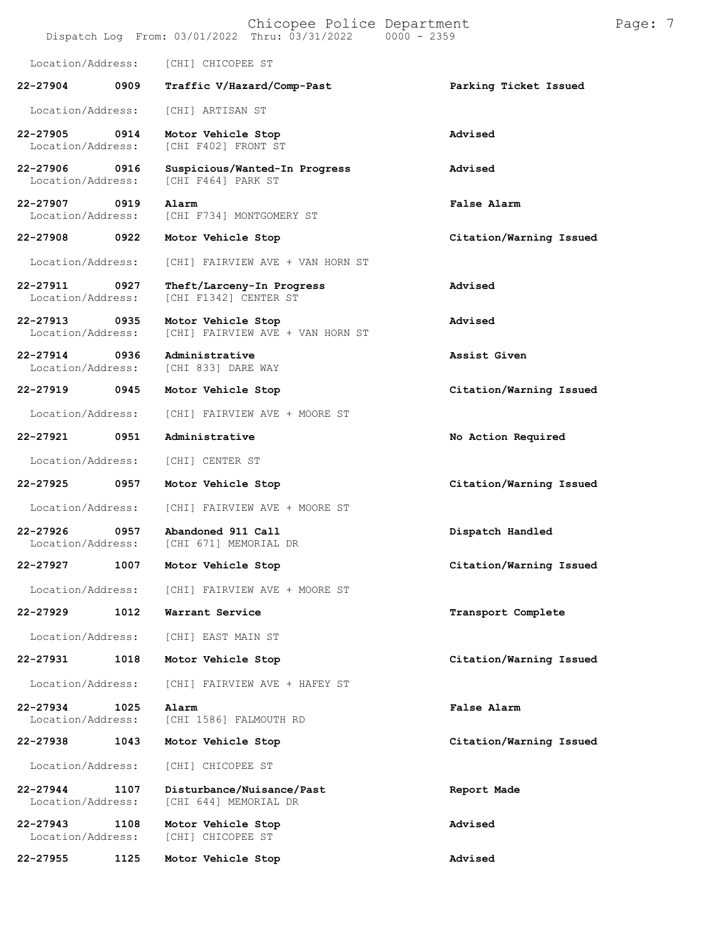|                                   |      | Chicopee Police Department<br>Dispatch Log From: 03/01/2022 Thru: 03/31/2022 | $0000 - 2359$           | Page: 7 |
|-----------------------------------|------|------------------------------------------------------------------------------|-------------------------|---------|
| Location/Address:                 |      | [CHI] CHICOPEE ST                                                            |                         |         |
| 22-27904                          | 0909 | Traffic V/Hazard/Comp-Past                                                   | Parking Ticket Issued   |         |
| Location/Address:                 |      | [CHI] ARTISAN ST                                                             |                         |         |
| 22-27905<br>Location/Address:     | 0914 | Motor Vehicle Stop<br>[CHI F402] FRONT ST                                    | Advised                 |         |
| 22-27906<br>Location/Address:     | 0916 | Suspicious/Wanted-In Progress<br>[CHI F464] PARK ST                          | Advised                 |         |
| 22-27907<br>Location/Address:     | 0919 | Alarm<br>[CHI F734] MONTGOMERY ST                                            | False Alarm             |         |
| 22-27908                          | 0922 | Motor Vehicle Stop                                                           | Citation/Warning Issued |         |
| Location/Address:                 |      | [CHI] FAIRVIEW AVE + VAN HORN ST                                             |                         |         |
| 22-27911<br>Location/Address:     | 0927 | Theft/Larceny-In Progress<br>[CHI F1342] CENTER ST                           | Advised                 |         |
| $22 - 27913$<br>Location/Address: | 0935 | Motor Vehicle Stop<br>[CHI] FAIRVIEW AVE + VAN HORN ST                       | Advised                 |         |
| 22-27914<br>Location/Address:     | 0936 | Administrative<br>[CHI 833] DARE WAY                                         | Assist Given            |         |
| 22-27919                          | 0945 | Motor Vehicle Stop                                                           | Citation/Warning Issued |         |
| Location/Address:                 |      | [CHI] FAIRVIEW AVE + MOORE ST                                                |                         |         |
| 22-27921                          | 0951 | Administrative                                                               | No Action Required      |         |
| Location/Address:                 |      | [CHI] CENTER ST                                                              |                         |         |
| 22-27925                          | 0957 | Motor Vehicle Stop                                                           | Citation/Warning Issued |         |
| Location/Address:                 |      | [CHI] FAIRVIEW AVE + MOORE ST                                                |                         |         |
| 22-27926<br>Location/Address:     | 0957 | Abandoned 911 Call<br>[CHI 671] MEMORIAL DR                                  | Dispatch Handled        |         |
| 22-27927                          | 1007 | Motor Vehicle Stop                                                           | Citation/Warning Issued |         |
| Location/Address:                 |      | [CHI] FAIRVIEW AVE + MOORE ST                                                |                         |         |
| 22-27929                          | 1012 | Warrant Service                                                              | Transport Complete      |         |
| Location/Address:                 |      | [CHI] EAST MAIN ST                                                           |                         |         |
| 22-27931                          | 1018 | Motor Vehicle Stop                                                           | Citation/Warning Issued |         |
| Location/Address:                 |      | [CHI] FAIRVIEW AVE + HAFEY ST                                                |                         |         |
| 22-27934<br>Location/Address:     | 1025 | Alarm<br>[CHI 1586] FALMOUTH RD                                              | False Alarm             |         |
| 22-27938                          | 1043 | Motor Vehicle Stop                                                           | Citation/Warning Issued |         |
| Location/Address:                 |      | [CHI] CHICOPEE ST                                                            |                         |         |
| $22 - 27944$<br>Location/Address: | 1107 | Disturbance/Nuisance/Past<br>[CHI 644] MEMORIAL DR                           | Report Made             |         |
| $22 - 27943$<br>Location/Address: | 1108 | Motor Vehicle Stop<br>[CHI] CHICOPEE ST                                      | Advised                 |         |
| 22-27955                          | 1125 | Motor Vehicle Stop                                                           | Advised                 |         |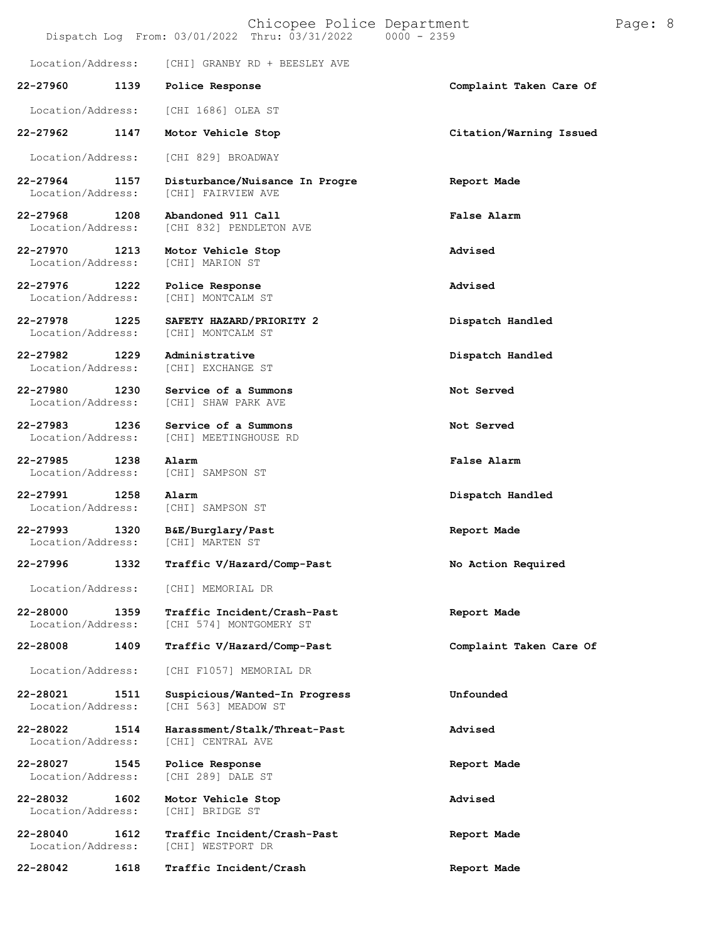|                               |      | Chicopee Police Department<br>Dispatch Log From: 03/01/2022 Thru: 03/31/2022 | $0000 - 2359$           | Page: 8 |
|-------------------------------|------|------------------------------------------------------------------------------|-------------------------|---------|
| Location/Address:             |      | [CHI] GRANBY RD + BEESLEY AVE                                                |                         |         |
| 22-27960                      | 1139 | Police Response                                                              | Complaint Taken Care Of |         |
| Location/Address:             |      | [CHI 1686] OLEA ST                                                           |                         |         |
| 22-27962                      | 1147 | Motor Vehicle Stop                                                           | Citation/Warning Issued |         |
| Location/Address:             |      | [CHI 829] BROADWAY                                                           |                         |         |
| 22-27964<br>Location/Address: | 1157 | Disturbance/Nuisance In Progre<br>[CHI] FAIRVIEW AVE                         | Report Made             |         |
| 22-27968<br>Location/Address: | 1208 | Abandoned 911 Call<br>[CHI 832] PENDLETON AVE                                | False Alarm             |         |
| 22-27970<br>Location/Address: | 1213 | Motor Vehicle Stop<br>[CHI] MARION ST                                        | Advised                 |         |
| 22-27976<br>Location/Address: | 1222 | Police Response<br>[CHI] MONTCALM ST                                         | Advised                 |         |
| 22-27978<br>Location/Address: | 1225 | SAFETY HAZARD/PRIORITY 2<br>[CHI] MONTCALM ST                                | Dispatch Handled        |         |
| 22-27982<br>Location/Address: | 1229 | Administrative<br>[CHI] EXCHANGE ST                                          | Dispatch Handled        |         |
| 22-27980<br>Location/Address: | 1230 | Service of a Summons<br>[CHI] SHAW PARK AVE                                  | Not Served              |         |
| 22-27983<br>Location/Address: | 1236 | Service of a Summons<br>[CHI] MEETINGHOUSE RD                                | Not Served              |         |
| 22-27985<br>Location/Address: | 1238 | Alarm<br>[CHI] SAMPSON ST                                                    | <b>False Alarm</b>      |         |
| 22-27991<br>Location/Address: | 1258 | Alarm<br>[CHI] SAMPSON ST                                                    | Dispatch Handled        |         |
| 22-27993<br>Location/Address: | 1320 | B&E/Burglary/Past<br>[CHI] MARTEN ST                                         | Report Made             |         |
| 22-27996                      | 1332 | Traffic V/Hazard/Comp-Past                                                   | No Action Required      |         |
| Location/Address:             |      | [CHI] MEMORIAL DR                                                            |                         |         |
| 22-28000<br>Location/Address: | 1359 | Traffic Incident/Crash-Past<br>[CHI 574] MONTGOMERY ST                       | Report Made             |         |
| 22-28008                      | 1409 | Traffic V/Hazard/Comp-Past                                                   | Complaint Taken Care Of |         |
| Location/Address:             |      | [CHI F1057] MEMORIAL DR                                                      |                         |         |
| 22-28021<br>Location/Address: | 1511 | Suspicious/Wanted-In Progress<br>[CHI 563] MEADOW ST                         | Unfounded               |         |
| 22-28022<br>Location/Address: | 1514 | Harassment/Stalk/Threat-Past<br>[CHI] CENTRAL AVE                            | Advised                 |         |
| 22-28027<br>Location/Address: | 1545 | Police Response<br>[CHI 289] DALE ST                                         | Report Made             |         |
| 22-28032<br>Location/Address: | 1602 | Motor Vehicle Stop<br>[CHI] BRIDGE ST                                        | Advised                 |         |
| 22-28040<br>Location/Address: | 1612 | Traffic Incident/Crash-Past<br>[CHI] WESTPORT DR                             | Report Made             |         |
| 22-28042                      | 1618 | Traffic Incident/Crash                                                       | Report Made             |         |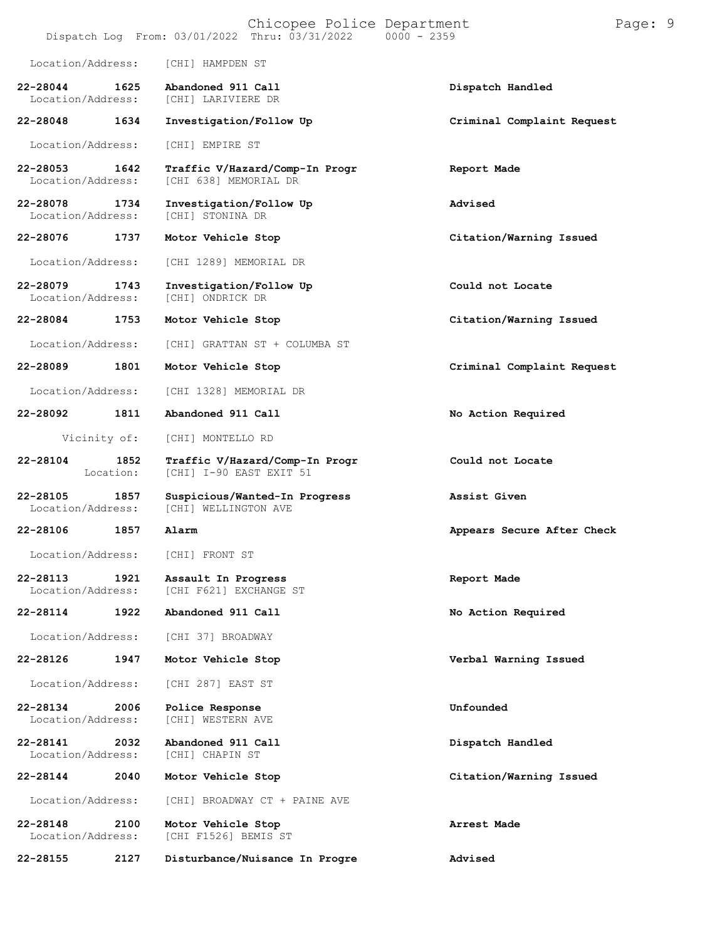|                                   |                   |                                               | Chicopee Police Department<br>Dispatch Log From: 03/01/2022 Thru: 03/31/2022 | $0000 - 2359$ |                            | Page: 9 |  |
|-----------------------------------|-------------------|-----------------------------------------------|------------------------------------------------------------------------------|---------------|----------------------------|---------|--|
| Location/Address:                 |                   | [CHI] HAMPDEN ST                              |                                                                              |               |                            |         |  |
| 22-28044<br>Location/Address:     | 1625              | Abandoned 911 Call<br>[CHI] LARIVIERE DR      |                                                                              |               | Dispatch Handled           |         |  |
| 22-28048                          | 1634              | Investigation/Follow Up                       |                                                                              |               | Criminal Complaint Request |         |  |
| Location/Address:                 |                   | [CHI] EMPIRE ST                               |                                                                              |               |                            |         |  |
| $22 - 28053$<br>Location/Address: | 1642              | [CHI 638] MEMORIAL DR                         | Traffic V/Hazard/Comp-In Progr                                               |               | Report Made                |         |  |
| 22-28078<br>Location/Address:     | 1734              | Investigation/Follow Up<br>[CHI] STONINA DR   |                                                                              |               | Advised                    |         |  |
| 22-28076                          | 1737              | Motor Vehicle Stop                            |                                                                              |               | Citation/Warning Issued    |         |  |
| Location/Address:                 |                   | [CHI 1289] MEMORIAL DR                        |                                                                              |               |                            |         |  |
| 22-28079<br>Location/Address:     | 1743              | Investigation/Follow Up<br>[CHI] ONDRICK DR   |                                                                              |               | Could not Locate           |         |  |
| 22-28084                          | 1753              | Motor Vehicle Stop                            |                                                                              |               | Citation/Warning Issued    |         |  |
| Location/Address:                 |                   |                                               | [CHI] GRATTAN ST + COLUMBA ST                                                |               |                            |         |  |
| 22-28089                          | 1801              | Motor Vehicle Stop                            |                                                                              |               | Criminal Complaint Request |         |  |
| Location/Address:                 |                   | [CHI 1328] MEMORIAL DR                        |                                                                              |               |                            |         |  |
| 22-28092                          | 1811              | Abandoned 911 Call                            |                                                                              |               | No Action Required         |         |  |
| Vicinity of:                      |                   | [CHI] MONTELLO RD                             |                                                                              |               |                            |         |  |
| 22-28104                          | 1852<br>Location: | [CHI] I-90 EAST EXIT 51                       | Traffic V/Hazard/Comp-In Progr                                               |               | Could not Locate           |         |  |
| 22-28105<br>Location/Address:     | 1857              | [CHI] WELLINGTON AVE                          | Suspicious/Wanted-In Progress                                                |               | Assist Given               |         |  |
| 22-28106                          | 1857              | Alarm                                         |                                                                              |               | Appears Secure After Check |         |  |
| Location/Address:                 |                   | [CHI] FRONT ST                                |                                                                              |               |                            |         |  |
| 22-28113<br>Location/Address:     | 1921              | Assault In Progress<br>[CHI F621] EXCHANGE ST |                                                                              |               | Report Made                |         |  |
| 22-28114                          | 1922              | Abandoned 911 Call                            |                                                                              |               | No Action Required         |         |  |
| Location/Address:                 |                   | [CHI 37] BROADWAY                             |                                                                              |               |                            |         |  |
| 22-28126                          | 1947              | Motor Vehicle Stop                            |                                                                              |               | Verbal Warning Issued      |         |  |
| Location/Address:                 |                   | [CHI 287] EAST ST                             |                                                                              |               |                            |         |  |
| 22-28134<br>Location/Address:     | 2006              | Police Response<br>[CHI] WESTERN AVE          |                                                                              |               | Unfounded                  |         |  |
| 22-28141<br>Location/Address:     | 2032              | Abandoned 911 Call<br>[CHI] CHAPIN ST         |                                                                              |               | Dispatch Handled           |         |  |
| 22-28144                          | 2040              | Motor Vehicle Stop                            |                                                                              |               | Citation/Warning Issued    |         |  |
| Location/Address:                 |                   |                                               | [CHI] BROADWAY CT + PAINE AVE                                                |               |                            |         |  |
| 22-28148<br>Location/Address:     | 2100              | Motor Vehicle Stop<br>[CHI F1526] BEMIS ST    |                                                                              |               | Arrest Made                |         |  |
| 22-28155                          | 2127              |                                               | Disturbance/Nuisance In Progre                                               |               | Advised                    |         |  |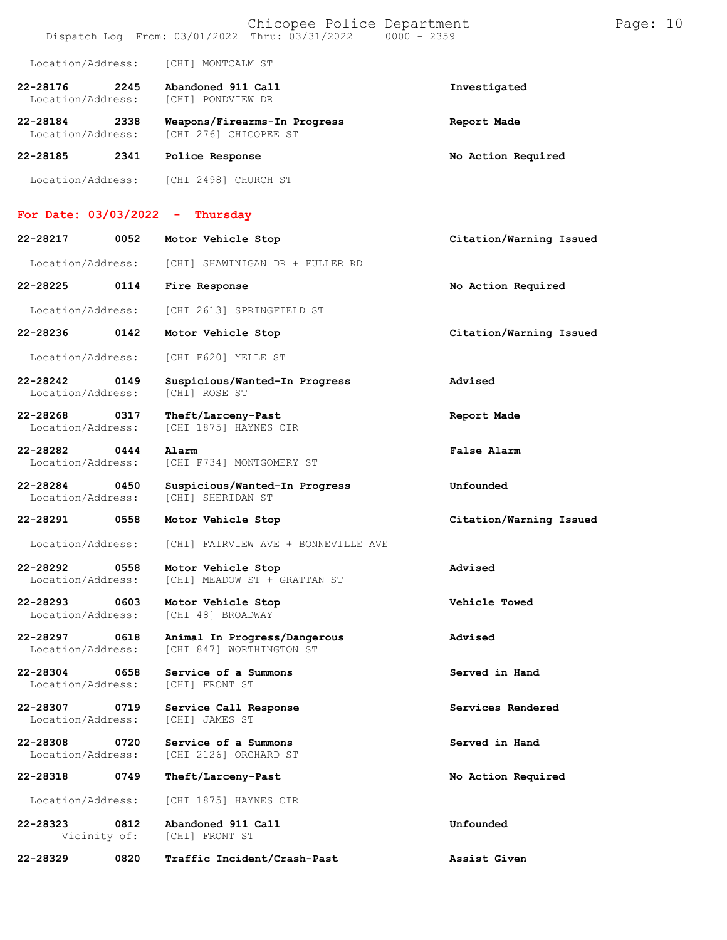|                                   |      | Chicopee Police Department<br>Dispatch Log From: 03/01/2022 Thru: 03/31/2022 | $0000 - 2359$           | Page: 10 |  |
|-----------------------------------|------|------------------------------------------------------------------------------|-------------------------|----------|--|
| Location/Address:                 |      | [CHI] MONTCALM ST                                                            |                         |          |  |
| 22-28176<br>Location/Address:     | 2245 | Abandoned 911 Call<br>[CHI] PONDVIEW DR                                      | Investigated            |          |  |
| 22-28184<br>Location/Address:     | 2338 | Weapons/Firearms-In Progress<br>[CHI 276] CHICOPEE ST                        | Report Made             |          |  |
| 22-28185                          | 2341 | Police Response                                                              | No Action Required      |          |  |
| Location/Address:                 |      | [CHI 2498] CHURCH ST                                                         |                         |          |  |
| For Date: $03/03/2022$            |      | Thursday<br>÷                                                                |                         |          |  |
| 22-28217                          | 0052 | Motor Vehicle Stop                                                           | Citation/Warning Issued |          |  |
| Location/Address:                 |      | [CHI] SHAWINIGAN DR + FULLER RD                                              |                         |          |  |
| 22-28225                          | 0114 | Fire Response                                                                | No Action Required      |          |  |
| Location/Address:                 |      | [CHI 2613] SPRINGFIELD ST                                                    |                         |          |  |
| 22-28236                          | 0142 | Motor Vehicle Stop                                                           | Citation/Warning Issued |          |  |
| Location/Address:                 |      | [CHI F620] YELLE ST                                                          |                         |          |  |
| 22-28242<br>Location/Address:     | 0149 | Suspicious/Wanted-In Progress<br>[CHI] ROSE ST                               | Advised                 |          |  |
| 22-28268<br>Location/Address:     | 0317 | Theft/Larceny-Past<br>[CHI 1875] HAYNES CIR                                  | Report Made             |          |  |
| 22-28282<br>Location/Address:     | 0444 | Alarm<br>[CHI F734] MONTGOMERY ST                                            | <b>False Alarm</b>      |          |  |
| 22-28284<br>Location/Address:     | 0450 | Suspicious/Wanted-In Progress<br>[CHI] SHERIDAN ST                           | Unfounded               |          |  |
| 22-28291                          | 0558 | Motor Vehicle Stop                                                           | Citation/Warning Issued |          |  |
| Location/Address:                 |      | [CHI] FAIRVIEW AVE + BONNEVILLE AVE                                          |                         |          |  |
| 22-28292<br>Location/Address:     | 0558 | Motor Vehicle Stop<br>[CHI] MEADOW ST + GRATTAN ST                           | Advised                 |          |  |
| $22 - 28293$<br>Location/Address: | 0603 | Motor Vehicle Stop<br>[CHI 48] BROADWAY                                      | Vehicle Towed           |          |  |
| 22-28297<br>Location/Address:     | 0618 | Animal In Progress/Dangerous<br>[CHI 847] WORTHINGTON ST                     | Advised                 |          |  |
| 22-28304<br>Location/Address:     | 0658 | Service of a Summons<br>[CHI] FRONT ST                                       | Served in Hand          |          |  |
| 22-28307<br>Location/Address:     | 0719 | Service Call Response<br>[CHI] JAMES ST                                      | Services Rendered       |          |  |
| 22-28308<br>Location/Address:     | 0720 | Service of a Summons<br>[CHI 2126] ORCHARD ST                                | Served in Hand          |          |  |
| 22-28318                          | 0749 | Theft/Larceny-Past                                                           | No Action Required      |          |  |
| Location/Address:                 |      | [CHI 1875] HAYNES CIR                                                        |                         |          |  |
| 22-28323<br>Vicinity of:          | 0812 | Abandoned 911 Call<br>[CHI] FRONT ST                                         | Unfounded               |          |  |
| 22-28329                          | 0820 | Traffic Incident/Crash-Past                                                  | Assist Given            |          |  |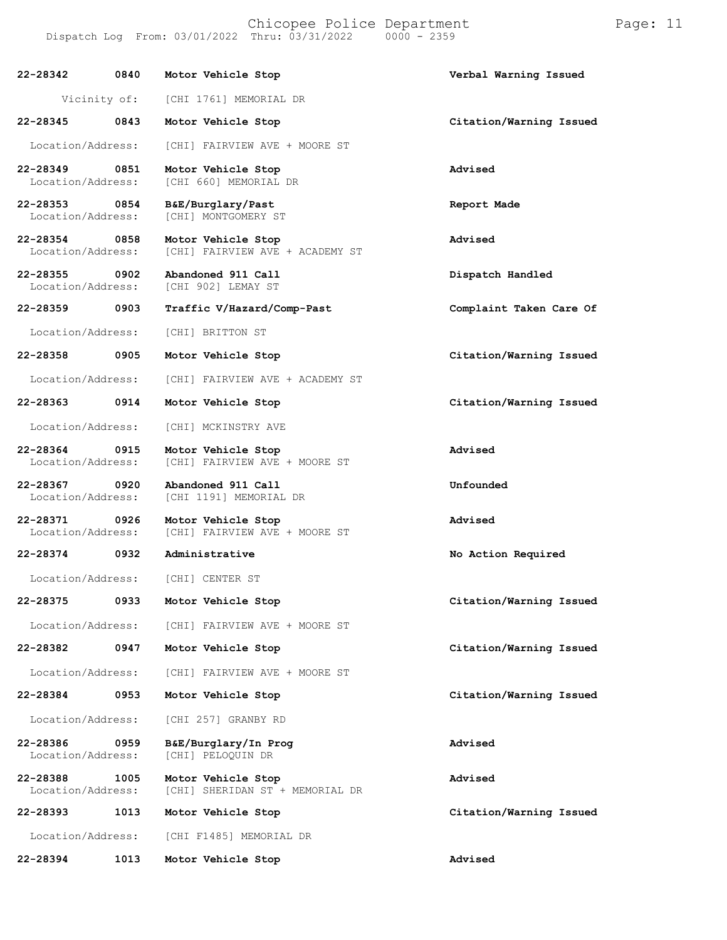**22-28342 0840 Motor Vehicle Stop Verbal Warning Issued** Vicinity of: [CHI 1761] MEMORIAL DR **22-28345 0843 Motor Vehicle Stop Citation/Warning Issued** Location/Address: [CHI] FAIRVIEW AVE + MOORE ST **22-28349 0851 Motor Vehicle Stop Advised** [CHI 660] MEMORIAL DR **22-28353 0854 B&E/Burglary/Past Report Made** [CHI] MONTGOMERY ST **22-28354 0858 Motor Vehicle Stop Advised** [CHI] FAIRVIEW AVE + ACADEMY ST **22-28355 0902 Abandoned 911 Call Dispatch Handled** [CHI 902] LEMAY ST **22-28359 0903 Traffic V/Hazard/Comp-Past Complaint Taken Care Of** Location/Address: [CHI] BRITTON ST **22-28358 0905 Motor Vehicle Stop Citation/Warning Issued** Location/Address: [CHI] FAIRVIEW AVE + ACADEMY ST **22-28363 0914 Motor Vehicle Stop Citation/Warning Issued** Location/Address: [CHI] MCKINSTRY AVE **22-28364 0915 Motor Vehicle Stop Advised** [CHI] FAIRVIEW AVE + MOORE ST **22-28367 0920 Abandoned 911 Call Unfounded** [CHI 1191] MEMORIAL DR **22-28371 0926 Motor Vehicle Stop Advised** [CHI] FAIRVIEW AVE + MOORE ST **22-28374 0932 Administrative No Action Required** Location/Address: [CHI] CENTER ST **22-28375 0933 Motor Vehicle Stop Citation/Warning Issued** Location/Address: [CHI] FAIRVIEW AVE + MOORE ST **22-28382 0947 Motor Vehicle Stop Citation/Warning Issued** Location/Address: [CHI] FAIRVIEW AVE + MOORE ST **22-28384 0953 Motor Vehicle Stop Citation/Warning Issued** Location/Address: [CHI 257] GRANBY RD **22-28386 0959 B&E/Burglary/In Prog Advised** Location/Address: **22-28388 1005 Motor Vehicle Stop Advised** [CHI] SHERIDAN ST + MEMORIAL DR **22-28393 1013 Motor Vehicle Stop Citation/Warning Issued** Location/Address: [CHI F1485] MEMORIAL DR

**22-28394 1013 Motor Vehicle Stop Advised**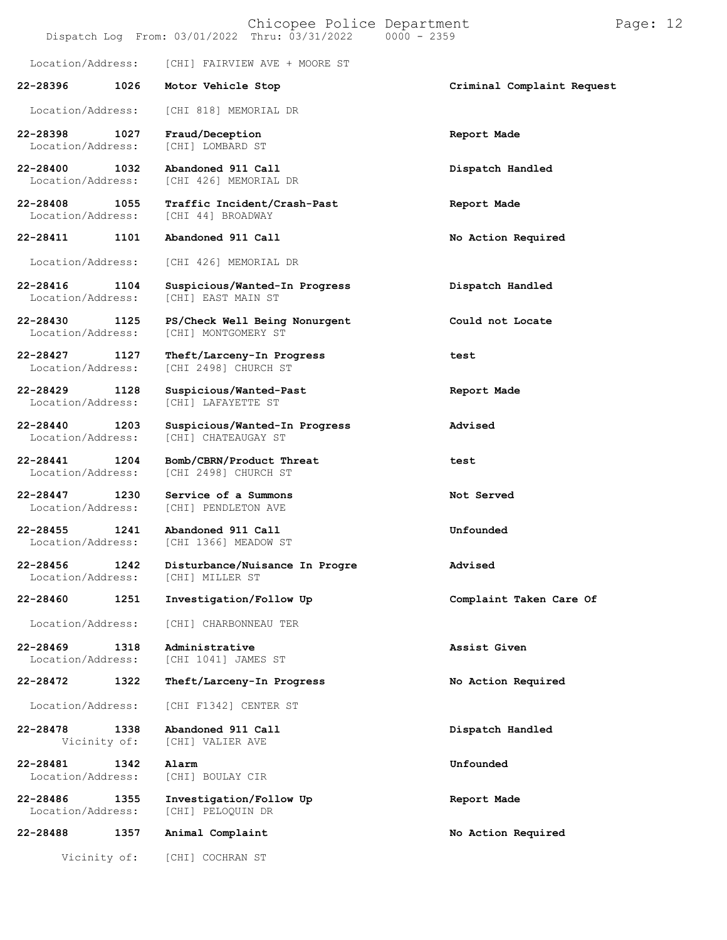|                                   |      | Chicopee Police Department<br>Dispatch Log From: 03/01/2022 Thru: 03/31/2022 | $0000 - 2359$              | Page: 12 |  |
|-----------------------------------|------|------------------------------------------------------------------------------|----------------------------|----------|--|
| Location/Address:                 |      | [CHI] FAIRVIEW AVE + MOORE ST                                                |                            |          |  |
| 22-28396                          | 1026 | Motor Vehicle Stop                                                           | Criminal Complaint Request |          |  |
| Location/Address:                 |      | [CHI 818] MEMORIAL DR                                                        |                            |          |  |
| 22-28398<br>Location/Address:     | 1027 | Fraud/Deception<br>[CHI] LOMBARD ST                                          | Report Made                |          |  |
| 22-28400<br>Location/Address:     | 1032 | Abandoned 911 Call<br>[CHI 426] MEMORIAL DR                                  | Dispatch Handled           |          |  |
| 22-28408<br>Location/Address:     | 1055 | Traffic Incident/Crash-Past<br>[CHI 44] BROADWAY                             | Report Made                |          |  |
| 22-28411                          | 1101 | Abandoned 911 Call                                                           | No Action Required         |          |  |
| Location/Address:                 |      | [CHI 426] MEMORIAL DR                                                        |                            |          |  |
| 22-28416<br>Location/Address:     | 1104 | Suspicious/Wanted-In Progress<br>[CHI] EAST MAIN ST                          | Dispatch Handled           |          |  |
| 22-28430<br>Location/Address:     | 1125 | PS/Check Well Being Nonurgent<br>[CHI] MONTGOMERY ST                         | Could not Locate           |          |  |
| 22-28427<br>Location/Address:     | 1127 | Theft/Larceny-In Progress<br>[CHI 2498] CHURCH ST                            | test                       |          |  |
| 22-28429<br>Location/Address:     | 1128 | Suspicious/Wanted-Past<br>[CHI] LAFAYETTE ST                                 | Report Made                |          |  |
| 22-28440<br>Location/Address:     | 1203 | Suspicious/Wanted-In Progress<br>[CHI] CHATEAUGAY ST                         | Advised                    |          |  |
| $22 - 28441$<br>Location/Address: | 1204 | Bomb/CBRN/Product Threat<br>[CHI 2498] CHURCH ST                             | test                       |          |  |
| $22 - 28447$<br>Location/Address: | 1230 | Service of a Summons<br>[CHI] PENDLETON AVE                                  | Not Served                 |          |  |
| $22 - 28455$<br>Location/Address: | 1241 | Abandoned 911 Call<br>[CHI 1366] MEADOW ST                                   | Unfounded                  |          |  |
| 22-28456<br>Location/Address:     | 1242 | Disturbance/Nuisance In Progre<br>[CHI] MILLER ST                            | Advised                    |          |  |
| 22-28460                          | 1251 | Investigation/Follow Up                                                      | Complaint Taken Care Of    |          |  |
| Location/Address:                 |      | [CHI] CHARBONNEAU TER                                                        |                            |          |  |
| $22 - 28469$<br>Location/Address: | 1318 | Administrative<br>[CHI 1041] JAMES ST                                        | Assist Given               |          |  |
| 22-28472                          | 1322 | Theft/Larceny-In Progress                                                    | No Action Required         |          |  |
| Location/Address:                 |      | [CHI F1342] CENTER ST                                                        |                            |          |  |
| 22-28478<br>Vicinity of:          | 1338 | Abandoned 911 Call<br>[CHI] VALIER AVE                                       | Dispatch Handled           |          |  |
| 22-28481<br>Location/Address:     | 1342 | Alarm<br>[CHI] BOULAY CIR                                                    | Unfounded                  |          |  |
| 22-28486<br>Location/Address:     | 1355 | Investigation/Follow Up<br>[CHI] PELOQUIN DR                                 | Report Made                |          |  |
| 22-28488                          | 1357 | Animal Complaint                                                             | No Action Required         |          |  |
| Vicinity of:                      |      | [CHI] COCHRAN ST                                                             |                            |          |  |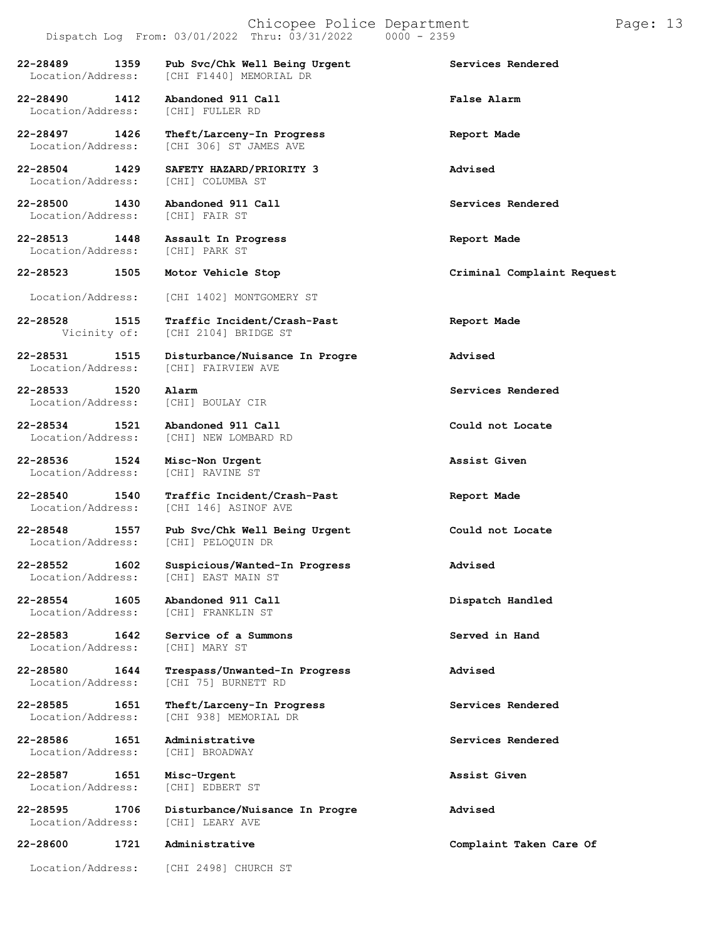## Chicopee Police Department Page: 13 Dispatch Log From:  $03/01/2022$  Thru:  $03/31/2022$

[CHI F1440] MEMORIAL DR

[CHI 306] ST JAMES AVE

**22-28489 1359 Pub Svc/Chk Well Being Urgent Services Rendered**

**22-28490 1412 Abandoned 911 Call False Alarm** Location/Address:

**22-28497 1426 Theft/Larceny-In Progress Report Made**

**22-28504 1429 SAFETY HAZARD/PRIORITY 3 Advised** Location/Address:

**22-28500 1430 Abandoned 911 Call Services Rendered** Location/Address:

**22-28513 1448 Assault In Progress Report Made** Location/Address:

**22-28523 1505 Motor Vehicle Stop Criminal Complaint Request**

**22-28533 1520 Alarm Services Rendered** Location/Address:

**22-28536 1524 Misc-Non Urgent Assist Given** Location/Address:

Location/Address:

Location/Address:

Location/Address:

Location/Address:

**22-28540 1540 Traffic Incident/Crash-Past Report Made** Location/Address: [CHI 146] ASINOF AVE

**22-28548 1557 Pub Svc/Chk Well Being Urgent Could not Locate** [CHI] PELOQUIN DR

[CHI] EAST MAIN ST

**22-28580 1644 Trespass/Unwanted-In Progress Advised**

**22-28586 1651 Administrative Services Rendered**

**22-28587 1651 Misc-Urgent Assist Given**

**22-28595 1706 Disturbance/Nuisance In Progre Advised** Location/Address:

## **22-28600 1721 Administrative Complaint Taken Care Of**

Location/Address: [CHI 1402] MONTGOMERY ST

**22-28528 1515 Traffic Incident/Crash-Past Report Made** [CHI 2104] BRIDGE ST

**22-28531 1515 Disturbance/Nuisance In Progre Advised** [CHI] FAIRVIEW AVE

**22-28534 1521 Abandoned 911 Call Could not Locate** [CHI] NEW LOMBARD RD

**22-28552 1602 Suspicious/Wanted-In Progress Advised**

**22-28554 1605 Abandoned 911 Call Dispatch Handled**

**22-28583 1642 Service of a Summons Served in Hand**

[CHI 75] BURNETT RD

**22-28585 1651 Theft/Larceny-In Progress Services Rendered** [CHI 938] MEMORIAL DR

Location/Address: [CHI 2498] CHURCH ST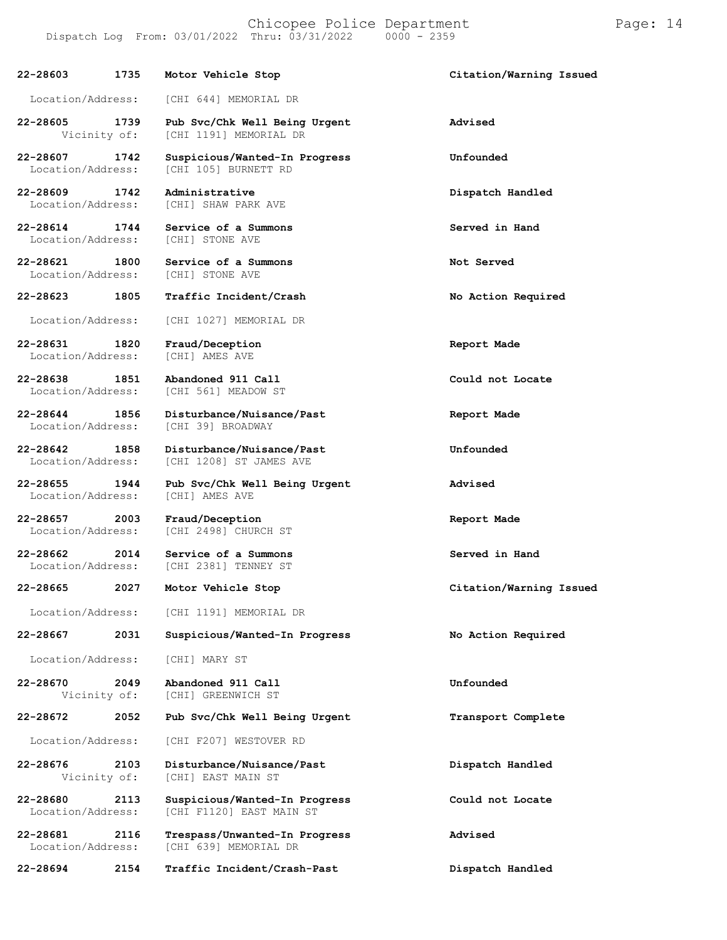**22-28603 1735 Motor Vehicle Stop Citation/Warning Issued** Location/Address: [CHI 644] MEMORIAL DR **22-28605 1739 Pub Svc/Chk Well Being Urgent Advised** [CHI 1191] MEMORIAL DR **22-28607 1742 Suspicious/Wanted-In Progress Unfounded** [CHI 105] BURNETT RD **22-28609 1742 Administrative Dispatch Handled** [CHI] SHAW PARK AVE **22-28614 1744 Service of a Summons Served in Hand** Location/Address: **22-28621 1800 Service of a Summons Not Served** Location/Address: **22-28623 1805 Traffic Incident/Crash No Action Required** Location/Address: [CHI 1027] MEMORIAL DR **22-28631 1820 Fraud/Deception Report Made** Location/Address: **22-28638 1851 Abandoned 911 Call Could not Locate** [CHI 561] MEADOW ST **22-28644 1856 Disturbance/Nuisance/Past Report Made** Location/Address: **22-28642 1858 Disturbance/Nuisance/Past Unfounded** [CHI 1208] ST JAMES AVE **22-28655 1944 Pub Svc/Chk Well Being Urgent Advised** Location/Address: **22-28657 2003 Fraud/Deception Report Made** [CHI 2498] CHURCH ST **22-28662 2014 Service of a Summons Served in Hand** [CHI 2381] TENNEY ST **22-28665 2027 Motor Vehicle Stop Citation/Warning Issued** Location/Address: [CHI 1191] MEMORIAL DR **22-28667 2031 Suspicious/Wanted-In Progress No Action Required**

Location/Address: [CHI] MARY ST

**22-28670 2049 Abandoned 911 Call Unfounded** [CHI] GREENWICH ST

## **22-28672 2052 Pub Svc/Chk Well Being Urgent Transport Complete**

Location/Address: [CHI F207] WESTOVER RD

**22-28676 2103 Disturbance/Nuisance/Past Dispatch Handled** [CHI] EAST MAIN ST

**22-28680 2113 Suspicious/Wanted-In Progress Could not Locate** [CHI F1120] EAST MAIN ST

**22-28681 2116 Trespass/Unwanted-In Progress Advised** [CHI 639] MEMORIAL DR

**22-28694 2154 Traffic Incident/Crash-Past Dispatch Handled**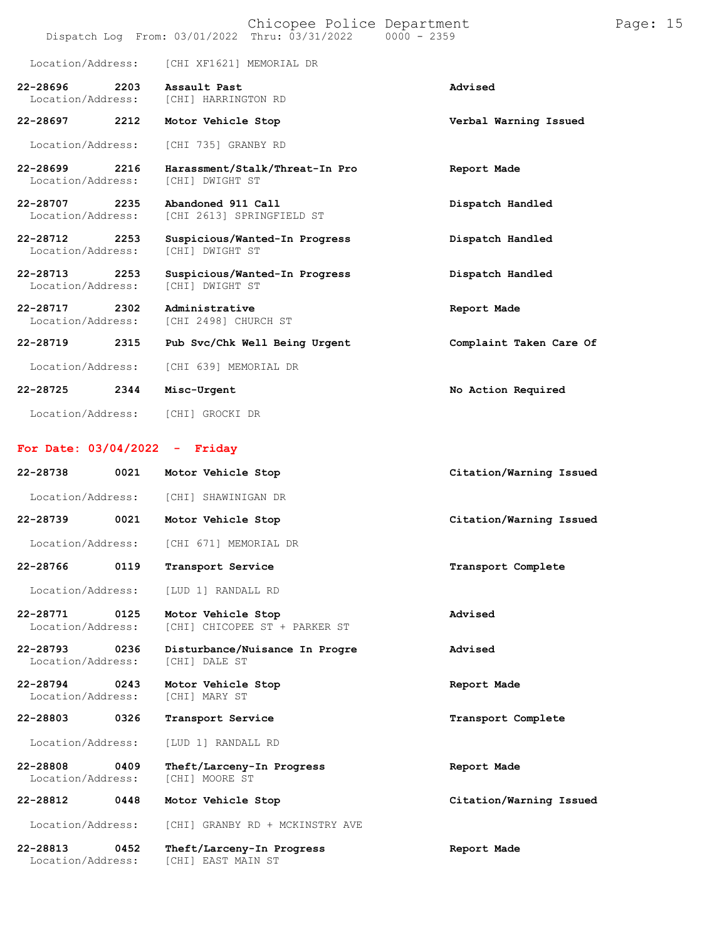|                                 |      | Chicopee Police Department<br>Dispatch Log From: 03/01/2022 Thru: 03/31/2022 0000 - 2359 |                         | Page: 15 |  |
|---------------------------------|------|------------------------------------------------------------------------------------------|-------------------------|----------|--|
| Location/Address:               |      | [CHI XF1621] MEMORIAL DR                                                                 |                         |          |  |
| 22-28696<br>Location/Address:   | 2203 | Assault Past<br>[CHI] HARRINGTON RD                                                      | Advised                 |          |  |
| 22-28697                        | 2212 | Motor Vehicle Stop                                                                       | Verbal Warning Issued   |          |  |
| Location/Address:               |      | [CHI 735] GRANBY RD                                                                      |                         |          |  |
| 22-28699<br>Location/Address:   | 2216 | Harassment/Stalk/Threat-In Pro<br>[CHI] DWIGHT ST                                        | Report Made             |          |  |
| 22-28707<br>Location/Address:   | 2235 | Abandoned 911 Call<br>[CHI 2613] SPRINGFIELD ST                                          | Dispatch Handled        |          |  |
| 22-28712<br>Location/Address:   | 2253 | Suspicious/Wanted-In Progress<br>[CHI] DWIGHT ST                                         | Dispatch Handled        |          |  |
| 22-28713<br>Location/Address:   | 2253 | Suspicious/Wanted-In Progress<br>[CHI] DWIGHT ST                                         | Dispatch Handled        |          |  |
| 22-28717<br>Location/Address:   | 2302 | Administrative<br>[CHI 2498] CHURCH ST                                                   | Report Made             |          |  |
| 22-28719                        | 2315 | Pub Svc/Chk Well Being Urgent                                                            | Complaint Taken Care Of |          |  |
| Location/Address:               |      | [CHI 639] MEMORIAL DR                                                                    |                         |          |  |
| 22-28725                        | 2344 | Misc-Urgent                                                                              | No Action Required      |          |  |
| Location/Address:               |      | [CHI] GROCKI DR                                                                          |                         |          |  |
| For Date: $03/04/2022 -$ Friday |      |                                                                                          |                         |          |  |
| 22-28738                        | 0021 | Motor Vehicle Stop                                                                       | Citation/Warning Issued |          |  |
| Location/Address:               |      | [CHI] SHAWINIGAN DR                                                                      |                         |          |  |
| 22-28739                        | 0021 | Motor Vehicle Stop                                                                       | Citation/Warning Issued |          |  |
| Location/Address:               |      | [CHI 671] MEMORIAL DR                                                                    |                         |          |  |
| 22-28766                        | 0119 | Transport Service                                                                        | Transport Complete      |          |  |
| Location/Address:               |      | [LUD 1] RANDALL RD                                                                       |                         |          |  |
| 22-28771<br>Location/Address:   | 0125 | Motor Vehicle Stop<br>[CHI] CHICOPEE ST + PARKER ST                                      | Advised                 |          |  |
| 22-28793<br>Location/Address:   | 0236 | Disturbance/Nuisance In Progre<br>[CHI] DALE ST                                          | Advised                 |          |  |
| 22-28794<br>Location/Address:   | 0243 | Motor Vehicle Stop<br>[CHI] MARY ST                                                      | Report Made             |          |  |
| 22-28803                        | 0326 | Transport Service                                                                        | Transport Complete      |          |  |
| Location/Address:               |      | [LUD 1] RANDALL RD                                                                       |                         |          |  |
| 22-28808<br>Location/Address:   | 0409 | Theft/Larceny-In Progress<br>[CHI] MOORE ST                                              | Report Made             |          |  |
| 22-28812                        | 0448 | Motor Vehicle Stop                                                                       | Citation/Warning Issued |          |  |
| Location/Address:               |      | [CHI] GRANBY RD + MCKINSTRY AVE                                                          |                         |          |  |
| 22-28813<br>Location/Address:   | 0452 | Theft/Larceny-In Progress<br>[CHI] EAST MAIN ST                                          | Report Made             |          |  |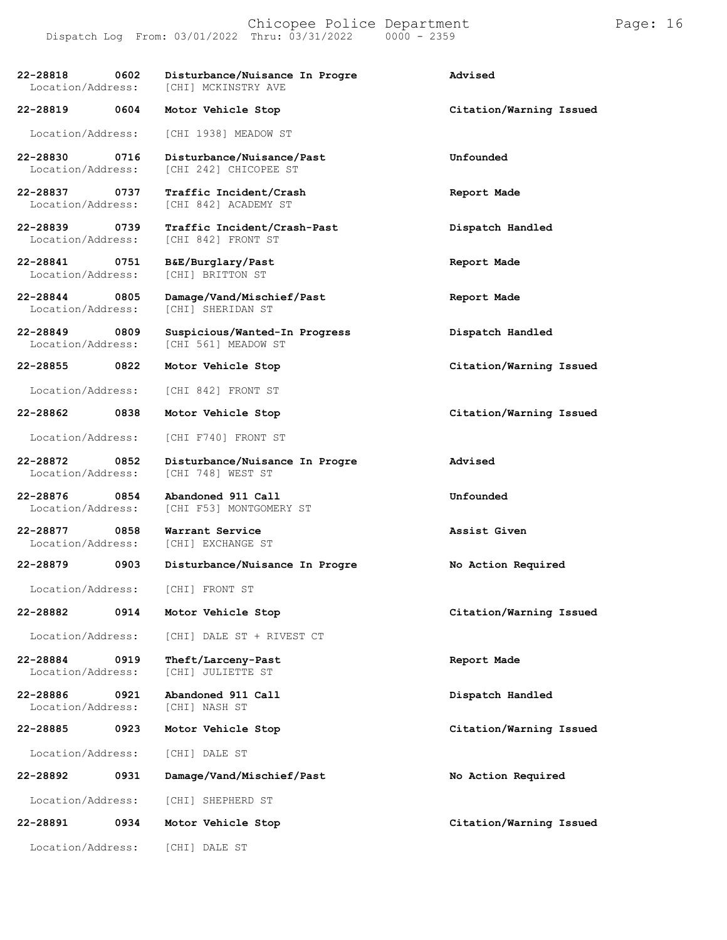## Chicopee Police Department Page: 16 Dispatch Log From: 03/01/2022 Thru: 03/31/2022

**22-28818 0602 Disturbance/Nuisance In Progre Advised** [CHI] MCKINSTRY AVE **22-28819 0604 Motor Vehicle Stop Citation/Warning Issued** Location/Address: [CHI 1938] MEADOW ST **22-28830 0716 Disturbance/Nuisance/Past Unfounded** [CHI 242] CHICOPEE ST **22-28837 0737 Traffic Incident/Crash Report Made** [CHI 842] ACADEMY ST **22-28839 0739 Traffic Incident/Crash-Past Dispatch Handled** [CHI 842] FRONT ST **22-28841 0751 B&E/Burglary/Past Report Made** Location/Address: **22-28844 0805 Damage/Vand/Mischief/Past Report Made** [CHI] SHERIDAN ST **22-28849 0809 Suspicious/Wanted-In Progress Dispatch Handled** [CHI 561] MEADOW ST **22-28855 0822 Motor Vehicle Stop Citation/Warning Issued** Location/Address: [CHI 842] FRONT ST **22-28862 0838 Motor Vehicle Stop Citation/Warning Issued** Location/Address: [CHI F740] FRONT ST **22-28872 0852 Disturbance/Nuisance In Progre Advised** Location/Address: **22-28876 0854 Abandoned 911 Call Unfounded** [CHI F53] MONTGOMERY ST **22-28877 0858 Warrant Service Assist Given** [CHI] EXCHANGE ST **22-28879 0903 Disturbance/Nuisance In Progre No Action Required** Location/Address: [CHI] FRONT ST **22-28882 0914 Motor Vehicle Stop Citation/Warning Issued** Location/Address: [CHI] DALE ST + RIVEST CT **22-28884 0919 Theft/Larceny-Past Report Made** Location/Address: **22-28886 0921 Abandoned 911 Call Dispatch Handled** Location/Address: **22-28885 0923 Motor Vehicle Stop Citation/Warning Issued**

Location/Address: [CHI] DALE ST

**22-28892 0931 Damage/Vand/Mischief/Past No Action Required** Location/Address: [CHI] SHEPHERD ST

**22-28891 0934 Motor Vehicle Stop Citation/Warning Issued**

Location/Address: [CHI] DALE ST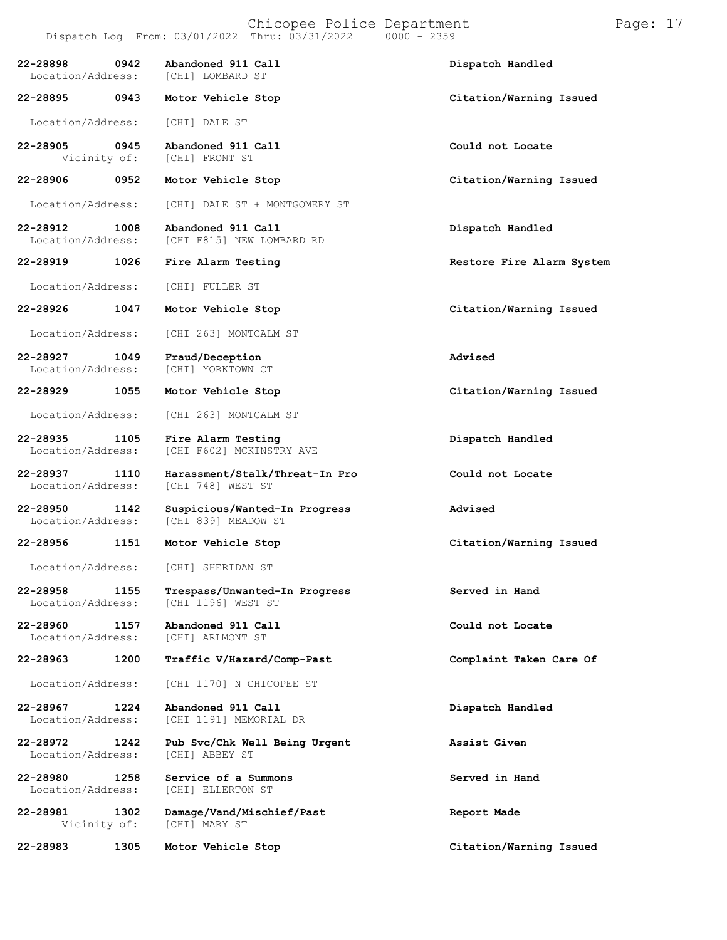|                               |      | Dispatch Log From: 03/01/2022 Thru: 03/31/2022       | $0000 - 2359$             |
|-------------------------------|------|------------------------------------------------------|---------------------------|
| 22-28898<br>Location/Address: | 0942 | Abandoned 911 Call<br>[CHI] LOMBARD ST               | Dispatch Handled          |
| 22-28895 0943                 |      | Motor Vehicle Stop                                   | Citation/Warning Issued   |
| Location/Address:             |      | [CHI] DALE ST                                        |                           |
| 22-28905<br>Vicinity of:      | 0945 | Abandoned 911 Call<br>[CHI] FRONT ST                 | Could not Locate          |
| 22-28906                      | 0952 | Motor Vehicle Stop                                   | Citation/Warning Issued   |
| Location/Address:             |      | [CHI] DALE ST + MONTGOMERY ST                        |                           |
| 22-28912<br>Location/Address: | 1008 | Abandoned 911 Call<br>[CHI F815] NEW LOMBARD RD      | Dispatch Handled          |
| 22-28919                      | 1026 | Fire Alarm Testing                                   | Restore Fire Alarm System |
| Location/Address:             |      | [CHI] FULLER ST                                      |                           |
| 22-28926                      | 1047 | Motor Vehicle Stop                                   | Citation/Warning Issued   |
| Location/Address:             |      | [CHI 263] MONTCALM ST                                |                           |
| 22-28927<br>Location/Address: | 1049 | Fraud/Deception<br>[CHI] YORKTOWN CT                 | Advised                   |
| 22-28929                      | 1055 | Motor Vehicle Stop                                   | Citation/Warning Issued   |
| Location/Address:             |      | [CHI 263] MONTCALM ST                                |                           |
| 22-28935<br>Location/Address: | 1105 | Fire Alarm Testing<br>[CHI F602] MCKINSTRY AVE       | Dispatch Handled          |
| 22-28937<br>Location/Address: | 1110 | Harassment/Stalk/Threat-In Pro<br>[CHI 748] WEST ST  | Could not Locate          |
| 22-28950<br>Location/Address: | 1142 | Suspicious/Wanted-In Progress<br>[CHI 839] MEADOW ST | Advised                   |
| 22-28956<br>1151              |      | Motor Vehicle Stop                                   | Citation/Warning Issued   |
|                               |      | Location/Address: [CHI] SHERIDAN ST                  |                           |
| 22-28958<br>Location/Address: | 1155 | Trespass/Unwanted-In Progress<br>[CHI 1196] WEST ST  | Served in Hand            |
| 22-28960<br>Location/Address: | 1157 | Abandoned 911 Call<br>[CHI] ARLMONT ST               | Could not Locate          |
| 22-28963                      | 1200 | Traffic V/Hazard/Comp-Past                           | Complaint Taken Care Of   |
| Location/Address:             |      | [CHI 1170] N CHICOPEE ST                             |                           |
| 22-28967<br>Location/Address: | 1224 | Abandoned 911 Call<br>[CHI 1191] MEMORIAL DR         | Dispatch Handled          |
| 22-28972<br>Location/Address: | 1242 | Pub Svc/Chk Well Being Urgent<br>[CHI] ABBEY ST      | Assist Given              |
| 22-28980<br>Location/Address: | 1258 | Service of a Summons<br>[CHI] ELLERTON ST            | Served in Hand            |
| 22-28981<br>Vicinity of:      | 1302 | Damage/Vand/Mischief/Past<br>[CHI] MARY ST           | Report Made               |
| 22-28983                      | 1305 | Motor Vehicle Stop                                   | Citation/Warning Issued   |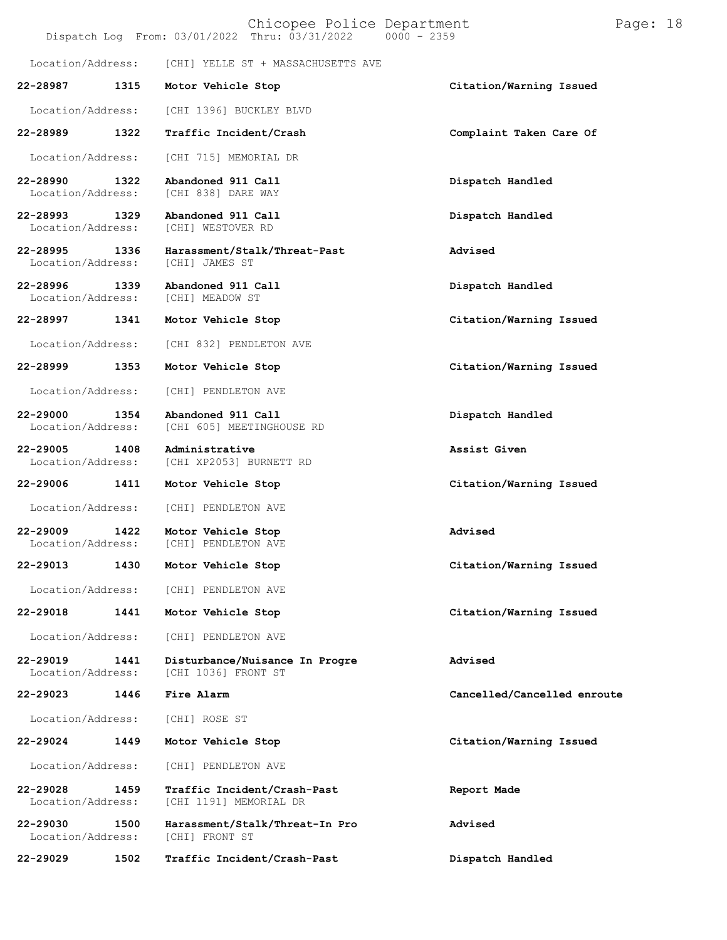| Page: 18<br>Chicopee Police Department<br>Dispatch Log From: 03/01/2022 Thru: 03/31/2022<br>$0000 - 2359$ |      |                                                       |                             |  |
|-----------------------------------------------------------------------------------------------------------|------|-------------------------------------------------------|-----------------------------|--|
| Location/Address:                                                                                         |      | [CHI] YELLE ST + MASSACHUSETTS AVE                    |                             |  |
| 22-28987                                                                                                  | 1315 | Motor Vehicle Stop                                    | Citation/Warning Issued     |  |
| Location/Address:                                                                                         |      | [CHI 1396] BUCKLEY BLVD                               |                             |  |
| 22-28989                                                                                                  | 1322 | Traffic Incident/Crash                                | Complaint Taken Care Of     |  |
| Location/Address:                                                                                         |      | [CHI 715] MEMORIAL DR                                 |                             |  |
| 22-28990<br>Location/Address:                                                                             | 1322 | Abandoned 911 Call<br>[CHI 838] DARE WAY              | Dispatch Handled            |  |
| 22-28993<br>Location/Address:                                                                             | 1329 | Abandoned 911 Call<br>[CHI] WESTOVER RD               | Dispatch Handled            |  |
| 22-28995<br>Location/Address:                                                                             | 1336 | Harassment/Stalk/Threat-Past<br>[CHI] JAMES ST        | Advised                     |  |
| 22-28996<br>Location/Address:                                                                             | 1339 | Abandoned 911 Call<br>[CHI] MEADOW ST                 | Dispatch Handled            |  |
| 22-28997                                                                                                  | 1341 | Motor Vehicle Stop                                    | Citation/Warning Issued     |  |
| Location/Address:                                                                                         |      | [CHI 832] PENDLETON AVE                               |                             |  |
| 22-28999                                                                                                  | 1353 | Motor Vehicle Stop                                    | Citation/Warning Issued     |  |
| Location/Address:                                                                                         |      | [CHI] PENDLETON AVE                                   |                             |  |
| 22-29000<br>Location/Address:                                                                             | 1354 | Abandoned 911 Call<br>[CHI 605] MEETINGHOUSE RD       | Dispatch Handled            |  |
| 22-29005<br>Location/Address:                                                                             | 1408 | Administrative<br>[CHI XP2053] BURNETT RD             | Assist Given                |  |
| 22-29006                                                                                                  | 1411 | Motor Vehicle Stop                                    | Citation/Warning Issued     |  |
| Location/Address:                                                                                         |      | [CHI] PENDLETON AVE                                   |                             |  |
| 22-29009<br>Location/Address:                                                                             | 1422 | Motor Vehicle Stop<br>[CHI] PENDLETON AVE             | Advised                     |  |
| 22-29013                                                                                                  | 1430 | Motor Vehicle Stop                                    | Citation/Warning Issued     |  |
| Location/Address:                                                                                         |      | [CHI] PENDLETON AVE                                   |                             |  |
| 22-29018                                                                                                  | 1441 | Motor Vehicle Stop                                    | Citation/Warning Issued     |  |
| Location/Address:                                                                                         |      | [CHI] PENDLETON AVE                                   |                             |  |
| 22-29019<br>Location/Address:                                                                             | 1441 | Disturbance/Nuisance In Progre<br>[CHI 1036] FRONT ST | Advised                     |  |
| 22-29023                                                                                                  | 1446 | Fire Alarm                                            | Cancelled/Cancelled enroute |  |
| Location/Address:                                                                                         |      | [CHI] ROSE ST                                         |                             |  |
| 22-29024                                                                                                  | 1449 | Motor Vehicle Stop                                    | Citation/Warning Issued     |  |
| Location/Address:                                                                                         |      | [CHI] PENDLETON AVE                                   |                             |  |
| 22-29028<br>Location/Address:                                                                             | 1459 | Traffic Incident/Crash-Past<br>[CHI 1191] MEMORIAL DR | Report Made                 |  |
| 22-29030<br>Location/Address:                                                                             | 1500 | Harassment/Stalk/Threat-In Pro<br>[CHI] FRONT ST      | Advised                     |  |
| 22-29029                                                                                                  | 1502 | Traffic Incident/Crash-Past                           | Dispatch Handled            |  |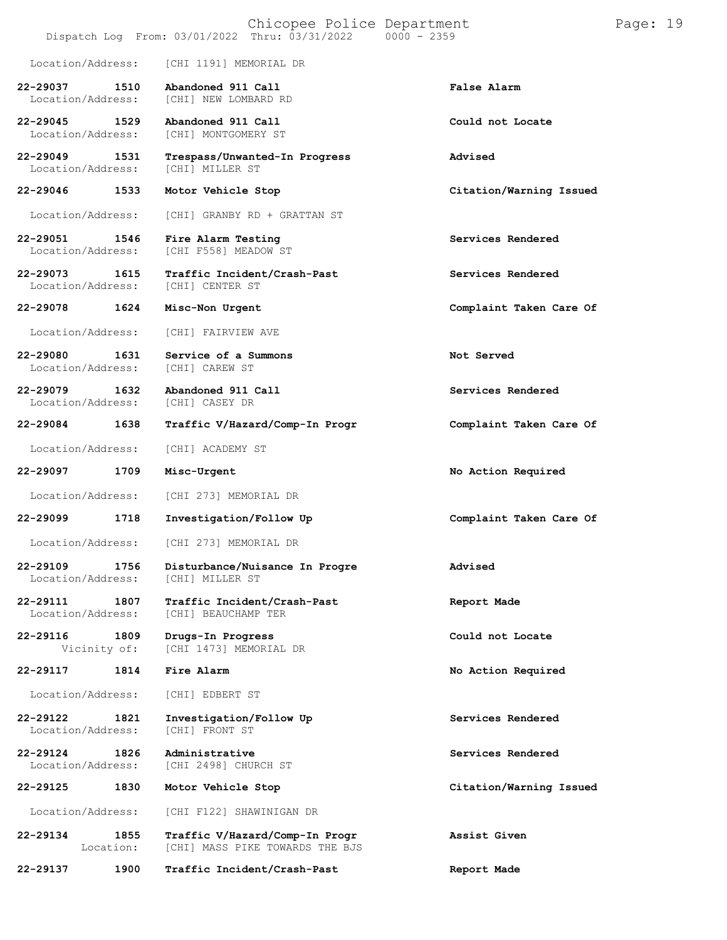| Page: 19<br>Chicopee Police Department<br>Dispatch Log From: 03/01/2022 Thru: 03/31/2022<br>$0000 - 2359$ |                      |                                                                   |                         |  |
|-----------------------------------------------------------------------------------------------------------|----------------------|-------------------------------------------------------------------|-------------------------|--|
| Location/Address:                                                                                         |                      | [CHI 1191] MEMORIAL DR                                            |                         |  |
| 22-29037<br>Location/Address:                                                                             | 1510                 | Abandoned 911 Call<br>[CHI] NEW LOMBARD RD                        | False Alarm             |  |
| $22 - 29045$<br>Location/Address:                                                                         | 1529                 | Abandoned 911 Call<br>[CHI] MONTGOMERY ST                         | Could not Locate        |  |
| 22-29049<br>Location/Address:                                                                             | 1531                 | Trespass/Unwanted-In Progress<br>[CHI] MILLER ST                  | Advised                 |  |
| 22-29046                                                                                                  | 1533                 | Motor Vehicle Stop                                                | Citation/Warning Issued |  |
| Location/Address:                                                                                         |                      | [CHI] GRANBY RD + GRATTAN ST                                      |                         |  |
| 22-29051<br>Location/Address:                                                                             | 1546                 | Fire Alarm Testing<br>[CHI F558] MEADOW ST                        | Services Rendered       |  |
| 22-29073<br>Location/Address:                                                                             | 1615                 | Traffic Incident/Crash-Past<br>[CHI] CENTER ST                    | Services Rendered       |  |
| 22-29078                                                                                                  | 1624                 | Misc-Non Urgent                                                   | Complaint Taken Care Of |  |
| Location/Address:                                                                                         |                      | [CHI] FAIRVIEW AVE                                                |                         |  |
| 22-29080<br>Location/Address:                                                                             | 1631                 | Service of a Summons<br>[CHI] CAREW ST                            | Not Served              |  |
| $22 - 29079$<br>Location/Address:                                                                         | 1632                 | Abandoned 911 Call<br>[CHI] CASEY DR                              | Services Rendered       |  |
| 22-29084                                                                                                  | 1638                 | Traffic V/Hazard/Comp-In Progr                                    | Complaint Taken Care Of |  |
| Location/Address:                                                                                         |                      | [CHI] ACADEMY ST                                                  |                         |  |
| 22-29097                                                                                                  | 1709                 | Misc-Urgent                                                       | No Action Required      |  |
| Location/Address:                                                                                         |                      | [CHI 273] MEMORIAL DR                                             |                         |  |
| 22-29099                                                                                                  | 1718                 | Investigation/Follow Up                                           | Complaint Taken Care Of |  |
| Location/Address:                                                                                         |                      | [CHI 273] MEMORIAL DR                                             |                         |  |
| 22-29109<br>Location/Address:                                                                             | 1756                 | Disturbance/Nuisance In Progre<br>[CHI] MILLER ST                 | Advised                 |  |
| 22-29111<br>Location/Address:                                                                             | 1807                 | Traffic Incident/Crash-Past<br>[CHI] BEAUCHAMP TER                | Report Made             |  |
| 22-29116                                                                                                  | 1809<br>Vicinity of: | Drugs-In Progress<br>[CHI 1473] MEMORIAL DR                       | Could not Locate        |  |
| 22-29117                                                                                                  | 1814                 | Fire Alarm                                                        | No Action Required      |  |
| Location/Address:                                                                                         |                      | [CHI] EDBERT ST                                                   |                         |  |
| 22-29122<br>Location/Address:                                                                             | 1821                 | Investigation/Follow Up<br>[CHI] FRONT ST                         | Services Rendered       |  |
| 22-29124<br>Location/Address:                                                                             | 1826                 | Administrative<br>[CHI 2498] CHURCH ST                            | Services Rendered       |  |
| 22-29125                                                                                                  | 1830                 | Motor Vehicle Stop                                                | Citation/Warning Issued |  |
| Location/Address:                                                                                         |                      | [CHI F122] SHAWINIGAN DR                                          |                         |  |
| 22-29134                                                                                                  | 1855<br>Location:    | Traffic V/Hazard/Comp-In Progr<br>[CHI] MASS PIKE TOWARDS THE BJS | Assist Given            |  |
| 22-29137                                                                                                  | 1900                 | Traffic Incident/Crash-Past                                       | Report Made             |  |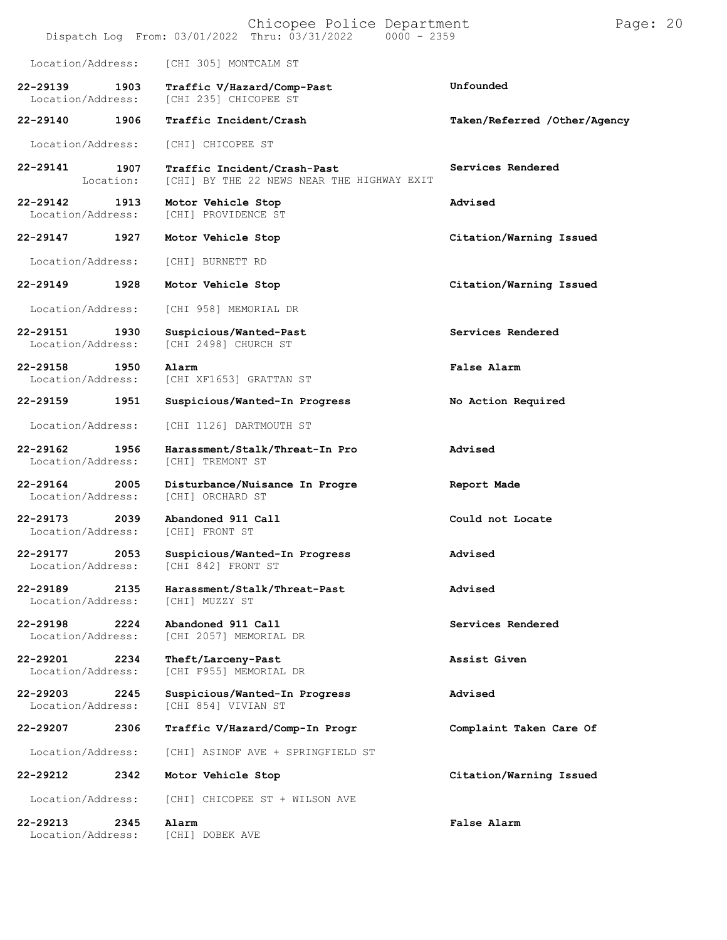|                               |                   | Chicopee Police Department<br>Dispatch Log From: 03/01/2022 Thru: 03/31/2022<br>$0000 - 2359$ | Page: 20                     |  |
|-------------------------------|-------------------|-----------------------------------------------------------------------------------------------|------------------------------|--|
| Location/Address:             |                   | [CHI 305] MONTCALM ST                                                                         |                              |  |
| 22-29139<br>Location/Address: | 1903              | Traffic V/Hazard/Comp-Past<br>[CHI 235] CHICOPEE ST                                           | Unfounded                    |  |
| 22-29140                      | 1906              | Traffic Incident/Crash                                                                        | Taken/Referred /Other/Agency |  |
| Location/Address:             |                   | [CHI] CHICOPEE ST                                                                             |                              |  |
| 22-29141                      | 1907<br>Location: | Traffic Incident/Crash-Past<br>[CHI] BY THE 22 NEWS NEAR THE HIGHWAY EXIT                     | Services Rendered            |  |
| 22-29142<br>Location/Address: | 1913              | Motor Vehicle Stop<br>[CHI] PROVIDENCE ST                                                     | Advised                      |  |
| 22-29147                      | 1927              | Motor Vehicle Stop                                                                            | Citation/Warning Issued      |  |
| Location/Address:             |                   | [CHI] BURNETT RD                                                                              |                              |  |
| 22-29149                      | 1928              | Motor Vehicle Stop                                                                            | Citation/Warning Issued      |  |
| Location/Address:             |                   | [CHI 958] MEMORIAL DR                                                                         |                              |  |
| 22-29151<br>Location/Address: | 1930              | Suspicious/Wanted-Past<br>[CHI 2498] CHURCH ST                                                | Services Rendered            |  |
| 22-29158<br>Location/Address: | 1950              | Alarm<br>[CHI XF1653] GRATTAN ST                                                              | False Alarm                  |  |
| 22-29159                      | 1951              | Suspicious/Wanted-In Progress                                                                 | No Action Required           |  |
| Location/Address:             |                   | [CHI 1126] DARTMOUTH ST                                                                       |                              |  |
| 22-29162<br>Location/Address: | 1956              | Harassment/Stalk/Threat-In Pro<br>[CHI] TREMONT ST                                            | Advised                      |  |
| 22-29164<br>Location/Address: | 2005              | Disturbance/Nuisance In Progre<br>[CHI] ORCHARD ST                                            | Report Made                  |  |
| 22-29173<br>Location/Address: | 2039              | Abandoned 911 Call<br>[CHI] FRONT ST                                                          | Could not Locate             |  |
| 22-29177<br>Location/Address: | 2053              | Suspicious/Wanted-In Progress<br>[CHI 842] FRONT ST                                           | Advised                      |  |
| 22-29189<br>Location/Address: | 2135              | Harassment/Stalk/Threat-Past<br>[CHI] MUZZY ST                                                | Advised                      |  |
| 22-29198<br>Location/Address: | 2224              | Abandoned 911 Call<br>[CHI 2057] MEMORIAL DR                                                  | Services Rendered            |  |
| 22-29201<br>Location/Address: | 2234              | Theft/Larceny-Past<br>[CHI F955] MEMORIAL DR                                                  | Assist Given                 |  |
| 22-29203<br>Location/Address: | 2245              | Suspicious/Wanted-In Progress<br>[CHI 854] VIVIAN ST                                          | Advised                      |  |
| 22-29207                      | 2306              | Traffic V/Hazard/Comp-In Progr                                                                | Complaint Taken Care Of      |  |
| Location/Address:             |                   | [CHI] ASINOF AVE + SPRINGFIELD ST                                                             |                              |  |
| 22-29212                      | 2342              | Motor Vehicle Stop                                                                            | Citation/Warning Issued      |  |
| Location/Address:             |                   | [CHI] CHICOPEE ST + WILSON AVE                                                                |                              |  |
| 22-29213<br>Location/Address: | 2345              | Alarm<br>[CHI] DOBEK AVE                                                                      | False Alarm                  |  |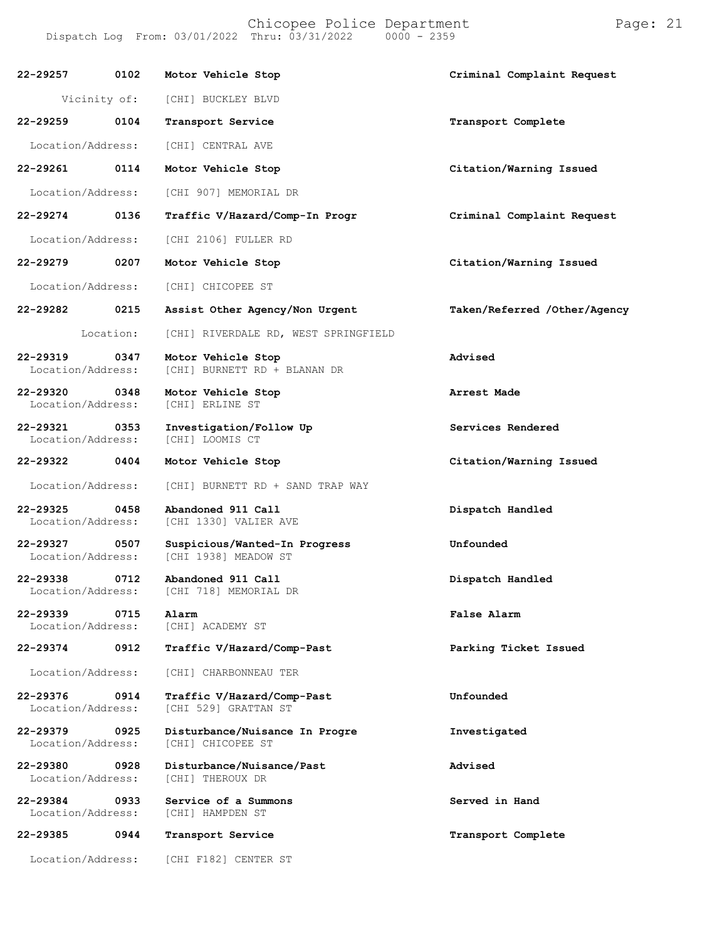Chicopee Police Department Page: 21 Dispatch Log From:  $03/01/2022$  Thru:  $03/31/2022$ 

**22-29257 0102 Motor Vehicle Stop Criminal Complaint Request** Vicinity of: [CHI] BUCKLEY BLVD **22-29259 0104 Transport Service Transport Complete** Location/Address: [CHI] CENTRAL AVE **22-29261 0114 Motor Vehicle Stop Citation/Warning Issued** Location/Address: [CHI 907] MEMORIAL DR **22-29274 0136 Traffic V/Hazard/Comp-In Progr Criminal Complaint Request** Location/Address: [CHI 2106] FULLER RD **22-29279 0207 Motor Vehicle Stop Citation/Warning Issued** Location/Address: [CHI] CHICOPEE ST **22-29282 0215 Assist Other Agency/Non Urgent Taken/Referred /Other/Agency** Location: [CHI] RIVERDALE RD, WEST SPRINGFIELD **22-29319 0347 Motor Vehicle Stop Advised** Location/Address: [CHI] BURNETT RD + BLANAN DR **22-29320 0348 Motor Vehicle Stop Arrest Made** Location/Address: **22-29321 0353 Investigation/Follow Up Services Rendered** Location/Address: **22-29322 0404 Motor Vehicle Stop Citation/Warning Issued** Location/Address: [CHI] BURNETT RD + SAND TRAP WAY **22-29325 0458 Abandoned 911 Call Dispatch Handled** [CHI 1330] VALIER AVE **22-29327 0507 Suspicious/Wanted-In Progress Unfounded** [CHI 1938] MEADOW ST **22-29338 0712 Abandoned 911 Call Dispatch Handled** [CHI 718] MEMORIAL DR **22-29339 0715 Alarm False Alarm** [CHI] ACADEMY ST **22-29374 0912 Traffic V/Hazard/Comp-Past Parking Ticket Issued** Location/Address: [CHI] CHARBONNEAU TER **22-29376 0914 Traffic V/Hazard/Comp-Past Unfounded** Location/Address: [CHI 529] GRATTAN ST **22-29379 0925 Disturbance/Nuisance In Progre Investigated** Location/Address: **22-29380 0928 Disturbance/Nuisance/Past Advised** Location/Address: **22-29384 0933 Service of a Summons Served in Hand** Location/Address: **22-29385 0944 Transport Service Transport Complete** Location/Address: [CHI F182] CENTER ST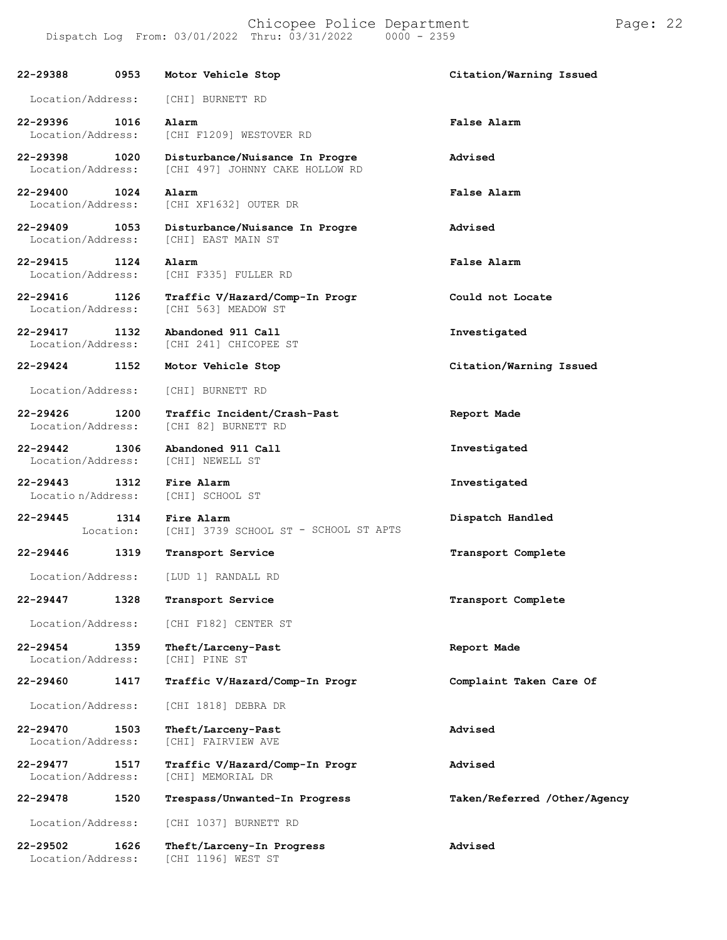**22-29388 0953 Motor Vehicle Stop Citation/Warning Issued** Location/Address: [CHI] BURNETT RD **22-29396 1016 Alarm False Alarm** Location/Address: [CHI F1209] WESTOVER RD **22-29398 1020 Disturbance/Nuisance In Progre Advised** [CHI 497] JOHNNY CAKE HOLLOW RD **22-29400 1024 Alarm False Alarm** [CHI XF1632] OUTER DR **22-29409 1053 Disturbance/Nuisance In Progre Advised** [CHI] EAST MAIN ST **22-29415 1124 Alarm False Alarm** Location/Address: [CHI F335] FULLER RD **22-29416 1126 Traffic V/Hazard/Comp-In Progr Could not Locate** [CHI 563] MEADOW ST **22-29417 1132 Abandoned 911 Call Investigated** [CHI 241] CHICOPEE ST **22-29424 1152 Motor Vehicle Stop Citation/Warning Issued** Location/Address: [CHI] BURNETT RD **22-29426 1200 Traffic Incident/Crash-Past** [CHI 82] BURNETT RD **Report Made 22-29442 1306 Abandoned 911 Call** Location/Address: **Investigated 22-29443 1312 Fire Alarm Investigated** Locatio n/Address: [CHI] SCHOOL ST **22-29445 1314** Location: **Fire Alarm** [CHI] 3739 SCHOOL ST - SCHOOL ST APTS **Dispatch Handled 22-29446 1319 Transport Service Transport Complete** Location/Address: [LUD 1] RANDALL RD **22-29447 1328 Transport Service Transport Complete** Location/Address: [CHI F182] CENTER ST **22-29454 1359 Theft/Larceny-Past Report Made** Location/Address: **22-29460 1417 Traffic V/Hazard/Comp-In Progr Complaint Taken Care Of** Location/Address: [CHI 1818] DEBRA DR **22-29470 1503 Theft/Larceny-Past Advised** [CHI] FAIRVIEW AVE **22-29477 1517 Traffic V/Hazard/Comp-In Progr Advised** [CHI] MEMORIAL DR **22-29478 1520 Trespass/Unwanted-In Progress Taken/Referred /Other/Agency** Location/Address: [CHI 1037] BURNETT RD

**22-29502 1626 Theft/Larceny-In Progress Advised** [CHI 1196] WEST ST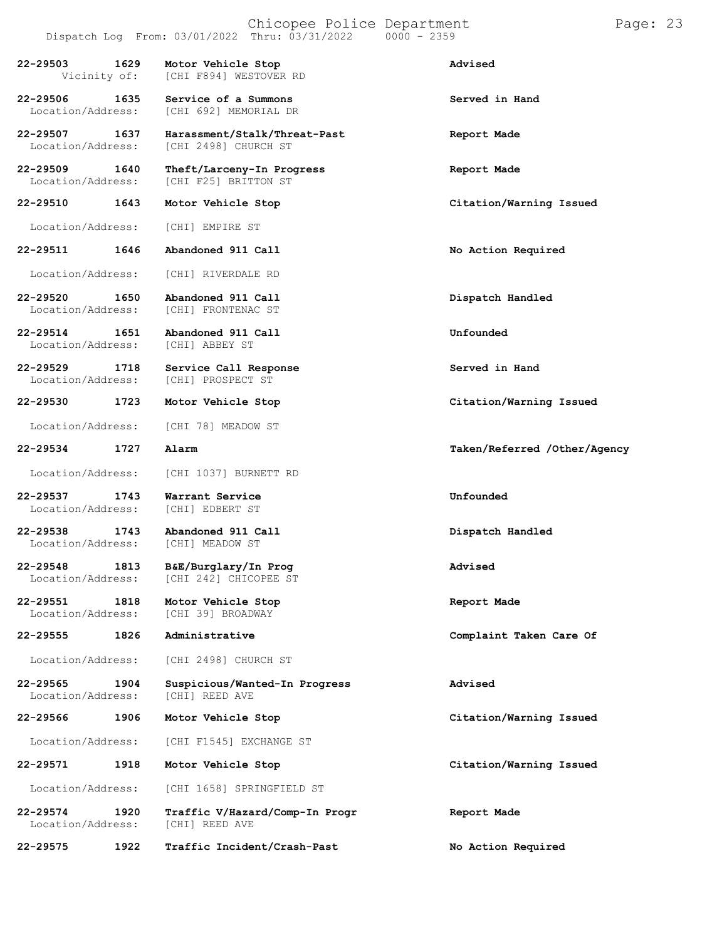Chicopee Police Department Page: 23 Dispatch Log From:  $03/01/2022$  Thru:  $03/31/2022$ **22-29503 1629 Motor Vehicle Stop Advised** [CHI F894] WESTOVER RD **22-29506 1635 Service of a Summons Served in Hand** [CHI 692] MEMORIAL DR **22-29507 1637 Harassment/Stalk/Threat-Past Report Made** Location/Address: [CHI 2498] CHURCH ST **22-29509 1640 Theft/Larceny-In Progress Report Made** [CHI F25] BRITTON ST **22-29510 1643 Motor Vehicle Stop Citation/Warning Issued** Location/Address: [CHI] EMPIRE ST **22-29511 1646 Abandoned 911 Call No Action Required** Location/Address: [CHI] RIVERDALE RD **22-29520 1650 Abandoned 911 Call Dispatch Handled** [CHI] FRONTENAC ST **22-29514 1651 Abandoned 911 Call Unfounded**

Location/Address:

**22-29529 1718 Service Call Response Served in Hand** Location/Address:

**22-29530 1723 Motor Vehicle Stop Citation/Warning Issued**

Location/Address: [CHI 78] MEADOW ST

Location/Address:

Location/Address: [CHI 1037] BURNETT RD

**22-29537 1743 Warrant Service Unfounded** Location/Address:

**22-29538 1743 Abandoned 911 Call Dispatch Handled** Location/Address:

**22-29548 1813 B&E/Burglary/In Prog Advised** [CHI 242] CHICOPEE ST

**22-29551 1818 Motor Vehicle Stop Report Made**

Location/Address: [CHI 2498] CHURCH ST

**22-29565 1904 Suspicious/Wanted-In Progress Advised** Location/Address:

Location/Address: [CHI F1545] EXCHANGE ST

**22-29571 1918 Motor Vehicle Stop Citation/Warning Issued**

Location/Address: [CHI 1658] SPRINGFIELD ST

**22-29574 1920 Traffic V/Hazard/Comp-In Progr Report Made** Location/Address:

**22-29575 1922 Traffic Incident/Crash-Past No Action Required**

**22-29534 1727 Alarm Taken/Referred /Other/Agency**

**22-29555 1826 Administrative Complaint Taken Care Of**

**22-29566 1906 Motor Vehicle Stop Citation/Warning Issued**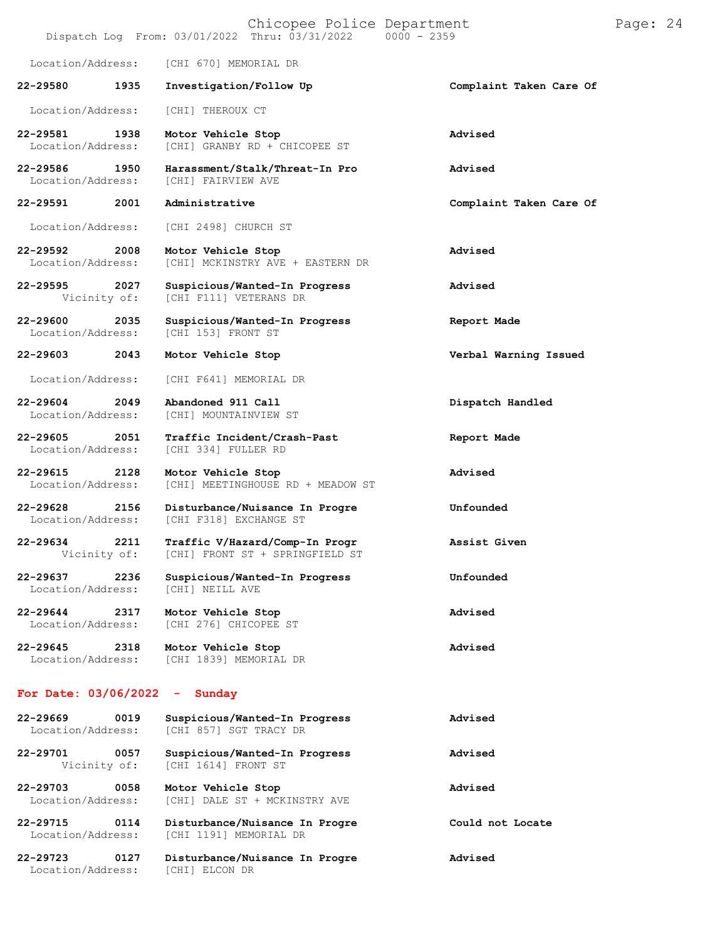|                                           | Chicopee Police Department<br>$0000 - 2359$<br>Dispatch Log From: 03/01/2022 Thru: 03/31/2022 | Pa                      |
|-------------------------------------------|-----------------------------------------------------------------------------------------------|-------------------------|
| Location/Address:                         | [CHI 670] MEMORIAL DR                                                                         |                         |
| 22-29580<br>1935                          | Investigation/Follow Up                                                                       | Complaint Taken Care Of |
| Location/Address:                         | [CHI] THEROUX CT                                                                              |                         |
| 22-29581<br>1938<br>Location/Address:     | Motor Vehicle Stop<br>[CHI] GRANBY RD + CHICOPEE ST                                           | Advised                 |
| 22-29586<br>1950<br>Location/Address:     | Harassment/Stalk/Threat-In Pro<br>[CHI] FAIRVIEW AVE                                          | Advised                 |
| 22-29591<br>2001                          | Administrative                                                                                | Complaint Taken Care Of |
| Location/Address:                         | [CHI 2498] CHURCH ST                                                                          |                         |
| 22-29592<br>2008<br>Location/Address:     | Motor Vehicle Stop<br>[CHI] MCKINSTRY AVE + EASTERN DR                                        | Advised                 |
| 22-29595<br>2027<br>Vicinity of:          | Suspicious/Wanted-In Progress<br>[CHI F111] VETERANS DR                                       | Advised                 |
| 22-29600<br>2035<br>Location/Address:     | Suspicious/Wanted-In Progress<br>[CHI 153] FRONT ST                                           | Report Made             |
| 22-29603<br>2043                          | Motor Vehicle Stop                                                                            | Verbal Warning Issued   |
| Location/Address:                         | [CHI F641] MEMORIAL DR                                                                        |                         |
| 22-29604<br>2049<br>Location/Address:     | Abandoned 911 Call<br>[CHI] MOUNTAINVIEW ST                                                   | Dispatch Handled        |
| 22-29605<br>2051<br>Location/Address:     | Traffic Incident/Crash-Past<br>[CHI 334] FULLER RD                                            | Report Made             |
| 22-29615<br>2128<br>Location/Address:     | Motor Vehicle Stop<br>[CHI] MEETINGHOUSE RD + MEADOW ST                                       | Advised                 |
| 22-29628<br>2156<br>Location/Address:     | Disturbance/Nuisance In Progre<br>[CHI F318] EXCHANGE ST                                      | Unfounded               |
| 22-29634<br>2211<br>Vicinity of:          | Traffic V/Hazard/Comp-In Progr<br>[CHI] FRONT ST + SPRINGFIELD ST                             | Assist Given            |
| 22-29637<br>2236<br>Location/Address:     | Suspicious/Wanted-In Progress<br>[CHI] NEILL AVE                                              | Unfounded               |
| 22-29644<br>2317<br>Location/Address:     | Motor Vehicle Stop<br>[CHI 276] CHICOPEE ST                                                   | Advised                 |
| $22 - 29645$<br>2318<br>Location/Address: | Motor Vehicle Stop<br>[CHI 1839] MEMORIAL DR                                                  | Advised                 |
| For Date: $03/06/2022 -$ Sunday           |                                                                                               |                         |
| 22-29669<br>0019<br>Location/Address:     | Suspicious/Wanted-In Progress<br>[CHI 857] SGT TRACY DR                                       | Advised                 |
| 22-29701<br>0057<br>Vicinity of:          | Suspicious/Wanted-In Progress<br>[CHI 1614] FRONT ST                                          | Advised                 |
| 22-29703<br>0058<br>Location/Address:     | Motor Vehicle Stop<br>[CHI] DALE ST + MCKINSTRY AVE                                           | Advised                 |
| 22-29715<br>0114<br>Location/Address:     | Disturbance/Nuisance In Progre<br>[CHI 1191] MEMORIAL DR                                      | Could not Locate        |
| 22-29723<br>0127<br>Location/Address:     | Disturbance/Nuisance In Progre<br>[CHI] ELCON DR                                              | Advised                 |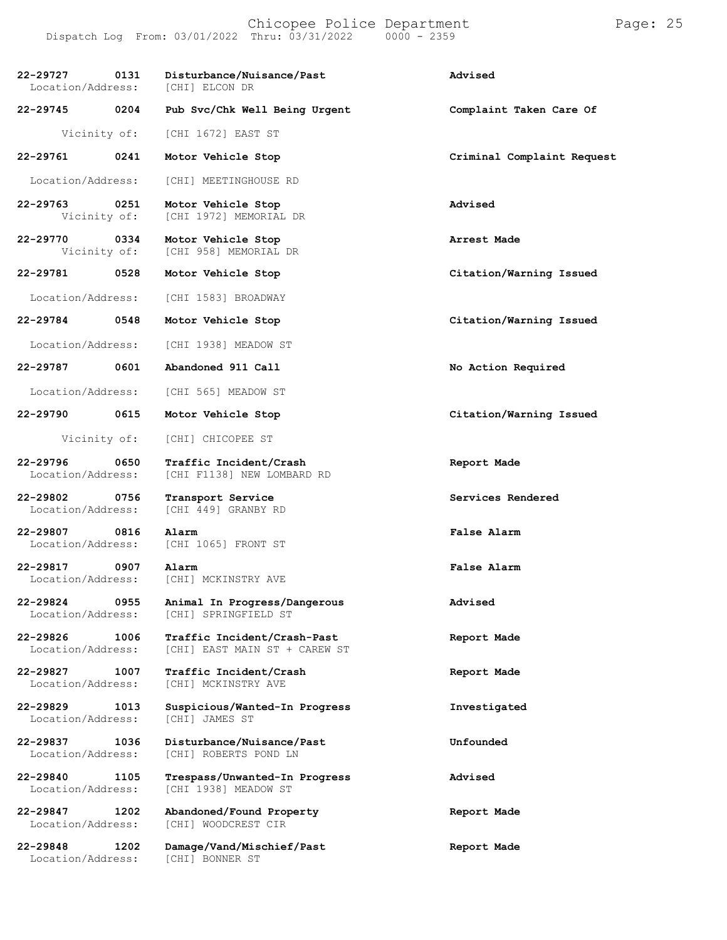| 22-29727<br>0131<br>Location/Address: | Disturbance/Nuisance/Past<br>[CHI] ELCON DR                  | Advised                    |
|---------------------------------------|--------------------------------------------------------------|----------------------------|
| 0204<br>22-29745                      | Pub Svc/Chk Well Being Urgent                                | Complaint Taken Care Of    |
| Vicinity of:                          | [CHI 1672] EAST ST                                           |                            |
| 22-29761<br>0241                      | Motor Vehicle Stop                                           | Criminal Complaint Request |
| Location/Address:                     | [CHI] MEETINGHOUSE RD                                        |                            |
| 22-29763<br>0251<br>Vicinity of:      | Motor Vehicle Stop<br>[CHI 1972] MEMORIAL DR                 | Advised                    |
| 22-29770<br>0334<br>Vicinity of:      | Motor Vehicle Stop<br>[CHI 958] MEMORIAL DR                  | Arrest Made                |
| 22-29781<br>0528                      | Motor Vehicle Stop                                           | Citation/Warning Issued    |
| Location/Address:                     | [CHI 1583] BROADWAY                                          |                            |
| 22-29784<br>0548                      | Motor Vehicle Stop                                           | Citation/Warning Issued    |
| Location/Address:                     | [CHI 1938] MEADOW ST                                         |                            |
| 22-29787<br>0601                      | Abandoned 911 Call                                           | No Action Required         |
| Location/Address:                     | [CHI 565] MEADOW ST                                          |                            |
| 22-29790<br>0615                      | Motor Vehicle Stop                                           | Citation/Warning Issued    |
| Vicinity of:                          | [CHI] CHICOPEE ST                                            |                            |
| 22-29796<br>0650<br>Location/Address: | Traffic Incident/Crash<br>[CHI F1138] NEW LOMBARD RD         | Report Made                |
| 22-29802<br>0756<br>Location/Address: | Transport Service<br>[CHI 449] GRANBY RD                     | Services Rendered          |
| 22-29807<br>0816<br>Location/Address: | Alarm<br>[CHI 1065] FRONT ST                                 | False Alarm                |
| 22-29817<br>0907<br>Location/Address: | Alarm<br>[CHI] MCKINSTRY AVE                                 | False Alarm                |
| 22-29824<br>0955<br>Location/Address: | Animal In Progress/Dangerous<br>[CHI] SPRINGFIELD ST         | Advised                    |
| 22-29826<br>1006<br>Location/Address: | Traffic Incident/Crash-Past<br>[CHI] EAST MAIN ST + CAREW ST | Report Made                |
| 22-29827<br>1007<br>Location/Address: | Traffic Incident/Crash<br>[CHI] MCKINSTRY AVE                | Report Made                |
| 22-29829<br>1013<br>Location/Address: | Suspicious/Wanted-In Progress<br>[CHI] JAMES ST              | Investigated               |
| 22-29837<br>1036<br>Location/Address: | Disturbance/Nuisance/Past<br>[CHI] ROBERTS POND LN           | Unfounded                  |
| 22-29840<br>1105<br>Location/Address: | Trespass/Unwanted-In Progress<br>[CHI 1938] MEADOW ST        | Advised                    |
| 22-29847<br>1202<br>Location/Address: | Abandoned/Found Property<br>[CHI] WOODCREST CIR              | Report Made                |
| 22-29848<br>1202<br>Location/Address: | Damage/Vand/Mischief/Past<br>[CHI] BONNER ST                 | Report Made                |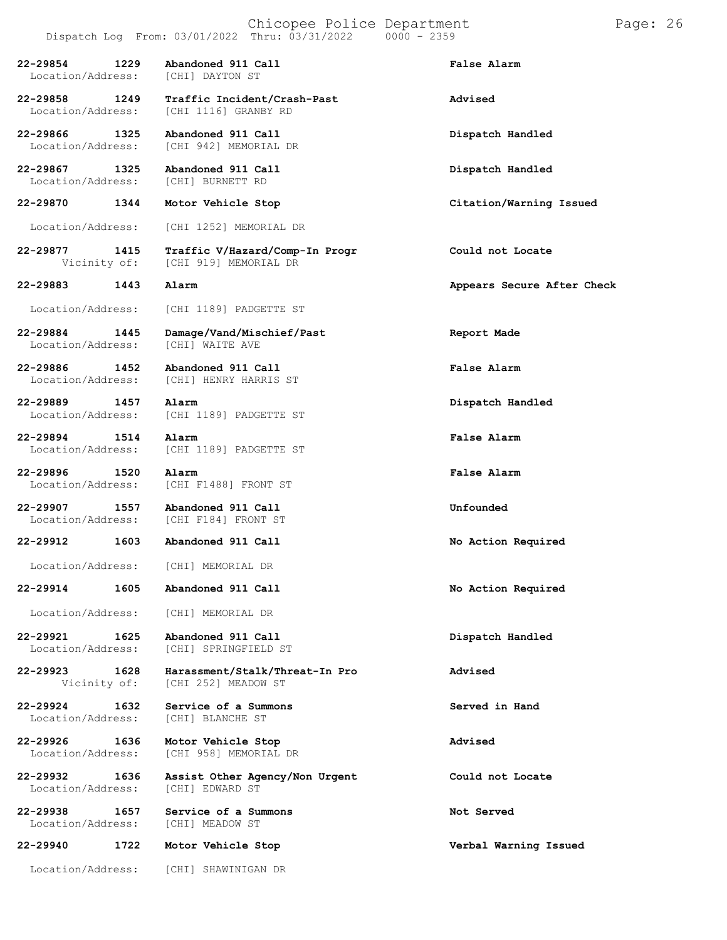Dispatch Log From:  $03/01/2022$  Thru:  $03/31/2022$ **22-29854 1229 Abandoned 911 Call False Alarm** Location/Address: **22-29858 1249 Traffic Incident/Crash-Past Advised** Location/Address: **22-29866 1325 Abandoned 911 Call Dispatch Handled** Location/Address: [CHI 942] MEMORIAL DR **22-29867 1325 Abandoned 911 Call Dispatch Handled** Location/Address: **22-29870 1344 Motor Vehicle Stop Citation/Warning Issued** Location/Address: [CHI 1252] MEMORIAL DR **22-29877 1415 Traffic V/Hazard/Comp-In Progr Could not Locate** [CHI 919] MEMORIAL DR **22-29883 1443 Alarm Appears Secure After Check** Location/Address: [CHI 1189] PADGETTE ST

Location/Address:

**22-29889 1457 Alarm Dispatch Handled**

**22-29894 1514 Alarm False Alarm**

**22-29924 1632 Service of a Summons Served in Hand**

Location/Address:

Location/Address:

**22-29940 1722 Motor Vehicle Stop Verbal Warning Issued**

Location/Address: [CHI] SHAWINIGAN DR

**22-29884 1445 Damage/Vand/Mischief/Past Report Made**

**22-29886 1452 Abandoned 911 Call False Alarm** Location/Address: [CHI] HENRY HARRIS ST

Location/Address: [CHI 1189] PADGETTE ST

Location/Address: [CHI 1189] PADGETTE ST

**22-29896 1520 Alarm False Alarm** Location/Address: [CHI F1488] FRONT ST

**22-29907 1557 Abandoned 911 Call Unfounded** Location/Address: [CHI F184] FRONT ST

**22-29912 1603 Abandoned 911 Call No Action Required**

Location/Address: [CHI] MEMORIAL DR

**22-29914 1605 Abandoned 911 Call No Action Required**

Location/Address: [CHI] MEMORIAL DR

**22-29921 1625 Abandoned 911 Call Dispatch Handled** [CHI] SPRINGFIELD ST

**22-29923 1628 Harassment/Stalk/Threat-In Pro Advised** [CHI 252] MEADOW ST

Location/Address: [CHI] BLANCHE ST

**22-29926 1636 Motor Vehicle Stop Advised** Location/Address: [CHI 958] MEMORIAL DR

**22-29932 1636 Assist Other Agency/Non Urgent Could not Locate**

**22-29938 1657 Service of a Summons Not Served**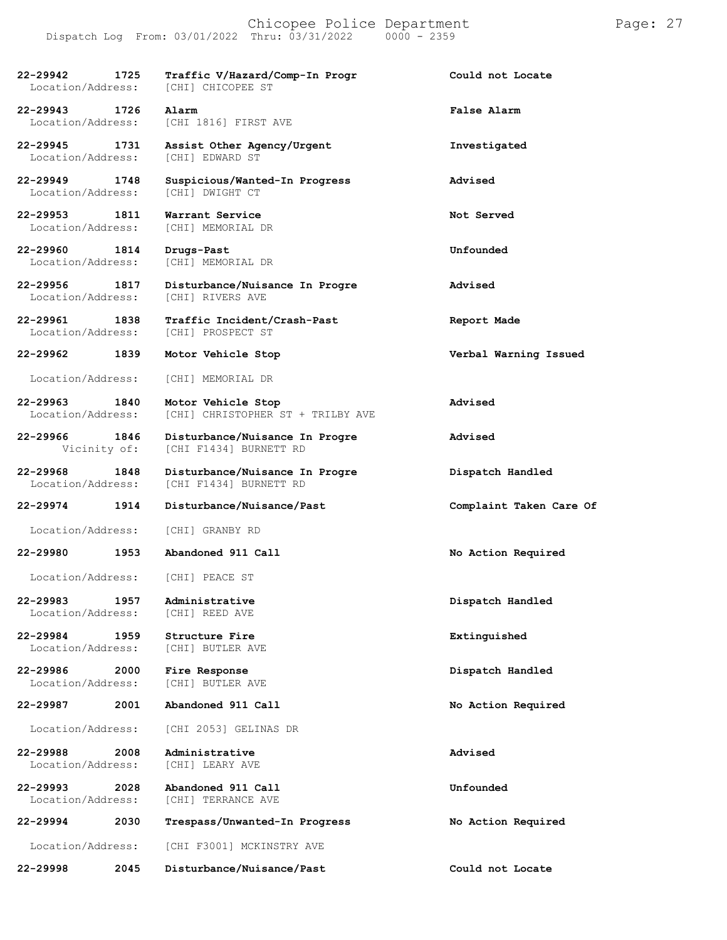**22-29942 1725 Traffic V/Hazard/Comp-In Progr Could not Locate** Location/Address: **22-29943 1726 Alarm False Alarm** [CHI 1816] FIRST AVE **22-29945 1731 Assist Other Agency/Urgent Investigated** Location/Address: [CHI] EDWARD ST **22-29949 1748 Suspicious/Wanted-In Progress Advised** Location/Address: **22-29953 1811 Warrant Service Not Served** Location/Address: **22-29960 1814 Drugs-Past Unfounded** Location/Address: **22-29956 1817 Disturbance/Nuisance In Progre Advised** Location/Address: **22-29961 1838 Traffic Incident/Crash-Past Report Made** [CHI] PROSPECT ST **22-29962 1839 Motor Vehicle Stop Verbal Warning Issued** Location/Address: [CHI] MEMORIAL DR **22-29963 1840 Motor Vehicle Stop Advised** [CHI] CHRISTOPHER ST + TRILBY AVE **22-29966 1846 Disturbance/Nuisance In Progre Advised** Vicinity of: [CHI F1434] BURNETT RD **22-29968 1848 Disturbance/Nuisance In Progre Dispatch Handled** Location/Address: [CHI F1434] BURNETT RD **22-29974 1914 Disturbance/Nuisance/Past Complaint Taken Care Of** Location/Address: [CHI] GRANBY RD **22-29980 1953 Abandoned 911 Call No Action Required** Location/Address: [CHI] PEACE ST **22-29983 1957 Administrative Dispatch Handled** Location/Address: **22-29984 1959 Structure Fire Extinguished** Location/Address: **22-29986 2000 Fire Response Dispatch Handled** Location/Address: **22-29987 2001 Abandoned 911 Call No Action Required** Location/Address: [CHI 2053] GELINAS DR

**22-29988 2008 Administrative Advised** Location/Address:

**22-29993 2028 Abandoned 911 Call Unfounded** [CHI] TERRANCE AVE

**22-29994 2030 Trespass/Unwanted-In Progress No Action Required** Location/Address: [CHI F3001] MCKINSTRY AVE **22-29998 2045 Disturbance/Nuisance/Past Could not Locate**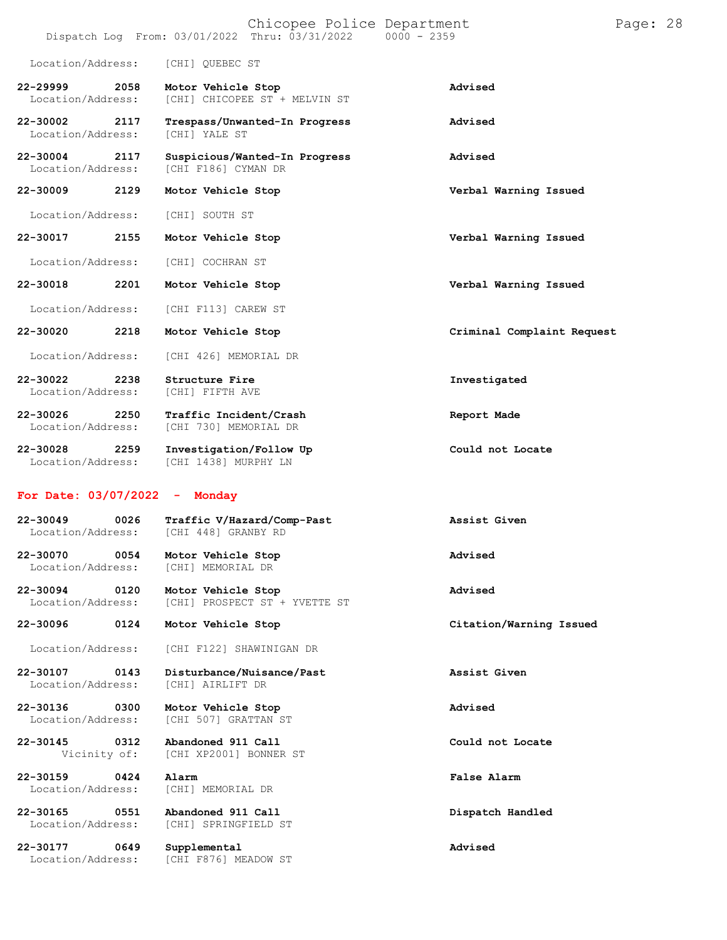|                                           | Chicopee Police Department<br>Dispatch Log From: 03/01/2022 Thru: 03/31/2022 | $0000 - 2359$              | Page: 28 |
|-------------------------------------------|------------------------------------------------------------------------------|----------------------------|----------|
| Location/Address:                         | [CHI] QUEBEC ST                                                              |                            |          |
| 22-29999<br>2058<br>Location/Address:     | Motor Vehicle Stop<br>[CHI] CHICOPEE ST + MELVIN ST                          | Advised                    |          |
| 22-30002<br>2117<br>Location/Address:     | Trespass/Unwanted-In Progress<br><b>[CHI] YALE ST</b>                        | Advised                    |          |
| 22-30004<br>2117<br>Location/Address:     | Suspicious/Wanted-In Progress<br>[CHI F186] CYMAN DR                         | Advised                    |          |
| 22-30009<br>2129                          | Motor Vehicle Stop                                                           | Verbal Warning Issued      |          |
| Location/Address:                         | [CHI] SOUTH ST                                                               |                            |          |
| 22-30017<br>2155                          | Motor Vehicle Stop                                                           | Verbal Warning Issued      |          |
| Location/Address:                         | [CHI] COCHRAN ST                                                             |                            |          |
| 22-30018<br>2201                          | Motor Vehicle Stop                                                           | Verbal Warning Issued      |          |
| Location/Address:                         | [CHI F113] CAREW ST                                                          |                            |          |
| 22-30020<br>2218                          | Motor Vehicle Stop                                                           | Criminal Complaint Request |          |
| Location/Address:                         | [CHI 426] MEMORIAL DR                                                        |                            |          |
| 22-30022<br>2238<br>Location/Address:     | Structure Fire<br>[CHI] FIFTH AVE                                            | Investigated               |          |
| 22-30026<br>2250<br>Location/Address:     | Traffic Incident/Crash<br>[CHI 730] MEMORIAL DR                              | Report Made                |          |
| 22-30028<br>2259<br>Location/Address:     | Investigation/Follow Up<br>[CHI 1438] MURPHY LN                              | Could not Locate           |          |
| For Date: 03/07/2022                      | Monday<br>$\sim$ $-$                                                         |                            |          |
| $22 - 30049$<br>0026<br>Location/Address: | Traffic V/Hazard/Comp-Past<br>[CHI 448] GRANBY RD                            | Assist Given               |          |
| 22-30070<br>0054<br>Location/Address:     | Motor Vehicle Stop<br>[CHI] MEMORIAL DR                                      | Advised                    |          |
| $22 - 30094$<br>0120<br>Location/Address: | Motor Vehicle Stop<br>[CHI] PROSPECT ST + YVETTE ST                          | Advised                    |          |
| 22-30096<br>0124                          | Motor Vehicle Stop                                                           | Citation/Warning Issued    |          |
| Location/Address:                         | [CHI F122] SHAWINIGAN DR                                                     |                            |          |
| 22-30107<br>0143<br>Location/Address:     | Disturbance/Nuisance/Past<br>[CHI] AIRLIFT DR                                | Assist Given               |          |
| 22-30136<br>0300<br>Location/Address:     | Motor Vehicle Stop<br>[CHI 507] GRATTAN ST                                   | Advised                    |          |
| 22-30145<br>0312<br>Vicinity of:          | Abandoned 911 Call<br>[CHI XP2001] BONNER ST                                 | Could not Locate           |          |
| 22-30159<br>0424<br>Location/Address:     | Alarm<br>[CHI] MEMORIAL DR                                                   | <b>False Alarm</b>         |          |
| 22-30165<br>0551<br>Location/Address:     | Abandoned 911 Call<br>[CHI] SPRINGFIELD ST                                   | Dispatch Handled           |          |
| 22-30177<br>0649<br>Location/Address:     | Supplemental<br>[CHI F876] MEADOW ST                                         | Advised                    |          |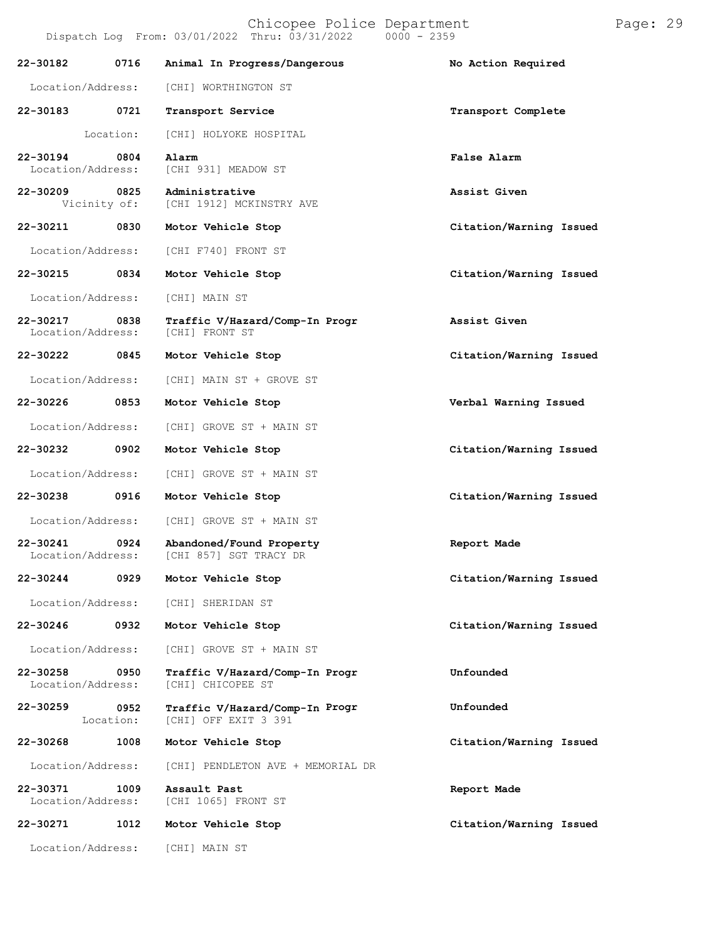Chicopee Police Department Page: 29 Dispatch Log From: 03/01/2022 Thru: 03/31/2022 0000 - 2359

| 22-30182                          | 0716                 | Animal In Progress/Dangerous                           | No Action Required      |
|-----------------------------------|----------------------|--------------------------------------------------------|-------------------------|
| Location/Address:                 |                      | [CHI] WORTHINGTON ST                                   |                         |
| 22-30183                          | 0721                 | Transport Service                                      | Transport Complete      |
|                                   | Location:            | [CHI] HOLYOKE HOSPITAL                                 |                         |
| 22-30194<br>Location/Address:     | $\overline{0804}$    | Alarm<br>[CHI 931] MEADOW ST                           | <b>False Alarm</b>      |
| 22-30209                          | 0825<br>Vicinity of: | Administrative<br>[CHI 1912] MCKINSTRY AVE             | Assist Given            |
| 22-30211 0830                     |                      | Motor Vehicle Stop                                     | Citation/Warning Issued |
| Location/Address:                 |                      | [CHI F740] FRONT ST                                    |                         |
| 22-30215                          | 0834                 | Motor Vehicle Stop                                     | Citation/Warning Issued |
| Location/Address:                 |                      | [CHI] MAIN ST                                          |                         |
| 22-30217<br>Location/Address:     | 0838                 | Traffic V/Hazard/Comp-In Progr<br>[CHI] FRONT ST       | Assist Given            |
| 22-30222 0845                     |                      | Motor Vehicle Stop                                     | Citation/Warning Issued |
| Location/Address:                 |                      | [CHI] MAIN ST + GROVE ST                               |                         |
| 22-30226                          | 0853                 | Motor Vehicle Stop                                     | Verbal Warning Issued   |
| Location/Address:                 |                      | [CHI] GROVE ST + MAIN ST                               |                         |
| 22-30232                          | 0902                 | Motor Vehicle Stop                                     | Citation/Warning Issued |
| Location/Address:                 |                      | [CHI] GROVE ST + MAIN ST                               |                         |
| 22-30238                          | 0916                 | Motor Vehicle Stop                                     | Citation/Warning Issued |
| Location/Address:                 |                      | [CHI] GROVE ST + MAIN ST                               |                         |
| $22 - 30241$<br>Location/Address: | 0924                 | Abandoned/Found Property<br>[CHI 857] SGT TRACY DR     | Report Made             |
| 22-30244                          | 0929                 | Motor Vehicle Stop                                     | Citation/Warning Issued |
| Location/Address:                 |                      | [CHI] SHERIDAN ST                                      |                         |
| 22-30246                          | 0932                 | Motor Vehicle Stop                                     | Citation/Warning Issued |
| Location/Address:                 |                      | [CHI] GROVE ST + MAIN ST                               |                         |
| 22-30258<br>Location/Address:     | 0950                 | Traffic V/Hazard/Comp-In Progr<br>[CHI] CHICOPEE ST    | Unfounded               |
| 22-30259                          | 0952<br>Location:    | Traffic V/Hazard/Comp-In Progr<br>[CHI] OFF EXIT 3 391 | Unfounded               |
| 22-30268                          | 1008                 | Motor Vehicle Stop                                     | Citation/Warning Issued |
| Location/Address:                 |                      | [CHI] PENDLETON AVE + MEMORIAL DR                      |                         |
| 22-30371<br>Location/Address:     | 1009                 | Assault Past<br>[CHI 1065] FRONT ST                    | Report Made             |
| 22-30271                          | 1012                 | Motor Vehicle Stop                                     | Citation/Warning Issued |
| Location/Address:                 |                      | [CHI] MAIN ST                                          |                         |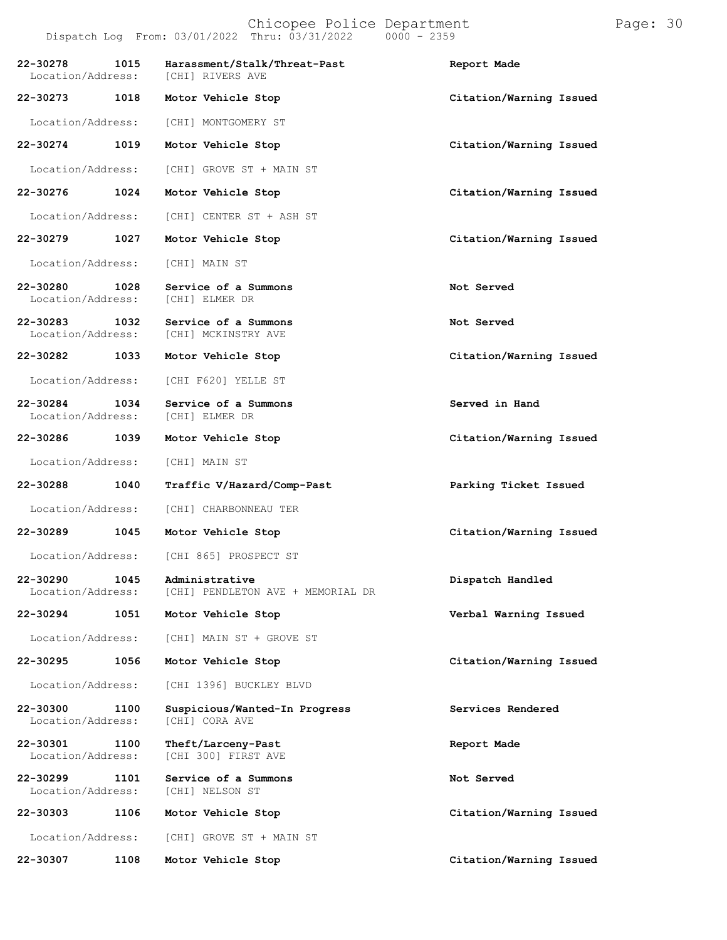## Chicopee Police Department Page: 30 Dispatch Log From: 03/01/2022 Thru: 03/31/2022 0000 - 2359

**22-30278 1015 Harassment/Stalk/Threat-Past Report Made**

Location/Address: [CHI] RIVERS AVE

| 22-30273                      | 1018 | Motor Vehicle Stop                                  | Citation/Warning Issued |  |
|-------------------------------|------|-----------------------------------------------------|-------------------------|--|
| Location/Address:             |      | [CHI] MONTGOMERY ST                                 |                         |  |
| 22-30274                      | 1019 | Motor Vehicle Stop                                  | Citation/Warning Issued |  |
| Location/Address:             |      | [CHI] GROVE ST + MAIN ST                            |                         |  |
| 22-30276                      | 1024 | Motor Vehicle Stop                                  | Citation/Warning Issued |  |
| Location/Address:             |      | [CHI] CENTER ST + ASH ST                            |                         |  |
| 22-30279                      | 1027 | Motor Vehicle Stop                                  | Citation/Warning Issued |  |
| Location/Address:             |      | [CHI] MAIN ST                                       |                         |  |
| 22-30280<br>Location/Address: | 1028 | Service of a Summons<br>[CHI] ELMER DR              | Not Served              |  |
| 22-30283<br>Location/Address: | 1032 | Service of a Summons<br>[CHI] MCKINSTRY AVE         | Not Served              |  |
| 22-30282                      | 1033 | Motor Vehicle Stop                                  | Citation/Warning Issued |  |
| Location/Address:             |      | [CHI F620] YELLE ST                                 |                         |  |
| 22-30284<br>Location/Address: | 1034 | Service of a Summons<br>[CHI] ELMER DR              | Served in Hand          |  |
| 22-30286 1039                 |      | Motor Vehicle Stop                                  | Citation/Warning Issued |  |
| Location/Address:             |      | [CHI] MAIN ST                                       |                         |  |
| 22-30288                      | 1040 | Traffic V/Hazard/Comp-Past                          | Parking Ticket Issued   |  |
| Location/Address:             |      | [CHI] CHARBONNEAU TER                               |                         |  |
| 22-30289                      | 1045 | Motor Vehicle Stop                                  | Citation/Warning Issued |  |
| Location/Address:             |      | [CHI 865] PROSPECT ST                               |                         |  |
| 22-30290<br>Location/Address: | 1045 | Administrative<br>[CHI] PENDLETON AVE + MEMORIAL DR | Dispatch Handled        |  |
| 22-30294                      | 1051 | Motor Vehicle Stop                                  | Verbal Warning Issued   |  |
| Location/Address:             |      | [CHI] MAIN ST + GROVE ST                            |                         |  |
| 22-30295                      | 1056 | Motor Vehicle Stop                                  | Citation/Warning Issued |  |
| Location/Address:             |      | [CHI 1396] BUCKLEY BLVD                             |                         |  |
| 22-30300<br>Location/Address: | 1100 | Suspicious/Wanted-In Progress<br>[CHI] CORA AVE     | Services Rendered       |  |
| 22-30301<br>Location/Address: | 1100 | Theft/Larceny-Past<br>[CHI 300] FIRST AVE           | Report Made             |  |
| 22-30299<br>Location/Address: | 1101 | Service of a Summons<br>[CHI] NELSON ST             | Not Served              |  |
| 22-30303                      | 1106 | Motor Vehicle Stop                                  | Citation/Warning Issued |  |
| Location/Address:             |      | [CHI] GROVE ST + MAIN ST                            |                         |  |
| 22-30307                      | 1108 | Motor Vehicle Stop                                  | Citation/Warning Issued |  |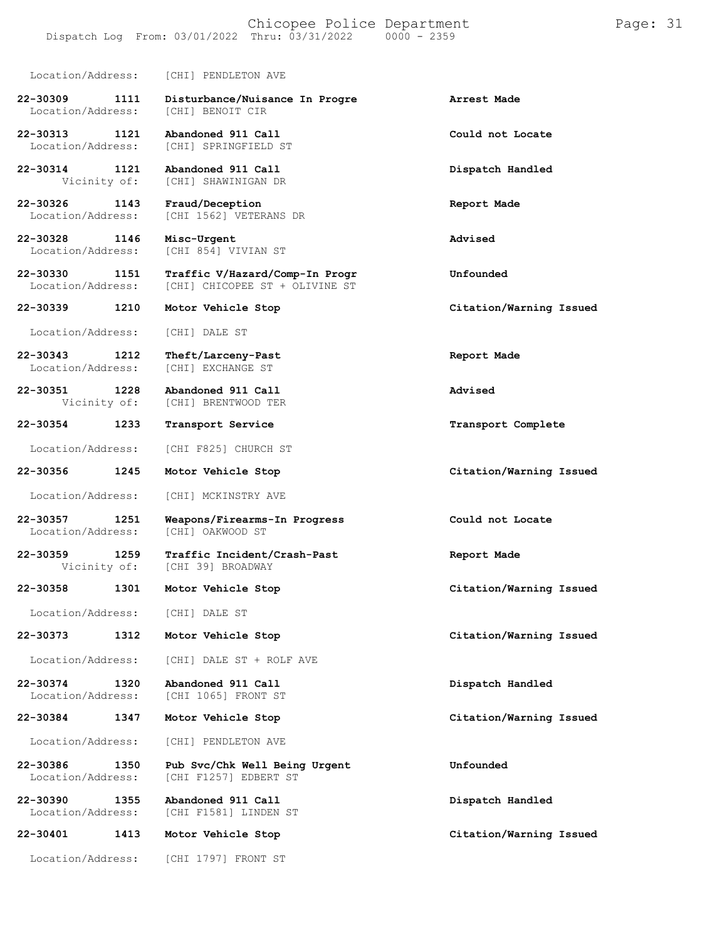## Chicopee Police Department Page: 31 Dispatch Log From:  $03/01/2022$  Thru:  $03/31/2022$

[CHI] CHICOPEE ST + OLIVINE ST

Location/Address: [CHI] PENDLETON AVE **22-30309 1111 Disturbance/Nuisance In Progre Arrest Made** Location/Address: **22-30313 1121 Abandoned 911 Call Could not Locate**

[CHI] SPRINGFIELD ST

**22-30314 1121 Abandoned 911 Call Dispatch Handled** [CHI] SHAWINIGAN DR

**22-30326 1143 Fraud/Deception Report Made** [CHI 1562] VETERANS DR

**22-30328 1146 Misc-Urgent Advised** Location/Address: [CHI 854] VIVIAN ST

**22-30330 1151 Traffic V/Hazard/Comp-In Progr Unfounded**

**22-30339 1210 Motor Vehicle Stop Citation/Warning Issued**

Location/Address: [CHI] DALE ST

**22-30343 1212 Theft/Larceny-Past Report Made** Location/Address:

**22-30351 1228 Abandoned 911 Call Advised** [CHI] BRENTWOOD TER

Location/Address: [CHI F825] CHURCH ST

**22-30356 1245 Motor Vehicle Stop Citation/Warning Issued**

Location/Address: [CHI] MCKINSTRY AVE

**22-30357 1251 Weapons/Firearms-In Progress Could not Locate** Location/Address:

**22-30359 1259 Traffic Incident/Crash-Past Report Made** [CHI 39] BROADWAY

**22-30358 1301 Motor Vehicle Stop Citation/Warning Issued**

Location/Address: [CHI] DALE ST

**22-30373 1312 Motor Vehicle Stop Citation/Warning Issued**

Location/Address: [CHI] DALE ST + ROLF AVE

**22-30374 1320 Abandoned 911 Call Dispatch Handled** [CHI 1065] FRONT ST

**22-30384 1347 Motor Vehicle Stop Citation/Warning Issued**

Location/Address: [CHI] PENDLETON AVE

**22-30386 1350 Pub Svc/Chk Well Being Urgent Unfounded** [CHI F1257] EDBERT ST

**22-30390 1355 Abandoned 911 Call Dispatch Handled** [CHI F1581] LINDEN ST

**22-30401 1413 Motor Vehicle Stop Citation/Warning Issued**

Location/Address: [CHI 1797] FRONT ST

**22-30354 1233 Transport Service Transport Complete**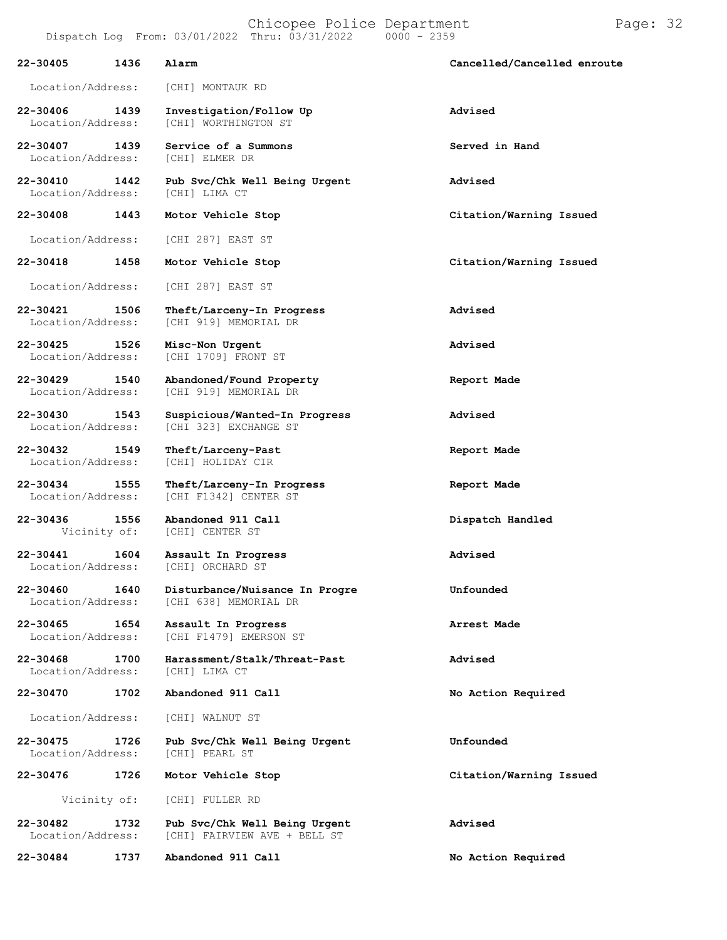| 22-30405<br>1436                      | Alarm                                                         | Cancelled/Cancelled enroute |
|---------------------------------------|---------------------------------------------------------------|-----------------------------|
| Location/Address:                     | [CHI] MONTAUK RD                                              |                             |
| 22-30406<br>1439<br>Location/Address: | Investigation/Follow Up<br>[CHI] WORTHINGTON ST               | Advised                     |
| 22-30407 1439<br>Location/Address:    | Service of a Summons<br>[CHI] ELMER DR                        | Served in Hand              |
| 22-30410 1442<br>Location/Address:    | Pub Svc/Chk Well Being Urgent<br>[CHI] LIMA CT                | Advised                     |
| 22-30408<br>1443                      | Motor Vehicle Stop                                            | Citation/Warning Issued     |
| Location/Address:                     | [CHI 287] EAST ST                                             |                             |
| 22-30418<br>1458                      | Motor Vehicle Stop                                            | Citation/Warning Issued     |
| Location/Address:                     | [CHI 287] EAST ST                                             |                             |
| 22-30421<br>1506<br>Location/Address: | Theft/Larceny-In Progress<br>[CHI 919] MEMORIAL DR            | Advised                     |
| 22-30425 1526<br>Location/Address:    | Misc-Non Urgent<br>[CHI 1709] FRONT ST                        | Advised                     |
| 22-30429<br>1540<br>Location/Address: | Abandoned/Found Property<br>[CHI 919] MEMORIAL DR             | Report Made                 |
| 22-30430<br>1543<br>Location/Address: | Suspicious/Wanted-In Progress<br>[CHI 323] EXCHANGE ST        | Advised                     |
| 22-30432<br>1549<br>Location/Address: | Theft/Larceny-Past<br>[CHI] HOLIDAY CIR                       | Report Made                 |
| 22-30434<br>1555<br>Location/Address: | Theft/Larceny-In Progress<br>[CHI F1342] CENTER ST            | Report Made                 |
| 22-30436<br>1556<br>Vicinity of:      | Abandoned 911 Call<br>[CHI] CENTER ST                         | Dispatch Handled            |
| 22-30441<br>1604<br>Location/Address: | Assault In Progress<br>[CHI] ORCHARD ST                       | Advised                     |
| 22-30460<br>1640<br>Location/Address: | Disturbance/Nuisance In Progre<br>[CHI 638] MEMORIAL DR       | Unfounded                   |
| 22-30465<br>1654<br>Location/Address: | Assault In Progress<br>[CHI F1479] EMERSON ST                 | Arrest Made                 |
| 22-30468<br>1700<br>Location/Address: | Harassment/Stalk/Threat-Past<br>[CHI] LIMA CT                 | Advised                     |
| 22-30470<br>1702                      | Abandoned 911 Call                                            | No Action Required          |
| Location/Address:                     | [CHI] WALNUT ST                                               |                             |
| 22-30475<br>1726<br>Location/Address: | Pub Svc/Chk Well Being Urgent<br>[CHI] PEARL ST               | Unfounded                   |
| 22-30476<br>1726                      | Motor Vehicle Stop                                            | Citation/Warning Issued     |
| Vicinity of:                          | [CHI] FULLER RD                                               |                             |
| 22-30482<br>1732<br>Location/Address: | Pub Svc/Chk Well Being Urgent<br>[CHI] FAIRVIEW AVE + BELL ST | Advised                     |

**22-30484 1737 Abandoned 911 Call No Action Required**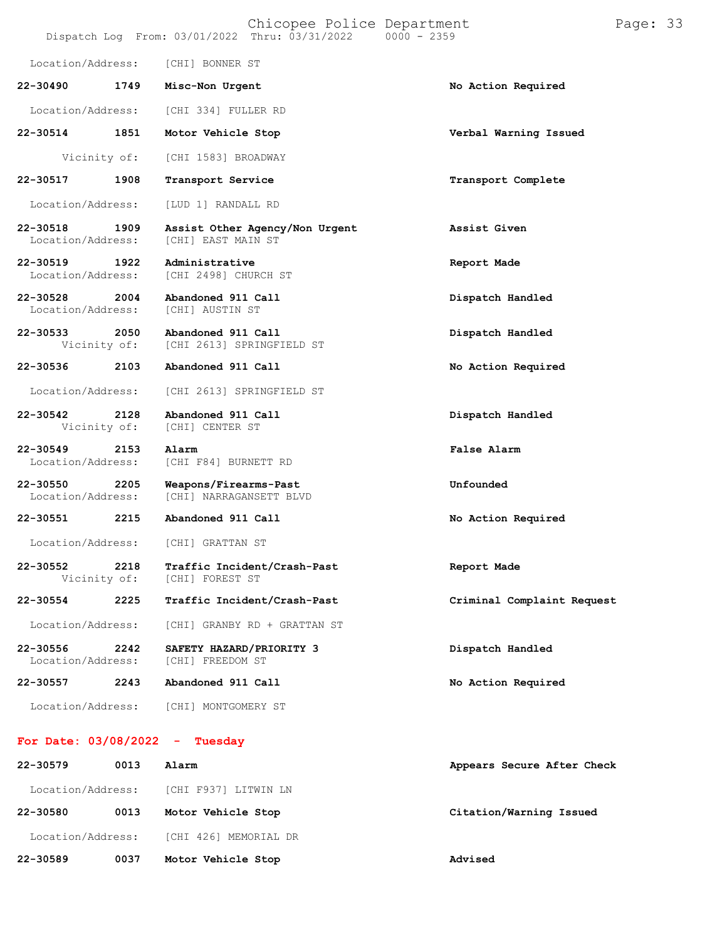|                               |                      | Chicopee Police Department<br>Dispatch Log From: 03/01/2022 Thru: 03/31/2022 | $0000 - 2359$              | Page: 33 |  |
|-------------------------------|----------------------|------------------------------------------------------------------------------|----------------------------|----------|--|
| Location/Address:             |                      | [CHI] BONNER ST                                                              |                            |          |  |
| 22-30490                      | 1749                 | Misc-Non Urgent                                                              | No Action Required         |          |  |
| Location/Address:             |                      | [CHI 334] FULLER RD                                                          |                            |          |  |
| 22-30514                      | 1851                 | Motor Vehicle Stop                                                           | Verbal Warning Issued      |          |  |
|                               | Vicinity of:         | [CHI 1583] BROADWAY                                                          |                            |          |  |
| 22-30517                      | 1908                 | Transport Service                                                            | Transport Complete         |          |  |
| Location/Address:             |                      | [LUD 1] RANDALL RD                                                           |                            |          |  |
| 22-30518<br>Location/Address: | 1909                 | Assist Other Agency/Non Urgent<br>[CHI] EAST MAIN ST                         | Assist Given               |          |  |
| 22-30519<br>Location/Address: | 1922                 | Administrative<br>[CHI 2498] CHURCH ST                                       | Report Made                |          |  |
| 22-30528<br>Location/Address: | 2004                 | Abandoned 911 Call<br>[CHI] AUSTIN ST                                        | Dispatch Handled           |          |  |
| 22-30533                      | 2050<br>Vicinity of: | Abandoned 911 Call<br>[CHI 2613] SPRINGFIELD ST                              | Dispatch Handled           |          |  |
| 22-30536                      | 2103                 | Abandoned 911 Call                                                           | No Action Required         |          |  |
| Location/Address:             |                      | [CHI 2613] SPRINGFIELD ST                                                    |                            |          |  |
| 22-30542                      | 2128<br>Vicinity of: | Abandoned 911 Call<br>[CHI] CENTER ST                                        | Dispatch Handled           |          |  |
| 22-30549<br>Location/Address: | 2153                 | Alarm<br>[CHI F84] BURNETT RD                                                | False Alarm                |          |  |
| 22-30550<br>Location/Address: | 2205                 | Weapons/Firearms-Past<br>[CHI] NARRAGANSETT BLVD                             | Unfounded                  |          |  |
| 22-30551                      | 2215                 | Abandoned 911 Call                                                           | No Action Required         |          |  |
| Location/Address:             |                      | [CHI] GRATTAN ST                                                             |                            |          |  |
| 22-30552                      | 2218<br>Vicinity of: | Traffic Incident/Crash-Past<br>[CHI] FOREST ST                               | Report Made                |          |  |
| 22-30554                      | 2225                 | Traffic Incident/Crash-Past                                                  | Criminal Complaint Request |          |  |
| Location/Address:             |                      | [CHI] GRANBY RD + GRATTAN ST                                                 |                            |          |  |
| 22-30556<br>Location/Address: | 2242                 | SAFETY HAZARD/PRIORITY 3<br>[CHI] FREEDOM ST                                 | Dispatch Handled           |          |  |
| 22-30557                      | 2243                 | Abandoned 911 Call                                                           | No Action Required         |          |  |
| Location/Address:             |                      | [CHI] MONTGOMERY ST                                                          |                            |          |  |
| For Date: $03/08/2022 -$      |                      | Tuesday                                                                      |                            |          |  |
| 22-30579                      | 0013                 | Alarm                                                                        | Appears Secure After Check |          |  |
| Location/Address:             |                      | [CHI F937] LITWIN LN                                                         |                            |          |  |
| 22-30580                      | 0013                 | Motor Vehicle Stop                                                           | Citation/Warning Issued    |          |  |

Location/Address: [CHI 426] MEMORIAL DR

**22-30589 0037 Motor Vehicle Stop Advised**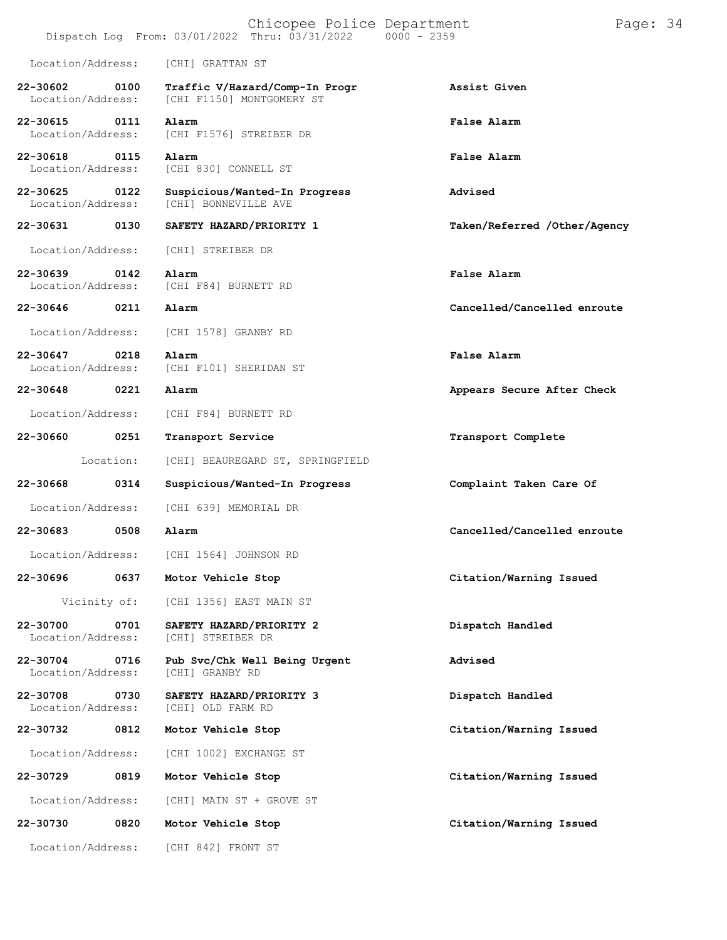|                               |              | Chicopee Police Department<br>Dispatch Log From: $03/01/2022$ Thru: $03/31/2022$ | $0000 - 2359$                | Page: 34 |  |
|-------------------------------|--------------|----------------------------------------------------------------------------------|------------------------------|----------|--|
| Location/Address:             |              | [CHI] GRATTAN ST                                                                 |                              |          |  |
| 22-30602<br>Location/Address: | 0100         | Traffic V/Hazard/Comp-In Progr<br>[CHI F1150] MONTGOMERY ST                      | Assist Given                 |          |  |
| 22-30615<br>Location/Address: | 0111         | Alarm<br>[CHI F1576] STREIBER DR                                                 | False Alarm                  |          |  |
| 22-30618<br>Location/Address: | 0115         | Alarm<br>[CHI 830] CONNELL ST                                                    | False Alarm                  |          |  |
| 22-30625<br>Location/Address: | 0122         | Suspicious/Wanted-In Progress<br>[CHI] BONNEVILLE AVE                            | Advised                      |          |  |
| 22-30631                      | 0130         | SAFETY HAZARD/PRIORITY 1                                                         | Taken/Referred /Other/Agency |          |  |
| Location/Address:             |              | [CHI] STREIBER DR                                                                |                              |          |  |
| 22-30639<br>Location/Address: | 0142         | Alarm<br>[CHI F84] BURNETT RD                                                    | False Alarm                  |          |  |
| 22-30646                      | 0211         | Alarm                                                                            | Cancelled/Cancelled enroute  |          |  |
| Location/Address:             |              | [CHI 1578] GRANBY RD                                                             |                              |          |  |
| 22-30647<br>Location/Address: | 0218         | Alarm<br>[CHI F101] SHERIDAN ST                                                  | False Alarm                  |          |  |
| 22-30648                      | 0221         | Alarm                                                                            | Appears Secure After Check   |          |  |
| Location/Address:             |              | [CHI F84] BURNETT RD                                                             |                              |          |  |
| 22-30660                      | 0251         | Transport Service                                                                | Transport Complete           |          |  |
|                               | Location:    | [CHI] BEAUREGARD ST, SPRINGFIELD                                                 |                              |          |  |
| 22-30668                      | 0314         | Suspicious/Wanted-In Progress                                                    | Complaint Taken Care Of      |          |  |
| Location/Address:             |              | [CHI 639] MEMORIAL DR                                                            |                              |          |  |
| 22-30683                      | 0508         | Alarm                                                                            | Cancelled/Cancelled enroute  |          |  |
| Location/Address:             |              | [CHI 1564] JOHNSON RD                                                            |                              |          |  |
| 22-30696                      | 0637         | Motor Vehicle Stop                                                               | Citation/Warning Issued      |          |  |
|                               | Vicinity of: | [CHI 1356] EAST MAIN ST                                                          |                              |          |  |
| 22-30700<br>Location/Address: | 0701         | SAFETY HAZARD/PRIORITY 2<br>[CHI] STREIBER DR                                    | Dispatch Handled             |          |  |
| 22-30704<br>Location/Address: | 0716         | Pub Svc/Chk Well Being Urgent<br>[CHI] GRANBY RD                                 | Advised                      |          |  |
| 22-30708<br>Location/Address: | 0730         | SAFETY HAZARD/PRIORITY 3<br>[CHI] OLD FARM RD                                    | Dispatch Handled             |          |  |
| 22-30732                      | 0812         | Motor Vehicle Stop                                                               | Citation/Warning Issued      |          |  |
| Location/Address:             |              | [CHI 1002] EXCHANGE ST                                                           |                              |          |  |
| 22-30729                      | 0819         | Motor Vehicle Stop                                                               | Citation/Warning Issued      |          |  |
| Location/Address:             |              | [CHI] MAIN ST + GROVE ST                                                         |                              |          |  |
| 22-30730                      | 0820         | Motor Vehicle Stop                                                               | Citation/Warning Issued      |          |  |
| Location/Address:             |              | [CHI 842] FRONT ST                                                               |                              |          |  |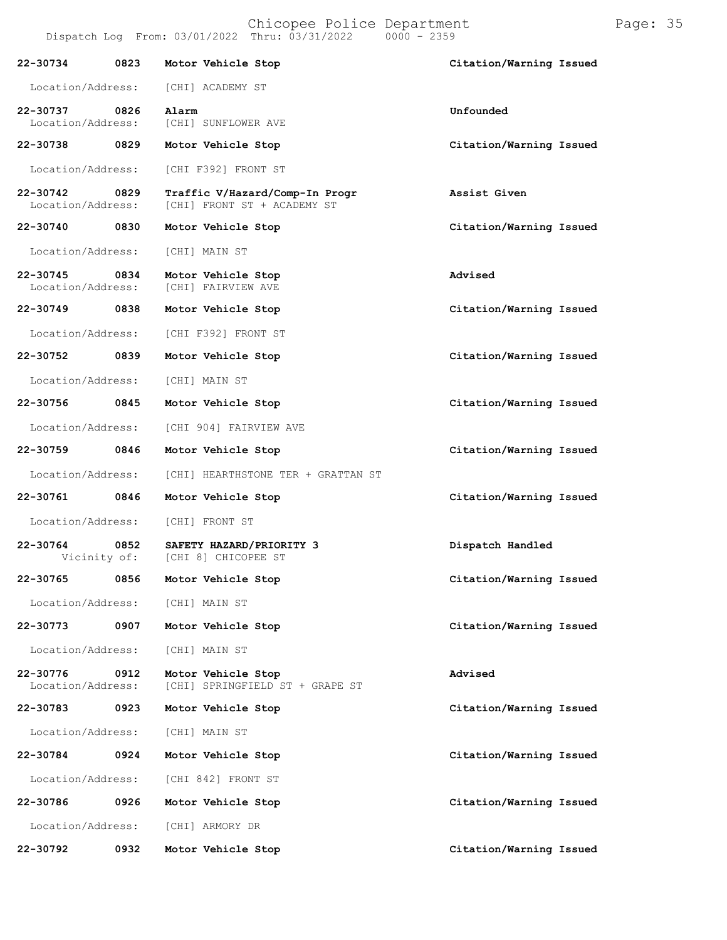|                                   |                      | Chicopee Police Department<br>Dispatch Log From: 03/01/2022 Thru: 03/31/2022<br>$0000 - 2359$ |                         |
|-----------------------------------|----------------------|-----------------------------------------------------------------------------------------------|-------------------------|
|                                   |                      |                                                                                               |                         |
| 22-30734                          | 0823                 | Motor Vehicle Stop                                                                            | Citation/Warning Issued |
| Location/Address:                 |                      | [CHI] ACADEMY ST                                                                              |                         |
| 22-30737<br>Location/Address:     | 0826                 | Alarm<br>[CHI] SUNFLOWER AVE                                                                  | Unfounded               |
| 22-30738                          | 0829                 | Motor Vehicle Stop                                                                            | Citation/Warning Issued |
|                                   |                      |                                                                                               |                         |
| Location/Address:                 |                      | [CHI F392] FRONT ST                                                                           |                         |
| 22-30742<br>Location/Address:     | 0829                 | Traffic V/Hazard/Comp-In Progr<br>[CHI] FRONT ST + ACADEMY ST                                 | Assist Given            |
| 22-30740                          | 0830                 | Motor Vehicle Stop                                                                            | Citation/Warning Issued |
| Location/Address:                 |                      | [CHI] MAIN ST                                                                                 |                         |
| $22 - 30745$<br>Location/Address: | 0834                 | Motor Vehicle Stop<br>[CHI] FAIRVIEW AVE                                                      | Advised                 |
| 22-30749                          | 0838                 |                                                                                               | Citation/Warning Issued |
|                                   |                      | Motor Vehicle Stop                                                                            |                         |
| Location/Address:                 |                      | [CHI F392] FRONT ST                                                                           |                         |
| 22-30752                          | 0839                 | Motor Vehicle Stop                                                                            | Citation/Warning Issued |
| Location/Address:                 |                      | [CHI] MAIN ST                                                                                 |                         |
| 22-30756                          | 0845                 | Motor Vehicle Stop                                                                            | Citation/Warning Issued |
| Location/Address:                 |                      | [CHI 904] FAIRVIEW AVE                                                                        |                         |
| 22-30759                          | 0846                 | Motor Vehicle Stop                                                                            | Citation/Warning Issued |
| Location/Address:                 |                      | [CHI] HEARTHSTONE TER + GRATTAN ST                                                            |                         |
| 22-30761                          | 0846                 | Motor Vehicle Stop                                                                            | Citation/Warning Issued |
| Location/Address:                 |                      | [CHI] FRONT ST                                                                                |                         |
| 22-30764                          | 0852<br>Vicinity of: | SAFETY HAZARD/PRIORITY 3<br>[CHI 8] CHICOPEE ST                                               | Dispatch Handled        |
| 22-30765                          | 0856                 | Motor Vehicle Stop                                                                            | Citation/Warning Issued |

Location/Address: [CHI] MAIN ST

**22-30773 0907 Motor Vehicle Stop Citation/Warning Issued**

Location/Address: [CHI] MAIN ST

**22-30776 0912 Motor Vehicle Stop Advised** [CHI] SPRINGFIELD ST + GRAPE ST

**22-30783 0923 Motor Vehicle Stop Citation/Warning Issued** Location/Address: [CHI] MAIN ST **22-30784 0924 Motor Vehicle Stop Citation/Warning Issued**

Location/Address: [CHI 842] FRONT ST **22-30786 0926 Motor Vehicle Stop Citation/Warning Issued**

Location/Address: [CHI] ARMORY DR

**22-30792 0932 Motor Vehicle Stop Citation/Warning Issued**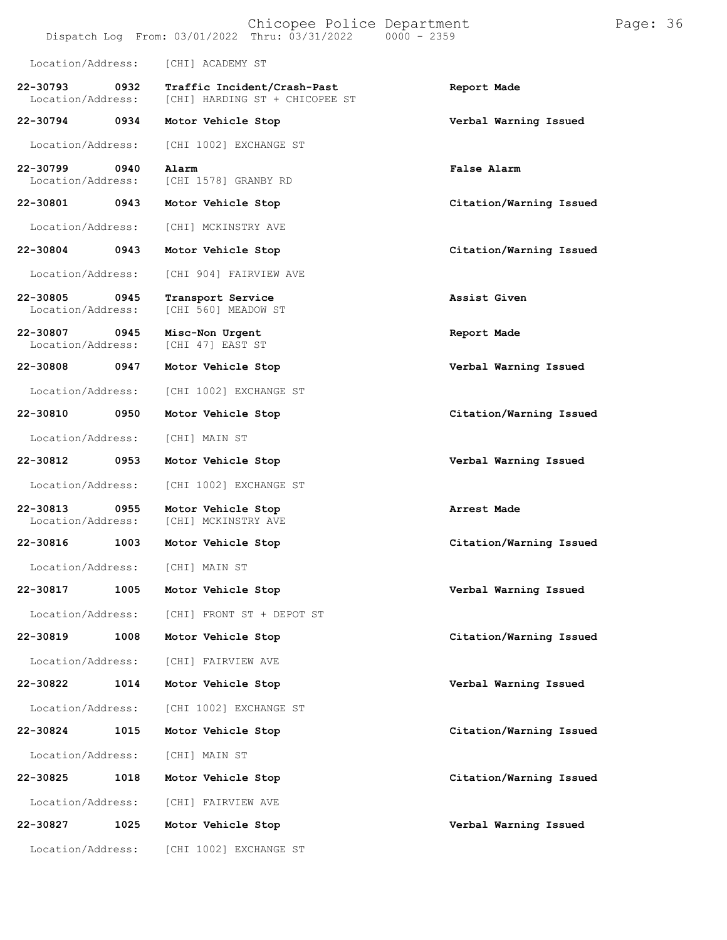|                                   |      | Chicopee Police Department<br>Dispatch Log From: 03/01/2022 Thru: 03/31/2022 0000 - 2359 |                         | Page: 36 |  |
|-----------------------------------|------|------------------------------------------------------------------------------------------|-------------------------|----------|--|
| Location/Address:                 |      | [CHI] ACADEMY ST                                                                         |                         |          |  |
| 22-30793<br>Location/Address:     | 0932 | Traffic Incident/Crash-Past<br>[CHI] HARDING ST + CHICOPEE ST                            | Report Made             |          |  |
| 22-30794                          | 0934 | Motor Vehicle Stop                                                                       | Verbal Warning Issued   |          |  |
| Location/Address:                 |      | [CHI 1002] EXCHANGE ST                                                                   |                         |          |  |
| 22-30799<br>Location/Address:     | 0940 | Alarm<br>[CHI 1578] GRANBY RD                                                            | False Alarm             |          |  |
| 22-30801                          | 0943 | Motor Vehicle Stop                                                                       | Citation/Warning Issued |          |  |
| Location/Address:                 |      | [CHI] MCKINSTRY AVE                                                                      |                         |          |  |
| 22-30804                          | 0943 | Motor Vehicle Stop                                                                       | Citation/Warning Issued |          |  |
| Location/Address:                 |      | [CHI 904] FAIRVIEW AVE                                                                   |                         |          |  |
| $22 - 30805$<br>Location/Address: | 0945 | Transport Service<br>[CHI 560] MEADOW ST                                                 | Assist Given            |          |  |
| 22-30807<br>Location/Address:     | 0945 | Misc-Non Urgent<br>[CHI 47] EAST ST                                                      | Report Made             |          |  |
| 22-30808                          | 0947 | Motor Vehicle Stop                                                                       | Verbal Warning Issued   |          |  |
| Location/Address:                 |      | [CHI 1002] EXCHANGE ST                                                                   |                         |          |  |
| 22-30810                          | 0950 | Motor Vehicle Stop                                                                       | Citation/Warning Issued |          |  |
| Location/Address:                 |      | [CHI] MAIN ST                                                                            |                         |          |  |
| 22-30812                          | 0953 | Motor Vehicle Stop                                                                       | Verbal Warning Issued   |          |  |
| Location/Address:                 |      | [CHI 1002] EXCHANGE ST                                                                   |                         |          |  |
| 22-30813<br>Location/Address:     | 0955 | Motor Vehicle Stop<br>[CHI] MCKINSTRY AVE                                                | Arrest Made             |          |  |
|                                   |      | 22-30816 1003 Motor Vehicle Stop                                                         | Citation/Warning Issued |          |  |
| Location/Address:                 |      | [CHI] MAIN ST                                                                            |                         |          |  |
| 22-30817                          | 1005 | Motor Vehicle Stop                                                                       | Verbal Warning Issued   |          |  |
| Location/Address:                 |      | [CHI] FRONT ST + DEPOT ST                                                                |                         |          |  |
| 22-30819                          | 1008 | Motor Vehicle Stop                                                                       | Citation/Warning Issued |          |  |
| Location/Address:                 |      | [CHI] FAIRVIEW AVE                                                                       |                         |          |  |
| 22-30822                          | 1014 | Motor Vehicle Stop                                                                       | Verbal Warning Issued   |          |  |
| Location/Address:                 |      | [CHI 1002] EXCHANGE ST                                                                   |                         |          |  |
| 22-30824                          | 1015 | Motor Vehicle Stop                                                                       | Citation/Warning Issued |          |  |
| Location/Address:                 |      | [CHI] MAIN ST                                                                            |                         |          |  |
| 22-30825                          | 1018 | Motor Vehicle Stop                                                                       | Citation/Warning Issued |          |  |
| Location/Address:                 |      | [CHI] FAIRVIEW AVE                                                                       |                         |          |  |
| 22-30827                          | 1025 | Motor Vehicle Stop                                                                       | Verbal Warning Issued   |          |  |
| Location/Address:                 |      | [CHI 1002] EXCHANGE ST                                                                   |                         |          |  |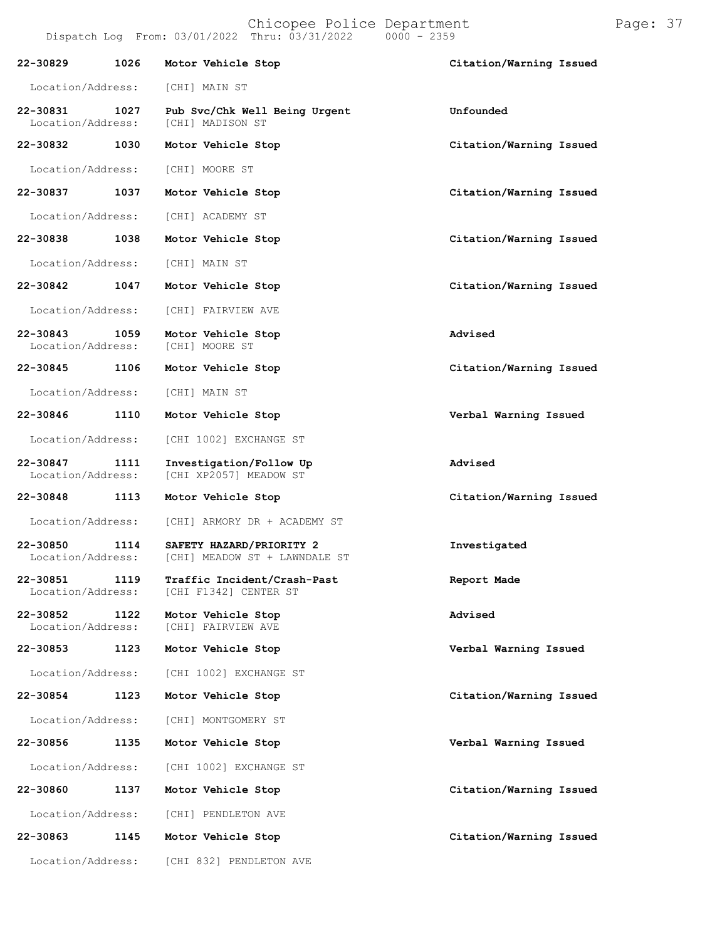|  |                                                | the state of the state of the state of the state of the state of the state of the state of the state of the state of the state of the state of the state of the state of the state of the state of the state of the state of t |               |  |
|--|------------------------------------------------|--------------------------------------------------------------------------------------------------------------------------------------------------------------------------------------------------------------------------------|---------------|--|
|  | Dispatch Log From: 03/01/2022 Thru: 03/31/2022 |                                                                                                                                                                                                                                | $0000 - 2359$ |  |
|  |                                                |                                                                                                                                                                                                                                |               |  |
|  |                                                |                                                                                                                                                                                                                                |               |  |

| 22-30829                          | 1026 | Motor Vehicle Stop                                        | Citation/Warning Issued |
|-----------------------------------|------|-----------------------------------------------------------|-------------------------|
| Location/Address:                 |      | [CHI] MAIN ST                                             |                         |
| 22-30831<br>Location/Address:     | 1027 | Pub Svc/Chk Well Being Urgent<br>[CHI] MADISON ST         | Unfounded               |
| 22-30832                          | 1030 | Motor Vehicle Stop                                        | Citation/Warning Issued |
| Location/Address:                 |      | [CHI] MOORE ST                                            |                         |
| 22-30837                          | 1037 | Motor Vehicle Stop                                        | Citation/Warning Issued |
| Location/Address:                 |      | [CHI] ACADEMY ST                                          |                         |
| 22-30838                          | 1038 | Motor Vehicle Stop                                        | Citation/Warning Issued |
| Location/Address:                 |      | [CHI] MAIN ST                                             |                         |
| 22-30842                          | 1047 | Motor Vehicle Stop                                        | Citation/Warning Issued |
| Location/Address:                 |      | [CHI] FAIRVIEW AVE                                        |                         |
| $22 - 30843$<br>Location/Address: | 1059 | Motor Vehicle Stop<br>[CHI] MOORE ST                      | Advised                 |
| 22-30845                          | 1106 | Motor Vehicle Stop                                        | Citation/Warning Issued |
| Location/Address:                 |      | [CHI] MAIN ST                                             |                         |
| 22-30846                          | 1110 | Motor Vehicle Stop                                        | Verbal Warning Issued   |
| Location/Address:                 |      | [CHI 1002] EXCHANGE ST                                    |                         |
| 22-30847<br>Location/Address:     | 1111 | Investigation/Follow Up<br>[CHI XP2057] MEADOW ST         | Advised                 |
| 22-30848                          | 1113 | Motor Vehicle Stop                                        | Citation/Warning Issued |
| Location/Address:                 |      | [CHI] ARMORY DR + ACADEMY ST                              |                         |
| 22-30850<br>Location/Address:     | 1114 | SAFETY HAZARD/PRIORITY 2<br>[CHI] MEADOW ST + LAWNDALE ST | Investigated            |
| 22-30851<br>Location/Address:     | 1119 | Traffic Incident/Crash-Past<br>[CHI F1342] CENTER ST      | Report Made             |
| 22-30852<br>Location/Address:     | 1122 | Motor Vehicle Stop<br>[CHI] FAIRVIEW AVE                  | Advised                 |
| 22-30853                          | 1123 | Motor Vehicle Stop                                        | Verbal Warning Issued   |
| Location/Address:                 |      | [CHI 1002] EXCHANGE ST                                    |                         |
| 22-30854                          | 1123 | Motor Vehicle Stop                                        | Citation/Warning Issued |
| Location/Address:                 |      | [CHI] MONTGOMERY ST                                       |                         |
| 22-30856                          | 1135 | Motor Vehicle Stop                                        | Verbal Warning Issued   |
| Location/Address:                 |      | [CHI 1002] EXCHANGE ST                                    |                         |
| 22-30860                          | 1137 | Motor Vehicle Stop                                        | Citation/Warning Issued |
| Location/Address:                 |      | [CHI] PENDLETON AVE                                       |                         |
| 22-30863                          | 1145 | Motor Vehicle Stop                                        | Citation/Warning Issued |
| Location/Address:                 |      | [CHI 832] PENDLETON AVE                                   |                         |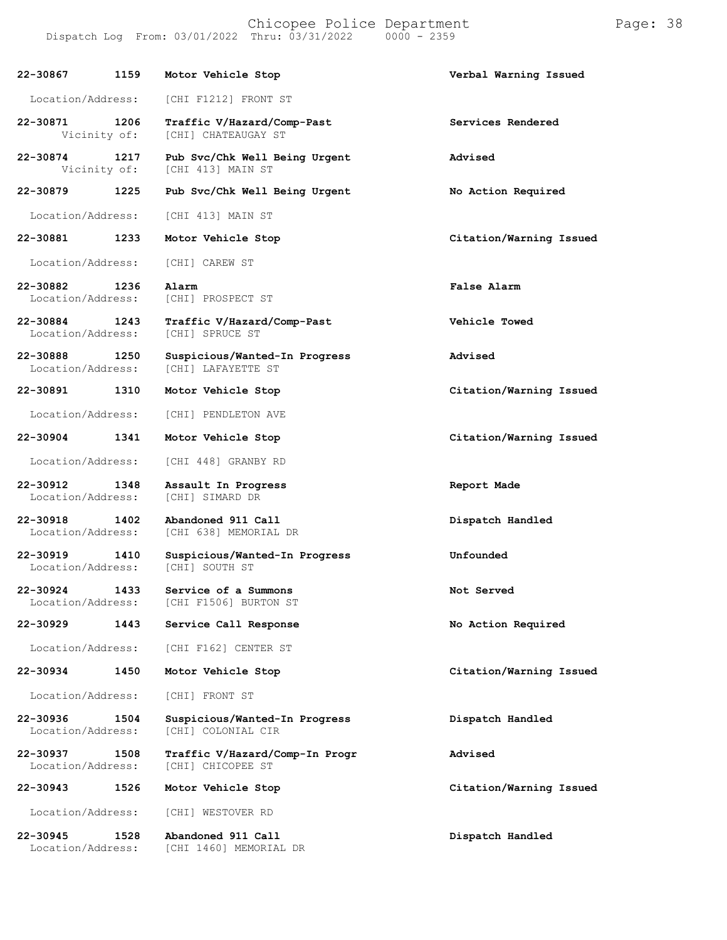| 22-30867                      | 1159 | Motor Vehicle Stop                                   | Verbal Warning Issued   |
|-------------------------------|------|------------------------------------------------------|-------------------------|
| Location/Address:             |      | [CHI F1212] FRONT ST                                 |                         |
| 22-30871<br>Vicinity of:      | 1206 | Traffic V/Hazard/Comp-Past<br>[CHI] CHATEAUGAY ST    | Services Rendered       |
| 22-30874<br>Vicinity of:      | 1217 | Pub Svc/Chk Well Being Urgent<br>[CHI 413] MAIN ST   | Advised                 |
| 22-30879                      | 1225 | Pub Svc/Chk Well Being Urgent                        | No Action Required      |
| Location/Address:             |      | [CHI 413] MAIN ST                                    |                         |
| 22-30881                      | 1233 | Motor Vehicle Stop                                   | Citation/Warning Issued |
| Location/Address:             |      | [CHI] CAREW ST                                       |                         |
| 22-30882<br>Location/Address: | 1236 | Alarm<br>[CHI] PROSPECT ST                           | False Alarm             |
| 22-30884<br>Location/Address: | 1243 | Traffic V/Hazard/Comp-Past<br><b>[CHI] SPRUCE ST</b> | Vehicle Towed           |
| 22-30888<br>Location/Address: | 1250 | Suspicious/Wanted-In Progress<br>[CHI] LAFAYETTE ST  | Advised                 |
| 22-30891                      | 1310 | Motor Vehicle Stop                                   | Citation/Warning Issued |
| Location/Address:             |      | [CHI] PENDLETON AVE                                  |                         |
| 22-30904                      | 1341 | Motor Vehicle Stop                                   | Citation/Warning Issued |
| Location/Address:             |      | [CHI 448] GRANBY RD                                  |                         |
| 22-30912<br>Location/Address: | 1348 | Assault In Progress<br>[CHI] SIMARD DR               | Report Made             |
| 22-30918<br>Location/Address: | 1402 | Abandoned 911 Call<br>[CHI 638] MEMORIAL DR          | Dispatch Handled        |
| 22-30919<br>Location/Address: | 1410 | Suspicious/Wanted-In Progress<br>[CHI] SOUTH ST      | Unfounded               |
| 22-30924<br>Location/Address: | 1433 | Service of a Summons<br>[CHI F1506] BURTON ST        | Not Served              |
| 22-30929                      | 1443 | Service Call Response                                | No Action Required      |
| Location/Address:             |      | [CHI F162] CENTER ST                                 |                         |
| 22-30934                      | 1450 | Motor Vehicle Stop                                   | Citation/Warning Issued |
| Location/Address:             |      | [CHI] FRONT ST                                       |                         |
| 22-30936<br>Location/Address: | 1504 | Suspicious/Wanted-In Progress<br>[CHI] COLONIAL CIR  | Dispatch Handled        |
| 22-30937<br>Location/Address: | 1508 | Traffic V/Hazard/Comp-In Progr<br>[CHI] CHICOPEE ST  | Advised                 |
| 22-30943                      | 1526 | Motor Vehicle Stop                                   | Citation/Warning Issued |
| Location/Address:             |      | [CHI] WESTOVER RD                                    |                         |
| 22-30945<br>Location/Address: | 1528 | Abandoned 911 Call<br>[CHI 1460] MEMORIAL DR         | Dispatch Handled        |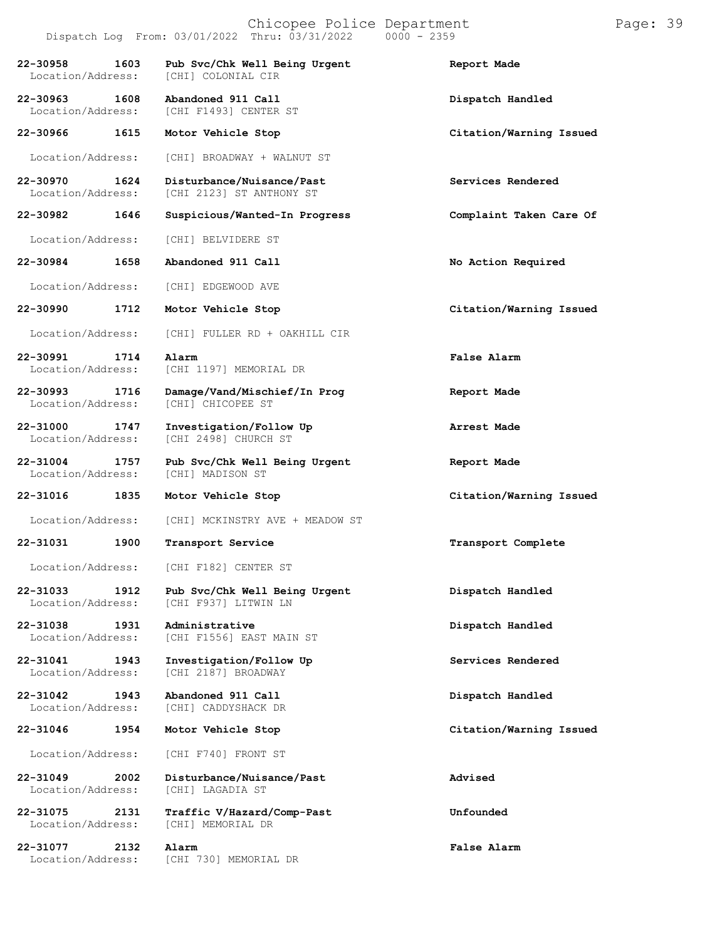#### Chicopee Police Department Page: 39 Dispatch Log From: 03/01/2022 Thru: 03/31/2022

**22-30958 1603 Pub Svc/Chk Well Being Urgent Report Made** [CHI] COLONIAL CIR **22-30963 1608 Abandoned 911 Call Dispatch Handled** [CHI F1493] CENTER ST **22-30966 1615 Motor Vehicle Stop Citation/Warning Issued** Location/Address: [CHI] BROADWAY + WALNUT ST **22-30970 1624 Disturbance/Nuisance/Past Services Rendered** [CHI 2123] ST ANTHONY ST **22-30982 1646 Suspicious/Wanted-In Progress Complaint Taken Care Of** Location/Address: [CHI] BELVIDERE ST **22-30984 1658 Abandoned 911 Call No Action Required** Location/Address: [CHI] EDGEWOOD AVE **22-30990 1712 Motor Vehicle Stop Citation/Warning Issued** Location/Address: [CHI] FULLER RD + OAKHILL CIR **22-30991 1714 Alarm False Alarm** [CHI 1197] MEMORIAL DR **22-30993 1716 Damage/Vand/Mischief/In Prog Report Made** [CHI] CHICOPEE ST **22-31000 1747 Investigation/Follow Up Arrest Made** [CHI 2498] CHURCH ST **22-31004 1757 Pub Svc/Chk Well Being Urgent Report Made** Location/Address: **22-31016 1835 Motor Vehicle Stop Citation/Warning Issued** Location/Address: [CHI] MCKINSTRY AVE + MEADOW ST **22-31031 1900 Transport Service Transport Complete** Location/Address: [CHI F182] CENTER ST **22-31033 1912 Pub Svc/Chk Well Being Urgent Dispatch Handled** [CHI F937] LITWIN LN **22-31038 1931 Administrative Dispatch Handled** [CHI F1556] EAST MAIN ST **22-31041 1943 Investigation/Follow Up Services Rendered** [CHI 2187] BROADWAY **22-31042 1943 Abandoned 911 Call Dispatch Handled** [CHI] CADDYSHACK DR **22-31046 1954 Motor Vehicle Stop Citation/Warning Issued** Location/Address: [CHI F740] FRONT ST **22-31049 2002 Disturbance/Nuisance/Past Advised** Location/Address: **22-31075 2131 Traffic V/Hazard/Comp-Past Unfounded** Location/Address: **22-31077 2132 Alarm False Alarm** Location/Address: [CHI 730] MEMORIAL DR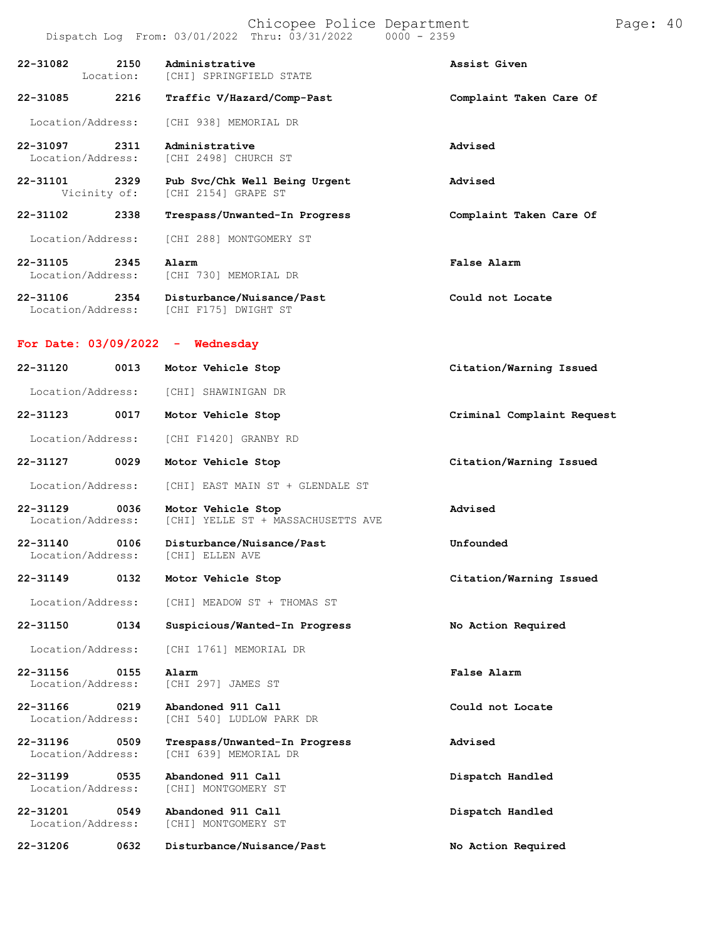#### Chicopee Police Department Frage: 40 Dispatch Log From: 03/01/2022 Thru: 03/31/2022 0000 - 2359

| 22-31082 2150                      |      | Administrative<br>Location: [CHI] SPRINGFIELD STATE                 | Assist Given               |
|------------------------------------|------|---------------------------------------------------------------------|----------------------------|
| 22-31085                           | 2216 | Traffic V/Hazard/Comp-Past                                          | Complaint Taken Care Of    |
| Location/Address:                  |      | [CHI 938] MEMORIAL DR                                               |                            |
| 22-31097 2311<br>Location/Address: |      | Administrative<br>[CHI 2498] CHURCH ST                              | Advised                    |
| 22-31101 2329<br>Vicinity of:      |      | Pub Svc/Chk Well Being Urgent<br>[CHI 2154] GRAPE ST                | Advised                    |
| 22-31102                           | 2338 | Trespass/Unwanted-In Progress                                       | Complaint Taken Care Of    |
| Location/Address:                  |      | [CHI 288] MONTGOMERY ST                                             |                            |
| 22-31105 2345<br>Location/Address: |      | Alarm<br>[CHI 730] MEMORIAL DR                                      | False Alarm                |
| 22-31106 2354                      |      | Disturbance/Nuisance/Past<br>Location/Address: [CHI F175] DWIGHT ST | Could not Locate           |
| For Date: $03/09/2022 -$ Wednesday |      |                                                                     |                            |
| 22-31120                           | 0013 | Motor Vehicle Stop                                                  | Citation/Warning Issued    |
| Location/Address:                  |      | [CHI] SHAWINIGAN DR                                                 |                            |
| 22-31123                           | 0017 | Motor Vehicle Stop                                                  | Criminal Complaint Request |
| Location/Address:                  |      | [CHI F1420] GRANBY RD                                               |                            |
| 22-31127 0029                      |      | Motor Vehicle Stop                                                  | Citation/Warning Issued    |
| Location/Address:                  |      | [CHI] EAST MAIN ST + GLENDALE ST                                    |                            |
| 22-31129<br>Location/Address:      | 0036 | Motor Vehicle Stop<br>[CHI] YELLE ST + MASSACHUSETTS AVE            | Advised                    |
| 22-31140<br>Location/Address:      | 0106 | Disturbance/Nuisance/Past<br>[CHI] ELLEN AVE                        | Unfounded                  |
| 22-31149                           | 0132 | Motor Vehicle Stop                                                  | Citation/Warning Issued    |
| Location/Address:                  |      | [CHI] MEADOW ST + THOMAS ST                                         |                            |
| 22-31150                           | 0134 | Suspicious/Wanted-In Progress                                       | No Action Required         |
| Location/Address:                  |      | [CHI 1761] MEMORIAL DR                                              |                            |
| 22-31156<br>Location/Address:      | 0155 | Alarm<br>[CHI 297] JAMES ST                                         | False Alarm                |
| 22-31166<br>Location/Address:      | 0219 | Abandoned 911 Call<br>[CHI 540] LUDLOW PARK DR                      | Could not Locate           |
| 22-31196<br>Location/Address:      | 0509 | Trespass/Unwanted-In Progress<br>[CHI 639] MEMORIAL DR              | Advised                    |
| 22-31199<br>Location/Address:      | 0535 | Abandoned 911 Call<br>[CHI] MONTGOMERY ST                           | Dispatch Handled           |
| 22-31201<br>Location/Address:      | 0549 | Abandoned 911 Call<br>[CHI] MONTGOMERY ST                           | Dispatch Handled           |

**22-31206 0632 Disturbance/Nuisance/Past No Action Required**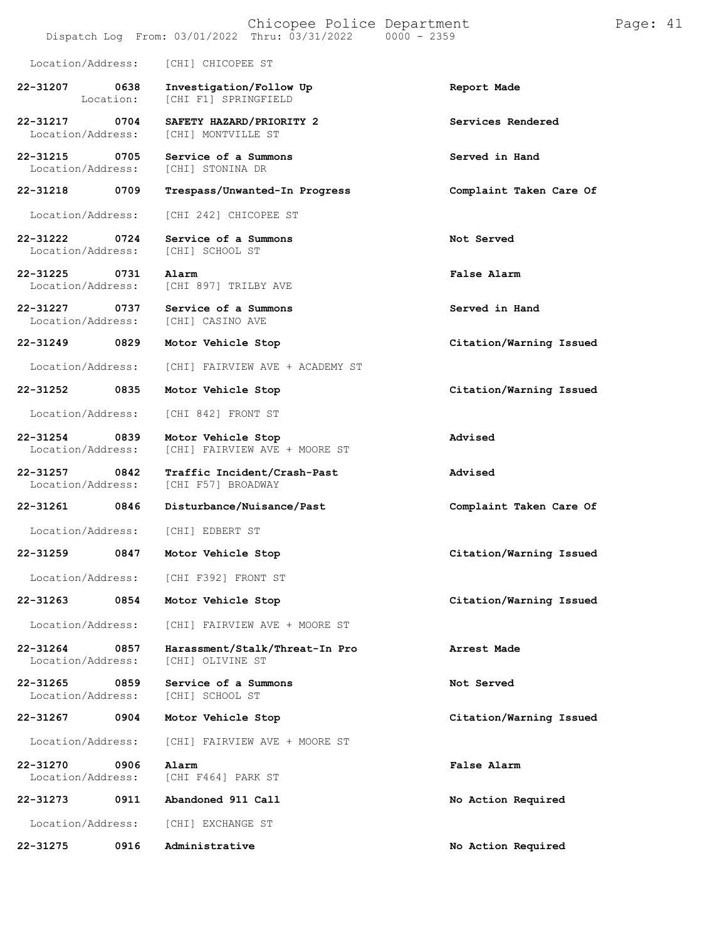|                                   |                   | Chicopee Police Department<br>Dispatch Log From: 03/01/2022 Thru: 03/31/2022 | $0000 - 2359$           | Page: 41 |  |
|-----------------------------------|-------------------|------------------------------------------------------------------------------|-------------------------|----------|--|
| Location/Address:                 |                   | [CHI] CHICOPEE ST                                                            |                         |          |  |
| 22-31207                          | 0638<br>Location: | Investigation/Follow Up<br>[CHI F1] SPRINGFIELD                              | Report Made             |          |  |
| 22-31217<br>Location/Address:     | 0704              | SAFETY HAZARD/PRIORITY 2<br>[CHI] MONTVILLE ST                               | Services Rendered       |          |  |
| 22-31215<br>Location/Address:     | 0705              | Service of a Summons<br>[CHI] STONINA DR                                     | Served in Hand          |          |  |
| 22-31218                          | 0709              | Trespass/Unwanted-In Progress                                                | Complaint Taken Care Of |          |  |
| Location/Address:                 |                   | [CHI 242] CHICOPEE ST                                                        |                         |          |  |
| 22-31222<br>Location/Address:     | 0724              | Service of a Summons<br>[CHI] SCHOOL ST                                      | Not Served              |          |  |
| 22-31225<br>Location/Address:     | 0731              | Alarm<br>[CHI 897] TRILBY AVE                                                | False Alarm             |          |  |
| 22-31227<br>Location/Address:     | 0737              | Service of a Summons<br>[CHI] CASINO AVE                                     | Served in Hand          |          |  |
| 22-31249                          | 0829              | Motor Vehicle Stop                                                           | Citation/Warning Issued |          |  |
| Location/Address:                 |                   | [CHI] FAIRVIEW AVE + ACADEMY ST                                              |                         |          |  |
| 22-31252                          | 0835              | Motor Vehicle Stop                                                           | Citation/Warning Issued |          |  |
| Location/Address:                 |                   | [CHI 842] FRONT ST                                                           |                         |          |  |
| 22-31254<br>Location/Address:     | 0839              | Motor Vehicle Stop<br>[CHI] FAIRVIEW AVE + MOORE ST                          | Advised                 |          |  |
| 22-31257<br>Location/Address:     | 0842              | Traffic Incident/Crash-Past<br>[CHI F57] BROADWAY                            | Advised                 |          |  |
| 22-31261                          | 0846              | Disturbance/Nuisance/Past                                                    | Complaint Taken Care Of |          |  |
| Location/Address:                 |                   | [CHI] EDBERT ST                                                              |                         |          |  |
| 22-31259                          | 0847              | Motor Vehicle Stop                                                           | Citation/Warning Issued |          |  |
| Location/Address:                 |                   | [CHI F392] FRONT ST                                                          |                         |          |  |
| 22-31263                          | 0854              | Motor Vehicle Stop                                                           | Citation/Warning Issued |          |  |
| Location/Address:                 |                   | [CHI] FAIRVIEW AVE + MOORE ST                                                |                         |          |  |
| $22 - 31264$<br>Location/Address: | 0857              | Harassment/Stalk/Threat-In Pro<br>[CHI] OLIVINE ST                           | Arrest Made             |          |  |
| $22 - 31265$<br>Location/Address: | 0859              | Service of a Summons<br>[CHI] SCHOOL ST                                      | Not Served              |          |  |
| 22-31267                          | 0904              | Motor Vehicle Stop                                                           | Citation/Warning Issued |          |  |
| Location/Address:                 |                   | [CHI] FAIRVIEW AVE + MOORE ST                                                |                         |          |  |
| 22-31270<br>Location/Address:     | 0906              | Alarm<br>[CHI F464] PARK ST                                                  | False Alarm             |          |  |
| 22-31273                          | 0911              | Abandoned 911 Call                                                           | No Action Required      |          |  |
| Location/Address:                 |                   | [CHI] EXCHANGE ST                                                            |                         |          |  |
| 22-31275                          | 0916              | Administrative                                                               | No Action Required      |          |  |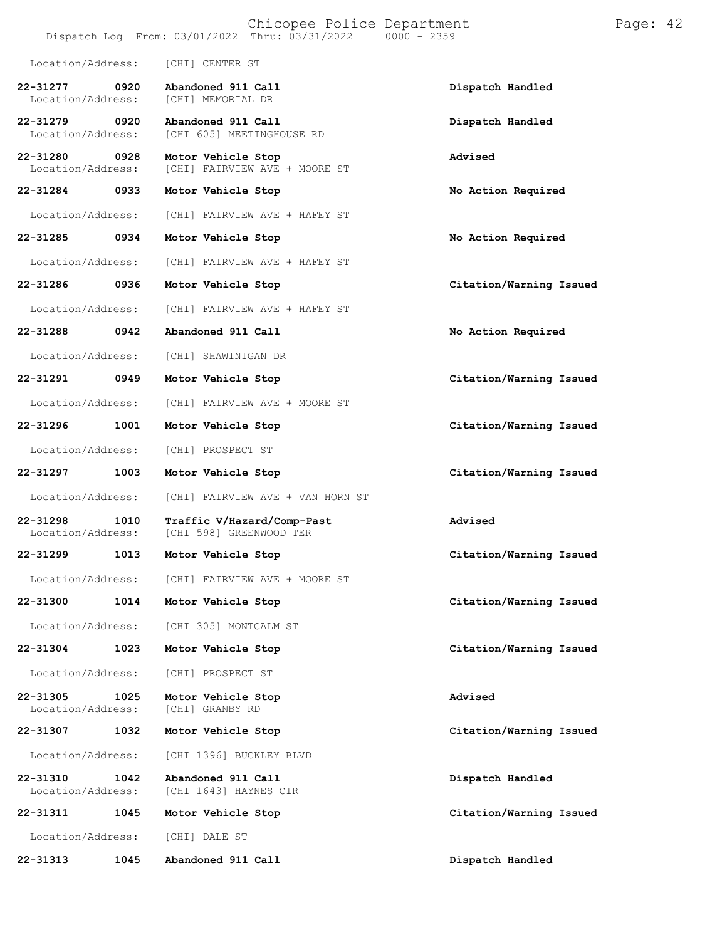|                               |      | Chicopee Police Department<br>Dispatch Log From: 03/01/2022 Thru: 03/31/2022 | $0000 - 2359$           | Page: 42 |  |
|-------------------------------|------|------------------------------------------------------------------------------|-------------------------|----------|--|
| Location/Address:             |      | [CHI] CENTER ST                                                              |                         |          |  |
| 22-31277<br>Location/Address: | 0920 | Abandoned 911 Call<br>[CHI] MEMORIAL DR                                      | Dispatch Handled        |          |  |
| 22-31279<br>Location/Address: | 0920 | Abandoned 911 Call<br>[CHI 605] MEETINGHOUSE RD                              | Dispatch Handled        |          |  |
| 22-31280<br>Location/Address: | 0928 | Motor Vehicle Stop<br>[CHI] FAIRVIEW AVE + MOORE ST                          | Advised                 |          |  |
| 22-31284                      | 0933 | Motor Vehicle Stop                                                           | No Action Required      |          |  |
| Location/Address:             |      | [CHI] FAIRVIEW AVE + HAFEY ST                                                |                         |          |  |
| 22-31285                      | 0934 | Motor Vehicle Stop                                                           | No Action Required      |          |  |
| Location/Address:             |      | [CHI] FAIRVIEW AVE + HAFEY ST                                                |                         |          |  |
| 22-31286                      | 0936 | Motor Vehicle Stop                                                           | Citation/Warning Issued |          |  |
| Location/Address:             |      | [CHI] FAIRVIEW AVE + HAFEY ST                                                |                         |          |  |
| 22-31288                      | 0942 | Abandoned 911 Call                                                           | No Action Required      |          |  |
| Location/Address:             |      | [CHI] SHAWINIGAN DR                                                          |                         |          |  |
| 22-31291                      | 0949 | Motor Vehicle Stop                                                           | Citation/Warning Issued |          |  |
| Location/Address:             |      | [CHI] FAIRVIEW AVE + MOORE ST                                                |                         |          |  |
| 22-31296                      | 1001 | Motor Vehicle Stop                                                           | Citation/Warning Issued |          |  |
| Location/Address:             |      | [CHI] PROSPECT ST                                                            |                         |          |  |
| 22-31297                      | 1003 | Motor Vehicle Stop                                                           | Citation/Warning Issued |          |  |
| Location/Address:             |      | [CHI] FAIRVIEW AVE + VAN HORN ST                                             |                         |          |  |
| 22-31298<br>Location/Address: | 1010 | Traffic V/Hazard/Comp-Past<br>[CHI 598] GREENWOOD TER                        | Advised                 |          |  |
| 22-31299                      | 1013 | Motor Vehicle Stop                                                           | Citation/Warning Issued |          |  |
| Location/Address:             |      | [CHI] FAIRVIEW AVE + MOORE ST                                                |                         |          |  |
| 22-31300                      | 1014 | Motor Vehicle Stop                                                           | Citation/Warning Issued |          |  |
| Location/Address:             |      | [CHI 305] MONTCALM ST                                                        |                         |          |  |
| 22-31304                      | 1023 | Motor Vehicle Stop                                                           | Citation/Warning Issued |          |  |
| Location/Address:             |      | [CHI] PROSPECT ST                                                            |                         |          |  |
| 22-31305<br>Location/Address: | 1025 | Motor Vehicle Stop<br>[CHI] GRANBY RD                                        | Advised                 |          |  |
| 22-31307                      | 1032 | Motor Vehicle Stop                                                           | Citation/Warning Issued |          |  |
| Location/Address:             |      | [CHI 1396] BUCKLEY BLVD                                                      |                         |          |  |
| 22-31310<br>Location/Address: | 1042 | Abandoned 911 Call<br>[CHI 1643] HAYNES CIR                                  | Dispatch Handled        |          |  |
| 22-31311                      | 1045 | Motor Vehicle Stop                                                           | Citation/Warning Issued |          |  |
| Location/Address:             |      | [CHI] DALE ST                                                                |                         |          |  |
| 22-31313                      | 1045 | Abandoned 911 Call                                                           | Dispatch Handled        |          |  |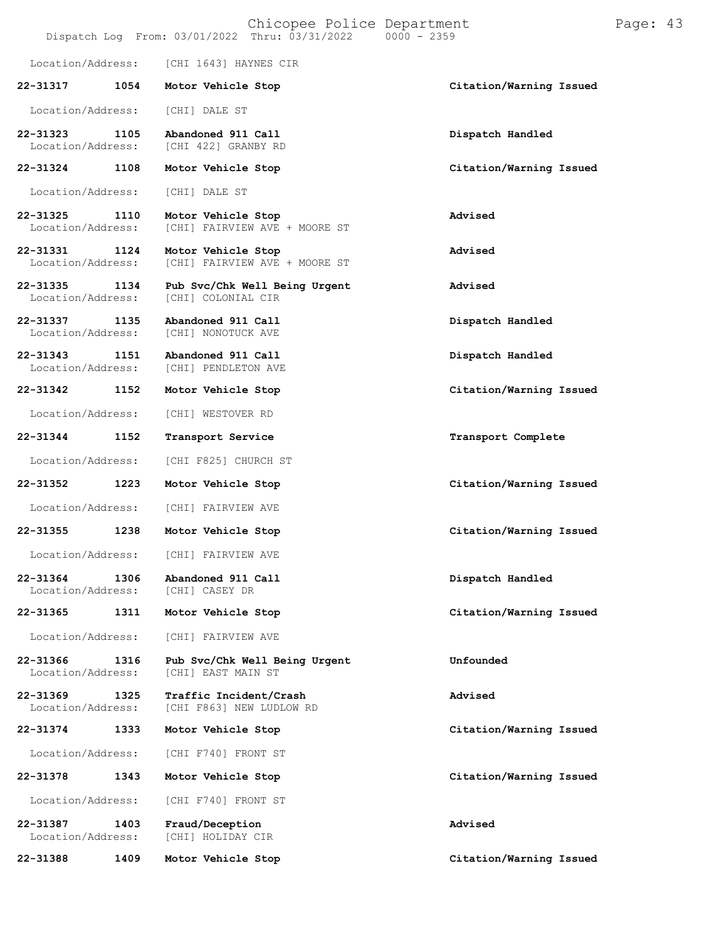|                               |      | Chicopee Police Department<br>Dispatch Log From: $03/01/2022$ Thru: $03/31/2022$<br>$0000 - 2359$ |                         | Page: 43 |  |
|-------------------------------|------|---------------------------------------------------------------------------------------------------|-------------------------|----------|--|
| Location/Address:             |      | [CHI 1643] HAYNES CIR                                                                             |                         |          |  |
| 22-31317                      | 1054 | Motor Vehicle Stop                                                                                | Citation/Warning Issued |          |  |
| Location/Address:             |      | [CHI] DALE ST                                                                                     |                         |          |  |
| 22-31323<br>Location/Address: | 1105 | Abandoned 911 Call<br>[CHI 422] GRANBY RD                                                         | Dispatch Handled        |          |  |
| 22-31324                      | 1108 | Motor Vehicle Stop                                                                                | Citation/Warning Issued |          |  |
| Location/Address:             |      | [CHI] DALE ST                                                                                     |                         |          |  |
| 22-31325<br>Location/Address: | 1110 | Motor Vehicle Stop<br>[CHI] FAIRVIEW AVE + MOORE ST                                               | Advised                 |          |  |
| 22-31331<br>Location/Address: | 1124 | Motor Vehicle Stop<br>[CHI] FAIRVIEW AVE + MOORE ST                                               | Advised                 |          |  |
| 22-31335<br>Location/Address: | 1134 | Pub Svc/Chk Well Being Urgent<br>[CHI] COLONIAL CIR                                               | Advised                 |          |  |
| 22-31337<br>Location/Address: | 1135 | Abandoned 911 Call<br>[CHI] NONOTUCK AVE                                                          | Dispatch Handled        |          |  |
| 22-31343<br>Location/Address: | 1151 | Abandoned 911 Call<br>[CHI] PENDLETON AVE                                                         | Dispatch Handled        |          |  |
| 22-31342                      | 1152 | Motor Vehicle Stop                                                                                | Citation/Warning Issued |          |  |
| Location/Address:             |      | [CHI] WESTOVER RD                                                                                 |                         |          |  |
| 22-31344                      | 1152 | Transport Service                                                                                 | Transport Complete      |          |  |
| Location/Address:             |      | [CHI F825] CHURCH ST                                                                              |                         |          |  |
| 22-31352                      | 1223 | Motor Vehicle Stop                                                                                | Citation/Warning Issued |          |  |
| Location/Address:             |      | [CHI] FAIRVIEW AVE                                                                                |                         |          |  |
| 22-31355                      | 1238 | Motor Vehicle Stop                                                                                | Citation/Warning Issued |          |  |
| Location/Address:             |      | [CHI] FAIRVIEW AVE                                                                                |                         |          |  |
| 22-31364<br>Location/Address: | 1306 | Abandoned 911 Call<br>[CHI] CASEY DR                                                              | Dispatch Handled        |          |  |
| 22-31365                      | 1311 | Motor Vehicle Stop                                                                                | Citation/Warning Issued |          |  |
| Location/Address:             |      | [CHI] FAIRVIEW AVE                                                                                |                         |          |  |
| 22-31366<br>Location/Address: | 1316 | Pub Svc/Chk Well Being Urgent<br>[CHI] EAST MAIN ST                                               | Unfounded               |          |  |
| 22-31369<br>Location/Address: | 1325 | Traffic Incident/Crash<br>[CHI F863] NEW LUDLOW RD                                                | Advised                 |          |  |
| 22-31374                      | 1333 | Motor Vehicle Stop                                                                                | Citation/Warning Issued |          |  |
| Location/Address:             |      | [CHI F740] FRONT ST                                                                               |                         |          |  |
| 22-31378                      | 1343 | Motor Vehicle Stop                                                                                | Citation/Warning Issued |          |  |
| Location/Address:             |      | [CHI F740] FRONT ST                                                                               |                         |          |  |
| 22-31387<br>Location/Address: | 1403 | Fraud/Deception<br>[CHI] HOLIDAY CIR                                                              | Advised                 |          |  |

**22-31388 1409 Motor Vehicle Stop Citation/Warning Issued**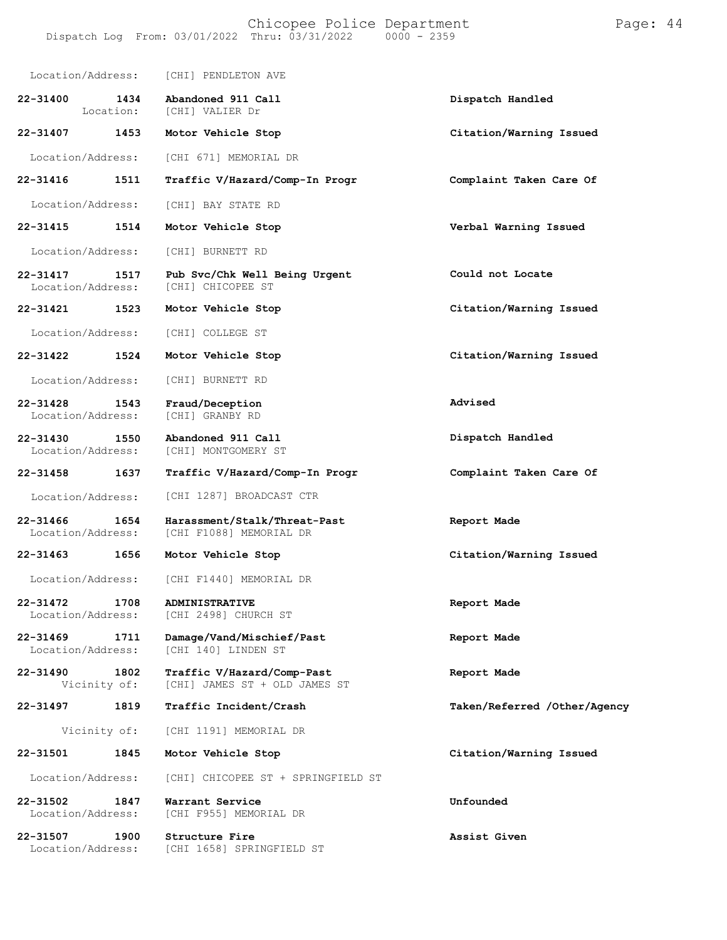| Location/Address:                     |                   | [CHI] PENDLETON AVE                                         |                              |
|---------------------------------------|-------------------|-------------------------------------------------------------|------------------------------|
| $22 - 31400$                          | 1434<br>Location: | Abandoned 911 Call<br>[CHI] VALIER Dr                       | Dispatch Handled             |
| 22-31407                              | 1453              | Motor Vehicle Stop                                          | Citation/Warning Issued      |
| Location/Address:                     |                   | [CHI 671] MEMORIAL DR                                       |                              |
| 22-31416                              | 1511              | Traffic V/Hazard/Comp-In Progr                              | Complaint Taken Care Of      |
| Location/Address:                     |                   | [CHI] BAY STATE RD                                          |                              |
| 22-31415                              | 1514              | Motor Vehicle Stop                                          | Verbal Warning Issued        |
| Location/Address:                     |                   | [CHI] BURNETT RD                                            |                              |
| $22 - 31417$<br>Location/Address:     | 1517              | Pub Svc/Chk Well Being Urgent<br>[CHI] CHICOPEE ST          | Could not Locate             |
| 22-31421                              | 1523              | Motor Vehicle Stop                                          | Citation/Warning Issued      |
| Location/Address:                     |                   | [CHI] COLLEGE ST                                            |                              |
| 22-31422                              | 1524              | Motor Vehicle Stop                                          | Citation/Warning Issued      |
| Location/Address:                     |                   | [CHI] BURNETT RD                                            |                              |
| 22-31428<br>Location/Address:         | 1543              | Fraud/Deception<br>[CHI] GRANBY RD                          | Advised                      |
| 22-31430<br>1550<br>Location/Address: |                   | Abandoned 911 Call<br>[CHI] MONTGOMERY ST                   | Dispatch Handled             |
| 22-31458                              | 1637              | Traffic V/Hazard/Comp-In Progr                              | Complaint Taken Care Of      |
| Location/Address:                     |                   | [CHI 1287] BROADCAST CTR                                    |                              |
| $22 - 31466$<br>Location/Address:     | 1654              | Harassment/Stalk/Threat-Past<br>[CHI F1088] MEMORIAL DR     | Report Made                  |
| 22-31463                              | 1656              | Motor Vehicle Stop                                          | Citation/Warning Issued      |
| Location/Address:                     |                   | [CHI F1440] MEMORIAL DR                                     |                              |
| 22-31472<br>Location/Address:         | 1708              | <b>ADMINISTRATIVE</b><br>[CHI 2498] CHURCH ST               | Report Made                  |
| $22 - 31469$<br>Location/Address:     | 1711              | Damage/Vand/Mischief/Past<br>[CHI 140] LINDEN ST            | Report Made                  |
| 22-31490<br>Vicinity of:              | 1802              | Traffic V/Hazard/Comp-Past<br>[CHI] JAMES ST + OLD JAMES ST | Report Made                  |
| 22-31497                              | 1819              | Traffic Incident/Crash                                      | Taken/Referred /Other/Agency |
| Vicinity of:                          |                   | [CHI 1191] MEMORIAL DR                                      |                              |
| 22-31501                              | 1845              | Motor Vehicle Stop                                          | Citation/Warning Issued      |
| Location/Address:                     |                   | [CHI] CHICOPEE ST + SPRINGFIELD ST                          |                              |
| 22-31502<br>Location/Address:         | 1847              | Warrant Service<br>[CHI F955] MEMORIAL DR                   | Unfounded                    |
| 22-31507<br>Location/Address:         | 1900              | Structure Fire<br>[CHI 1658] SPRINGFIELD ST                 | Assist Given                 |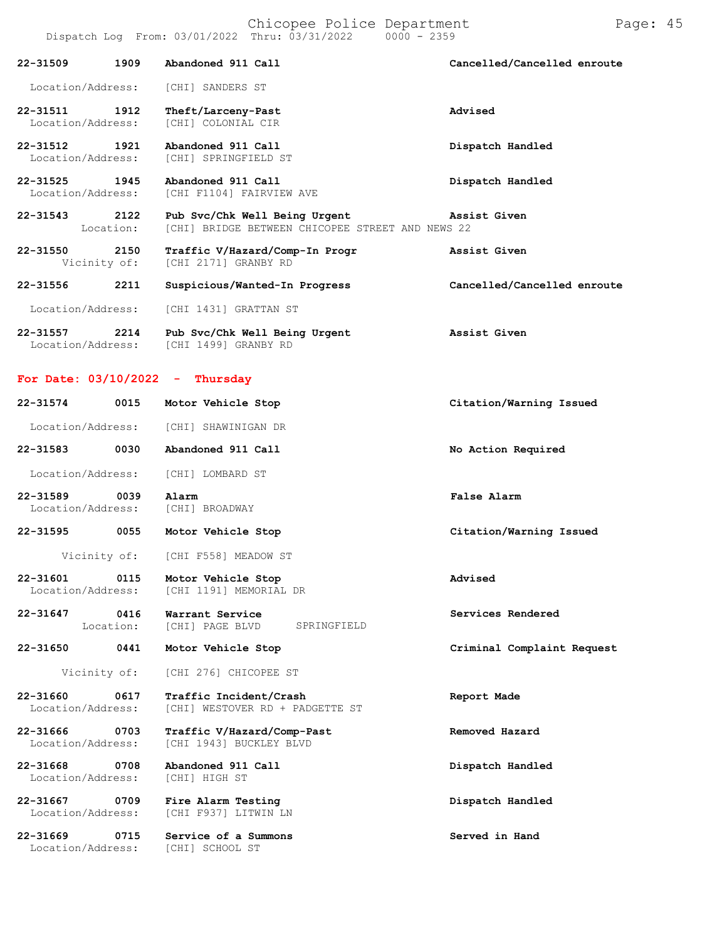|                                    |                   | Dispatch Log From: $03/01/2022$ Thru: $03/31/2022$ 0000 - 2359                                 |                             |
|------------------------------------|-------------------|------------------------------------------------------------------------------------------------|-----------------------------|
| 22-31509                           | 1909              | Abandoned 911 Call                                                                             | Cancelled/Cancelled enroute |
| Location/Address:                  |                   | [CHI] SANDERS ST                                                                               |                             |
| 22-31511 1912<br>Location/Address: |                   | Theft/Larceny-Past<br>[CHI] COLONIAL CIR                                                       | Advised                     |
| $22 - 31512$<br>Location/Address:  | 1921              | Abandoned 911 Call<br>[CHI] SPRINGFIELD ST                                                     | Dispatch Handled            |
| $22 - 31525$<br>Location/Address:  | 1945              | Abandoned 911 Call<br>[CHI F1104] FAIRVIEW AVE                                                 | Dispatch Handled            |
| 22-31543                           | 2122<br>Location: | Pub Svc/Chk Well Being Urgent Assist Given<br>[CHI] BRIDGE BETWEEN CHICOPEE STREET AND NEWS 22 |                             |
| 22-31550<br>Vicinity of:           | 2150              | Traffic V/Hazard/Comp-In Progr<br>[CHI 2171] GRANBY RD                                         | Assist Given                |
| 22-31556                           | 2211              | Suspicious/Wanted-In Progress                                                                  | Cancelled/Cancelled enroute |
| Location/Address:                  |                   | [CHI 1431] GRATTAN ST                                                                          |                             |
| 22-31557<br>Location/Address:      | 2214              | Pub Svc/Chk Well Being Urgent<br>[CHI 1499] GRANBY RD                                          | Assist Given                |
|                                    |                   | For Date: $03/10/2022 - Thursday$                                                              |                             |
| 22-31574                           | 0015              | Motor Vehicle Stop                                                                             | Citation/Warning Issued     |

|                                                   | Location/Address: [CHI] SHAWINIGAN DR                        |                            |
|---------------------------------------------------|--------------------------------------------------------------|----------------------------|
| 22-31583 0030                                     | Abandoned 911 Call                                           | No Action Required         |
| Location/Address:                                 | [CHI] LOMBARD ST                                             |                            |
| 22-31589 0039<br>Location/Address: [CHI] BROADWAY | Alarm                                                        | False Alarm                |
| 22-31595 0055                                     | Motor Vehicle Stop                                           | Citation/Warning Issued    |
| Vicinity of:                                      | [CHI F558] MEADOW ST                                         |                            |
| 22-31601 0115<br>Location/Address:                | Motor Vehicle Stop<br>[CHI 1191] MEMORIAL DR                 | Advised                    |
| 22-31647 0416<br>Location:                        | Warrant Service<br>[CHI] PAGE BLVD SPRINGFIELD               | Services Rendered          |
| 22-31650 0441                                     | Motor Vehicle Stop                                           | Criminal Complaint Request |
| Vicinity of:                                      | [CHI 276] CHICOPEE ST                                        |                            |
| 22-31660 0617<br>Location/Address:                | Traffic Incident/Crash<br>[CHI] WESTOVER RD + PADGETTE ST    | Report Made                |
| 22-31666 0703<br>Location/Address:                | Traffic V/Hazard/Comp-Past<br>[CHI 1943] BUCKLEY BLVD        | Removed Hazard             |
| 22-31668 0708<br>Location/Address:                | Abandoned 911 Call<br>[CHI] HIGH ST                          | Dispatch Handled           |
| 22-31667 0709                                     | Fire Alarm Testing<br>Location/Address: [CHI F937] LITWIN LN | Dispatch Handled           |
| 22-31669 0715<br>Location/Address:                | Service of a Summons<br>[CHI] SCHOOL ST                      | Served in Hand             |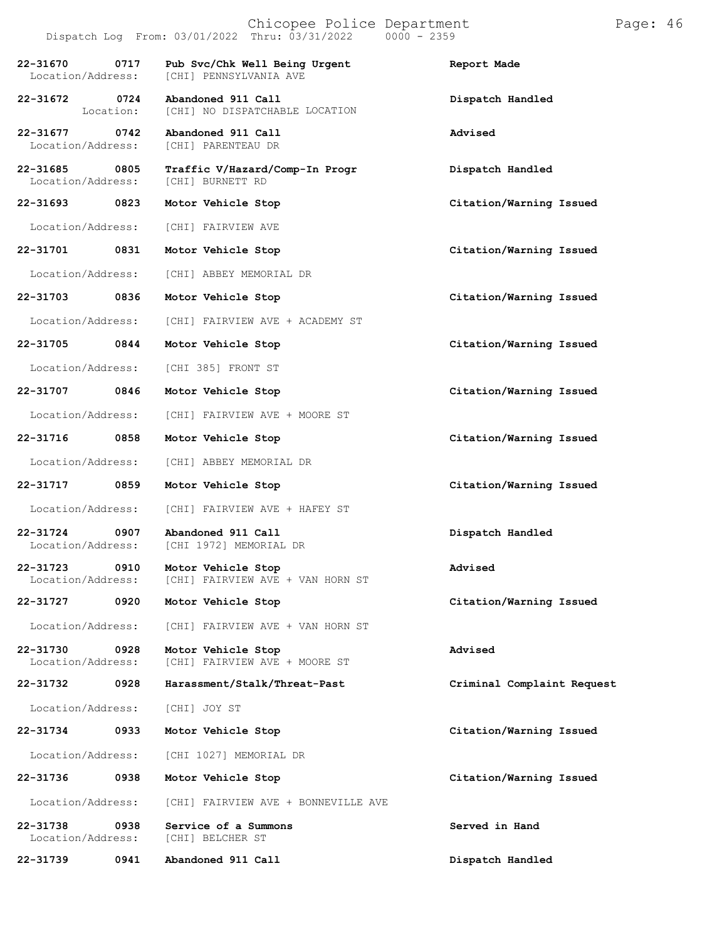|                                                       | Dispatch Log From: $03/01/2022$ Thru: $03/31/2022$ 0000 - 2359 |                            |
|-------------------------------------------------------|----------------------------------------------------------------|----------------------------|
| 22-31670<br>0717<br>Location/Address:                 | Pub Svc/Chk Well Being Urgent<br>[CHI] PENNSYLVANIA AVE        | Report Made                |
| 22-31672 0724                                         | Abandoned 911 Call<br>Location: [CHI] NO DISPATCHABLE LOCATION | Dispatch Handled           |
| 22-31677 0742<br>Location/Address:                    | Abandoned 911 Call<br>[CHI] PARENTEAU DR                       | Advised                    |
| 22-31685 0805<br>Location/Address:                    | Traffic V/Hazard/Comp-In Progr<br>[CHI] BURNETT RD             | Dispatch Handled           |
| 22-31693 0823                                         | Motor Vehicle Stop                                             | Citation/Warning Issued    |
| Location/Address:                                     | [CHI] FAIRVIEW AVE                                             |                            |
| 22-31701 0831                                         | Motor Vehicle Stop                                             | Citation/Warning Issued    |
| Location/Address:                                     | [CHI] ABBEY MEMORIAL DR                                        |                            |
| 22-31703 0836                                         | Motor Vehicle Stop                                             | Citation/Warning Issued    |
| Location/Address:                                     | [CHI] FAIRVIEW AVE + ACADEMY ST                                |                            |
| 22-31705 0844                                         | Motor Vehicle Stop                                             | Citation/Warning Issued    |
| Location/Address:                                     | [CHI 385] FRONT ST                                             |                            |
| 22-31707 0846                                         | Motor Vehicle Stop                                             | Citation/Warning Issued    |
| Location/Address:                                     | [CHI] FAIRVIEW AVE + MOORE ST                                  |                            |
| 22-31716 0858                                         | Motor Vehicle Stop                                             | Citation/Warning Issued    |
| Location/Address:                                     | [CHI] ABBEY MEMORIAL DR                                        |                            |
| 22-31717 0859                                         | Motor Vehicle Stop                                             | Citation/Warning Issued    |
| Location/Address:                                     | [CHI] FAIRVIEW AVE + HAFEY ST                                  |                            |
| 22-31724 0907 Abandoned 911 Call<br>Location/Address: | [CHI 1972] MEMORIAL DR                                         | Dispatch Handled           |
| 22-31723 0910 Motor Vehicle Stop<br>Location/Address: | [CHI] FAIRVIEW AVE + VAN HORN ST                               | Advised                    |
| 22-31727<br>0920                                      | Motor Vehicle Stop                                             | Citation/Warning Issued    |
| Location/Address:                                     | [CHI] FAIRVIEW AVE + VAN HORN ST                               |                            |
| 22-31730<br>0928<br>Location/Address:                 | Motor Vehicle Stop<br>[CHI] FAIRVIEW AVE + MOORE ST            | Advised                    |
| 22-31732<br>0928                                      | Harassment/Stalk/Threat-Past                                   | Criminal Complaint Request |
| Location/Address:                                     | [CHI] JOY ST                                                   |                            |
| 0933<br>22-31734                                      | Motor Vehicle Stop                                             | Citation/Warning Issued    |
| Location/Address:                                     | [CHI 1027] MEMORIAL DR                                         |                            |
| 22-31736<br>0938                                      | Motor Vehicle Stop                                             | Citation/Warning Issued    |
| Location/Address:                                     | [CHI] FAIRVIEW AVE + BONNEVILLE AVE                            |                            |
| 22-31738<br>0938<br>Location/Address:                 | Service of a Summons<br>[CHI] BELCHER ST                       | Served in Hand             |
|                                                       |                                                                |                            |

**22-31739 0941 Abandoned 911 Call Dispatch Handled**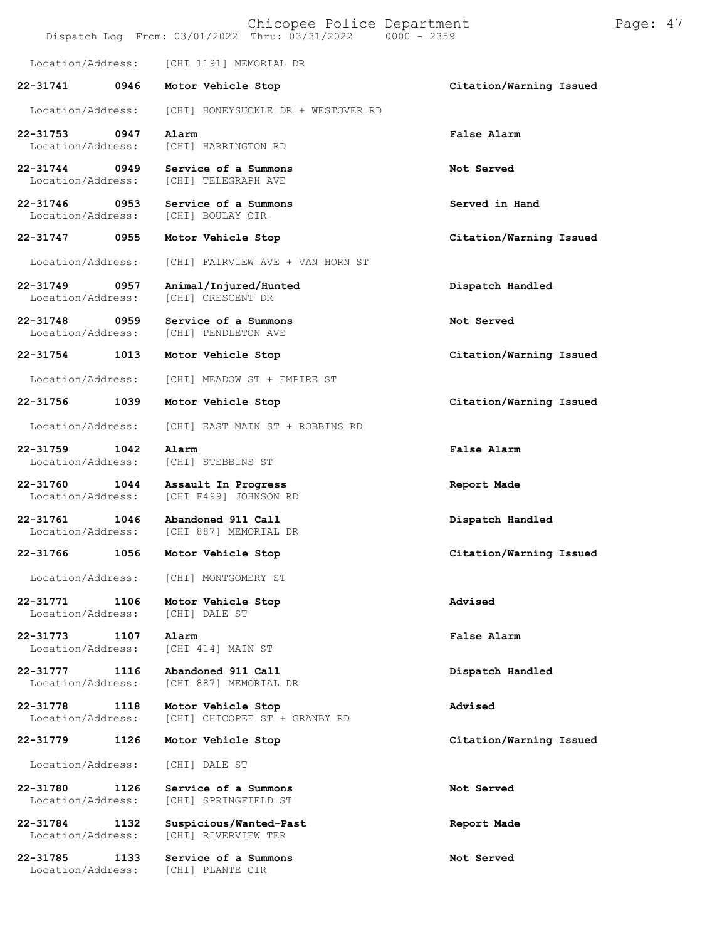| Chicopee Police Department<br>Page: 47<br>Dispatch Log From: 03/01/2022 Thru: 03/31/2022<br>$0000 - 2359$ |                                                     |                         |  |  |
|-----------------------------------------------------------------------------------------------------------|-----------------------------------------------------|-------------------------|--|--|
| Location/Address:                                                                                         | [CHI 1191] MEMORIAL DR                              |                         |  |  |
| 22-31741<br>0946                                                                                          | Motor Vehicle Stop                                  | Citation/Warning Issued |  |  |
| Location/Address:                                                                                         | [CHI] HONEYSUCKLE DR + WESTOVER RD                  |                         |  |  |
| $22 - 31753$<br>0947<br>Location/Address:                                                                 | Alarm<br>[CHI] HARRINGTON RD                        | False Alarm             |  |  |
| 22-31744<br>0949<br>Location/Address:                                                                     | Service of a Summons<br>[CHI] TELEGRAPH AVE         | Not Served              |  |  |
| 22-31746<br>0953<br>Location/Address:                                                                     | Service of a Summons<br>[CHI] BOULAY CIR            | Served in Hand          |  |  |
| 22-31747<br>0955                                                                                          | Motor Vehicle Stop                                  | Citation/Warning Issued |  |  |
| Location/Address:                                                                                         | [CHI] FAIRVIEW AVE + VAN HORN ST                    |                         |  |  |
| $22 - 31749$<br>0957<br>Location/Address:                                                                 | Animal/Injured/Hunted<br>[CHI] CRESCENT DR          | Dispatch Handled        |  |  |
| 22-31748<br>0959<br>Location/Address:                                                                     | Service of a Summons<br>[CHI] PENDLETON AVE         | Not Served              |  |  |
| 22-31754<br>1013                                                                                          | Motor Vehicle Stop                                  | Citation/Warning Issued |  |  |
| Location/Address:                                                                                         | [CHI] MEADOW ST + EMPIRE ST                         |                         |  |  |
| 22-31756<br>1039                                                                                          | Motor Vehicle Stop                                  | Citation/Warning Issued |  |  |
| Location/Address:                                                                                         | [CHI] EAST MAIN ST + ROBBINS RD                     |                         |  |  |
| 22-31759<br>1042<br>Location/Address:                                                                     | Alarm<br>[CHI] STEBBINS ST                          | False Alarm             |  |  |
| 22-31760<br>1044<br>Location/Address:                                                                     | Assault In Progress<br>[CHI F499] JOHNSON RD        | Report Made             |  |  |
| 22-31761<br>1046<br>Location/Address:                                                                     | Abandoned 911 Call<br>[CHI 887] MEMORIAL DR         | Dispatch Handled        |  |  |
| 22-31766<br>1056                                                                                          | Motor Vehicle Stop                                  | Citation/Warning Issued |  |  |
| Location/Address:                                                                                         | [CHI] MONTGOMERY ST                                 |                         |  |  |
| 22-31771<br>1106<br>Location/Address:                                                                     | Motor Vehicle Stop<br>[CHI] DALE ST                 | Advised                 |  |  |
| 22-31773<br>1107<br>Location/Address:                                                                     | Alarm<br>[CHI 414] MAIN ST                          | False Alarm             |  |  |
| 22-31777<br>1116<br>Location/Address:                                                                     | Abandoned 911 Call<br>[CHI 887] MEMORIAL DR         | Dispatch Handled        |  |  |
| 22-31778<br>1118<br>Location/Address:                                                                     | Motor Vehicle Stop<br>[CHI] CHICOPEE ST + GRANBY RD | Advised                 |  |  |
| 22-31779<br>1126                                                                                          | Motor Vehicle Stop                                  | Citation/Warning Issued |  |  |
| Location/Address:                                                                                         | [CHI] DALE ST                                       |                         |  |  |
| 22-31780<br>1126<br>Location/Address:                                                                     | Service of a Summons<br>[CHI] SPRINGFIELD ST        | Not Served              |  |  |
| 22-31784<br>1132<br>Location/Address:                                                                     | Suspicious/Wanted-Past<br>[CHI] RIVERVIEW TER       | Report Made             |  |  |
| 22-31785<br>1133<br>Location/Address:                                                                     | Service of a Summons<br>[CHI] PLANTE CIR            | Not Served              |  |  |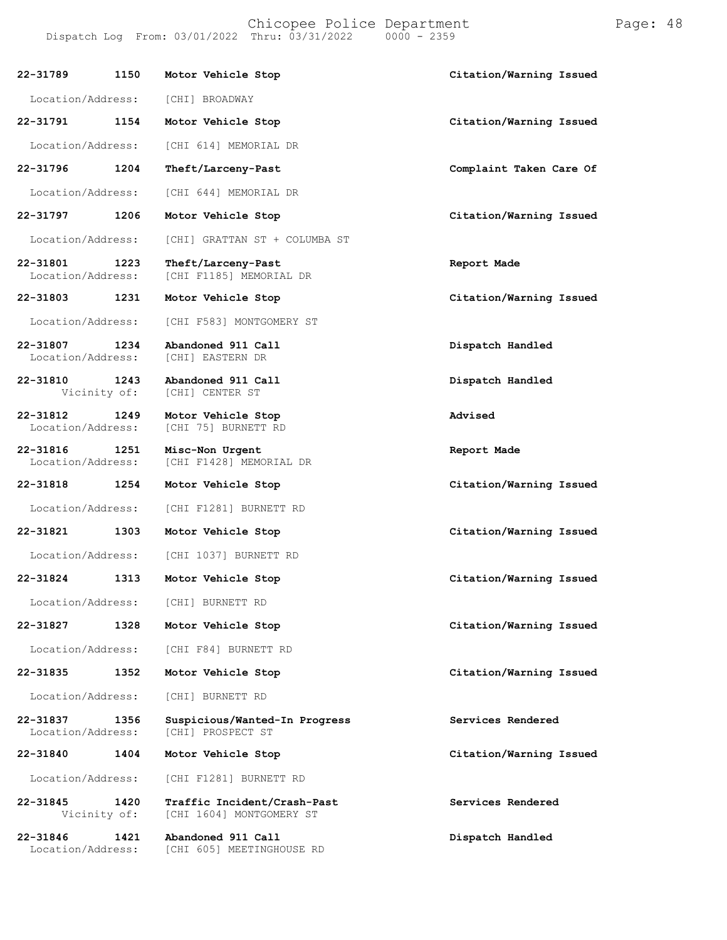Dispatch Log From:  $03/01/2022$  Thru:  $03/31/2022$ **22-31789 1150 Motor Vehicle Stop Citation/Warning Issued** Location/Address: [CHI] BROADWAY **22-31791 1154 Motor Vehicle Stop Citation/Warning Issued** Location/Address: [CHI 614] MEMORIAL DR **22-31796 1204 Theft/Larceny-Past Complaint Taken Care Of** Location/Address: [CHI 644] MEMORIAL DR **22-31797 1206 Motor Vehicle Stop Citation/Warning Issued**

Location/Address: [CHI] GRATTAN ST + COLUMBA ST

**22-31801 1223 Theft/Larceny-Past Report Made** [CHI F1185] MEMORIAL DR

**22-31803 1231 Motor Vehicle Stop Citation/Warning Issued**

Location/Address: [CHI F583] MONTGOMERY ST

**22-31807 1234 Abandoned 911 Call Dispatch Handled** Location/Address:

**22-31810 1243 Abandoned 911 Call Dispatch Handled** [CHI] CENTER ST

**22-31812 1249 Motor Vehicle Stop Advised** [CHI 75] BURNETT RD

**22-31816 1251 Misc-Non Urgent Report Made** [CHI F1428] MEMORIAL DR

**22-31818 1254 Motor Vehicle Stop Citation/Warning Issued**

Location/Address: [CHI F1281] BURNETT RD

**22-31821 1303 Motor Vehicle Stop Citation/Warning Issued**

Location/Address: [CHI 1037] BURNETT RD

Location/Address: [CHI] BURNETT RD

Location/Address: [CHI F84] BURNETT RD

Location/Address: [CHI] BURNETT RD

#### **22-31837 1356 Suspicious/Wanted-In Progress Services Rendered** [CHI] PROSPECT ST

**22-31840 1404 Motor Vehicle Stop Citation/Warning Issued**

Location/Address: [CHI F1281] BURNETT RD

**22-31845 1420 Traffic Incident/Crash-Past Services Rendered** [CHI 1604] MONTGOMERY ST

**22-31846 1421 Abandoned 911 Call Dispatch Handled** [CHI 605] MEETINGHOUSE RD

**22-31824 1313 Motor Vehicle Stop Citation/Warning Issued**

**22-31827 1328 Motor Vehicle Stop Citation/Warning Issued**

**22-31835 1352 Motor Vehicle Stop Citation/Warning Issued**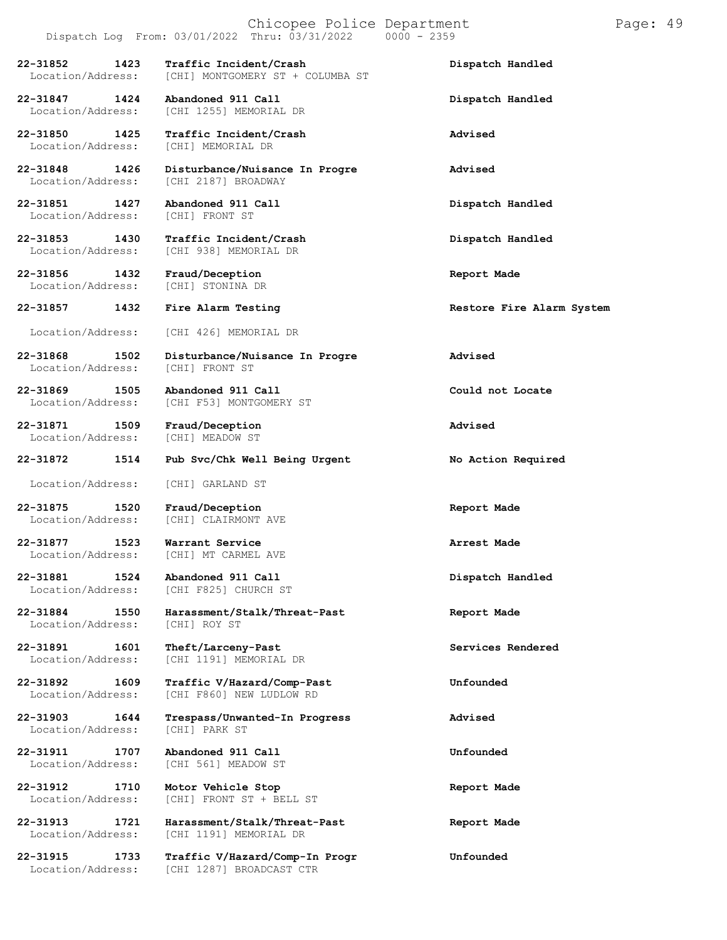**22-31852 1423 Traffic Incident/Crash Dispatch Handled**

[CHI] MONTGOMERY ST + COLUMBA ST

**22-31847 1424 Abandoned 911 Call Dispatch Handled**

**22-31850 1425 Traffic Incident/Crash Advised** Location/Address:

**22-31848 1426 Disturbance/Nuisance In Progre Advised** Location/Address: [CHI 2187] BROADWAY

**22-31851 1427 Abandoned 911 Call Dispatch Handled** Location/Address:

**22-31853 1430 Traffic Incident/Crash Dispatch Handled** [CHI 938] MEMORIAL DR

**22-31856 1432 Fraud/Deception Report Made**

**22-31857 1432 Fire Alarm Testing Restore Fire Alarm System**

Location/Address: [CHI 426] MEMORIAL DR

**22-31868 1502 Disturbance/Nuisance In Progre Advised** Location/Address:

**22-31869 1505 Abandoned 911 Call Could not Locate** [CHI F53] MONTGOMERY ST

[CHI 1255] MEMORIAL DR

**22-31871 1509 Fraud/Deception Advised** Location/Address:

[CHI] STONINA DR

**22-31872 1514 Pub Svc/Chk Well Being Urgent No Action Required**

Location/Address: [CHI] GARLAND ST

**22-31875 1520 Fraud/Deception Report Made** [CHI] CLAIRMONT AVE

**22-31877 1523 Warrant Service Arrest Made** [CHI] MT CARMEL AVE

**22-31881 1524 Abandoned 911 Call Dispatch Handled** [CHI F825] CHURCH ST

**22-31884 1550 Harassment/Stalk/Threat-Past Report Made** Location/Address:

**22-31891 1601 Theft/Larceny-Past Services Rendered** Location/Address: [CHI 1191] MEMORIAL DR

**22-31892 1609 Traffic V/Hazard/Comp-Past Unfounded** [CHI F860] NEW LUDLOW RD

**22-31903 1644 Trespass/Unwanted-In Progress Advised** Location/Address:

**22-31911 1707 Abandoned 911 Call Unfounded** [CHI 561] MEADOW ST

**22-31912 1710 Motor Vehicle Stop Report Made** [CHI] FRONT ST + BELL ST

**22-31913 1721 Harassment/Stalk/Threat-Past Report Made** Location/Address: [CHI 1191] MEMORIAL DR

**22-31915 1733 Traffic V/Hazard/Comp-In Progr Unfounded** [CHI 1287] BROADCAST CTR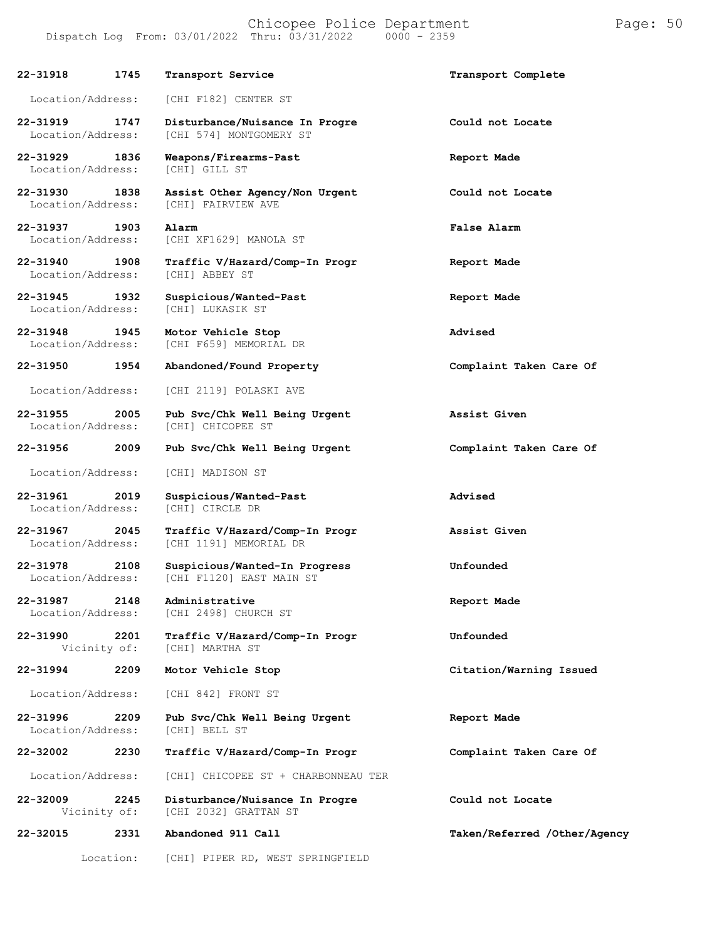**22-31918 1745 Transport Service Transport Complete** Location/Address: [CHI F182] CENTER ST **22-31919 1747 Disturbance/Nuisance In Progre Could not Locate** [CHI 574] MONTGOMERY ST **22-31929 1836 Weapons/Firearms-Past Report Made** Location/Address: **22-31930 1838 Assist Other Agency/Non Urgent Could not Locate** [CHI] FAIRVIEW AVE **22-31937 1903 Alarm False Alarm** Location/Address: [CHI XF1629] MANOLA ST **22-31940 1908 Traffic V/Hazard/Comp-In Progr Report Made** Location/Address: **22-31945 1932 Suspicious/Wanted-Past Report Made** Location/Address: **22-31948 1945 Motor Vehicle Stop Advised** [CHI F659] MEMORIAL DR **22-31950 1954 Abandoned/Found Property Complaint Taken Care Of** Location/Address: [CHI 2119] POLASKI AVE **22-31955 2005 Pub Svc/Chk Well Being Urgent Assist Given** Location/Address: **22-31956 2009 Pub Svc/Chk Well Being Urgent Complaint Taken Care Of** Location/Address: [CHI] MADISON ST **22-31961 2019 Suspicious/Wanted-Past Advised** Location/Address: **22-31967 2045 Traffic V/Hazard/Comp-In Progr Assist Given** [CHI 1191] MEMORIAL DR **22-31978 2108 Suspicious/Wanted-In Progress Unfounded** [CHI F1120] EAST MAIN ST **22-31987 2148 Administrative Report Made** Location/Address: **22-31990 2201 Traffic V/Hazard/Comp-In Progr Unfounded** [CHI] MARTHA ST **22-31994 2209 Motor Vehicle Stop Citation/Warning Issued** Location/Address: [CHI 842] FRONT ST

**22-31996 2209 Pub Svc/Chk Well Being Urgent Report Made** Location/Address:

**22-32002 2230 Traffic V/Hazard/Comp-In Progr Complaint Taken Care Of**

Location/Address: [CHI] CHICOPEE ST + CHARBONNEAU TER

**22-32009 2245 Disturbance/Nuisance In Progre Could not Locate** [CHI 2032] GRATTAN ST

**22-32015 2331 Abandoned 911 Call Taken/Referred /Other/Agency**

Location: [CHI] PIPER RD, WEST SPRINGFIELD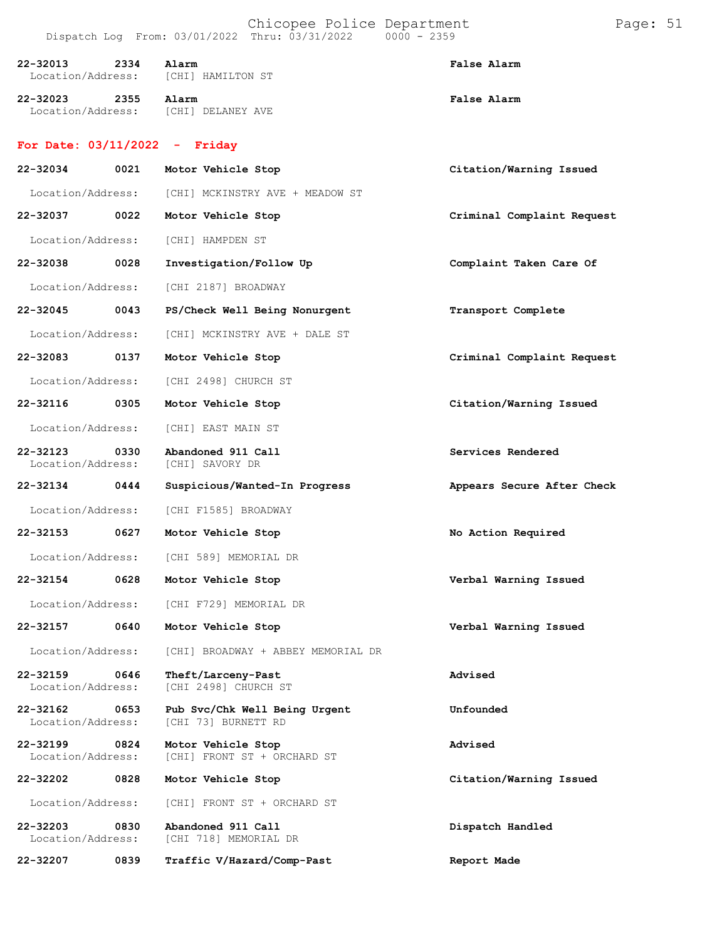| 22-32013 | 2334 | Alarm                                        | <b>False Alarm</b> |
|----------|------|----------------------------------------------|--------------------|
|          |      | Location/Address: [CHI] HAMILTON ST          |                    |
| 22-32023 | 2355 | Alarm<br>Location/Address: [CHI] DELANEY AVE | <b>False Alarm</b> |

### **For Date: 03/11/2022 - Friday**

| 22-32034                              | 0021 | Motor Vehicle Stop                                   | Citation/Warning Issued    |  |
|---------------------------------------|------|------------------------------------------------------|----------------------------|--|
| Location/Address:                     |      | [CHI] MCKINSTRY AVE + MEADOW ST                      |                            |  |
| 22-32037                              | 0022 | Motor Vehicle Stop                                   | Criminal Complaint Request |  |
| Location/Address:                     |      | [CHI] HAMPDEN ST                                     |                            |  |
| 22-32038                              | 0028 | Investigation/Follow Up                              | Complaint Taken Care Of    |  |
| Location/Address:                     |      | [CHI 2187] BROADWAY                                  |                            |  |
| 22-32045                              | 0043 | PS/Check Well Being Nonurgent                        | Transport Complete         |  |
| Location/Address:                     |      | [CHI] MCKINSTRY AVE + DALE ST                        |                            |  |
| 22-32083                              | 0137 | Motor Vehicle Stop                                   | Criminal Complaint Request |  |
| Location/Address:                     |      | [CHI 2498] CHURCH ST                                 |                            |  |
| 22-32116                              | 0305 | Motor Vehicle Stop                                   | Citation/Warning Issued    |  |
| Location/Address:                     |      | [CHI] EAST MAIN ST                                   |                            |  |
| 22-32123<br>0330<br>Location/Address: |      | Abandoned 911 Call<br>[CHI] SAVORY DR                | Services Rendered          |  |
| 22-32134                              | 0444 | Suspicious/Wanted-In Progress                        | Appears Secure After Check |  |
| Location/Address:                     |      | [CHI F1585] BROADWAY                                 |                            |  |
| 22-32153                              | 0627 | Motor Vehicle Stop                                   | No Action Required         |  |
| Location/Address:                     |      | [CHI 589] MEMORIAL DR                                |                            |  |
| 22-32154                              | 0628 | Motor Vehicle Stop                                   | Verbal Warning Issued      |  |
| Location/Address:                     |      | [CHI F729] MEMORIAL DR                               |                            |  |
| 22-32157                              | 0640 | Motor Vehicle Stop                                   | Verbal Warning Issued      |  |
| Location/Address:                     |      | [CHI] BROADWAY + ABBEY MEMORIAL DR                   |                            |  |
| 22-32159<br>Location/Address:         | 0646 | Theft/Larceny-Past<br>[CHI 2498] CHURCH ST           | Advised                    |  |
| 22-32162<br>Location/Address:         | 0653 | Pub Svc/Chk Well Being Urgent<br>[CHI 73] BURNETT RD | Unfounded                  |  |
| 22-32199<br>Location/Address:         | 0824 | Motor Vehicle Stop<br>[CHI] FRONT ST + ORCHARD ST    | Advised                    |  |
| 22-32202                              | 0828 | Motor Vehicle Stop                                   | Citation/Warning Issued    |  |
| Location/Address:                     |      | [CHI] FRONT ST + ORCHARD ST                          |                            |  |
| 22-32203<br>Location/Address:         | 0830 | Abandoned 911 Call<br>[CHI 718] MEMORIAL DR          | Dispatch Handled           |  |
| 22-32207                              | 0839 | Traffic V/Hazard/Comp-Past                           | Report Made                |  |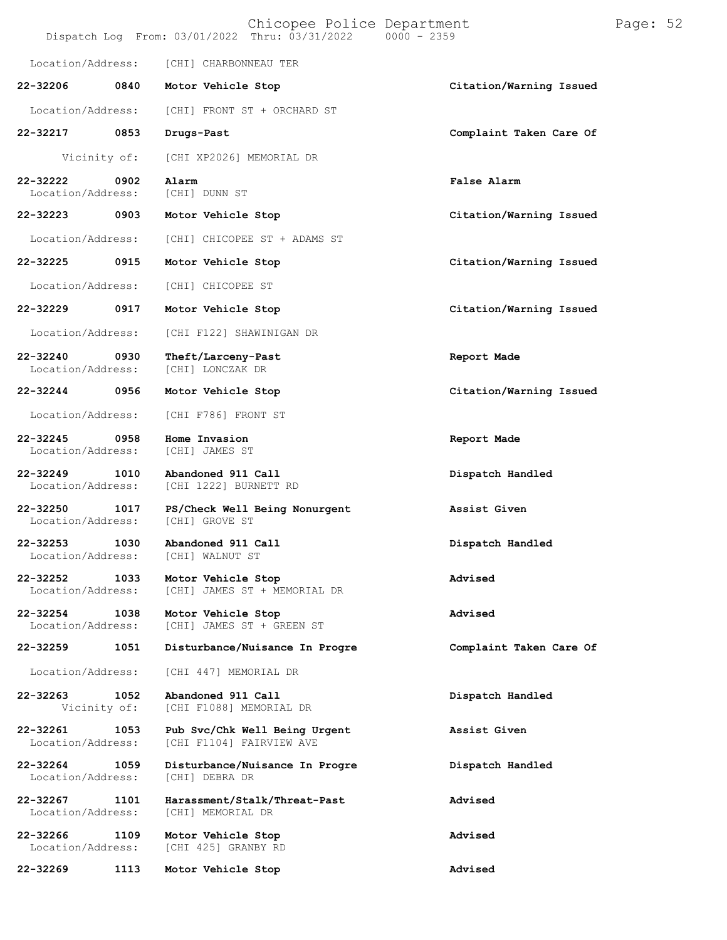|                                   |      | Chicopee Police Department<br>Dispatch Log From: 03/01/2022 Thru: 03/31/2022 | $0000 - 2359$           | Page: 52 |  |
|-----------------------------------|------|------------------------------------------------------------------------------|-------------------------|----------|--|
| Location/Address:                 |      | [CHI] CHARBONNEAU TER                                                        |                         |          |  |
| 22-32206                          | 0840 | Motor Vehicle Stop                                                           | Citation/Warning Issued |          |  |
| Location/Address:                 |      | [CHI] FRONT ST + ORCHARD ST                                                  |                         |          |  |
| 22-32217                          | 0853 | Drugs-Past                                                                   | Complaint Taken Care Of |          |  |
| Vicinity of:                      |      | [CHI XP2026] MEMORIAL DR                                                     |                         |          |  |
| 22-32222<br>Location/Address:     | 0902 | Alarm<br>[CHI] DUNN ST                                                       | False Alarm             |          |  |
| 22-32223                          | 0903 | Motor Vehicle Stop                                                           | Citation/Warning Issued |          |  |
| Location/Address:                 |      | [CHI] CHICOPEE ST + ADAMS ST                                                 |                         |          |  |
| 22-32225                          | 0915 | Motor Vehicle Stop                                                           | Citation/Warning Issued |          |  |
| Location/Address:                 |      | [CHI] CHICOPEE ST                                                            |                         |          |  |
| 22-32229                          | 0917 | Motor Vehicle Stop                                                           | Citation/Warning Issued |          |  |
| Location/Address:                 |      | [CHI F122] SHAWINIGAN DR                                                     |                         |          |  |
| 22-32240<br>Location/Address:     | 0930 | Theft/Larceny-Past<br>[CHI] LONCZAK DR                                       | Report Made             |          |  |
| 22-32244                          | 0956 | Motor Vehicle Stop                                                           | Citation/Warning Issued |          |  |
| Location/Address:                 |      | [CHI F786] FRONT ST                                                          |                         |          |  |
| 22-32245<br>Location/Address:     | 0958 | Home Invasion<br>[CHI] JAMES ST                                              | Report Made             |          |  |
| $22 - 32249$<br>Location/Address: | 1010 | Abandoned 911 Call<br>[CHI 1222] BURNETT RD                                  | Dispatch Handled        |          |  |
| $22 - 32250$<br>Location/Address: | 1017 | PS/Check Well Being Nonurgent<br>[CHI] GROVE ST                              | Assist Given            |          |  |
| 22-32253<br>Location/Address:     | 1030 | Abandoned 911 Call<br>[CHI] WALNUT ST                                        | Dispatch Handled        |          |  |
| 22-32252<br>Location/Address:     | 1033 | Motor Vehicle Stop<br>[CHI] JAMES ST + MEMORIAL DR                           | Advised                 |          |  |
| 22-32254<br>Location/Address:     | 1038 | Motor Vehicle Stop<br>[CHI] JAMES ST + GREEN ST                              | Advised                 |          |  |
| 22-32259                          | 1051 | Disturbance/Nuisance In Progre                                               | Complaint Taken Care Of |          |  |
| Location/Address:                 |      | [CHI 447] MEMORIAL DR                                                        |                         |          |  |
| 22-32263<br>Vicinity of:          | 1052 | Abandoned 911 Call<br>[CHI F1088] MEMORIAL DR                                | Dispatch Handled        |          |  |
| 22-32261<br>Location/Address:     | 1053 | Pub Svc/Chk Well Being Urgent<br>[CHI F1104] FAIRVIEW AVE                    | Assist Given            |          |  |
| 22-32264<br>Location/Address:     | 1059 | Disturbance/Nuisance In Progre<br>[CHI] DEBRA DR                             | Dispatch Handled        |          |  |
| 22-32267<br>Location/Address:     | 1101 | Harassment/Stalk/Threat-Past<br>[CHI] MEMORIAL DR                            | Advised                 |          |  |
| 22-32266<br>Location/Address:     | 1109 | Motor Vehicle Stop<br>[CHI 425] GRANBY RD                                    | Advised                 |          |  |
| 22-32269                          | 1113 | Motor Vehicle Stop                                                           | Advised                 |          |  |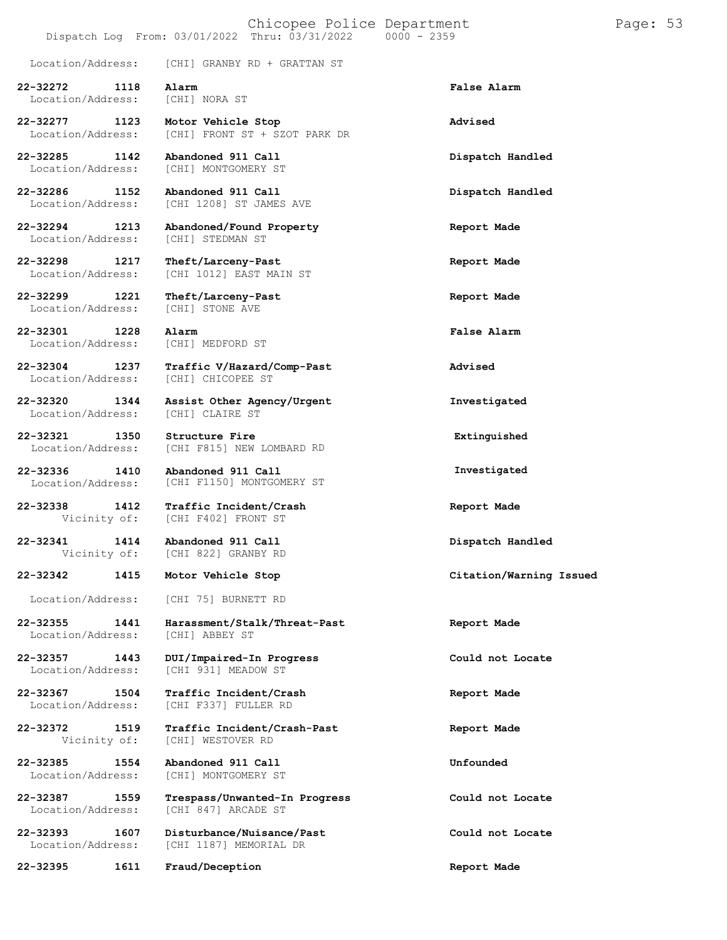#### Chicopee Police Department Page: 53 Dispatch Log From: 03/01/2022 Thru: 03/31/2022 0000 - 2359

| Location/Address:                     | [CHI] GRANBY RD + GRATTAN ST                          |                         |
|---------------------------------------|-------------------------------------------------------|-------------------------|
| 22-32272<br>1118<br>Location/Address: | Alarm<br>[CHI] NORA ST                                | False Alarm             |
| 22-32277<br>1123<br>Location/Address: | Motor Vehicle Stop<br>[CHI] FRONT ST + SZOT PARK DR   | Advised                 |
| 22-32285<br>1142<br>Location/Address: | Abandoned 911 Call<br>[CHI] MONTGOMERY ST             | Dispatch Handled        |
| 22-32286<br>1152<br>Location/Address: | Abandoned 911 Call<br>[CHI 1208] ST JAMES AVE         | Dispatch Handled        |
| 22-32294<br>1213<br>Location/Address: | Abandoned/Found Property<br>[CHI] STEDMAN ST          | Report Made             |
| 22-32298<br>1217<br>Location/Address: | Theft/Larceny-Past<br>[CHI 1012] EAST MAIN ST         | Report Made             |
| 22-32299<br>1221<br>Location/Address: | Theft/Larceny-Past<br>[CHI] STONE AVE                 | Report Made             |
| 22-32301<br>1228<br>Location/Address: | Alarm<br>[CHI] MEDFORD ST                             | False Alarm             |
| 22-32304<br>1237<br>Location/Address: | Traffic V/Hazard/Comp-Past<br>[CHI] CHICOPEE ST       | Advised                 |
| 22-32320<br>1344<br>Location/Address: | Assist Other Agency/Urgent<br>[CHI] CLAIRE ST         | Investigated            |
| 22-32321<br>1350<br>Location/Address: | Structure Fire<br>[CHI F815] NEW LOMBARD RD           | Extinguished            |
| 22-32336<br>1410<br>Location/Address: | Abandoned 911 Call<br>[CHI F1150] MONTGOMERY ST       | Investigated            |
| 22-32338<br>1412<br>Vicinity of:      | Traffic Incident/Crash<br>[CHI F402] FRONT ST         | Report Made             |
| 22-32341<br>1414<br>Vicinity of:      | Abandoned 911 Call<br>[CHI 822] GRANBY RD             | Dispatch Handled        |
| 22-32342<br>1415                      | Motor Vehicle Stop                                    | Citation/Warning Issued |
| Location/Address:                     | [CHI 75] BURNETT RD                                   |                         |
| 22-32355<br>1441<br>Location/Address: | Harassment/Stalk/Threat-Past<br>[CHI] ABBEY ST        | Report Made             |
| 22-32357<br>1443<br>Location/Address: | DUI/Impaired-In Progress<br>[CHI 931] MEADOW ST       | Could not Locate        |
| 22-32367<br>1504<br>Location/Address: | <b>Traffic Incident/Crash</b><br>[CHI F337] FULLER RD | Report Made             |
| 1519<br>22-32372<br>Vicinity of:      | Traffic Incident/Crash-Past<br>[CHI] WESTOVER RD      | Report Made             |
| 22-32385<br>1554<br>Location/Address: | Abandoned 911 Call<br>[CHI] MONTGOMERY ST             | Unfounded               |
| 22-32387<br>1559<br>Location/Address: | Trespass/Unwanted-In Progress<br>[CHI 847] ARCADE ST  | Could not Locate        |
| 22-32393<br>1607<br>Location/Address: | Disturbance/Nuisance/Past<br>[CHI 1187] MEMORIAL DR   | Could not Locate        |
| 1611<br>22-32395                      | Fraud/Deception                                       | Report Made             |
|                                       |                                                       |                         |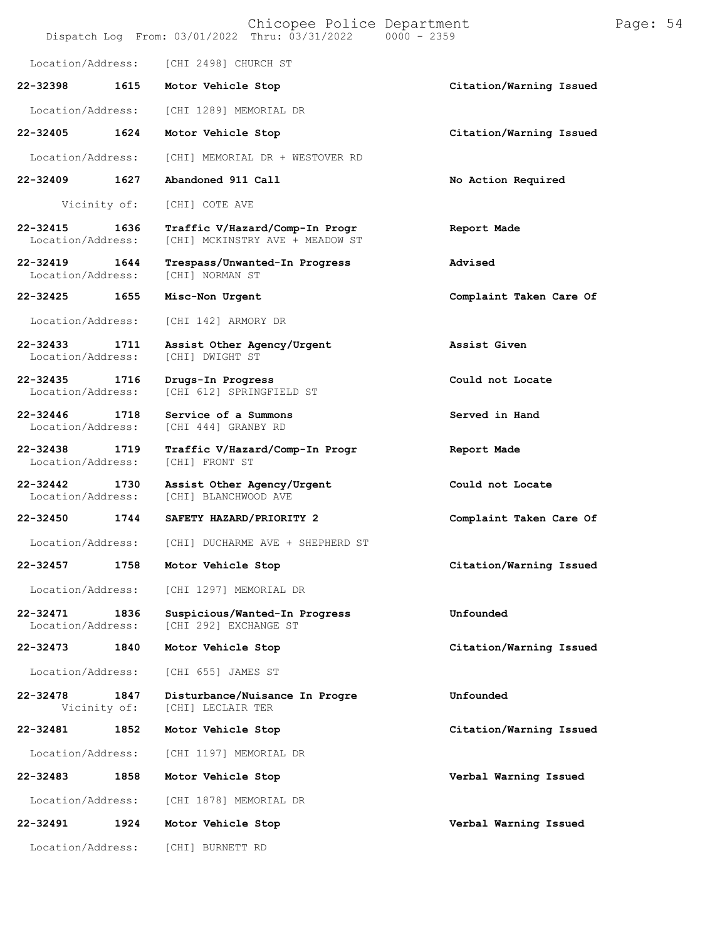|                                   |      | Chicopee Police Department<br>Dispatch Log From: 03/01/2022 Thru: 03/31/2022 0000 - 2359 |                         | Page: 54 |  |
|-----------------------------------|------|------------------------------------------------------------------------------------------|-------------------------|----------|--|
| Location/Address:                 |      | [CHI 2498] CHURCH ST                                                                     |                         |          |  |
| 22-32398                          | 1615 | Motor Vehicle Stop                                                                       | Citation/Warning Issued |          |  |
| Location/Address:                 |      | [CHI 1289] MEMORIAL DR                                                                   |                         |          |  |
| 22-32405                          | 1624 | Motor Vehicle Stop                                                                       | Citation/Warning Issued |          |  |
| Location/Address:                 |      | [CHI] MEMORIAL DR + WESTOVER RD                                                          |                         |          |  |
| 22-32409                          | 1627 | Abandoned 911 Call                                                                       | No Action Required      |          |  |
| Vicinity of:                      |      | [CHI] COTE AVE                                                                           |                         |          |  |
| $22 - 32415$<br>Location/Address: | 1636 | Traffic V/Hazard/Comp-In Progr<br>[CHI] MCKINSTRY AVE + MEADOW ST                        | Report Made             |          |  |
| 22-32419<br>Location/Address:     | 1644 | Trespass/Unwanted-In Progress<br>[CHI] NORMAN ST                                         | Advised                 |          |  |
| 22-32425                          | 1655 | Misc-Non Urgent                                                                          | Complaint Taken Care Of |          |  |
| Location/Address:                 |      | [CHI 142] ARMORY DR                                                                      |                         |          |  |
| 22-32433<br>Location/Address:     | 1711 | Assist Other Agency/Urgent<br>[CHI] DWIGHT ST                                            | Assist Given            |          |  |
| $22 - 32435$<br>Location/Address: | 1716 | Drugs-In Progress<br>[CHI 612] SPRINGFIELD ST                                            | Could not Locate        |          |  |
| 22-32446<br>Location/Address:     | 1718 | Service of a Summons<br>[CHI 444] GRANBY RD                                              | Served in Hand          |          |  |
| 22-32438<br>Location/Address:     | 1719 | Traffic V/Hazard/Comp-In Progr<br>[CHI] FRONT ST                                         | Report Made             |          |  |
| $22 - 32442$<br>Location/Address: | 1730 | Assist Other Agency/Urgent<br>[CHI] BLANCHWOOD AVE                                       | Could not Locate        |          |  |
| 22-32450                          | 1744 | SAFETY HAZARD/PRIORITY 2                                                                 | Complaint Taken Care Of |          |  |
| Location/Address:                 |      | [CHI] DUCHARME AVE + SHEPHERD ST                                                         |                         |          |  |
| 22-32457                          | 1758 | Motor Vehicle Stop                                                                       | Citation/Warning Issued |          |  |
| Location/Address:                 |      | [CHI 1297] MEMORIAL DR                                                                   |                         |          |  |
| $22 - 32471$<br>Location/Address: | 1836 | Suspicious/Wanted-In Progress<br>[CHI 292] EXCHANGE ST                                   | Unfounded               |          |  |
| 22-32473                          | 1840 | Motor Vehicle Stop                                                                       | Citation/Warning Issued |          |  |
| Location/Address:                 |      | [CHI 655] JAMES ST                                                                       |                         |          |  |
| 22-32478<br>Vicinity of:          | 1847 | Disturbance/Nuisance In Progre<br>[CHI] LECLAIR TER                                      | Unfounded               |          |  |
| 22-32481                          | 1852 | Motor Vehicle Stop                                                                       | Citation/Warning Issued |          |  |
| Location/Address:                 |      | [CHI 1197] MEMORIAL DR                                                                   |                         |          |  |
| 22-32483                          | 1858 | Motor Vehicle Stop                                                                       | Verbal Warning Issued   |          |  |
| Location/Address:                 |      | [CHI 1878] MEMORIAL DR                                                                   |                         |          |  |
| 22-32491                          | 1924 | Motor Vehicle Stop                                                                       | Verbal Warning Issued   |          |  |
| Location/Address:                 |      | [CHI] BURNETT RD                                                                         |                         |          |  |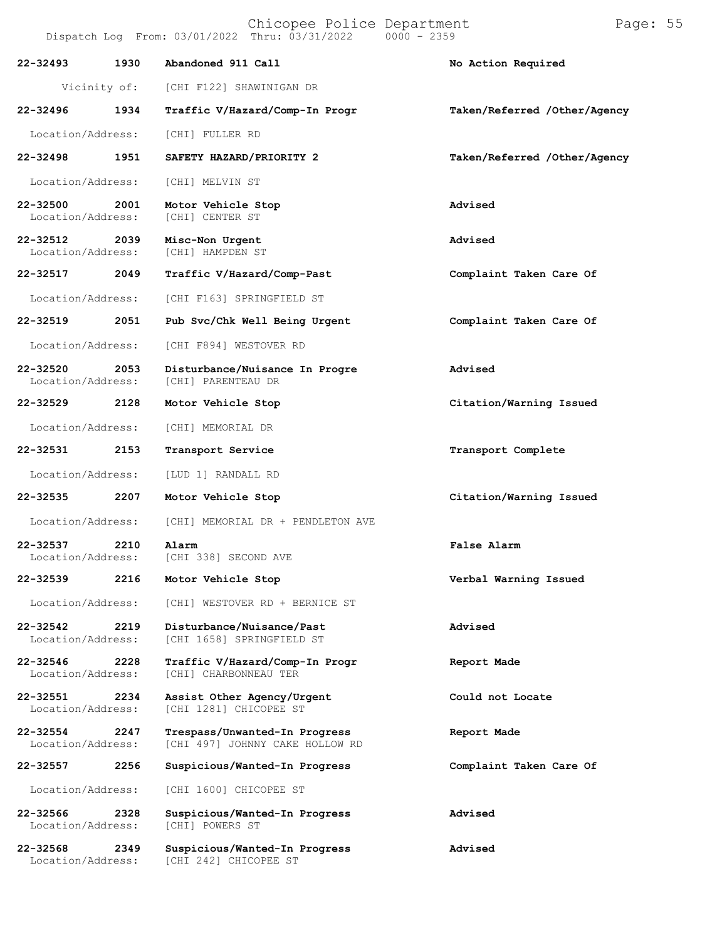| 22-32493                          | 1930         | Abandoned 911 Call                                               | No Action Required           |  |
|-----------------------------------|--------------|------------------------------------------------------------------|------------------------------|--|
|                                   | Vicinity of: | [CHI F122] SHAWINIGAN DR                                         |                              |  |
| $22 - 32496$                      | 1934         | Traffic V/Hazard/Comp-In Progr                                   | Taken/Referred /Other/Agency |  |
| Location/Address:                 |              | [CHI] FULLER RD                                                  |                              |  |
| 22-32498                          | 1951         | SAFETY HAZARD/PRIORITY 2                                         | Taken/Referred /Other/Agency |  |
| Location/Address:                 |              | [CHI] MELVIN ST                                                  |                              |  |
| 22-32500<br>Location/Address:     | 2001         | Motor Vehicle Stop<br>[CHI] CENTER ST                            | Advised                      |  |
| 22-32512<br>Location/Address:     | 2039         | Misc-Non Urgent<br>[CHI] HAMPDEN ST                              | Advised                      |  |
| 22-32517 2049                     |              | Traffic V/Hazard/Comp-Past                                       | Complaint Taken Care Of      |  |
| Location/Address:                 |              | [CHI F163] SPRINGFIELD ST                                        |                              |  |
| 22-32519<br>2051                  |              | Pub Svc/Chk Well Being Urgent                                    | Complaint Taken Care Of      |  |
| Location/Address:                 |              | [CHI F894] WESTOVER RD                                           |                              |  |
| 22-32520<br>Location/Address:     | 2053         | Disturbance/Nuisance In Progre<br>[CHI] PARENTEAU DR             | Advised                      |  |
| 22-32529                          | 2128         | Motor Vehicle Stop                                               | Citation/Warning Issued      |  |
| Location/Address:                 |              | [CHI] MEMORIAL DR                                                |                              |  |
| 22-32531                          | 2153         | Transport Service                                                | Transport Complete           |  |
| Location/Address:                 |              | [LUD 1] RANDALL RD                                               |                              |  |
| 22-32535                          | 2207         | Motor Vehicle Stop                                               | Citation/Warning Issued      |  |
| Location/Address:                 |              | [CHI] MEMORIAL DR + PENDLETON AVE                                |                              |  |
| 22-32537<br>Location/Address:     | 2210         | Alarm<br>[CHI 338] SECOND AVE                                    | False Alarm                  |  |
| 22-32539                          | 2216         | Motor Vehicle Stop                                               | Verbal Warning Issued        |  |
| Location/Address:                 |              | [CHI] WESTOVER RD + BERNICE ST                                   |                              |  |
| 22-32542<br>Location/Address:     | 2219         | Disturbance/Nuisance/Past<br>[CHI 1658] SPRINGFIELD ST           | Advised                      |  |
| 22-32546<br>Location/Address:     | 2228         | Traffic V/Hazard/Comp-In Progr<br>[CHI] CHARBONNEAU TER          | Report Made                  |  |
| $22 - 32551$<br>Location/Address: | 2234         | Assist Other Agency/Urgent<br>[CHI 1281] CHICOPEE ST             | Could not Locate             |  |
| 22-32554<br>Location/Address:     | 2247         | Trespass/Unwanted-In Progress<br>[CHI 497] JOHNNY CAKE HOLLOW RD | Report Made                  |  |
| 22-32557                          | 2256         | Suspicious/Wanted-In Progress                                    | Complaint Taken Care Of      |  |
| Location/Address:                 |              | [CHI 1600] CHICOPEE ST                                           |                              |  |
| 22-32566<br>Location/Address:     | 2328         | Suspicious/Wanted-In Progress<br>[CHI] POWERS ST                 | Advised                      |  |
| 22-32568                          | 2349         | Suspicious/Wanted-In Progress                                    | Advised                      |  |

Location/Address: [CHI 242] CHICOPEE ST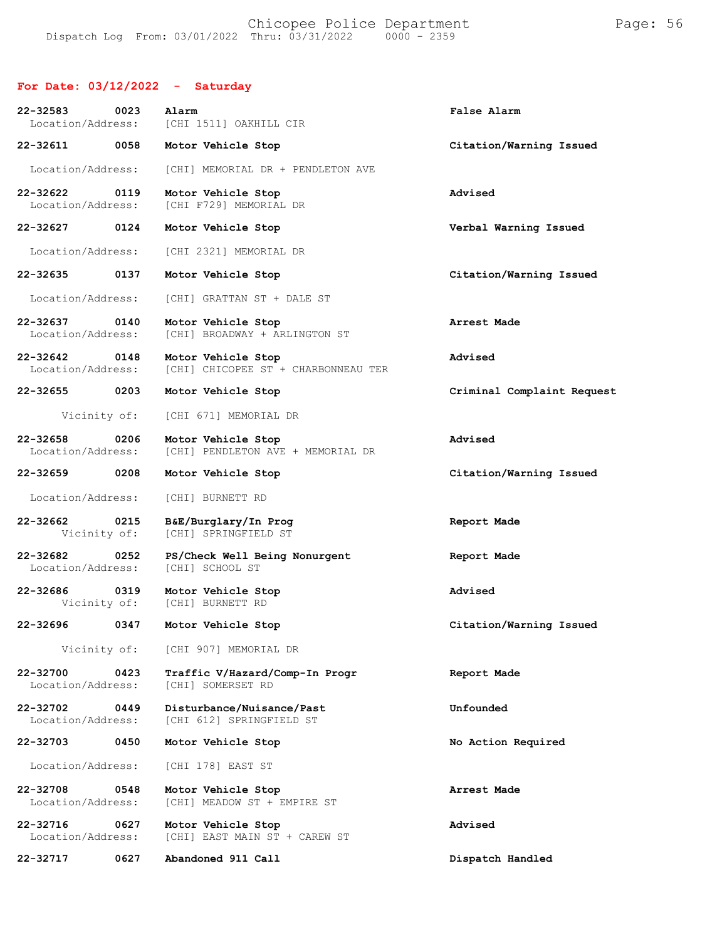### **For Date: 03/12/2022 - Saturday**

| 22-32583<br>Location/Address:      | 0023 | Alarm<br>[CHI 1511] OAKHILL CIR                           | False Alarm                |
|------------------------------------|------|-----------------------------------------------------------|----------------------------|
| 22-32611                           | 0058 | Motor Vehicle Stop                                        | Citation/Warning Issued    |
| Location/Address:                  |      | [CHI] MEMORIAL DR + PENDLETON AVE                         |                            |
| 22-32622<br>Location/Address:      | 0119 | Motor Vehicle Stop<br>[CHI F729] MEMORIAL DR              | Advised                    |
| 22-32627 0124                      |      | Motor Vehicle Stop                                        | Verbal Warning Issued      |
| Location/Address:                  |      | [CHI 2321] MEMORIAL DR                                    |                            |
| 22-32635                           | 0137 | Motor Vehicle Stop                                        | Citation/Warning Issued    |
| Location/Address:                  |      | [CHI] GRATTAN ST + DALE ST                                |                            |
| 22-32637 0140<br>Location/Address: |      | Motor Vehicle Stop<br>[CHI] BROADWAY + ARLINGTON ST       | Arrest Made                |
| 22-32642<br>Location/Address:      | 0148 | Motor Vehicle Stop<br>[CHI] CHICOPEE ST + CHARBONNEAU TER | Advised                    |
| 22-32655 0203                      |      | Motor Vehicle Stop                                        | Criminal Complaint Request |
| Vicinity of:                       |      | [CHI 671] MEMORIAL DR                                     |                            |
| 22-32658<br>Location/Address:      | 0206 | Motor Vehicle Stop<br>[CHI] PENDLETON AVE + MEMORIAL DR   | Advised                    |
| 22-32659                           | 0208 | Motor Vehicle Stop                                        | Citation/Warning Issued    |
| Location/Address:                  |      | [CHI] BURNETT RD                                          |                            |
| 22-32662<br>Vicinity of:           | 0215 | B&E/Burglary/In Prog<br>[CHI] SPRINGFIELD ST              | Report Made                |
| 22-32682<br>Location/Address:      | 0252 | PS/Check Well Being Nonurgent<br>[CHI] SCHOOL ST          | Report Made                |
| 22-32686                           | 0319 | Motor Vehicle Stop<br>Vicinity of: [CHI] BURNETT RD       | Advised                    |
| 22-32696                           | 0347 | Motor Vehicle Stop                                        | Citation/Warning Issued    |
| Vicinity of:                       |      | [CHI 907] MEMORIAL DR                                     |                            |
| 22-32700<br>Location/Address:      | 0423 | Traffic V/Hazard/Comp-In Progr<br>[CHI] SOMERSET RD       | Report Made                |
| 22-32702<br>Location/Address:      | 0449 | Disturbance/Nuisance/Past<br>[CHI 612] SPRINGFIELD ST     | Unfounded                  |
| 22-32703                           | 0450 | Motor Vehicle Stop                                        | No Action Required         |
| Location/Address:                  |      | [CHI 178] EAST ST                                         |                            |
| 22-32708<br>Location/Address:      | 0548 | Motor Vehicle Stop<br>[CHI] MEADOW ST + EMPIRE ST         | Arrest Made                |
| 22-32716<br>Location/Address:      | 0627 | Motor Vehicle Stop<br>[CHI] EAST MAIN ST + CAREW ST       | Advised                    |
| 22-32717                           | 0627 | Abandoned 911 Call                                        | Dispatch Handled           |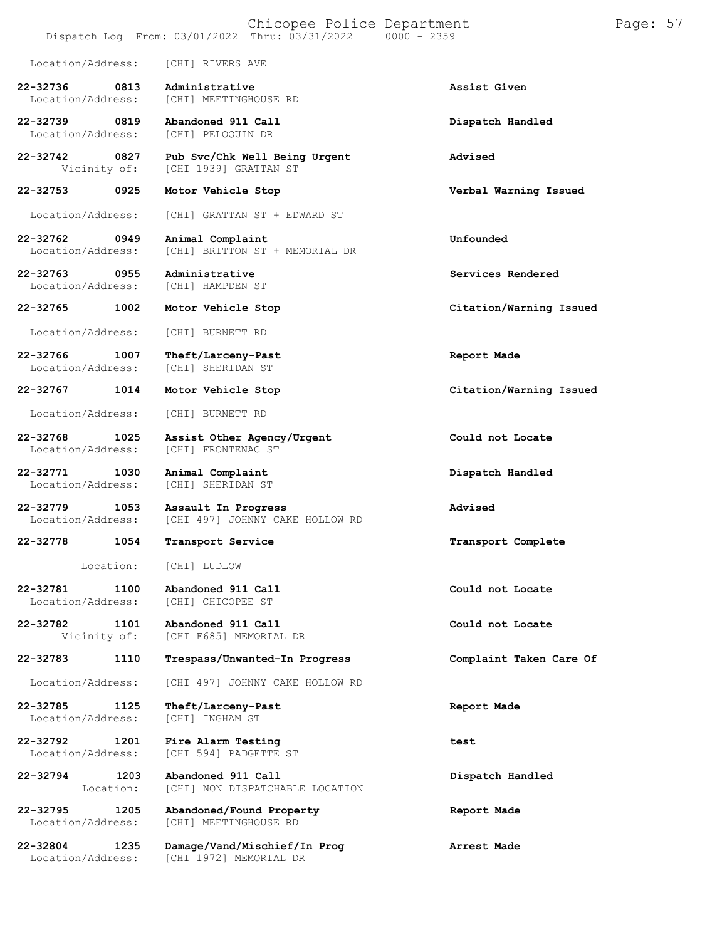### Chicopee Police Department Page: 57 Dispatch Log From:  $03/01/2022$  Thru:  $03/31/2022$ Location/Address: [CHI] RIVERS AVE **22-32736 0813 Administrative Assist Given** [CHI] MEETINGHOUSE RD **22-32739 0819 Abandoned 911 Call Dispatch Handled** Location/Address: **22-32742 0827 Pub Svc/Chk Well Being Urgent Advised** Vicinity of: [CHI 1939] GRATTAN ST **22-32753 0925 Motor Vehicle Stop Verbal Warning Issued** Location/Address: [CHI] GRATTAN ST + EDWARD ST **22-32762 0949 Animal Complaint Unfounded** [CHI] BRITTON ST + MEMORIAL DR **22-32763 0955 Administrative Services Rendered** Location/Address: **22-32765 1002 Motor Vehicle Stop Citation/Warning Issued** Location/Address: [CHI] BURNETT RD **22-32766 1007 Theft/Larceny-Past Report Made** Location/Address: **22-32767 1014 Motor Vehicle Stop Citation/Warning Issued** Location/Address: [CHI] BURNETT RD **22-32768 1025 Assist Other Agency/Urgent Could not Locate** [CHI] FRONTENAC ST **22-32771 1030 Animal Complaint Dispatch Handled** Location/Address: **22-32779 1053 Assault In Progress Advised** [CHI 497] JOHNNY CAKE HOLLOW RD **22-32778 1054 Transport Service Transport Complete** Location: [CHI] LUDLOW **22-32781 1100 Abandoned 911 Call Could not Locate** [CHI] CHICOPEE ST **22-32782 1101 Abandoned 911 Call Could not Locate** [CHI F685] MEMORIAL DR **22-32783 1110 Trespass/Unwanted-In Progress Complaint Taken Care Of** Location/Address: [CHI 497] JOHNNY CAKE HOLLOW RD **22-32785 1125 Theft/Larceny-Past Report Made** Location/Address: **22-32792 1201 Fire Alarm Testing test** Location/Address: [CHI 594] PADGETTE ST **22-32794 1203** Location: **Abandoned 911 Call** [CHI] NON DISPATCHABLE LOCATION **Dispatch Handled 22-32795 1205 Abandoned/Found Property Report Made** [CHI] MEETINGHOUSE RD **22-32804 1235 Damage/Vand/Mischief/In Prog Arrest Made** [CHI 1972] MEMORIAL DR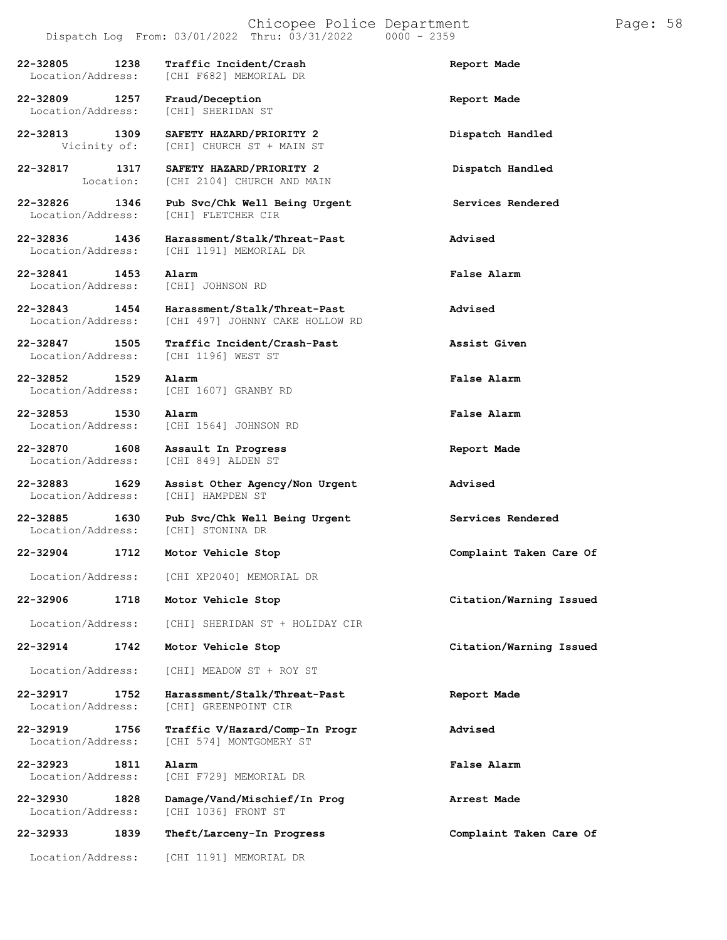Dispatch Log From:  $03/01/2022$  Thru:  $03/31/2022$ **22-32805 1238 Traffic Incident/Crash Report Made** [CHI F682] MEMORIAL DR **22-32809 1257 Fraud/Deception Report Made** Location/Address: **22-32813 1309 SAFETY HAZARD/PRIORITY 2 Dispatch Handled** [CHI] CHURCH ST + MAIN ST **22-32817 1317** Location: **SAFETY HAZARD/PRIORITY 2** [CHI 2104] CHURCH AND MAIN **Dispatch Handled 22-32826 1346 Pub Svc/Chk Well Being Urgent Services Rendered** [CHI] FLETCHER CIR **22-32836 1436 Harassment/Stalk/Threat-Past Advised** [CHI 1191] MEMORIAL DR **22-32841 1453 Alarm False Alarm** Location/Address: **22-32843 1454 Harassment/Stalk/Threat-Past Advised** [CHI 497] JOHNNY CAKE HOLLOW RD **22-32847 1505 Traffic Incident/Crash-Past Assist Given** LOCAI 1196] WEST ST **22-32852 1529 Alarm False Alarm** [CHI 1607] GRANBY RD **22-32853 1530 Alarm False Alarm** Location/Address: [CHI 1564] JOHNSON RD **22-32870 1608 Assault In Progress Report Made** Location/Address: [CHI 849] ALDEN ST **22-32883 1629 Assist Other Agency/Non Urgent Advised** [CHI] HAMPDEN ST **22-32885 1630 Pub Svc/Chk Well Being Urgent Services Rendered** Location/Address: **22-32904 1712 Motor Vehicle Stop Complaint Taken Care Of** Location/Address: [CHI XP2040] MEMORIAL DR **22-32906 1718 Motor Vehicle Stop Citation/Warning Issued** Location/Address: [CHI] SHERIDAN ST + HOLIDAY CIR **22-32914 1742 Motor Vehicle Stop Citation/Warning Issued** Location/Address: [CHI] MEADOW ST + ROY ST **22-32917 1752 Harassment/Stalk/Threat-Past Report Made** Location/Address: [CHI] GREENPOINT CIR **22-32919 1756 Traffic V/Hazard/Comp-In Progr Advised** [CHI 574] MONTGOMERY ST **22-32923 1811 Alarm False Alarm** Location/Address: [CHI F729] MEMORIAL DR **22-32930 1828 Damage/Vand/Mischief/In Prog Arrest Made** [CHI 1036] FRONT ST **22-32933 1839 Theft/Larceny-In Progress Complaint Taken Care Of** Location/Address: [CHI 1191] MEMORIAL DR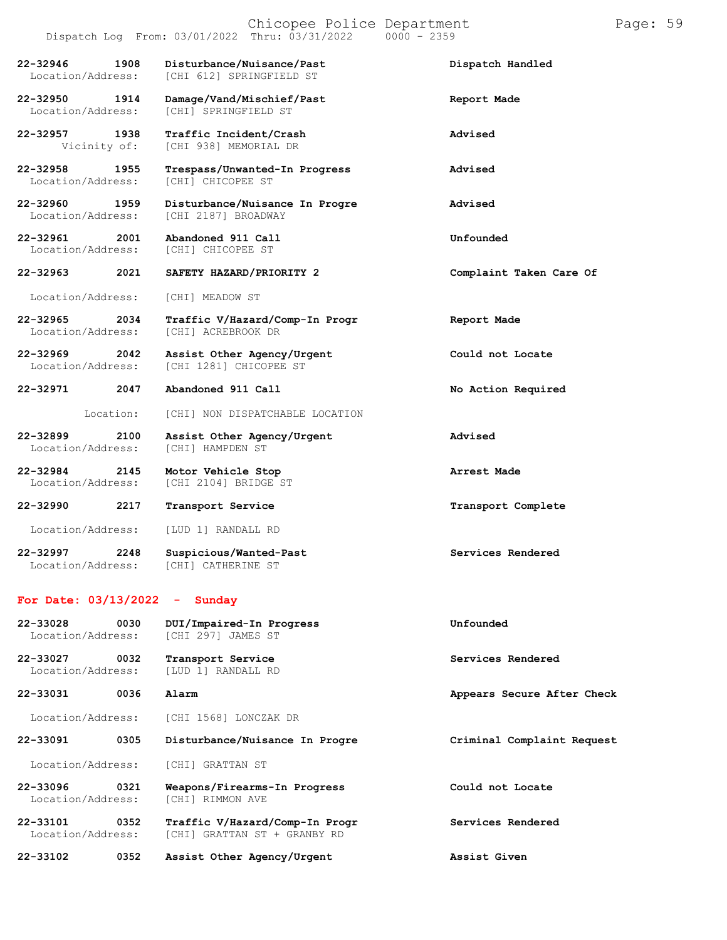Location/Address: [CHI 612] SPRINGFIELD ST **22-32950 1914 Damage/Vand/Mischief/Past Report Made** Location/Address: **22-32957 1938 Traffic Incident/Crash Advised** Vicinity of: [CHI 938] MEMORIAL DR **22-32958 1955 Trespass/Unwanted-In Progress Advised** Location/Address: [CHI] CHICOPEE ST **22-32960 1959 Disturbance/Nuisance In Progre Advised** Location/Address: [CHI 2187] BROADWAY **22-32961 2001 Abandoned 911 Call Unfounded** Location/Address: [CHI] CHICOPEE ST **22-32963 2021 SAFETY HAZARD/PRIORITY 2 Complaint Taken Care Of** Location/Address: [CHI] MEADOW ST **22-32965 2034 Traffic V/Hazard/Comp-In Progr Report Made** Location/Address: [CHI] ACREBROOK DR **22-32969 2042 Assist Other Agency/Urgent Could not Locate** [CHI 1281] CHICOPEE ST **22-32971 2047 Abandoned 911 Call No Action Required** Location: [CHI] NON DISPATCHABLE LOCATION **22-32899 2100 Assist Other Agency/Urgent Advised**

**22-32984 2145 Motor Vehicle Stop Arrest Made** Location/Address: [CHI 2104] BRIDGE ST **22-32990 2217 Transport Service Transport Complete**

Location/Address: [CHI] HAMPDEN ST

Location/Address: [LUD 1] RANDALL RD

**22-32997 2248 Suspicious/Wanted-Past Services Rendered** Location/Address: [CHI] CATHERINE ST

#### **For Date: 03/13/2022 - Sunday**

| 22-33028<br>Location/Address: | 0030 | DUI/Impaired-In Progress<br>[CHI 297] JAMES ST                 | Unfounded                  |
|-------------------------------|------|----------------------------------------------------------------|----------------------------|
| 22-33027<br>Location/Address: | 0032 | Transport Service<br>[LUD 1] RANDALL RD                        | Services Rendered          |
| 22-33031                      | 0036 | Alarm                                                          | Appears Secure After Check |
| Location/Address:             |      | [CHI 1568] LONCZAK DR                                          |                            |
| 22-33091                      | 0305 | Disturbance/Nuisance In Progre                                 | Criminal Complaint Request |
| Location/Address:             |      | [CHI] GRATTAN ST                                               |                            |
| 22-33096<br>Location/Address: | 0321 | Weapons/Firearms-In Progress<br>[CHI] RIMMON AVE               | Could not Locate           |
| 22-33101<br>Location/Address: | 0352 | Traffic V/Hazard/Comp-In Progr<br>[CHI] GRATTAN ST + GRANBY RD | Services Rendered          |

**22-33102 0352 Assist Other Agency/Urgent Assist Given**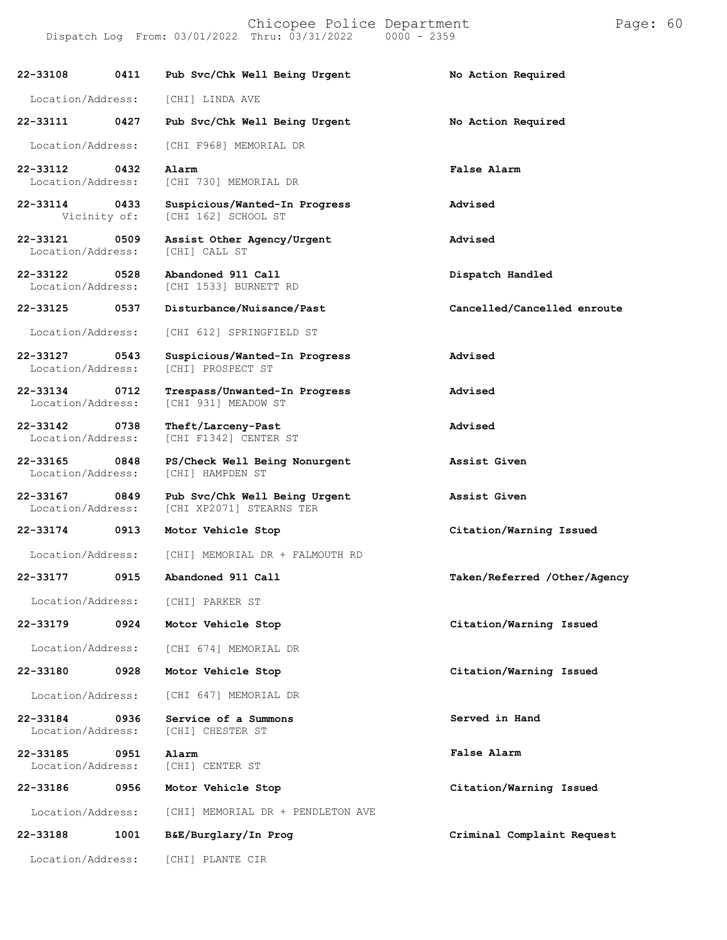Dispatch Log From: 03/01/2022 Thru: 03/31/2022

**22-33108 0411 Pub Svc/Chk Well Being Urgent No Action Required** Location/Address: [CHI] LINDA AVE **22-33111 0427 Pub Svc/Chk Well Being Urgent No Action Required** Location/Address: [CHI F968] MEMORIAL DR **22-33112 0432 Alarm False Alarm** [CHI 730] MEMORIAL DR **22-33114 0433 Suspicious/Wanted-In Progress Advised** [CHI 162] SCHOOL ST **22-33121 0509 Assist Other Agency/Urgent Advised** Location/Address: **22-33122 0528 Abandoned 911 Call Dispatch Handled** [CHI 1533] BURNETT RD **22-33125 0537 Disturbance/Nuisance/Past Cancelled/Cancelled enroute** Location/Address: [CHI 612] SPRINGFIELD ST **22-33127 0543 Suspicious/Wanted-In Progress Advised** Location/Address: [CHI] PROSPECT ST **22-33134 0712 Trespass/Unwanted-In Progress Advised** [CHI 931] MEADOW ST **22-33142 0738 Theft/Larceny-Past Advised** [CHI F1342] CENTER ST **22-33165 0848 PS/Check Well Being Nonurgent Assist Given** Location/Address: **22-33167 0849 Pub Svc/Chk Well Being Urgent Assist Given** [CHI XP2071] STEARNS TER **22-33174 0913 Motor Vehicle Stop Citation/Warning Issued** Location/Address: [CHI] MEMORIAL DR + FALMOUTH RD **22-33177 0915 Abandoned 911 Call Taken/Referred /Other/Agency** Location/Address: **22-33179 0924** Location/Address: **22-33180 0928** Location/Address: **22-33184 0936** Location/Address: **22-33185 0951** Location/Address: **22-33186 0956** Location/Address: **22-33188 1001 B&E/Burglary/In Prog Criminal Complaint Request** Location/Address: [CHI] PLANTE CIR [CHI] PARKER ST **Motor Vehicle Stop Citation/Warning Issued** [CHI 674] MEMORIAL DR **Motor Vehicle Stop Citation/Warning Issued** [CHI 647] MEMORIAL DR **Service of a Summons** [CHI] CHESTER ST **Served in Hand Alarm** [CHI] CENTER ST **False Alarm Motor Vehicle Stop Citation/Warning Issued** [CHI] MEMORIAL DR + PENDLETON AVE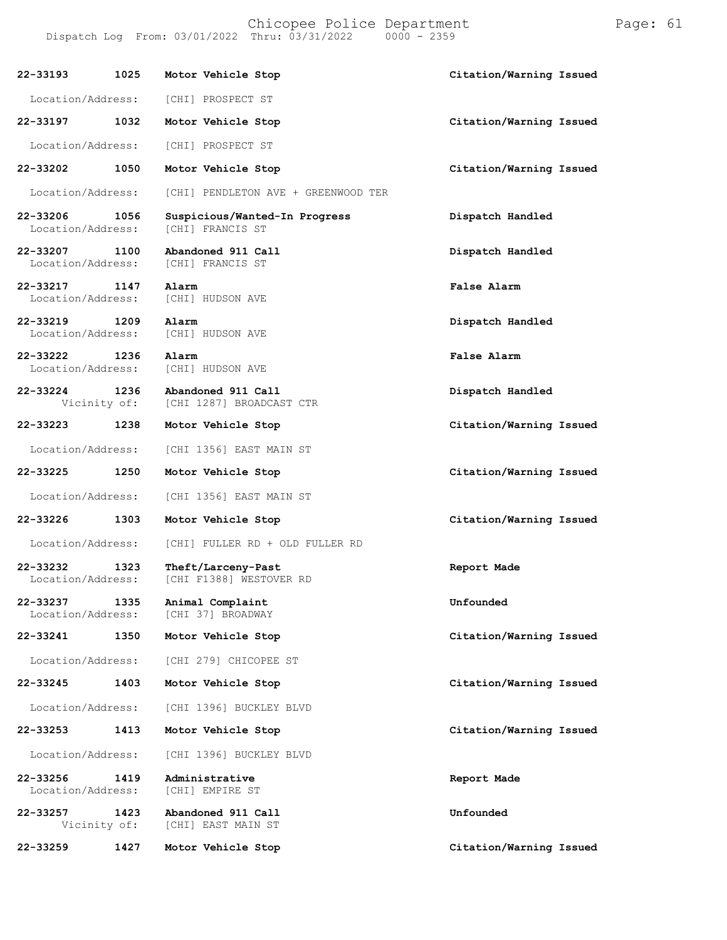Chicopee Police Department Page: 61 Dispatch Log From:  $03/01/2022$  Thru:  $03/31/2022$ 

**22-33193 1025 Motor Vehicle Stop Citation/Warning Issued** Location/Address: [CHI] PROSPECT ST **22-33197 1032 Motor Vehicle Stop Citation/Warning Issued** Location/Address: [CHI] PROSPECT ST **22-33202 1050 Motor Vehicle Stop Citation/Warning Issued** Location/Address: [CHI] PENDLETON AVE + GREENWOOD TER **22-33206 1056 Suspicious/Wanted-In Progress Dispatch Handled** [CHI] FRANCIS ST **22-33207 1100 Abandoned 911 Call Dispatch Handled** [CHI] FRANCIS ST **22-33217 1147 Alarm False Alarm** Location/Address: [CHI] HUDSON AVE **22-33219 1209 Alarm Dispatch Handled** Location/Address: **22-33222 1236 Alarm False Alarm** Location/Address: **22-33224 1236 Abandoned 911 Call Dispatch Handled** [CHI 1287] BROADCAST CTR **22-33223 1238 Motor Vehicle Stop Citation/Warning Issued** Location/Address: [CHI 1356] EAST MAIN ST **22-33225 1250 Motor Vehicle Stop Citation/Warning Issued** Location/Address: [CHI 1356] EAST MAIN ST **22-33226 1303 Motor Vehicle Stop Citation/Warning Issued** Location/Address: [CHI] FULLER RD + OLD FULLER RD **22-33232 1323 Theft/Larceny-Past Report Made** [CHI F1388] WESTOVER RD **22-33237 1335 Animal Complaint Unfounded** [CHI 37] BROADWAY **22-33241 1350 Motor Vehicle Stop Citation/Warning Issued** Location/Address: [CHI 279] CHICOPEE ST **22-33245 1403 Motor Vehicle Stop Citation/Warning Issued** Location/Address: [CHI 1396] BUCKLEY BLVD **22-33253 1413 Motor Vehicle Stop Citation/Warning Issued** Location/Address: [CHI 1396] BUCKLEY BLVD **22-33256 1419 Administrative Report Made** Location/Address: **22-33257 1423 Abandoned 911 Call Unfounded** [CHI] EAST MAIN ST

**22-33259 1427 Motor Vehicle Stop Citation/Warning Issued**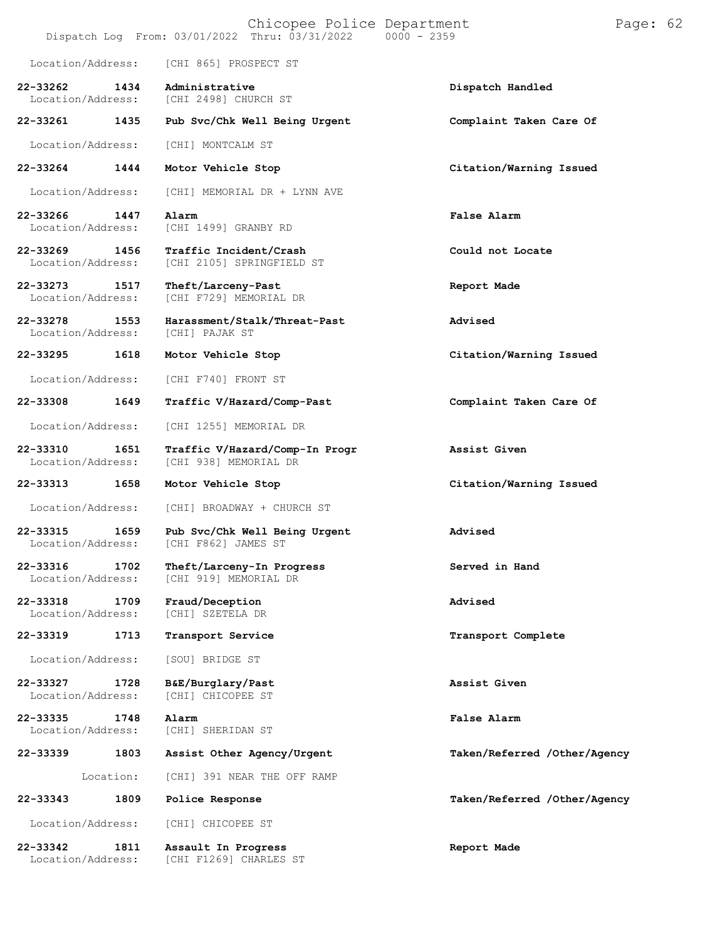|                               |           | Chicopee Police Department<br>Dispatch Log From: 03/01/2022 Thru: 03/31/2022   0000 - 2359 |                              | Page: 62 |  |
|-------------------------------|-----------|--------------------------------------------------------------------------------------------|------------------------------|----------|--|
| Location/Address:             |           | [CHI 865] PROSPECT ST                                                                      |                              |          |  |
| 22-33262<br>Location/Address: | 1434      | Administrative<br>[CHI 2498] CHURCH ST                                                     | Dispatch Handled             |          |  |
| 22-33261                      | 1435      | Pub Svc/Chk Well Being Urgent                                                              | Complaint Taken Care Of      |          |  |
| Location/Address:             |           | [CHI] MONTCALM ST                                                                          |                              |          |  |
| 22-33264                      | 1444      | Motor Vehicle Stop                                                                         | Citation/Warning Issued      |          |  |
| Location/Address:             |           | [CHI] MEMORIAL DR + LYNN AVE                                                               |                              |          |  |
| 22-33266<br>Location/Address: | 1447      | Alarm<br>[CHI 1499] GRANBY RD                                                              | False Alarm                  |          |  |
| 22-33269<br>Location/Address: | 1456      | Traffic Incident/Crash<br>[CHI 2105] SPRINGFIELD ST                                        | Could not Locate             |          |  |
| 22-33273<br>Location/Address: | 1517      | Theft/Larceny-Past<br>[CHI F729] MEMORIAL DR                                               | Report Made                  |          |  |
| 22-33278<br>Location/Address: | 1553      | Harassment/Stalk/Threat-Past<br>[CHI] PAJAK ST                                             | Advised                      |          |  |
| 22-33295                      | 1618      | Motor Vehicle Stop                                                                         | Citation/Warning Issued      |          |  |
| Location/Address:             |           | [CHI F740] FRONT ST                                                                        |                              |          |  |
| 22-33308                      | 1649      | Traffic V/Hazard/Comp-Past                                                                 | Complaint Taken Care Of      |          |  |
| Location/Address:             |           | [CHI 1255] MEMORIAL DR                                                                     |                              |          |  |
| 22-33310<br>Location/Address: | 1651      | Traffic V/Hazard/Comp-In Progr<br>[CHI 938] MEMORIAL DR                                    | Assist Given                 |          |  |
| 22-33313                      | 1658      | Motor Vehicle Stop                                                                         | Citation/Warning Issued      |          |  |
| Location/Address:             |           | [CHI] BROADWAY + CHURCH ST                                                                 |                              |          |  |
| 22-33315<br>Location/Address: | 1659      | Pub Svc/Chk Well Being Urgent<br>[CHI F862] JAMES ST                                       | Advised                      |          |  |
| 22-33316<br>Location/Address: | 1702      | Theft/Larceny-In Progress<br>[CHI 919] MEMORIAL DR                                         | Served in Hand               |          |  |
| 22-33318<br>Location/Address: | 1709      | Fraud/Deception<br>[CHI] SZETELA DR                                                        | Advised                      |          |  |
| 22-33319                      | 1713      | Transport Service                                                                          | Transport Complete           |          |  |
| Location/Address:             |           | [SOU] BRIDGE ST                                                                            |                              |          |  |
| 22-33327<br>Location/Address: | 1728      | B&E/Burglary/Past<br>[CHI] CHICOPEE ST                                                     | Assist Given                 |          |  |
| 22-33335<br>Location/Address: | 1748      | Alarm<br>[CHI] SHERIDAN ST                                                                 | False Alarm                  |          |  |
| 22-33339                      | 1803      | Assist Other Agency/Urgent                                                                 | Taken/Referred /Other/Agency |          |  |
|                               | Location: | [CHI] 391 NEAR THE OFF RAMP                                                                |                              |          |  |
| 22-33343                      | 1809      | Police Response                                                                            | Taken/Referred /Other/Agency |          |  |
| Location/Address:             |           | [CHI] CHICOPEE ST                                                                          |                              |          |  |
| 22-33342<br>Location/Address: | 1811      | Assault In Progress<br>[CHI F1269] CHARLES ST                                              | Report Made                  |          |  |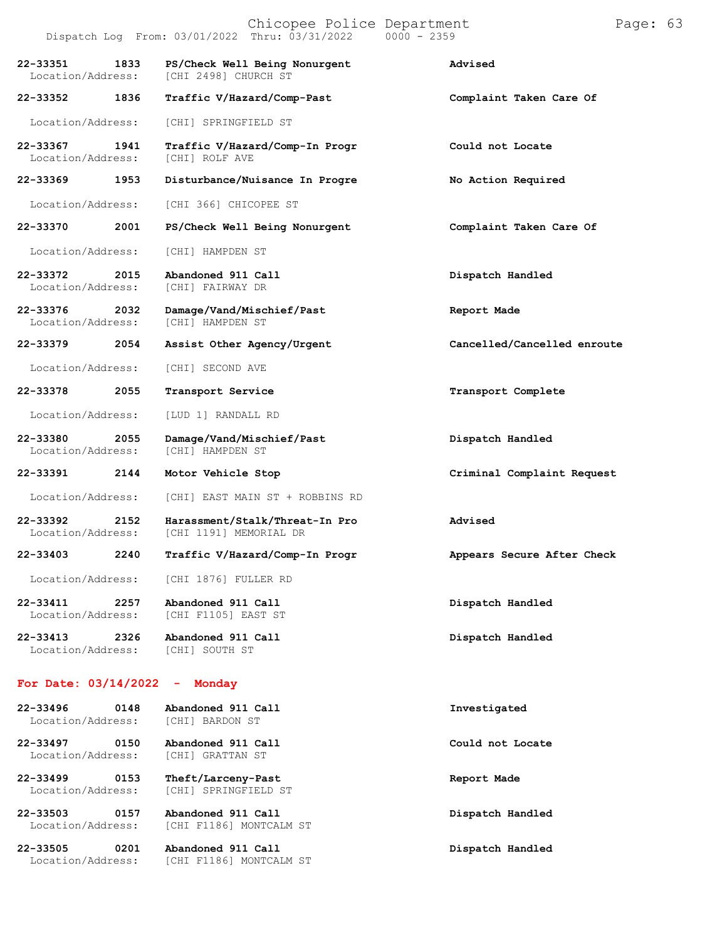|                               |      | Dispatch Log From: 03/01/2022 Thru: 03/31/2022           | $0000 - 2359$               |
|-------------------------------|------|----------------------------------------------------------|-----------------------------|
| 22-33351<br>Location/Address: | 1833 | PS/Check Well Being Nonurgent<br>[CHI 2498] CHURCH ST    | Advised                     |
| 22-33352                      | 1836 | Traffic V/Hazard/Comp-Past                               | Complaint Taken Care Of     |
| Location/Address:             |      | [CHI] SPRINGFIELD ST                                     |                             |
| 22-33367<br>Location/Address: | 1941 | Traffic V/Hazard/Comp-In Progr<br>[CHI] ROLF AVE         | Could not Locate            |
| 22-33369                      | 1953 | Disturbance/Nuisance In Progre                           | No Action Required          |
| Location/Address:             |      | [CHI 366] CHICOPEE ST                                    |                             |
| 22-33370                      | 2001 | PS/Check Well Being Nonurgent                            | Complaint Taken Care Of     |
| Location/Address:             |      | [CHI] HAMPDEN ST                                         |                             |
| 22-33372<br>Location/Address: | 2015 | Abandoned 911 Call<br>[CHI] FAIRWAY DR                   | Dispatch Handled            |
| 22-33376<br>Location/Address: | 2032 | Damage/Vand/Mischief/Past<br>[CHI] HAMPDEN ST            | Report Made                 |
| 22-33379                      | 2054 | Assist Other Agency/Urgent                               | Cancelled/Cancelled enroute |
| Location/Address:             |      | [CHI] SECOND AVE                                         |                             |
| 22-33378                      | 2055 | Transport Service                                        | Transport Complete          |
| Location/Address:             |      | [LUD 1] RANDALL RD                                       |                             |
| 22-33380<br>Location/Address: | 2055 | Damage/Vand/Mischief/Past<br>[CHI] HAMPDEN ST            | Dispatch Handled            |
| 22-33391                      | 2144 | Motor Vehicle Stop                                       | Criminal Complaint Request  |
| Location/Address:             |      | [CHI] EAST MAIN ST + ROBBINS RD                          |                             |
| 22-33392<br>Location/Address: | 2152 | Harassment/Stalk/Threat-In Pro<br>[CHI 1191] MEMORIAL DR | Advised                     |
| 22-33403                      | 2240 | Traffic V/Hazard/Comp-In Progr                           | Appears Secure After Check  |
| Location/Address:             |      | [CHI 1876] FULLER RD                                     |                             |
| 22-33411<br>Location/Address: | 2257 | Abandoned 911 Call<br>[CHI F1105] EAST ST                | Dispatch Handled            |
| 22-33413<br>Location/Address: | 2326 | Abandoned 911 Call<br>[CHI] SOUTH ST                     | Dispatch Handled            |
| For Date: 03/14/2022          |      | Monday                                                   |                             |
| 22-33496<br>Location/Address: | 0148 | Abandoned 911 Call<br>[CHI] BARDON ST                    | Investigated                |
| 22-33497<br>Location/Address: | 0150 | Abandoned 911 Call<br>[CHI] GRATTAN ST                   | Could not Locate            |

**22-33499 0153 Theft/Larceny-Past Report Made** Location/Address: [CHI] SPRINGFIELD ST

**22-33503 0157 Abandoned 911 Call Dispatch Handled** Location/Address: [CHI F1186] MONTCALM ST

**22-33505 0201 Abandoned 911 Call Dispatch Handled**

Location/Address: [CHI F1186] MONTCALM ST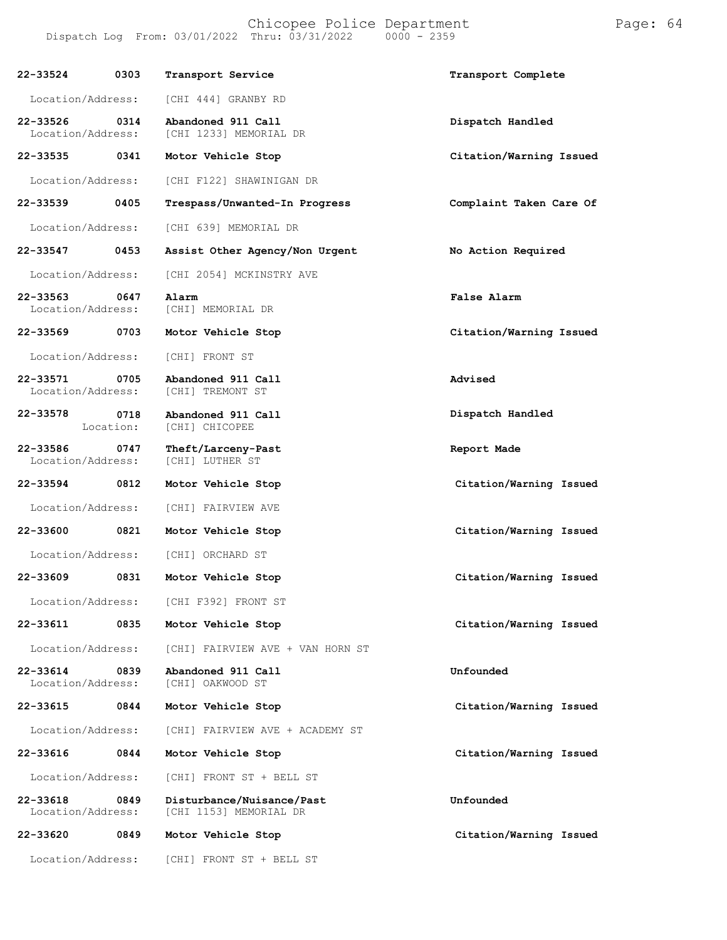#### Chicopee Police Department Frage: 64 Dispatch Log From: 03/01/2022 Thru: 03/31/2022 0000 - 2359

| 22-33524<br>0303                      | Transport Service                                   | Transport Complete      |
|---------------------------------------|-----------------------------------------------------|-------------------------|
| Location/Address:                     | [CHI 444] GRANBY RD                                 |                         |
| 22-33526<br>0314<br>Location/Address: | Abandoned 911 Call<br>[CHI 1233] MEMORIAL DR        | Dispatch Handled        |
| 22-33535<br>0341                      | Motor Vehicle Stop                                  | Citation/Warning Issued |
| Location/Address:                     | [CHI F122] SHAWINIGAN DR                            |                         |
| 22-33539<br>0405                      | Trespass/Unwanted-In Progress                       | Complaint Taken Care Of |
| Location/Address:                     | [CHI 639] MEMORIAL DR                               |                         |
| 22-33547 0453                         | Assist Other Agency/Non Urgent                      | No Action Required      |
| Location/Address:                     | [CHI 2054] MCKINSTRY AVE                            |                         |
| 22-33563<br>0647<br>Location/Address: | Alarm<br>[CHI] MEMORIAL DR                          | <b>False Alarm</b>      |
| 22-33569 0703                         | Motor Vehicle Stop                                  | Citation/Warning Issued |
| Location/Address:                     | [CHI] FRONT ST                                      |                         |
| 22-33571<br>0705<br>Location/Address: | Abandoned 911 Call<br>[CHI] TREMONT ST              | Advised                 |
| 22-33578<br>0718<br>Location:         | Abandoned 911 Call<br>[CHI] CHICOPEE                | Dispatch Handled        |
| 22-33586<br>0747<br>Location/Address: | Theft/Larceny-Past<br>[CHI] LUTHER ST               | Report Made             |
| 22-33594 0812                         | Motor Vehicle Stop                                  | Citation/Warning Issued |
| Location/Address:                     | [CHI] FAIRVIEW AVE                                  |                         |
| 0821<br>22-33600                      | Motor Vehicle Stop                                  | Citation/Warning Issued |
| Location/Address:                     | [CHI] ORCHARD ST                                    |                         |
| 22-33609<br>0831                      | Motor Vehicle Stop                                  | Citation/Warning Issued |
| Location/Address:                     | [CHI F392] FRONT ST                                 |                         |
| 22-33611<br>0835                      | Motor Vehicle Stop                                  | Citation/Warning Issued |
| Location/Address:                     | [CHI] FAIRVIEW AVE + VAN HORN ST                    |                         |
| 22-33614<br>0839<br>Location/Address: | Abandoned 911 Call<br>[CHI] OAKWOOD ST              | Unfounded               |
| 22-33615<br>0844                      | Motor Vehicle Stop                                  | Citation/Warning Issued |
| Location/Address:                     | [CHI] FAIRVIEW AVE + ACADEMY ST                     |                         |
| 22-33616<br>0844                      | Motor Vehicle Stop                                  | Citation/Warning Issued |
| Location/Address:                     | [CHI] FRONT ST + BELL ST                            |                         |
| 22-33618<br>0849<br>Location/Address: | Disturbance/Nuisance/Past<br>[CHI 1153] MEMORIAL DR | Unfounded               |
| 22-33620<br>0849                      | Motor Vehicle Stop                                  | Citation/Warning Issued |
| Location/Address:                     | [CHI] FRONT ST + BELL ST                            |                         |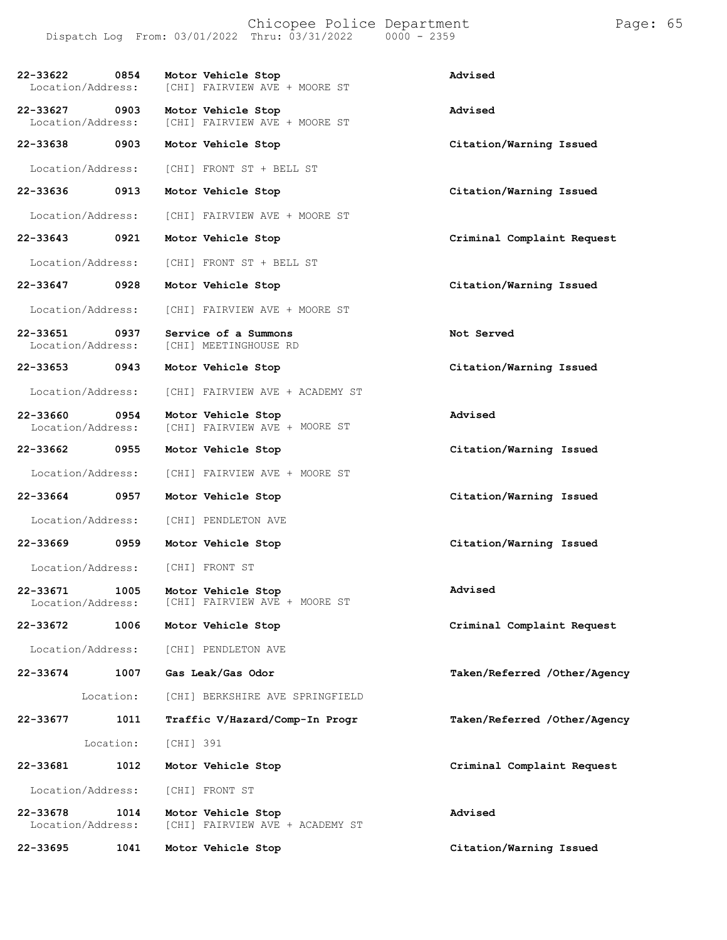#### Chicopee Police Department Page: 65 Dispatch Log From:  $03/01/2022$  Thru:  $03/31/2022$

**22-33622 0854 Motor Vehicle Stop Advised** [CHI] FAIRVIEW AVE + MOORE ST **22-33627 0903 Motor Vehicle Stop Advised** [CHI] FAIRVIEW AVE + MOORE ST **22-33638 0903 Motor Vehicle Stop Citation/Warning Issued** Location/Address: [CHI] FRONT ST + BELL ST **22-33636 0913 Motor Vehicle Stop Citation/Warning Issued** Location/Address: [CHI] FAIRVIEW AVE + MOORE ST **22-33643 0921 Motor Vehicle Stop Criminal Complaint Request** Location/Address: [CHI] FRONT ST + BELL ST **22-33647 0928 Motor Vehicle Stop Citation/Warning Issued** Location/Address: [CHI] FAIRVIEW AVE + MOORE ST **22-33651 0937 Service of a Summons Not Served** [CHI] MEETINGHOUSE RD **22-33653 0943 Motor Vehicle Stop Citation/Warning Issued** Location/Address: [CHI] FAIRVIEW AVE + ACADEMY ST **22-33660 0954** Location/Address: **22-33662 0955** Location/Address: **22-33664 0957** Location/Address: **22-33669 0959** Location/Address: **22-33671 1005** Location/Address: **22-33672 1006 Motor Vehicle Stop Criminal Complaint Request** Location/Address: [CHI] PENDLETON AVE **22-33674 1007** Location: **Gas Leak/Gas Odor** [CHI] BERKSHIRE AVE SPRINGFIELD **Taken/Referred /Other/Agency 22-33677 1011 Traffic V/Hazard/Comp-In Progr Taken/Referred /Other/Agency** Location: [CHI] 391 **22-33681 1012 Motor Vehicle Stop Criminal Complaint Request** Location/Address: [CHI] FRONT ST **22-33678 1014 Motor Vehicle Stop Advised** [CHI] FAIRVIEW AVE + ACADEMY ST **22-33695 1041 Motor Vehicle Stop Citation/Warning Issued Motor Vehicle Stop** [CHI] FAIRVIEW AVE + MOORE ST **Advised Motor Vehicle Stop Citation/Warning Issued** [CHI] FAIRVIEW AVE + MOORE ST **Motor Vehicle Stop Citation/Warning Issued** [CHI] PENDLETON AVE **Motor Vehicle Stop Citation/Warning Issued** [CHI] FRONT ST **Motor Vehicle Stop** [CHI] FAIRVIEW AVE + MOORE ST **Advised**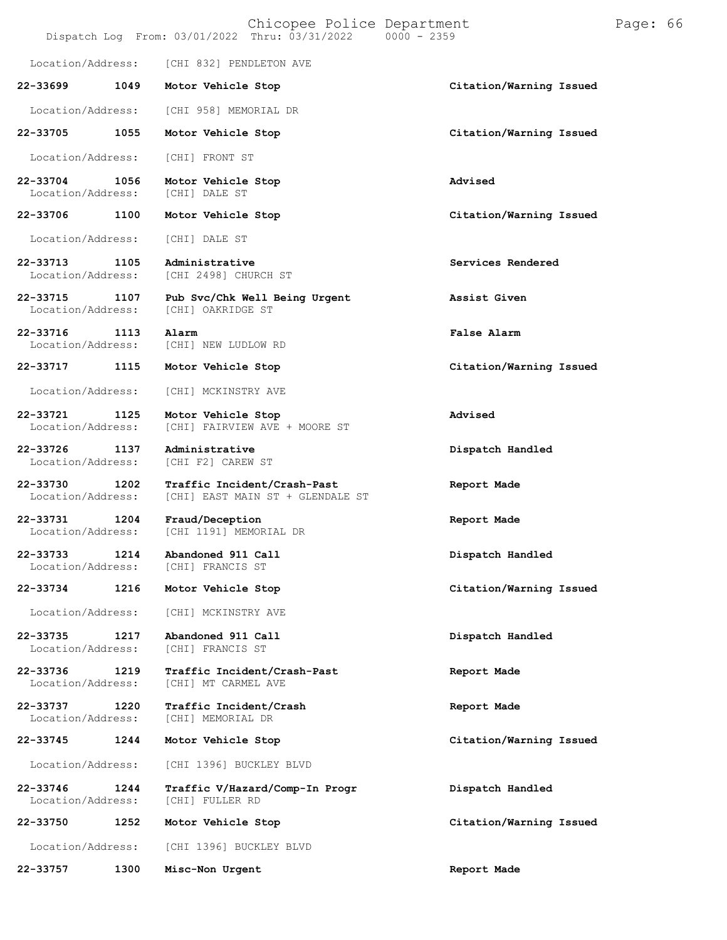|                               |      |                                             | Chicopee Police Department<br>Dispatch Log From: 03/01/2022 Thru: 03/31/2022 | $0000 - 2359$ |                         | Page: 66 |  |
|-------------------------------|------|---------------------------------------------|------------------------------------------------------------------------------|---------------|-------------------------|----------|--|
| Location/Address:             |      | [CHI 832] PENDLETON AVE                     |                                                                              |               |                         |          |  |
| 22-33699                      | 1049 | Motor Vehicle Stop                          |                                                                              |               | Citation/Warning Issued |          |  |
| Location/Address:             |      | [CHI 958] MEMORIAL DR                       |                                                                              |               |                         |          |  |
| 22-33705                      | 1055 | Motor Vehicle Stop                          |                                                                              |               | Citation/Warning Issued |          |  |
| Location/Address:             |      | [CHI] FRONT ST                              |                                                                              |               |                         |          |  |
| 22-33704<br>Location/Address: | 1056 | Motor Vehicle Stop<br>[CHI] DALE ST         |                                                                              |               | Advised                 |          |  |
| 22-33706                      | 1100 | Motor Vehicle Stop                          |                                                                              |               | Citation/Warning Issued |          |  |
| Location/Address:             |      | [CHI] DALE ST                               |                                                                              |               |                         |          |  |
| 22-33713<br>Location/Address: | 1105 | Administrative<br>[CHI 2498] CHURCH ST      |                                                                              |               | Services Rendered       |          |  |
| 22-33715<br>Location/Address: | 1107 | [CHI] OAKRIDGE ST                           | Pub Svc/Chk Well Being Urgent                                                |               | Assist Given            |          |  |
| 22-33716<br>Location/Address: | 1113 | Alarm<br>[CHI] NEW LUDLOW RD                |                                                                              |               | False Alarm             |          |  |
| 22-33717                      | 1115 | Motor Vehicle Stop                          |                                                                              |               | Citation/Warning Issued |          |  |
| Location/Address:             |      | [CHI] MCKINSTRY AVE                         |                                                                              |               |                         |          |  |
| 22-33721<br>Location/Address: | 1125 | Motor Vehicle Stop                          | [CHI] FAIRVIEW AVE + MOORE ST                                                |               | Advised                 |          |  |
| 22-33726<br>Location/Address: | 1137 | Administrative<br>[CHI F2] CAREW ST         |                                                                              |               | Dispatch Handled        |          |  |
| 22-33730<br>Location/Address: | 1202 |                                             | Traffic Incident/Crash-Past<br>[CHI] EAST MAIN ST + GLENDALE ST              |               | Report Made             |          |  |
| 22-33731<br>Location/Address: | 1204 | Fraud/Deception<br>[CHI 1191] MEMORIAL DR   |                                                                              |               | Report Made             |          |  |
| 22-33733<br>Location/Address: | 1214 | Abandoned 911 Call<br>[CHI] FRANCIS ST      |                                                                              |               | Dispatch Handled        |          |  |
| 22-33734                      | 1216 | Motor Vehicle Stop                          |                                                                              |               | Citation/Warning Issued |          |  |
| Location/Address:             |      | [CHI] MCKINSTRY AVE                         |                                                                              |               |                         |          |  |
| 22-33735<br>Location/Address: | 1217 | Abandoned 911 Call<br>[CHI] FRANCIS ST      |                                                                              |               | Dispatch Handled        |          |  |
| 22-33736<br>Location/Address: | 1219 | [CHI] MT CARMEL AVE                         | Traffic Incident/Crash-Past                                                  |               | Report Made             |          |  |
| 22-33737<br>Location/Address: | 1220 | Traffic Incident/Crash<br>[CHI] MEMORIAL DR |                                                                              |               | Report Made             |          |  |
| 22-33745                      | 1244 | Motor Vehicle Stop                          |                                                                              |               | Citation/Warning Issued |          |  |
| Location/Address:             |      | [CHI 1396] BUCKLEY BLVD                     |                                                                              |               |                         |          |  |
| 22-33746<br>Location/Address: | 1244 | [CHI] FULLER RD                             | Traffic V/Hazard/Comp-In Progr                                               |               | Dispatch Handled        |          |  |
| 22-33750                      | 1252 | Motor Vehicle Stop                          |                                                                              |               | Citation/Warning Issued |          |  |
| Location/Address:             |      | [CHI 1396] BUCKLEY BLVD                     |                                                                              |               |                         |          |  |
| 22-33757                      | 1300 | Misc-Non Urgent                             |                                                                              |               | Report Made             |          |  |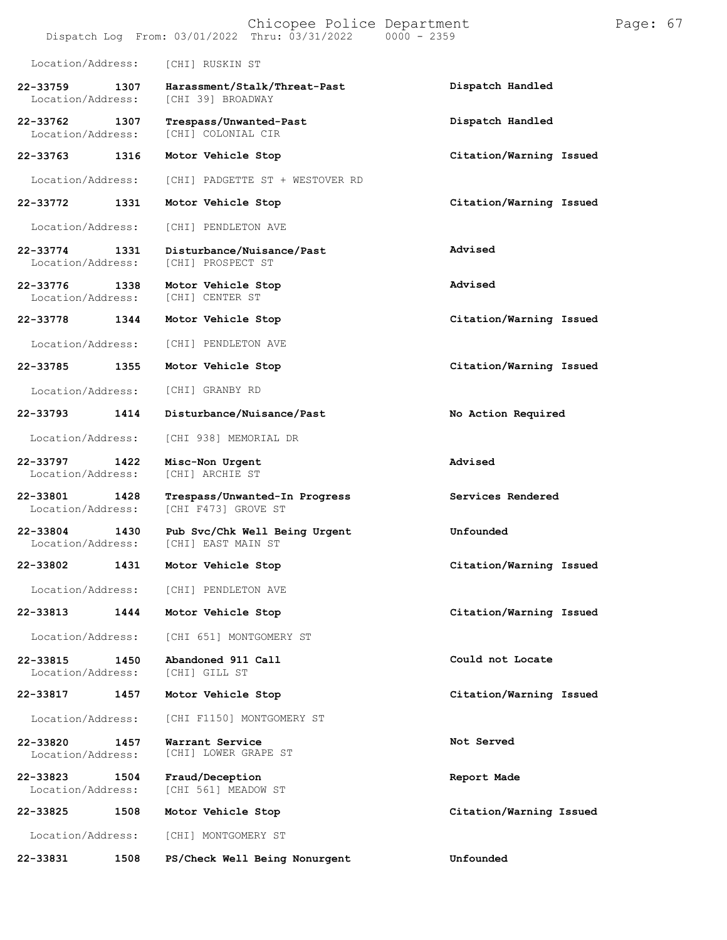|                               |      | Chicopee Police Department<br>$0000 - 2359$<br>Dispatch Log From: 03/01/2022 Thru: 03/31/2022 |                         | Page: 67 |  |
|-------------------------------|------|-----------------------------------------------------------------------------------------------|-------------------------|----------|--|
| Location/Address:             |      | [CHI] RUSKIN ST                                                                               |                         |          |  |
| 22-33759<br>Location/Address: | 1307 | Harassment/Stalk/Threat-Past<br>[CHI 39] BROADWAY                                             | Dispatch Handled        |          |  |
| 22-33762<br>Location/Address: | 1307 | Trespass/Unwanted-Past<br>[CHI] COLONIAL CIR                                                  | Dispatch Handled        |          |  |
| 22-33763                      | 1316 | Motor Vehicle Stop                                                                            | Citation/Warning Issued |          |  |
| Location/Address:             |      | [CHI] PADGETTE ST + WESTOVER RD                                                               |                         |          |  |
| 22-33772                      | 1331 | Motor Vehicle Stop                                                                            | Citation/Warning Issued |          |  |
| Location/Address:             |      | [CHI] PENDLETON AVE                                                                           |                         |          |  |
| 22-33774<br>Location/Address: | 1331 | Disturbance/Nuisance/Past<br>[CHI] PROSPECT ST                                                | Advised                 |          |  |
| 22-33776<br>Location/Address: | 1338 | Motor Vehicle Stop<br>[CHI] CENTER ST                                                         | Advised                 |          |  |
| 22-33778                      | 1344 | Motor Vehicle Stop                                                                            | Citation/Warning Issued |          |  |
| Location/Address:             |      | [CHI] PENDLETON AVE                                                                           |                         |          |  |
| 22-33785                      | 1355 | Motor Vehicle Stop                                                                            | Citation/Warning Issued |          |  |
| Location/Address:             |      | [CHI] GRANBY RD                                                                               |                         |          |  |
| 22-33793                      | 1414 | Disturbance/Nuisance/Past                                                                     | No Action Required      |          |  |
| Location/Address:             |      | [CHI 938] MEMORIAL DR                                                                         |                         |          |  |
| 22-33797<br>Location/Address: | 1422 | Misc-Non Urgent<br>[CHI] ARCHIE ST                                                            | Advised                 |          |  |
| 22-33801<br>Location/Address: | 1428 | Trespass/Unwanted-In Progress<br>[CHI F473] GROVE ST                                          | Services Rendered       |          |  |
| 22-33804<br>Location/Address: | 1430 | Pub Svc/Chk Well Being Urgent<br>[CHI] EAST MAIN ST                                           | Unfounded               |          |  |
| 22-33802                      | 1431 | Motor Vehicle Stop                                                                            | Citation/Warning Issued |          |  |
| Location/Address:             |      | [CHI] PENDLETON AVE                                                                           |                         |          |  |
| 22-33813                      | 1444 | Motor Vehicle Stop                                                                            | Citation/Warning Issued |          |  |
| Location/Address:             |      | [CHI 651] MONTGOMERY ST                                                                       |                         |          |  |
| 22-33815<br>Location/Address: | 1450 | Abandoned 911 Call<br>[CHI] GILL ST                                                           | Could not Locate        |          |  |
| 22-33817                      | 1457 | Motor Vehicle Stop                                                                            | Citation/Warning Issued |          |  |
| Location/Address:             |      | [CHI F1150] MONTGOMERY ST                                                                     |                         |          |  |
| 22-33820<br>Location/Address: | 1457 | Warrant Service<br>[CHI] LOWER GRAPE ST                                                       | Not Served              |          |  |
| 22-33823<br>Location/Address: | 1504 | Fraud/Deception<br>[CHI 561] MEADOW ST                                                        | Report Made             |          |  |
| 22-33825                      | 1508 | Motor Vehicle Stop                                                                            | Citation/Warning Issued |          |  |
| Location/Address:             |      | [CHI] MONTGOMERY ST                                                                           |                         |          |  |
| 22-33831                      | 1508 | PS/Check Well Being Nonurgent                                                                 | Unfounded               |          |  |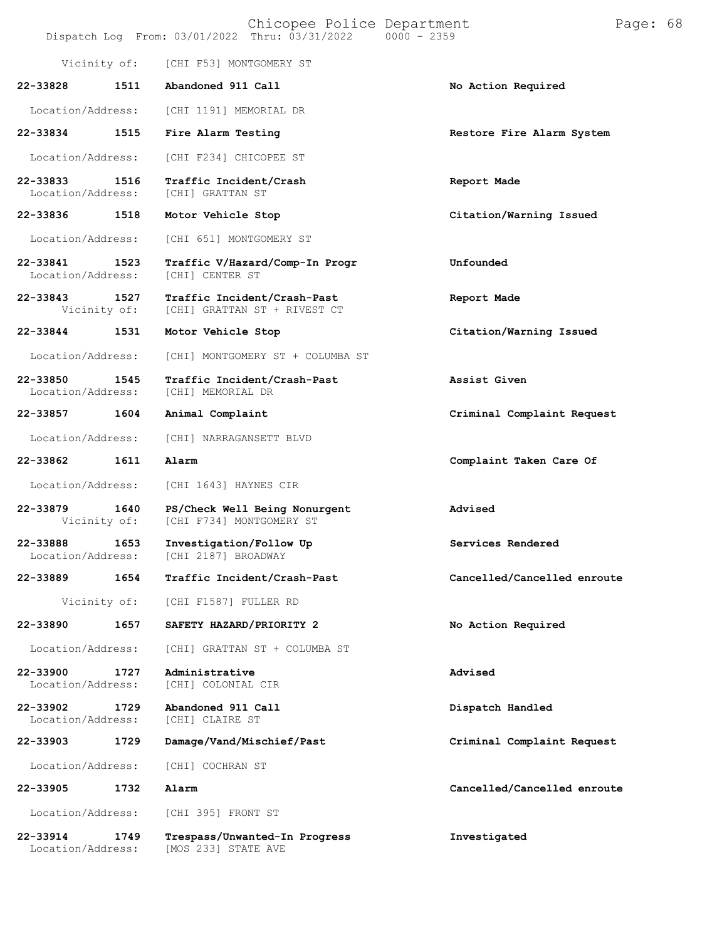|                               |      | Chicopee Police Department<br>Dispatch Log From: 03/01/2022 Thru: 03/31/2022 | $0000 - 2359$               | Page: 68 |  |
|-------------------------------|------|------------------------------------------------------------------------------|-----------------------------|----------|--|
| Vicinity of:                  |      | [CHI F53] MONTGOMERY ST                                                      |                             |          |  |
| 22-33828                      | 1511 | Abandoned 911 Call                                                           | No Action Required          |          |  |
| Location/Address:             |      | [CHI 1191] MEMORIAL DR                                                       |                             |          |  |
| 22-33834                      | 1515 | Fire Alarm Testing                                                           | Restore Fire Alarm System   |          |  |
| Location/Address:             |      | [CHI F234] CHICOPEE ST                                                       |                             |          |  |
| 22-33833<br>Location/Address: | 1516 | Traffic Incident/Crash<br>[CHI] GRATTAN ST                                   | Report Made                 |          |  |
| 22-33836                      | 1518 | Motor Vehicle Stop                                                           | Citation/Warning Issued     |          |  |
| Location/Address:             |      | [CHI 651] MONTGOMERY ST                                                      |                             |          |  |
| 22-33841<br>Location/Address: | 1523 | Traffic V/Hazard/Comp-In Progr<br>[CHI] CENTER ST                            | Unfounded                   |          |  |
| 22-33843<br>Vicinity of:      | 1527 | Traffic Incident/Crash-Past<br>[CHI] GRATTAN ST + RIVEST CT                  | Report Made                 |          |  |
| 22-33844                      | 1531 | Motor Vehicle Stop                                                           | Citation/Warning Issued     |          |  |
| Location/Address:             |      | [CHI] MONTGOMERY ST + COLUMBA ST                                             |                             |          |  |
| 22-33850<br>Location/Address: | 1545 | Traffic Incident/Crash-Past<br>[CHI] MEMORIAL DR                             | Assist Given                |          |  |
| 22-33857                      | 1604 | Animal Complaint                                                             | Criminal Complaint Request  |          |  |
| Location/Address:             |      | [CHI] NARRAGANSETT BLVD                                                      |                             |          |  |
| 22-33862                      | 1611 | Alarm                                                                        | Complaint Taken Care Of     |          |  |
| Location/Address:             |      | [CHI 1643] HAYNES CIR                                                        |                             |          |  |
| 22-33879<br>Vicinity of:      | 1640 | PS/Check Well Being Nonurgent<br>[CHI F734] MONTGOMERY ST                    | Advised                     |          |  |
| 22-33888<br>Location/Address: | 1653 | Investigation/Follow Up<br>[CHI 2187] BROADWAY                               | Services Rendered           |          |  |
| 22-33889                      | 1654 | Traffic Incident/Crash-Past                                                  | Cancelled/Cancelled enroute |          |  |
| Vicinity of:                  |      | [CHI F1587] FULLER RD                                                        |                             |          |  |
| 22-33890                      | 1657 | SAFETY HAZARD/PRIORITY 2                                                     | No Action Required          |          |  |
| Location/Address:             |      | [CHI] GRATTAN ST + COLUMBA ST                                                |                             |          |  |
| 22-33900<br>Location/Address: | 1727 | Administrative<br>[CHI] COLONIAL CIR                                         | Advised                     |          |  |
| 22-33902<br>Location/Address: | 1729 | Abandoned 911 Call<br>[CHI] CLAIRE ST                                        | Dispatch Handled            |          |  |
| 22-33903                      | 1729 | Damage/Vand/Mischief/Past                                                    | Criminal Complaint Request  |          |  |
| Location/Address:             |      | [CHI] COCHRAN ST                                                             |                             |          |  |
| 22-33905                      | 1732 | Alarm                                                                        | Cancelled/Cancelled enroute |          |  |
| Location/Address:             |      | [CHI 395] FRONT ST                                                           |                             |          |  |
| 22-33914<br>Location/Address: | 1749 | Trespass/Unwanted-In Progress<br>[MOS 233] STATE AVE                         | Investigated                |          |  |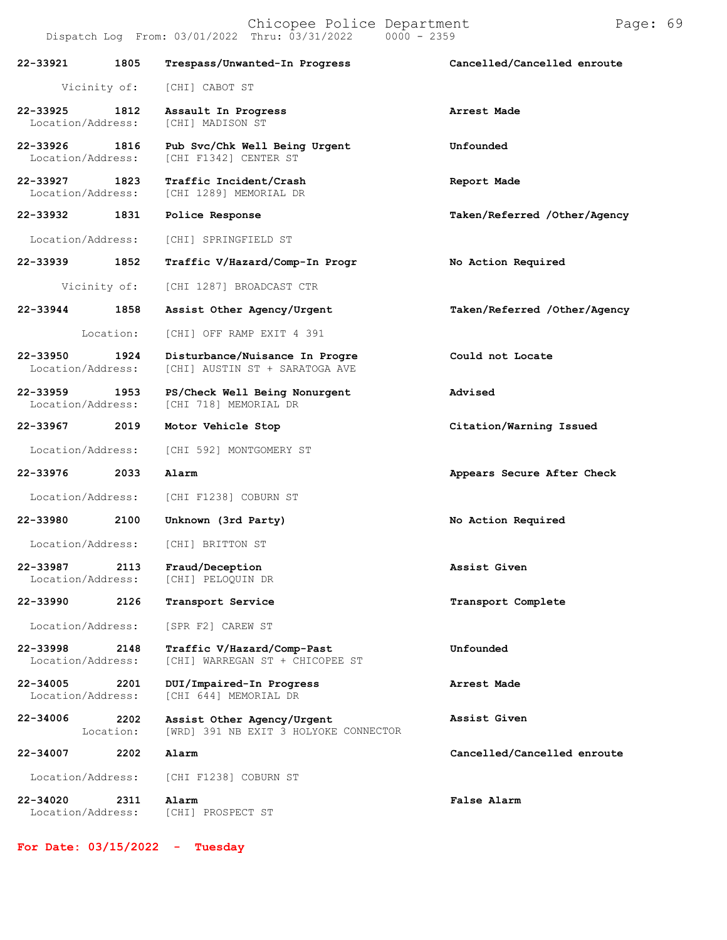| 22-33921                      | 1805              | Trespass/Unwanted-In Progress                                       | Cancelled/Cancelled enroute  |
|-------------------------------|-------------------|---------------------------------------------------------------------|------------------------------|
|                               | Vicinity of:      | [CHI] CABOT ST                                                      |                              |
| 22-33925<br>Location/Address: | 1812              | Assault In Progress<br>[CHI] MADISON ST                             | Arrest Made                  |
| 22-33926<br>Location/Address: | 1816              | Pub Svc/Chk Well Being Urgent<br>[CHI F1342] CENTER ST              | Unfounded                    |
| 22-33927<br>Location/Address: | 1823              | Traffic Incident/Crash<br>[CHI 1289] MEMORIAL DR                    | Report Made                  |
| 22-33932                      | 1831              | Police Response                                                     | Taken/Referred /Other/Agency |
| Location/Address:             |                   | [CHI] SPRINGFIELD ST                                                |                              |
| 22-33939                      | 1852              | Traffic V/Hazard/Comp-In Progr                                      | No Action Required           |
|                               | Vicinity of:      | [CHI 1287] BROADCAST CTR                                            |                              |
| 22-33944                      | 1858              | Assist Other Agency/Urgent                                          | Taken/Referred /Other/Agency |
|                               | Location:         | [CHI] OFF RAMP EXIT 4 391                                           |                              |
| 22-33950<br>Location/Address: | 1924              | Disturbance/Nuisance In Progre<br>[CHI] AUSTIN ST + SARATOGA AVE    | Could not Locate             |
| 22-33959<br>Location/Address: | 1953              | PS/Check Well Being Nonurgent<br>[CHI 718] MEMORIAL DR              | Advised                      |
| 22-33967 2019                 |                   | Motor Vehicle Stop                                                  | Citation/Warning Issued      |
| Location/Address:             |                   | [CHI 592] MONTGOMERY ST                                             |                              |
| 22-33976                      | 2033              | Alarm                                                               | Appears Secure After Check   |
| Location/Address:             |                   | [CHI F1238] COBURN ST                                               |                              |
| 22-33980                      | 2100              | Unknown (3rd Party)                                                 | No Action Required           |
| Location/Address:             |                   | [CHI] BRITTON ST                                                    |                              |
| 22-33987<br>Location/Address: | 2113              | Fraud/Deception<br>[CHI] PELOQUIN DR                                | Assist Given                 |
| 22-33990                      | 2126              | Transport Service                                                   | Transport Complete           |
| Location/Address:             |                   | [SPR F2] CAREW ST                                                   |                              |
| 22-33998<br>Location/Address: | 2148              | Traffic V/Hazard/Comp-Past<br>[CHI] WARREGAN ST + CHICOPEE ST       | Unfounded                    |
| 22-34005<br>Location/Address: | 2201              | DUI/Impaired-In Progress<br>[CHI 644] MEMORIAL DR                   | Arrest Made                  |
| 22-34006                      | 2202<br>Location: | Assist Other Agency/Urgent<br>[WRD] 391 NB EXIT 3 HOLYOKE CONNECTOR | Assist Given                 |
| 22-34007                      | 2202              | Alarm                                                               | Cancelled/Cancelled enroute  |
| Location/Address:             |                   | [CHI F1238] COBURN ST                                               |                              |
| 22-34020<br>Location/Address: | 2311              | Alarm<br>[CHI] PROSPECT ST                                          | False Alarm                  |

**For Date: 03/15/2022 - Tuesday**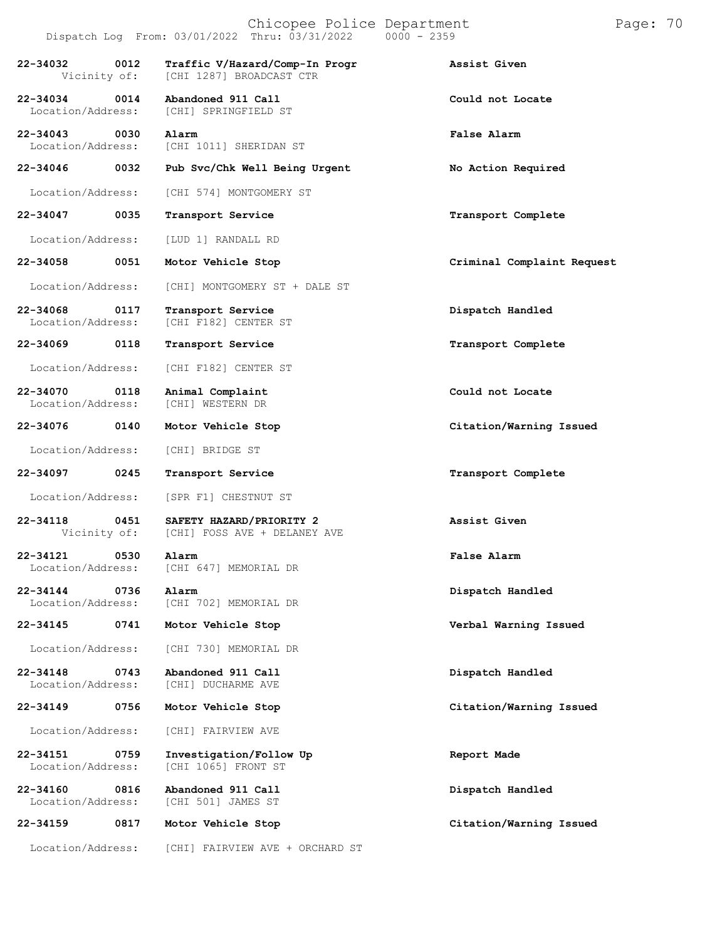|                                           | Dispatch Log From: 03/01/2022 Thru: 03/31/2022             | $0000 - 2359$              |
|-------------------------------------------|------------------------------------------------------------|----------------------------|
| 22-34032<br>0012<br>Vicinity of:          | Traffic V/Hazard/Comp-In Progr<br>[CHI 1287] BROADCAST CTR | Assist Given               |
| 22-34034<br>0014<br>Location/Address:     | Abandoned 911 Call<br>[CHI] SPRINGFIELD ST                 | Could not Locate           |
| 22-34043<br>0030<br>Location/Address:     | Alarm<br>[CHI 1011] SHERIDAN ST                            | False Alarm                |
| 22-34046 0032                             | Pub Svc/Chk Well Being Urgent                              | No Action Required         |
| Location/Address:                         | [CHI 574] MONTGOMERY ST                                    |                            |
| 22-34047<br>0035                          | Transport Service                                          | Transport Complete         |
| Location/Address:                         | [LUD 1] RANDALL RD                                         |                            |
| 22-34058<br>0051                          | Motor Vehicle Stop                                         | Criminal Complaint Request |
| Location/Address:                         | [CHI] MONTGOMERY ST + DALE ST                              |                            |
| 22-34068 0117<br>Location/Address:        | Transport Service<br>[CHI F182] CENTER ST                  | Dispatch Handled           |
| 22-34069<br>0118                          | Transport Service                                          | Transport Complete         |
| Location/Address:                         | [CHI F182] CENTER ST                                       |                            |
| 22-34070<br>0118<br>Location/Address:     | Animal Complaint<br>[CHI] WESTERN DR                       | Could not Locate           |
| 22-34076 0140                             | Motor Vehicle Stop                                         | Citation/Warning Issued    |
| Location/Address:                         | [CHI] BRIDGE ST                                            |                            |
| 22-34097<br>0245                          | Transport Service                                          | Transport Complete         |
| Location/Address:                         | [SPR F1] CHESTNUT ST                                       |                            |
| 22-34118<br>0451<br>Vicinity of:          | SAFETY HAZARD/PRIORITY 2<br>[CHI] FOSS AVE + DELANEY AVE   | Assist Given               |
| 22-34121<br>0530<br>Location/Address:     | Alarm<br>[CHI 647] MEMORIAL DR                             | False Alarm                |
| $22 - 34144$<br>0736<br>Location/Address: | Alarm<br>[CHI 702] MEMORIAL DR                             | Dispatch Handled           |
| 22-34145<br>0741                          | Motor Vehicle Stop                                         | Verbal Warning Issued      |
| Location/Address:                         | [CHI 730] MEMORIAL DR                                      |                            |
| 22-34148<br>0743<br>Location/Address:     | Abandoned 911 Call<br>[CHI] DUCHARME AVE                   | Dispatch Handled           |
| 22-34149<br>0756                          | Motor Vehicle Stop                                         | Citation/Warning Issued    |
| Location/Address:                         | [CHI] FAIRVIEW AVE                                         |                            |
| 22-34151<br>0759<br>Location/Address:     | Investigation/Follow Up<br>[CHI 1065] FRONT ST             | Report Made                |
| 22-34160<br>0816<br>Location/Address:     | Abandoned 911 Call<br>[CHI 501] JAMES ST                   | Dispatch Handled           |
| 22-34159<br>0817                          | Motor Vehicle Stop                                         | Citation/Warning Issued    |

Location/Address: [CHI] FAIRVIEW AVE + ORCHARD ST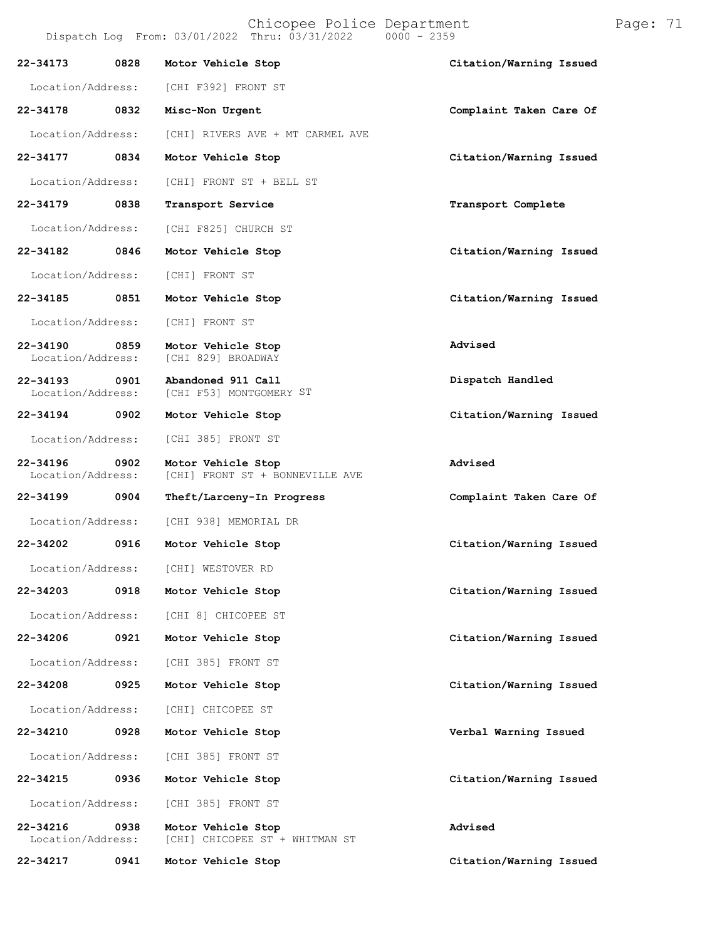Location/Address: [CHI F392] FRONT ST **22-34178 0832 Misc-Non Urgent Complaint Taken Care Of** Location/Address: [CHI] RIVERS AVE + MT CARMEL AVE **22-34177 0834 Motor Vehicle Stop Citation/Warning Issued** Location/Address: [CHI] FRONT ST + BELL ST **22-34179 0838 Transport Service Transport Complete** Location/Address: **22-34182 0846** Location/Address: **22-34185 0851** Location/Address: **22-34190 0859** Location/Address: **22-34193 0901** Location/Address: **22-34194 0902** Location/Address: **22-34196 0902 Motor Vehicle Stop Advised**  $[CHI]$  FRONT ST + BONNEVILLE AVE **22-34199 0904 Theft/Larceny-In Progress Complaint Taken Care Of** Location/Address: [CHI 938] MEMORIAL DR **22-34202 0916 Motor Vehicle Stop Citation/Warning Issued** Location/Address: [CHI] WESTOVER RD **22-34203 0918 Motor Vehicle Stop Citation/Warning Issued** Location/Address: [CHI 8] CHICOPEE ST **22-34206 0921 Motor Vehicle Stop Citation/Warning Issued** Location/Address: [CHI 385] FRONT ST **22-34208 0925 Motor Vehicle Stop Citation/Warning Issued** Location/Address: [CHI] CHICOPEE ST **22-34210 0928 Motor Vehicle Stop Verbal Warning Issued** Location/Address: [CHI 385] FRONT ST **22-34215 0936 Motor Vehicle Stop Citation/Warning Issued** Location/Address: [CHI 385] FRONT ST **22-34216 0938 Motor Vehicle Stop Advised** [CHI] CHICOPEE ST + WHITMAN ST [CHI F825] CHURCH ST **Motor Vehicle Stop Citation/Warning Issued** [CHI] FRONT ST **Motor Vehicle Stop Citation/Warning Issued** [CHI] FRONT ST **Motor Vehicle Stop** [CHI 829] BROADWAY **Advised Abandoned 911 Call** [CHI F53] MONTGOMERY ST **Dispatch Handled Motor Vehicle Stop Citation/Warning Issued** [CHI 385] FRONT ST

**22-34217 0941 Motor Vehicle Stop Citation/Warning Issued**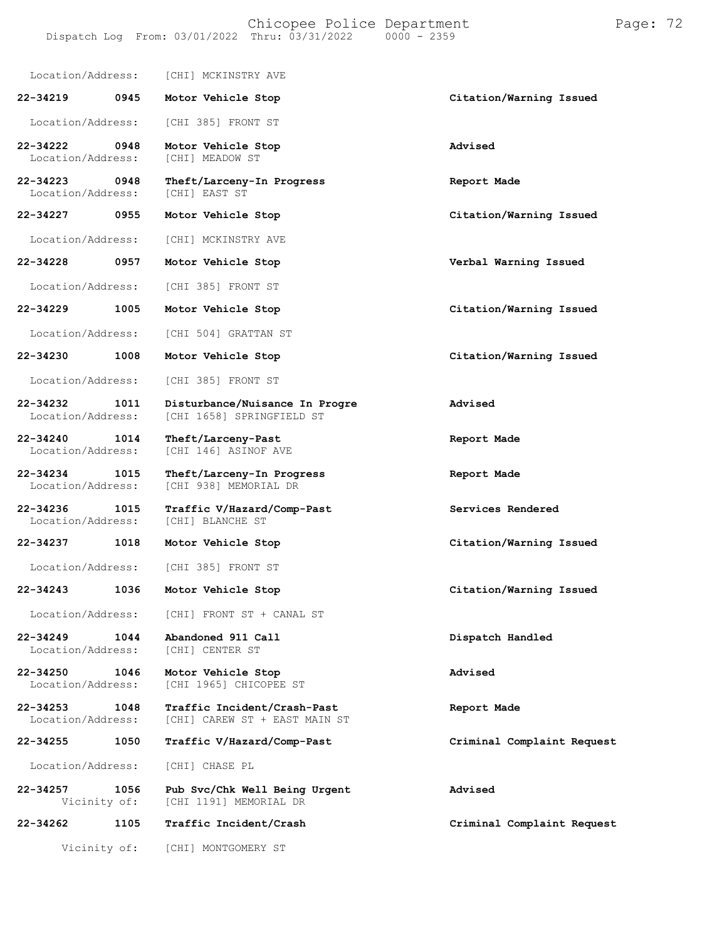#### Chicopee Police Department Page: 72 Dispatch Log From:  $03/01/2022$  Thru:  $03/31/2022$

Location/Address: [CHI] MCKINSTRY AVE **22-34219 0945 Motor Vehicle Stop Citation/Warning Issued** Location/Address: [CHI 385] FRONT ST **22-34222 0948 Motor Vehicle Stop Advised** Location/Address: **22-34223 0948 Theft/Larceny-In Progress Report Made** Location/Address: **22-34227 0955 Motor Vehicle Stop Citation/Warning Issued** Location/Address: [CHI] MCKINSTRY AVE **22-34228 0957 Motor Vehicle Stop Verbal Warning Issued** Location/Address: [CHI 385] FRONT ST **22-34229 1005 Motor Vehicle Stop Citation/Warning Issued** Location/Address: [CHI 504] GRATTAN ST **22-34230 1008 Motor Vehicle Stop Citation/Warning Issued** Location/Address: [CHI 385] FRONT ST **22-34232 1011 Disturbance/Nuisance In Progre Advised** [CHI 1658] SPRINGFIELD ST **22-34240 1014 Theft/Larceny-Past Report Made** [CHI 146] ASINOF AVE **22-34234 1015 Theft/Larceny-In Progress Report Made** [CHI 938] MEMORIAL DR **22-34236 1015 Traffic V/Hazard/Comp-Past Services Rendered** Location/Address: [CHI] BLANCHE ST **22-34237 1018 Motor Vehicle Stop Citation/Warning Issued** Location/Address: [CHI 385] FRONT ST **22-34243 1036 Motor Vehicle Stop Citation/Warning Issued** Location/Address: [CHI] FRONT ST + CANAL ST **22-34249 1044 Abandoned 911 Call Dispatch Handled** Location/Address: **22-34250 1046 Motor Vehicle Stop Advised** [CHI 1965] CHICOPEE ST **22-34253 1048 Traffic Incident/Crash-Past Report Made** [CHI] CAREW ST + EAST MAIN ST **22-34255 1050 Traffic V/Hazard/Comp-Past Criminal Complaint Request** Location/Address: [CHI] CHASE PL **22-34257 1056 Pub Svc/Chk Well Being Urgent Advised** [CHI 1191] MEMORIAL DR **22-34262 1105 Traffic Incident/Crash Criminal Complaint Request**

Vicinity of: [CHI] MONTGOMERY ST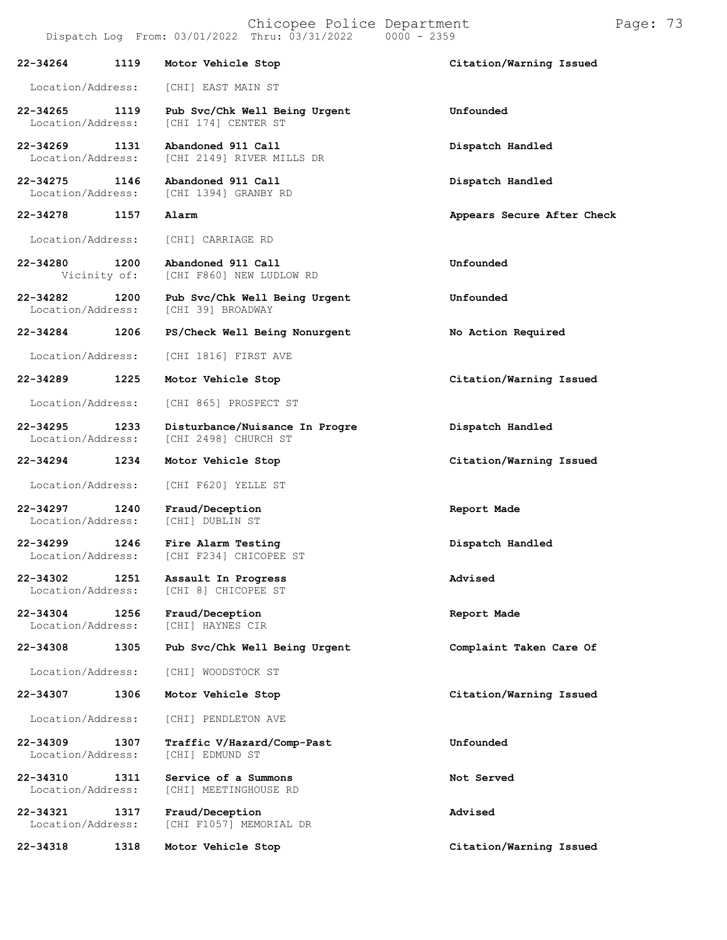Chicopee Police Department Page: 73 Dispatch Log From:  $03/01/2022$  Thru:  $03/31/2022$ **22-34264 1119 Motor Vehicle Stop Citation/Warning Issued** Location/Address: [CHI] EAST MAIN ST **22-34265 1119 Pub Svc/Chk Well Being Urgent Unfounded** [CHI 174] CENTER ST **22-34269 1131 Abandoned 911 Call Dispatch Handled** [CHI 2149] RIVER MILLS DR **22-34275 1146 Abandoned 911 Call Dispatch Handled** [CHI 1394] GRANBY RD **22-34278 1157 Alarm Appears Secure After Check** Location/Address: [CHI] CARRIAGE RD **22-34280 1200 Abandoned 911 Call Unfounded** [CHI F860] NEW LUDLOW RD **22-34282 1200 Pub Svc/Chk Well Being Urgent Unfounded** [CHI 39] BROADWAY **22-34284 1206 PS/Check Well Being Nonurgent No Action Required** Location/Address: [CHI 1816] FIRST AVE **22-34289 1225 Motor Vehicle Stop Citation/Warning Issued** Location/Address: [CHI 865] PROSPECT ST **22-34295 1233 Disturbance/Nuisance In Progre Dispatch Handled** [CHI 2498] CHURCH ST **22-34294 1234 Motor Vehicle Stop Citation/Warning Issued** Location/Address: [CHI F620] YELLE ST **22-34297 1240 Fraud/Deception Report Made** Location/Address: [CHI] DUBLIN ST **22-34299 1246 Fire Alarm Testing Dispatch Handled** [CHI F234] CHICOPEE ST **22-34302 1251 Assault In Progress Advised** [CHI 8] CHICOPEE ST **22-34304 1256 Fraud/Deception Report Made** [CHI] HAYNES CIR **22-34308 1305 Pub Svc/Chk Well Being Urgent Complaint Taken Care Of** Location/Address: [CHI] WOODSTOCK ST **22-34307 1306 Motor Vehicle Stop Citation/Warning Issued**

Location/Address: [CHI] PENDLETON AVE

**22-34309 1307 Traffic V/Hazard/Comp-Past Unfounded** Location/Address:

**22-34310 1311 Service of a Summons Not Served** [CHI] MEETINGHOUSE RD

**22-34321 1317 Fraud/Deception Advised** [CHI F1057] MEMORIAL DR

**22-34318 1318 Motor Vehicle Stop Citation/Warning Issued**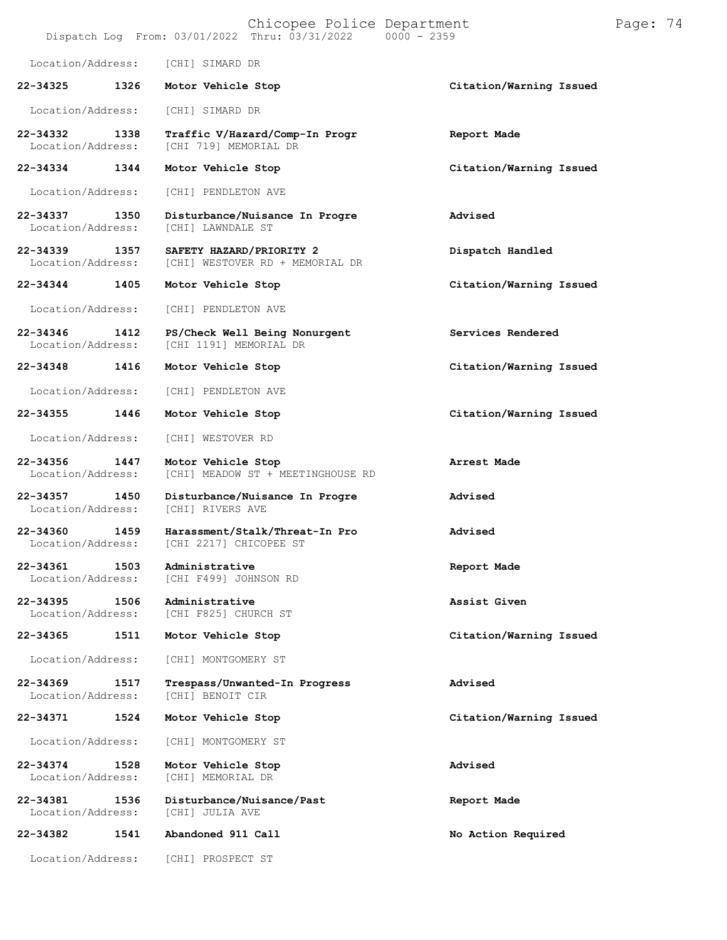|                                   |      | Chicopee Police Department<br>Dispatch Log From: 03/01/2022 Thru: 03/31/2022 0000 - 2359 |                         | Page: 74 |  |
|-----------------------------------|------|------------------------------------------------------------------------------------------|-------------------------|----------|--|
| Location/Address:                 |      | [CHI] SIMARD DR                                                                          |                         |          |  |
| 22-34325                          | 1326 | Motor Vehicle Stop                                                                       | Citation/Warning Issued |          |  |
| Location/Address:                 |      | [CHI] SIMARD DR                                                                          |                         |          |  |
| 22-34332<br>Location/Address:     | 1338 | Traffic V/Hazard/Comp-In Progr<br>[CHI 719] MEMORIAL DR                                  | Report Made             |          |  |
| 22-34334                          | 1344 | Motor Vehicle Stop                                                                       | Citation/Warning Issued |          |  |
| Location/Address:                 |      | [CHI] PENDLETON AVE                                                                      |                         |          |  |
| 22-34337<br>Location/Address:     | 1350 | Disturbance/Nuisance In Progre<br>[CHI] LAWNDALE ST                                      | Advised                 |          |  |
| 22-34339<br>Location/Address:     | 1357 | SAFETY HAZARD/PRIORITY 2<br>[CHI] WESTOVER RD + MEMORIAL DR                              | Dispatch Handled        |          |  |
| 22-34344                          | 1405 | Motor Vehicle Stop                                                                       | Citation/Warning Issued |          |  |
| Location/Address:                 |      | [CHI] PENDLETON AVE                                                                      |                         |          |  |
| 22-34346<br>Location/Address:     | 1412 | PS/Check Well Being Nonurgent<br>[CHI 1191] MEMORIAL DR                                  | Services Rendered       |          |  |
| 22-34348                          | 1416 | Motor Vehicle Stop                                                                       | Citation/Warning Issued |          |  |
| Location/Address:                 |      | [CHI] PENDLETON AVE                                                                      |                         |          |  |
| 22-34355                          | 1446 | Motor Vehicle Stop                                                                       | Citation/Warning Issued |          |  |
| Location/Address:                 |      | [CHI] WESTOVER RD                                                                        |                         |          |  |
| 22-34356<br>Location/Address:     | 1447 | Motor Vehicle Stop<br>[CHI] MEADOW ST + MEETINGHOUSE RD                                  | Arrest Made             |          |  |
| 22-34357<br>Location/Address:     | 1450 | Disturbance/Nuisance In Progre<br>[CHI] RIVERS AVE                                       | Advised                 |          |  |
| 22-34360<br>Location/Address:     | 1459 | Harassment/Stalk/Threat-In Pro<br>[CHI 2217] CHICOPEE ST                                 | Advised                 |          |  |
| 22-34361<br>Location/Address:     | 1503 | Administrative<br>[CHI F499] JOHNSON RD                                                  | Report Made             |          |  |
| 22-34395<br>Location/Address:     | 1506 | Administrative<br>[CHI F825] CHURCH ST                                                   | Assist Given            |          |  |
| 22-34365                          | 1511 | Motor Vehicle Stop                                                                       | Citation/Warning Issued |          |  |
| Location/Address:                 |      | [CHI] MONTGOMERY ST                                                                      |                         |          |  |
| $22 - 34369$<br>Location/Address: | 1517 | Trespass/Unwanted-In Progress<br>[CHI] BENOIT CIR                                        | Advised                 |          |  |
| 22-34371                          | 1524 | Motor Vehicle Stop                                                                       | Citation/Warning Issued |          |  |
| Location/Address:                 |      | [CHI] MONTGOMERY ST                                                                      |                         |          |  |
| 22-34374<br>Location/Address:     | 1528 | Motor Vehicle Stop<br>[CHI] MEMORIAL DR                                                  | Advised                 |          |  |
| 22-34381<br>Location/Address:     | 1536 | Disturbance/Nuisance/Past<br>[CHI] JULIA AVE                                             | Report Made             |          |  |
| 22-34382                          | 1541 | Abandoned 911 Call                                                                       | No Action Required      |          |  |
| Location/Address:                 |      | [CHI] PROSPECT ST                                                                        |                         |          |  |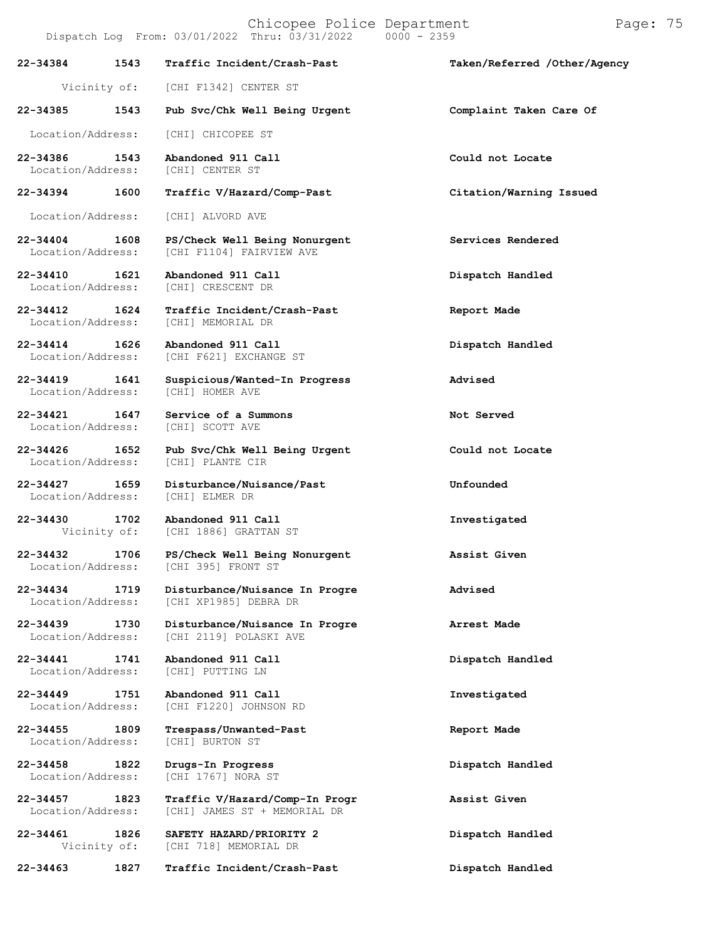|                                    |      | Dispatch Log From: 03/01/2022 Thru: 03/31/2022<br>$0000 - 2359$ |                              |
|------------------------------------|------|-----------------------------------------------------------------|------------------------------|
| 22-34384                           | 1543 | Traffic Incident/Crash-Past                                     | Taken/Referred /Other/Agency |
|                                    |      | Vicinity of: [CHI F1342] CENTER ST                              |                              |
| 22-34385                           | 1543 | Pub Svc/Chk Well Being Urgent                                   | Complaint Taken Care Of      |
| Location/Address:                  |      | [CHI] CHICOPEE ST                                               |                              |
| 22-34386<br>Location/Address:      | 1543 | Abandoned 911 Call<br>[CHI] CENTER ST                           | Could not Locate             |
| 22-34394                           | 1600 | Traffic V/Hazard/Comp-Past                                      | Citation/Warning Issued      |
| Location/Address:                  |      | [CHI] ALVORD AVE                                                |                              |
| 22-34404 1608<br>Location/Address: |      | PS/Check Well Being Nonurgent<br>[CHI F1104] FAIRVIEW AVE       | Services Rendered            |
| 22-34410<br>Location/Address:      | 1621 | Abandoned 911 Call<br>[CHI] CRESCENT DR                         | Dispatch Handled             |
| 22-34412<br>Location/Address:      | 1624 | Traffic Incident/Crash-Past<br>[CHI] MEMORIAL DR                | Report Made                  |
| $22 - 34414$                       | 1626 | Abandoned 911 Call<br>Location/Address: [CHI F621] EXCHANGE ST  | Dispatch Handled             |
| 22-34419<br>Location/Address:      | 1641 | Suspicious/Wanted-In Progress<br>[CHI] HOMER AVE                | Advised                      |
| 22-34421<br>Location/Address:      | 1647 | Service of a Summons<br>[CHI] SCOTT AVE                         | Not Served                   |
| 22-34426<br>Location/Address:      | 1652 | Pub Svc/Chk Well Being Urgent<br>[CHI] PLANTE CIR               | Could not Locate             |
| 22-34427                           | 1659 | Disturbance/Nuisance/Past<br>Location/Address: [CHI] ELMER DR   | Unfounded                    |
| 22-34430                           | 1702 | Abandoned 911 Call<br>Vicinity of: [CHI 1886] GRATTAN ST        | Investigated                 |
| 22-34432<br>Location/Address:      | 1706 | PS/Check Well Being Nonurgent<br>[CHI 395] FRONT ST             | Assist Given                 |
| 22-34434<br>Location/Address:      | 1719 | Disturbance/Nuisance In Progre<br>[CHI XP1985] DEBRA DR         | Advised                      |
| $22 - 34439$<br>Location/Address:  | 1730 | Disturbance/Nuisance In Progre<br>[CHI 2119] POLASKI AVE        | Arrest Made                  |
| $22 - 34441$<br>Location/Address:  | 1741 | Abandoned 911 Call<br>[CHI] PUTTING LN                          | Dispatch Handled             |
| $22 - 34449$<br>Location/Address:  | 1751 | Abandoned 911 Call<br>[CHI F1220] JOHNSON RD                    | Investigated                 |
| 22-34455<br>Location/Address:      | 1809 | Trespass/Unwanted-Past<br>[CHI] BURTON ST                       | Report Made                  |
| 22-34458<br>Location/Address:      | 1822 | Drugs-In Progress<br>[CHI 1767] NORA ST                         | Dispatch Handled             |
| $22 - 34457$<br>Location/Address:  | 1823 | Traffic V/Hazard/Comp-In Progr<br>[CHI] JAMES ST + MEMORIAL DR  | Assist Given                 |
| 22-34461<br>Vicinity of:           | 1826 | SAFETY HAZARD/PRIORITY 2<br>[CHI 718] MEMORIAL DR               | Dispatch Handled             |
| 22-34463                           | 1827 | Traffic Incident/Crash-Past                                     | Dispatch Handled             |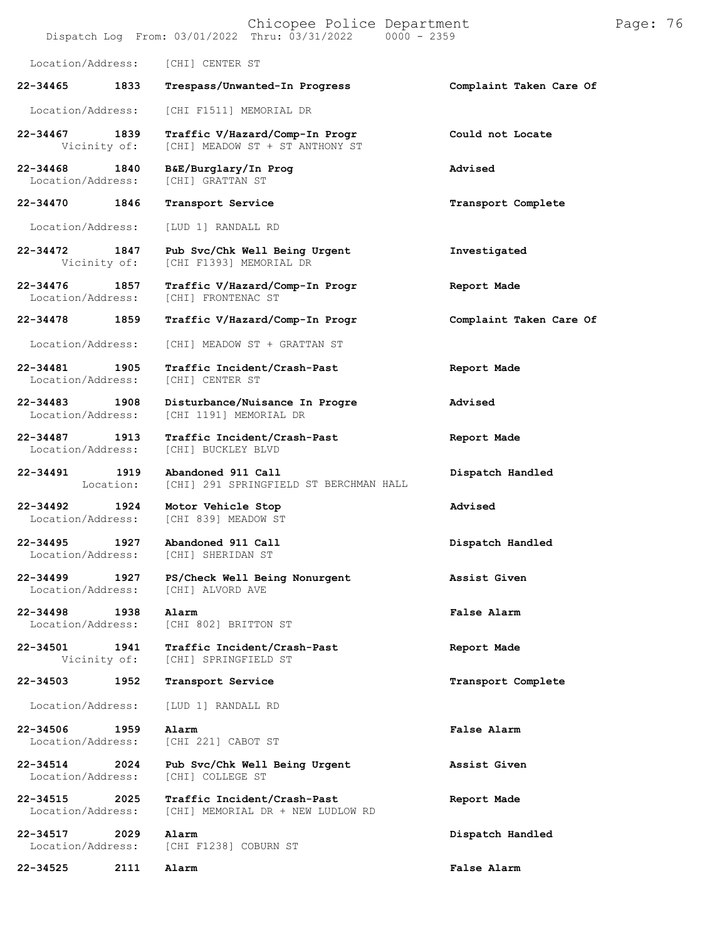|                               |                   | Chicopee Police Department<br>Dispatch Log From: 03/01/2022 Thru: 03/31/2022   0000 - 2359 |                         | Page: 76 |  |
|-------------------------------|-------------------|--------------------------------------------------------------------------------------------|-------------------------|----------|--|
| Location/Address:             |                   | [CHI] CENTER ST                                                                            |                         |          |  |
| 22-34465                      | 1833              | Trespass/Unwanted-In Progress                                                              | Complaint Taken Care Of |          |  |
| Location/Address:             |                   | [CHI F1511] MEMORIAL DR                                                                    |                         |          |  |
| $22 - 34467$<br>Vicinity of:  | 1839              | Traffic V/Hazard/Comp-In Progr<br>[CHI] MEADOW ST + ST ANTHONY ST                          | Could not Locate        |          |  |
| 22-34468<br>Location/Address: | 1840              | B&E/Burglary/In Prog<br>[CHI] GRATTAN ST                                                   | Advised                 |          |  |
| 22-34470                      | 1846              | Transport Service                                                                          | Transport Complete      |          |  |
| Location/Address:             |                   | [LUD 1] RANDALL RD                                                                         |                         |          |  |
| 22-34472<br>Vicinity of:      | 1847              | Pub Svc/Chk Well Being Urgent<br>[CHI F1393] MEMORIAL DR                                   | Investigated            |          |  |
| 22-34476<br>Location/Address: | 1857              | Traffic V/Hazard/Comp-In Progr<br>[CHI] FRONTENAC ST                                       | Report Made             |          |  |
| 22-34478                      | 1859              | Traffic V/Hazard/Comp-In Progr                                                             | Complaint Taken Care Of |          |  |
| Location/Address:             |                   | [CHI] MEADOW ST + GRATTAN ST                                                               |                         |          |  |
| 22-34481<br>Location/Address: | 1905              | Traffic Incident/Crash-Past<br>[CHI] CENTER ST                                             | Report Made             |          |  |
| 22-34483<br>Location/Address: | 1908              | Disturbance/Nuisance In Progre<br>[CHI 1191] MEMORIAL DR                                   | Advised                 |          |  |
| 22-34487<br>Location/Address: | 1913              | Traffic Incident/Crash-Past<br>[CHI] BUCKLEY BLVD                                          | Report Made             |          |  |
| 22-34491                      | 1919<br>Location: | Abandoned 911 Call<br>[CHI] 291 SPRINGFIELD ST BERCHMAN HALL                               | Dispatch Handled        |          |  |
| 22-34492<br>Location/Address: | 1924              | Motor Vehicle Stop<br>[CHI 839] MEADOW ST                                                  | Advised                 |          |  |
| 22-34495<br>Location/Address: | 1927              | Abandoned 911 Call<br>[CHI] SHERIDAN ST                                                    | Dispatch Handled        |          |  |
| 22-34499<br>Location/Address: | 1927              | PS/Check Well Being Nonurgent<br>[CHI] ALVORD AVE                                          | Assist Given            |          |  |
| 22-34498<br>Location/Address: | 1938              | Alarm<br>[CHI 802] BRITTON ST                                                              | False Alarm             |          |  |
| 22-34501<br>Vicinity of:      | 1941              | Traffic Incident/Crash-Past<br>[CHI] SPRINGFIELD ST                                        | Report Made             |          |  |
| 22-34503                      | 1952              | Transport Service                                                                          | Transport Complete      |          |  |
| Location/Address:             |                   | [LUD 1] RANDALL RD                                                                         |                         |          |  |
| 22-34506<br>Location/Address: | 1959              | Alarm<br>[CHI 221] CABOT ST                                                                | False Alarm             |          |  |
| 22-34514<br>Location/Address: | 2024              | Pub Svc/Chk Well Being Urgent<br>[CHI] COLLEGE ST                                          | Assist Given            |          |  |
| 22-34515<br>Location/Address: | 2025              | Traffic Incident/Crash-Past<br>[CHI] MEMORIAL DR + NEW LUDLOW RD                           | Report Made             |          |  |
| 22-34517<br>Location/Address: | 2029              | Alarm<br>[CHI F1238] COBURN ST                                                             | Dispatch Handled        |          |  |
| 22-34525                      | 2111              | Alarm                                                                                      | False Alarm             |          |  |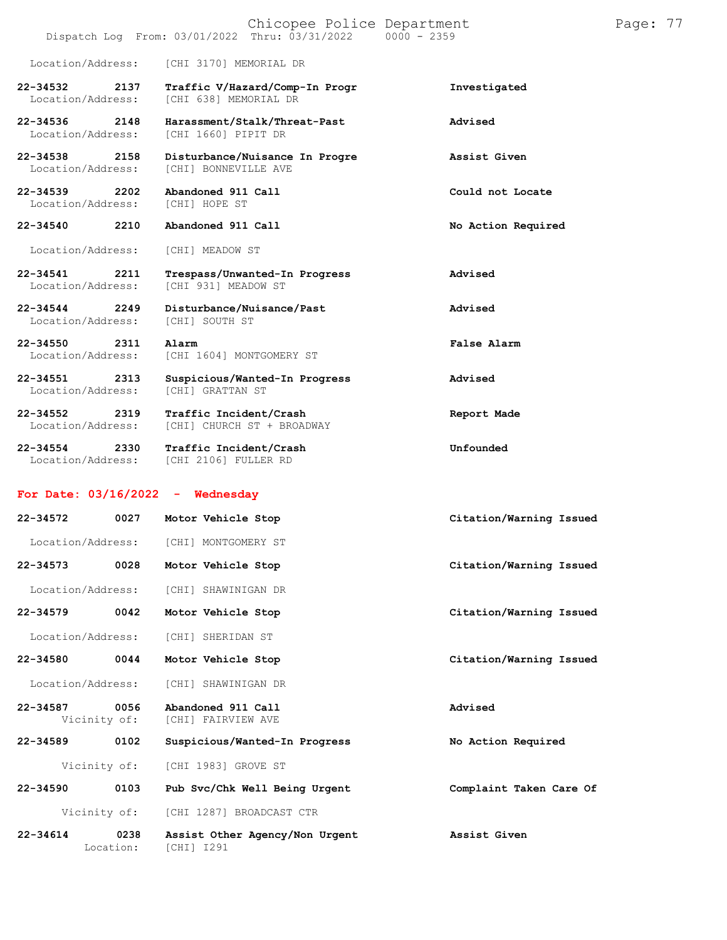|                                       | Dispatch Log From: 03/01/2022 Thru: 03/31/2022          | $0000 - 2359$      |
|---------------------------------------|---------------------------------------------------------|--------------------|
| Location/Address:                     | [CHI 3170] MEMORIAL DR                                  |                    |
| 22-34532<br>2137<br>Location/Address: | Traffic V/Hazard/Comp-In Progr<br>[CHI 638] MEMORIAL DR | Investigated       |
| 22-34536 2148<br>Location/Address:    | Harassment/Stalk/Threat-Past<br>[CHI 1660] PIPIT DR     | Advised            |
| 22-34538<br>2158<br>Location/Address: | Disturbance/Nuisance In Progre<br>[CHI] BONNEVILLE AVE  | Assist Given       |
| 22-34539<br>2202<br>Location/Address: | Abandoned 911 Call<br>[CHI] HOPE ST                     | Could not Locate   |
| 2210<br>22-34540                      | Abandoned 911 Call                                      | No Action Required |
| Location/Address:                     | [CHI] MEADOW ST                                         |                    |
| 22-34541<br>2211<br>Location/Address: | Trespass/Unwanted-In Progress<br>[CHI 931] MEADOW ST    | Advised            |
| 22-34544<br>2249<br>Location/Address: | Disturbance/Nuisance/Past<br>[CHI] SOUTH ST             | Advised            |
| 22-34550<br>2311<br>Location/Address: | Alarm<br>[CHI 1604] MONTGOMERY ST                       | False Alarm        |
| 22-34551<br>2313<br>Location/Address: | Suspicious/Wanted-In Progress<br>[CHI] GRATTAN ST       | Advised            |
| 22-34552<br>2319<br>Location/Address: | Traffic Incident/Crash<br>[CHI] CHURCH ST + BROADWAY    | Report Made        |
| 22-34554<br>2330<br>Location/Address: | Traffic Incident/Crash<br>[CHI 2106] FULLER RD          | Unfounded          |
| For Date: 03/16/2022                  | - Wednesday                                             |                    |

| $22 - 34572$                 | 0027              | Motor Vehicle Stop                           | Citation/Warning Issued |
|------------------------------|-------------------|----------------------------------------------|-------------------------|
| Location/Address:            |                   | [CHI] MONTGOMERY ST                          |                         |
| 22-34573                     | 0028              | Motor Vehicle Stop                           | Citation/Warning Issued |
| Location/Address:            |                   | [CHI] SHAWINIGAN DR                          |                         |
| $22 - 34579$                 | 0042              | Motor Vehicle Stop                           | Citation/Warning Issued |
| Location/Address:            |                   | [CHI] SHERIDAN ST                            |                         |
| 22-34580                     | 0044              | Motor Vehicle Stop                           | Citation/Warning Issued |
| Location/Address:            |                   | [CHI] SHAWINIGAN DR                          |                         |
| $22 - 34587$<br>Vicinity of: | 0056              | Abandoned 911 Call<br>[CHI] FAIRVIEW AVE     | Advised                 |
| 22-34589                     | 0102              | Suspicious/Wanted-In Progress                | No Action Required      |
| Vicinity of:                 |                   | [CHI 1983] GROVE ST                          |                         |
| $22 - 34590$                 | 0103              | Pub Svc/Chk Well Being Urgent                | Complaint Taken Care Of |
|                              | Vicinity of:      | [CHI 1287] BROADCAST CTR                     |                         |
| $22 - 34614$                 | 0238<br>Location: | Assist Other Agency/Non Urgent<br>[CHI] I291 | Assist Given            |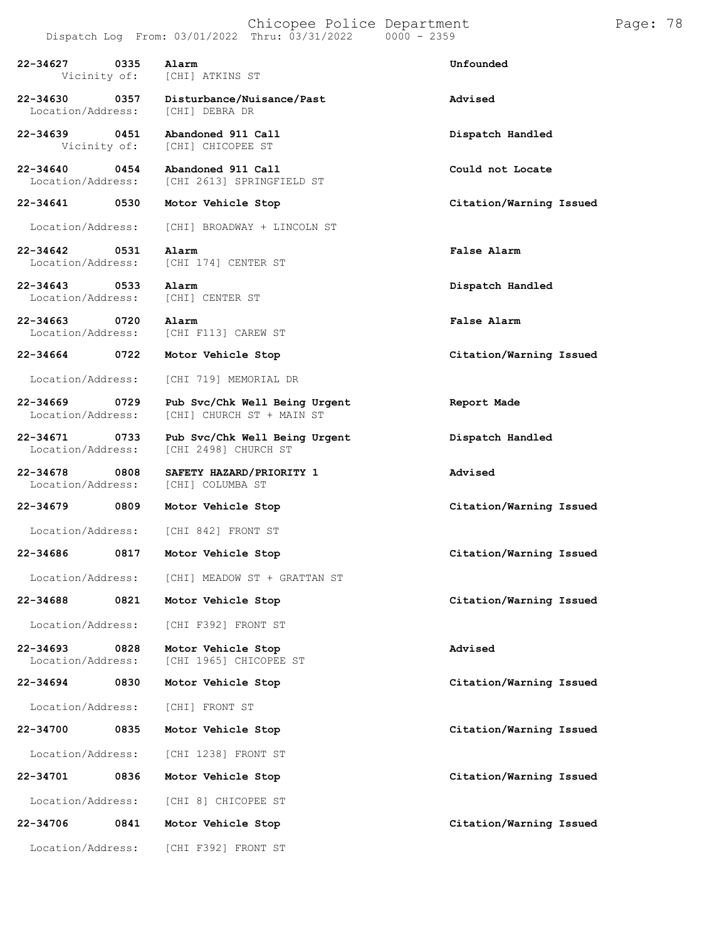|                                   |      | Chicopee Police Department<br>Dispatch Log From: 03/01/2022 Thru: 03/31/2022 | $0000 - 2359$           | Page: 78 |  |
|-----------------------------------|------|------------------------------------------------------------------------------|-------------------------|----------|--|
| 22-34627<br>Vicinity of:          | 0335 | Alarm<br>[CHI] ATKINS ST                                                     | Unfounded               |          |  |
| 22-34630<br>Location/Address:     | 0357 | Disturbance/Nuisance/Past<br>[CHI] DEBRA DR                                  | Advised                 |          |  |
| 22-34639<br>Vicinity of:          | 0451 | Abandoned 911 Call<br>[CHI] CHICOPEE ST                                      | Dispatch Handled        |          |  |
| 22-34640<br>Location/Address:     | 0454 | Abandoned 911 Call<br>[CHI 2613] SPRINGFIELD ST                              | Could not Locate        |          |  |
| 22-34641                          | 0530 | Motor Vehicle Stop                                                           | Citation/Warning Issued |          |  |
| Location/Address:                 |      | [CHI] BROADWAY + LINCOLN ST                                                  |                         |          |  |
| 22-34642<br>Location/Address:     | 0531 | Alarm<br>[CHI 174] CENTER ST                                                 | False Alarm             |          |  |
| 22-34643<br>Location/Address:     | 0533 | Alarm<br>[CHI] CENTER ST                                                     | Dispatch Handled        |          |  |
| $22 - 34663$<br>Location/Address: | 0720 | Alarm<br>[CHI F113] CAREW ST                                                 | False Alarm             |          |  |
| 22-34664                          | 0722 | Motor Vehicle Stop                                                           | Citation/Warning Issued |          |  |
| Location/Address:                 |      | [CHI 719] MEMORIAL DR                                                        |                         |          |  |
| $22 - 34669$<br>Location/Address: | 0729 | Pub Svc/Chk Well Being Urgent<br>[CHI] CHURCH ST + MAIN ST                   | Report Made             |          |  |
| 22-34671<br>Location/Address:     | 0733 | Pub Svc/Chk Well Being Urgent<br>[CHI 2498] CHURCH ST                        | Dispatch Handled        |          |  |
| 22-34678<br>Location/Address:     | 0808 | SAFETY HAZARD/PRIORITY 1<br>[CHI] COLUMBA ST                                 | Advised                 |          |  |
| 22-34679                          | 0809 | Motor Vehicle Stop                                                           | Citation/Warning Issued |          |  |
| Location/Address:                 |      | [CHI 842] FRONT ST                                                           |                         |          |  |
| 22-34686                          | 0817 | Motor Vehicle Stop                                                           | Citation/Warning Issued |          |  |
| Location/Address:                 |      | [CHI] MEADOW ST + GRATTAN ST                                                 |                         |          |  |
| 22-34688                          | 0821 | Motor Vehicle Stop                                                           | Citation/Warning Issued |          |  |
| Location/Address:                 |      | [CHI F392] FRONT ST                                                          |                         |          |  |
| 22-34693<br>Location/Address:     | 0828 | Motor Vehicle Stop<br>[CHI 1965] CHICOPEE ST                                 | Advised                 |          |  |
| 22-34694                          | 0830 | Motor Vehicle Stop                                                           | Citation/Warning Issued |          |  |
| Location/Address:                 |      | [CHI] FRONT ST                                                               |                         |          |  |
| 22-34700                          | 0835 | Motor Vehicle Stop                                                           | Citation/Warning Issued |          |  |
| Location/Address:                 |      | [CHI 1238] FRONT ST                                                          |                         |          |  |
| 22-34701                          | 0836 | Motor Vehicle Stop                                                           | Citation/Warning Issued |          |  |
| Location/Address:                 |      | [CHI 8] CHICOPEE ST                                                          |                         |          |  |
| 22-34706                          | 0841 | Motor Vehicle Stop                                                           | Citation/Warning Issued |          |  |
| Location/Address:                 |      | [CHI F392] FRONT ST                                                          |                         |          |  |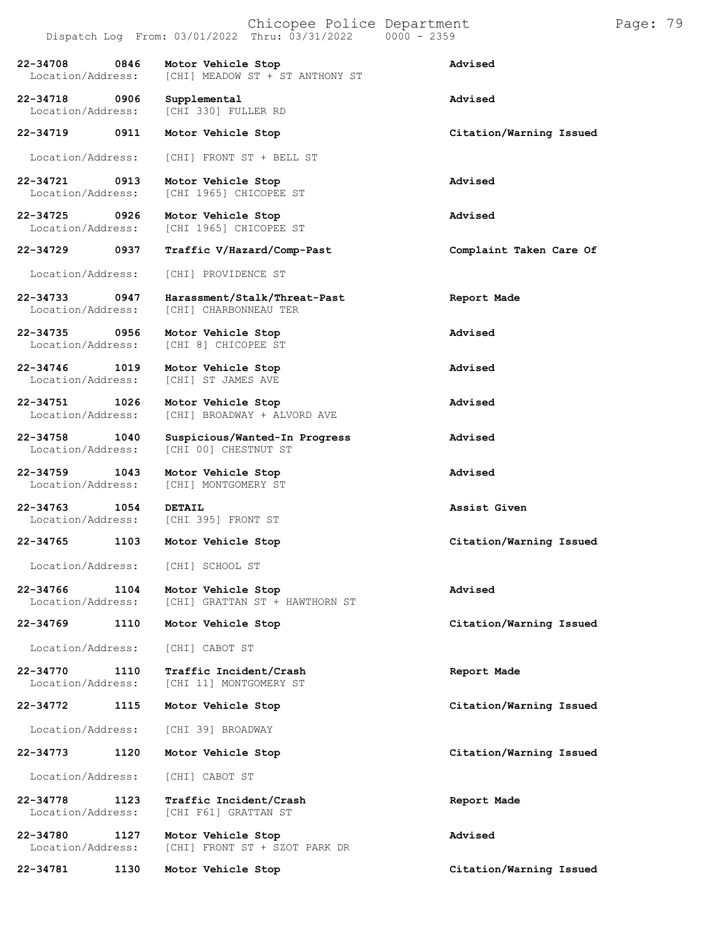|  | Chicopee Police Departmen |           |  |
|--|---------------------------|-----------|--|
|  | 00/01/0000 mb 00/01/0000  | nnnn hefn |  |

| CITICODES FOITCE DEPAILMENT |               |  |
|-----------------------------|---------------|--|
| 22 Thru: 03/31/2022         | $0000 - 2359$ |  |

|                                       |      | Dispatch Log From: 03/01/2022 Thru: 03/31/2022 0000 - 2359     |                         |
|---------------------------------------|------|----------------------------------------------------------------|-------------------------|
| 22-34708<br>0846<br>Location/Address: |      | Motor Vehicle Stop<br>[CHI] MEADOW ST + ST ANTHONY ST          | Advised                 |
| 22-34718 0906<br>Location/Address:    |      | Supplemental<br>[CHI 330] FULLER RD                            | Advised                 |
| 22-34719                              | 0911 | Motor Vehicle Stop                                             | Citation/Warning Issued |
| Location/Address:                     |      | [CHI] FRONT ST + BELL ST                                       |                         |
| 22-34721 0913<br>Location/Address:    |      | Motor Vehicle Stop<br>[CHI 1965] CHICOPEE ST                   | Advised                 |
| 22-34725                              | 0926 | Motor Vehicle Stop<br>Location/Address: [CHI 1965] CHICOPEE ST | Advised                 |
| 22–34729 0937                         |      | Traffic V/Hazard/Comp-Past                                     | Complaint Taken Care Of |
| Location/Address:                     |      | [CHI] PROVIDENCE ST                                            |                         |
| 22-34733 0947<br>Location/Address:    |      | Harassment/Stalk/Threat-Past<br>[CHI] CHARBONNEAU TER          | Report Made             |
| 22-34735 0956<br>Location/Address:    |      | Motor Vehicle Stop<br>[CHI 8] CHICOPEE ST                      | Advised                 |
| 22-34746 1019<br>Location/Address:    |      | Motor Vehicle Stop<br>[CHI] ST JAMES AVE                       | Advised                 |
| 22-34751 1026<br>Location/Address:    |      | Motor Vehicle Stop<br>[CHI] BROADWAY + ALVORD AVE              | Advised                 |
| 22-34758 1040<br>Location/Address:    |      | Suspicious/Wanted-In Progress<br>[CHI 00] CHESTNUT ST          | Advised                 |
| 22-34759 1043<br>Location/Address:    |      | Motor Vehicle Stop<br>[CHI] MONTGOMERY ST                      | Advised                 |
| 22-34763                              | 1054 | DETAIL<br>Location/Address: [CHI 395] FRONT ST                 | Assist Given            |
| 22-34765                              |      | 1103 Motor Vehicle Stop                                        | Citation/Warning Issued |
|                                       |      | Location/Address: [CHI] SCHOOL ST                              |                         |
| 22-34766<br>Location/Address:         | 1104 | Motor Vehicle Stop<br>[CHI] GRATTAN ST + HAWTHORN ST           | Advised                 |
| 22-34769                              | 1110 | Motor Vehicle Stop                                             | Citation/Warning Issued |
| Location/Address:                     |      | [CHI] CABOT ST                                                 |                         |
| 22-34770<br>Location/Address:         | 1110 | Traffic Incident/Crash<br>[CHI 11] MONTGOMERY ST               | Report Made             |
| 22-34772                              | 1115 | Motor Vehicle Stop                                             | Citation/Warning Issued |
| Location/Address:                     |      | [CHI 39] BROADWAY                                              |                         |
| 22-34773                              | 1120 | Motor Vehicle Stop                                             | Citation/Warning Issued |
| Location/Address:                     |      | [CHI] CABOT ST                                                 |                         |
| 22-34778<br>Location/Address:         | 1123 | Traffic Incident/Crash<br>[CHI F61] GRATTAN ST                 | Report Made             |
| 22-34780<br>Location/Address:         | 1127 | Motor Vehicle Stop<br>[CHI] FRONT ST + SZOT PARK DR            | Advised                 |

**22-34781 1130 Motor Vehicle Stop Citation/Warning Issued**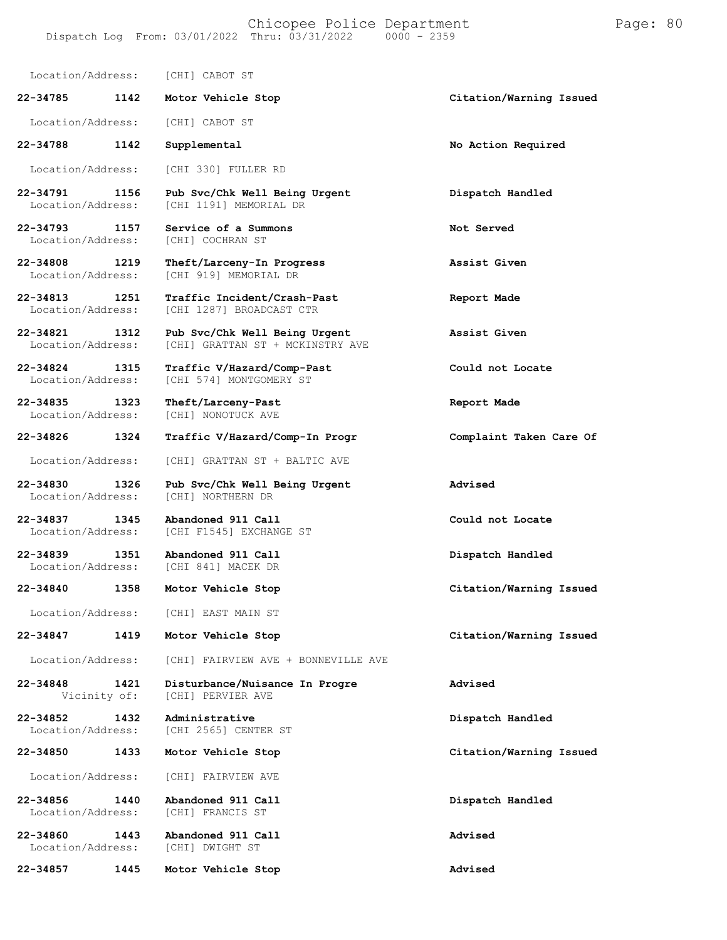Location/Address: [CHI] CABOT ST **22-34785 1142 Motor Vehicle Stop Citation/Warning Issued** Location/Address: [CHI] CABOT ST **22-34788 1142 Supplemental No Action Required** Location/Address: [CHI 330] FULLER RD **22-34791 1156 Pub Svc/Chk Well Being Urgent Dispatch Handled** [CHI 1191] MEMORIAL DR **22-34793 1157 Service of a Summons Not Served** [CHI] COCHRAN ST **22-34808 1219 Theft/Larceny-In Progress Assist Given** [CHI 919] MEMORIAL DR **22-34813 1251 Traffic Incident/Crash-Past Report Made** [CHI 1287] BROADCAST CTR **22-34821 1312 Pub Svc/Chk Well Being Urgent Assist Given** [CHI] GRATTAN ST + MCKINSTRY AVE **22-34824 1315 Traffic V/Hazard/Comp-Past Could not Locate** [CHI 574] MONTGOMERY ST **22-34835 1323 Theft/Larceny-Past Report Made** [CHI] NONOTUCK AVE **22-34826 1324 Traffic V/Hazard/Comp-In Progr Complaint Taken Care Of** Location/Address: [CHI] GRATTAN ST + BALTIC AVE **22-34830 1326 Pub Svc/Chk Well Being Urgent Advised** Location/Address: **22-34837 1345 Abandoned 911 Call Could not Locate** [CHI F1545] EXCHANGE ST **22-34839 1351 Abandoned 911 Call Dispatch Handled** [CHI 841] MACEK DR **22-34840 1358 Motor Vehicle Stop Citation/Warning Issued** Location/Address: [CHI] EAST MAIN ST **22-34847 1419 Motor Vehicle Stop Citation/Warning Issued** Location/Address: [CHI] FAIRVIEW AVE + BONNEVILLE AVE **22-34848 1421 Disturbance/Nuisance In Progre Advised** [CHI] PERVIER AVE **22-34852 1432 Administrative Dispatch Handled** [CHI 2565] CENTER ST **22-34850 1433 Motor Vehicle Stop Citation/Warning Issued** Location/Address: [CHI] FAIRVIEW AVE **22-34856 1440 Abandoned 911 Call Dispatch Handled** Location/Address: **22-34860 1443 Abandoned 911 Call Advised** Location/Address: **22-34857 1445 Motor Vehicle Stop Advised**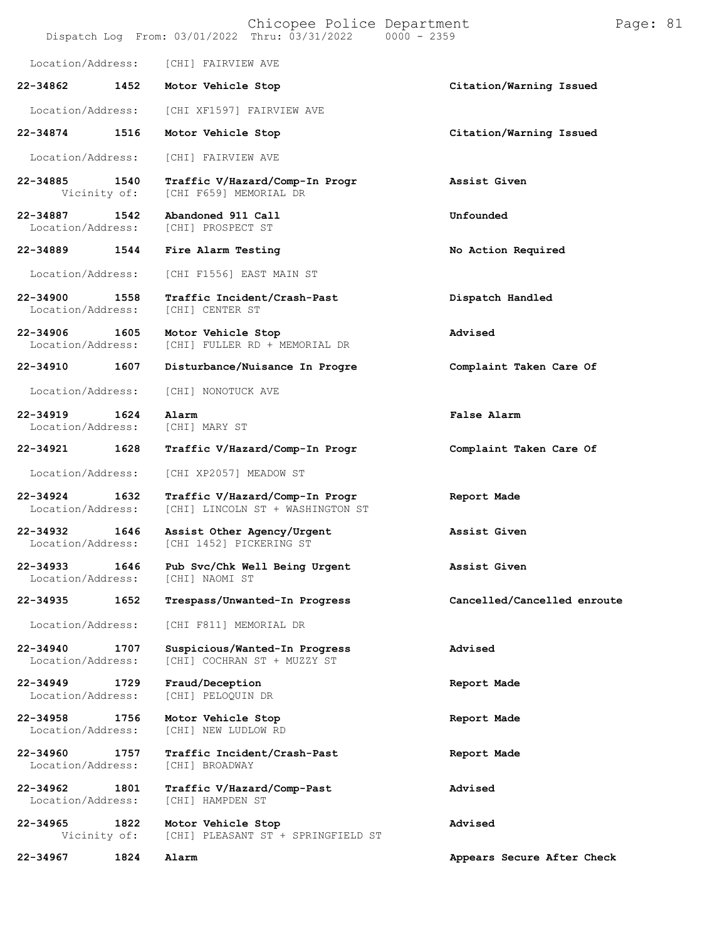|                               |      | Chicopee Police Department<br>Dispatch Log From: 03/01/2022 Thru: 03/31/2022 0000 - 2359 |                             | Page: 81 |  |
|-------------------------------|------|------------------------------------------------------------------------------------------|-----------------------------|----------|--|
| Location/Address:             |      | [CHI] FAIRVIEW AVE                                                                       |                             |          |  |
| 22-34862                      | 1452 | Motor Vehicle Stop                                                                       | Citation/Warning Issued     |          |  |
| Location/Address:             |      | [CHI XF1597] FAIRVIEW AVE                                                                |                             |          |  |
| 22-34874                      | 1516 | Motor Vehicle Stop                                                                       | Citation/Warning Issued     |          |  |
| Location/Address:             |      | [CHI] FAIRVIEW AVE                                                                       |                             |          |  |
| 22-34885<br>Vicinity of:      | 1540 | Traffic V/Hazard/Comp-In Progr<br>[CHI F659] MEMORIAL DR                                 | Assist Given                |          |  |
| 22-34887<br>Location/Address: | 1542 | Abandoned 911 Call<br>[CHI] PROSPECT ST                                                  | Unfounded                   |          |  |
| 22-34889                      | 1544 | Fire Alarm Testing                                                                       | No Action Required          |          |  |
| Location/Address:             |      | [CHI F1556] EAST MAIN ST                                                                 |                             |          |  |
| 22-34900<br>Location/Address: | 1558 | Traffic Incident/Crash-Past<br>[CHI] CENTER ST                                           | Dispatch Handled            |          |  |
| 22-34906<br>Location/Address: | 1605 | Motor Vehicle Stop<br>[CHI] FULLER RD + MEMORIAL DR                                      | Advised                     |          |  |
| 22-34910                      | 1607 | Disturbance/Nuisance In Progre                                                           | Complaint Taken Care Of     |          |  |
| Location/Address:             |      | [CHI] NONOTUCK AVE                                                                       |                             |          |  |
| 22-34919<br>Location/Address: | 1624 | Alarm<br>[CHI] MARY ST                                                                   | False Alarm                 |          |  |
| 22-34921                      | 1628 | Traffic V/Hazard/Comp-In Progr                                                           | Complaint Taken Care Of     |          |  |
| Location/Address:             |      | [CHI XP2057] MEADOW ST                                                                   |                             |          |  |
| 22-34924<br>Location/Address: | 1632 | Traffic V/Hazard/Comp-In Progr<br>[CHI] LINCOLN ST + WASHINGTON ST                       | Report Made                 |          |  |
| 22-34932<br>Location/Address: | 1646 | Assist Other Agency/Urgent<br>[CHI 1452] PICKERING ST                                    | Assist Given                |          |  |
| 22-34933<br>Location/Address: | 1646 | Pub Svc/Chk Well Being Urgent<br>[CHI] NAOMI ST                                          | Assist Given                |          |  |
| 22-34935                      | 1652 | Trespass/Unwanted-In Progress                                                            | Cancelled/Cancelled enroute |          |  |
| Location/Address:             |      | [CHI F811] MEMORIAL DR                                                                   |                             |          |  |
| 22-34940<br>Location/Address: | 1707 | Suspicious/Wanted-In Progress<br>[CHI] COCHRAN ST + MUZZY ST                             | Advised                     |          |  |
| 22-34949<br>Location/Address: | 1729 | Fraud/Deception<br>[CHI] PELOQUIN DR                                                     | Report Made                 |          |  |
| 22-34958<br>Location/Address: | 1756 | Motor Vehicle Stop<br>[CHI] NEW LUDLOW RD                                                | Report Made                 |          |  |
| 22-34960<br>Location/Address: | 1757 | Traffic Incident/Crash-Past<br>[CHI] BROADWAY                                            | Report Made                 |          |  |
| 22-34962<br>Location/Address: | 1801 | Traffic V/Hazard/Comp-Past<br>[CHI] HAMPDEN ST                                           | Advised                     |          |  |
| 22-34965<br>Vicinity of:      | 1822 | Motor Vehicle Stop<br>[CHI] PLEASANT ST + SPRINGFIELD ST                                 | Advised                     |          |  |
| 22-34967                      | 1824 | Alarm                                                                                    | Appears Secure After Check  |          |  |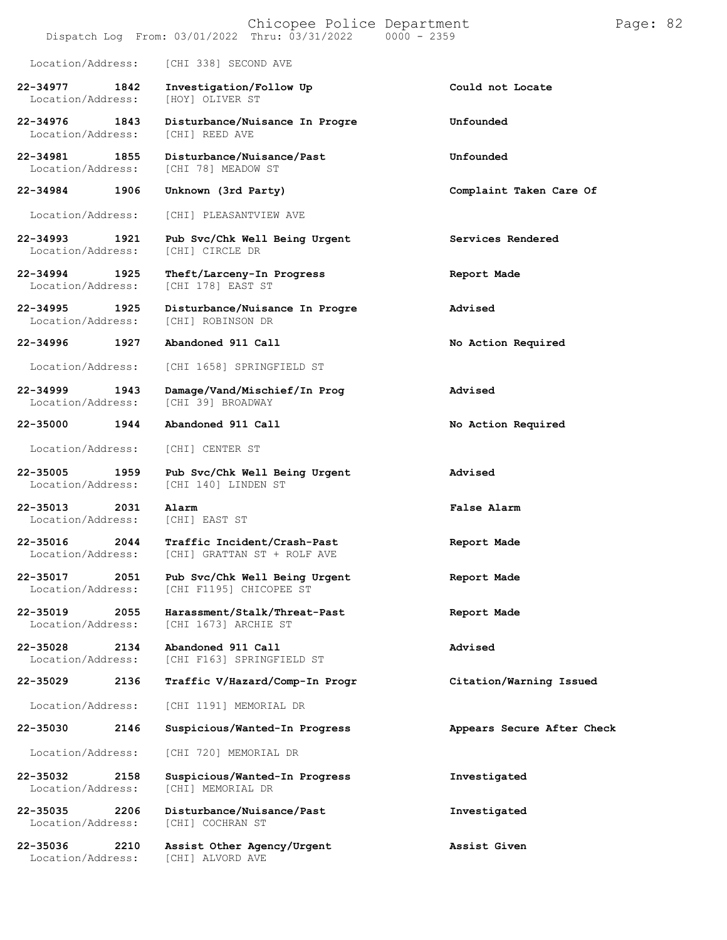Dispatch Log From:  $03/01/2022$  Thru:  $03/31/2022$ 

Location/Address: [CHI 338] SECOND AVE

**22-34977 1842 Investigation/Follow Up Could not Locate** Location/Address:

**22-34976 1843 Disturbance/Nuisance In Progre Unfounded** Location/Address:

- **22-34993 1921 Pub Svc/Chk Well Being Urgent Services Rendered** Location/Address:
- 

Location/Address:

**22-34996 1927 Abandoned 911 Call No Action Required**

Location/Address: [CHI] CENTER ST

**22-35013 2031 Alarm False Alarm** Location/Address:

**22-35030 2146 Suspicious/Wanted-In Progress Appears Secure After Check**

Location/Address:

Location/Address:

**22-34981 1855 Disturbance/Nuisance/Past Unfounded** [CHI 78] MEADOW ST

Location/Address: [CHI] PLEASANTVIEW AVE

- **22-34994 1925 Theft/Larceny-In Progress Report Made** [CHI 178] EAST ST
- **22-34995 1925 Disturbance/Nuisance In Progre Advised**

Location/Address: [CHI 1658] SPRINGFIELD ST

**22-34999 1943 Damage/Vand/Mischief/In Prog Advised** [CHI 39] BROADWAY

**22-35005 1959 Pub Svc/Chk Well Being Urgent Advised** [CHI 140] LINDEN ST

**22-35016 2044 Traffic Incident/Crash-Past Report Made** [CHI] GRATTAN ST + ROLF AVE

**22-35017 2051 Pub Svc/Chk Well Being Urgent Report Made** [CHI F1195] CHICOPEE ST

**22-35019 2055 Harassment/Stalk/Threat-Past Report Made** Location/Address: [CHI 1673] ARCHIE ST

**22-35028 2134 Abandoned 911 Call Advised** [CHI F163] SPRINGFIELD ST

**22-35029 2136 Traffic V/Hazard/Comp-In Progr Citation/Warning Issued**

Location/Address: [CHI 1191] MEMORIAL DR

Location/Address: [CHI 720] MEMORIAL DR

**22-35032 2158 Suspicious/Wanted-In Progress Investigated**

**22-35035 2206 Disturbance/Nuisance/Past Investigated**

**22-35036 2210 Assist Other Agency/Urgent Assist Given** Location/Address: [CHI] ALVORD AVE

**22-34984 1906 Unknown (3rd Party) Complaint Taken Care Of**

**22-35000 1944 Abandoned 911 Call No Action Required**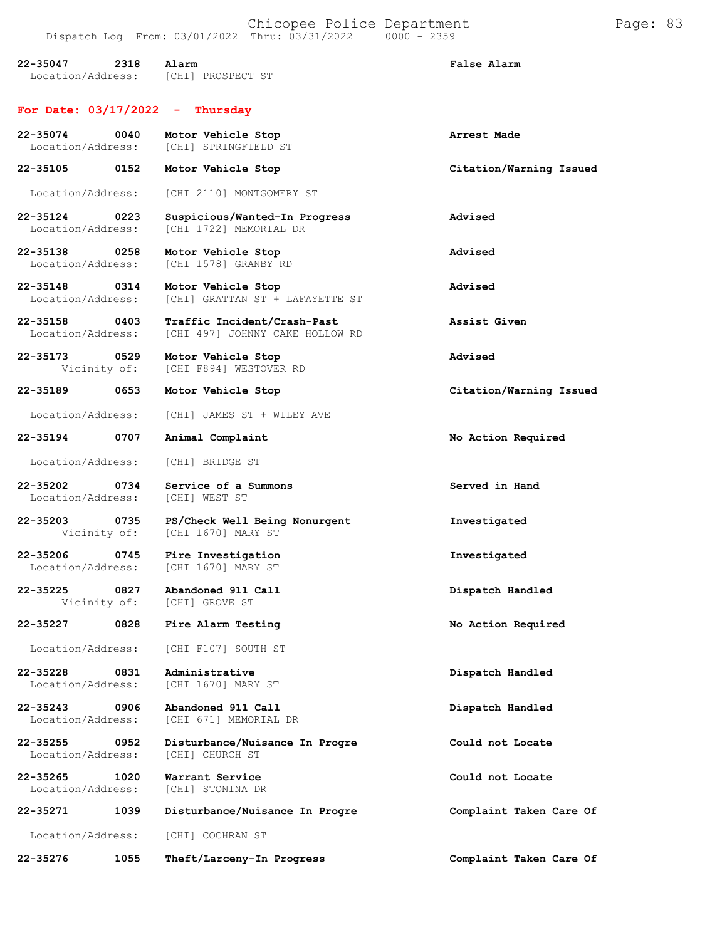| 22-35047<br>2318<br>Location/Address:     | Alarm<br>[CHI] PROSPECT ST                                     | False Alarm             |
|-------------------------------------------|----------------------------------------------------------------|-------------------------|
| For Date: $03/17/2022 -$                  | Thursday                                                       |                         |
| 22-35074<br>0040<br>Location/Address:     | Motor Vehicle Stop<br>[CHI] SPRINGFIELD ST                     | Arrest Made             |
| 0152<br>22-35105                          | Motor Vehicle Stop                                             | Citation/Warning Issued |
| Location/Address:                         | [CHI 2110] MONTGOMERY ST                                       |                         |
| 22-35124<br>0223<br>Location/Address:     | Suspicious/Wanted-In Progress<br>[CHI 1722] MEMORIAL DR        | Advised                 |
| 22-35138<br>0258<br>Location/Address:     | Motor Vehicle Stop<br>[CHI 1578] GRANBY RD                     | Advised                 |
| 22-35148<br>0314<br>Location/Address:     | Motor Vehicle Stop<br>[CHI] GRATTAN ST + LAFAYETTE ST          | Advised                 |
| 22-35158<br>0403<br>Location/Address:     | Traffic Incident/Crash-Past<br>[CHI 497] JOHNNY CAKE HOLLOW RD | Assist Given            |
| 22-35173<br>0529<br>Vicinity of:          | Motor Vehicle Stop<br>ICHI F8941 WESTOVER RD                   | Advised                 |
| 0653<br>22-35189                          | Motor Vehicle Stop                                             | Citation/Warning Issued |
| Location/Address:                         | [CHI] JAMES ST + WILEY AVE                                     |                         |
| 22-35194<br>0707                          | Animal Complaint                                               | No Action Required      |
| Location/Address:                         | [CHI] BRIDGE ST                                                |                         |
| 22-35202<br>0734<br>Location/Address:     | Service of a Summons<br>[CHI] WEST ST                          | Served in Hand          |
| 22-35203<br>0735<br>Vicinity of:          | PS/Check Well Being Nonurgent<br>[CHI 1670] MARY ST            | Investigated            |
| 22-35206<br>0745<br>Location/Address:     | Fire Investigation<br>[CHI 1670] MARY ST                       | Investigated            |
| 0827<br>22-35225<br>Vicinity of:          | Abandoned 911 Call<br>[CHI] GROVE ST                           | Dispatch Handled        |
| 22-35227<br>0828                          | Fire Alarm Testing                                             | No Action Required      |
| Location/Address:                         | [CHI F107] SOUTH ST                                            |                         |
| 22-35228<br>0831<br>Location/Address:     | Administrative<br>[CHI 1670] MARY ST                           | Dispatch Handled        |
| $22 - 35243$<br>0906<br>Location/Address: | Abandoned 911 Call<br>[CHI 671] MEMORIAL DR                    | Dispatch Handled        |
| 22-35255<br>0952<br>Location/Address:     | Disturbance/Nuisance In Progre<br>[CHI] CHURCH ST              | Could not Locate        |
| $22 - 35265$<br>1020<br>Location/Address: | Warrant Service<br>[CHI] STONINA DR                            | Could not Locate        |
| 22-35271<br>1039                          | Disturbance/Nuisance In Progre                                 | Complaint Taken Care Of |
| Location/Address:                         | [CHI] COCHRAN ST                                               |                         |
| 22-35276<br>1055                          | Theft/Larceny-In Progress                                      | Complaint Taken Care Of |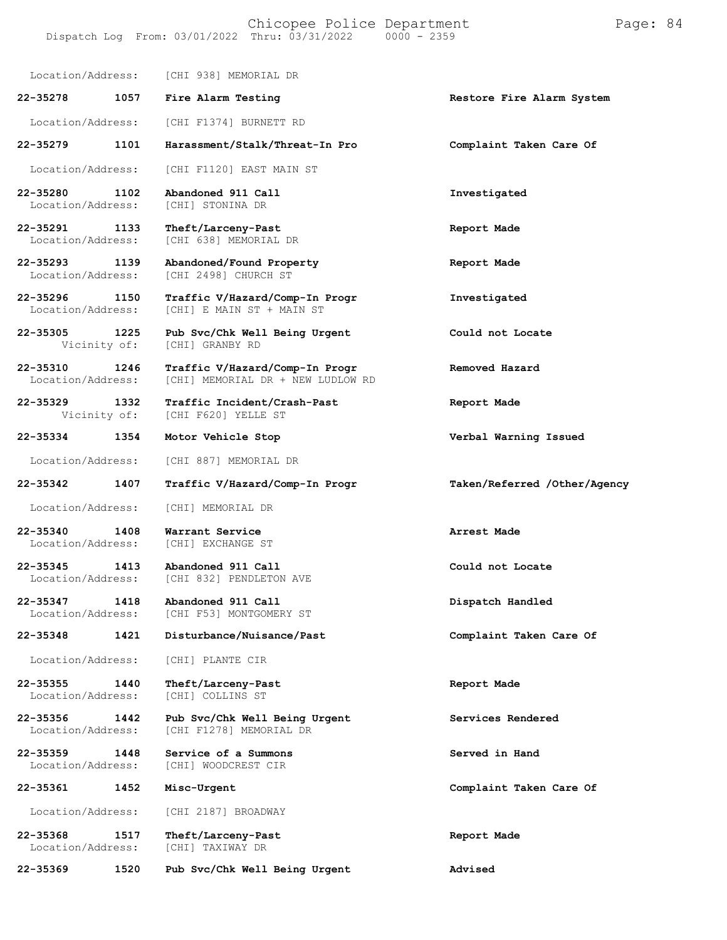Location/Address: [CHI 938] MEMORIAL DR

**22-35278 1057 Fire Alarm Testing Restore Fire Alarm System**

Location/Address: [CHI F1374] BURNETT RD

**22-35279 1101 Harassment/Stalk/Threat-In Pro Complaint Taken Care Of**

Location/Address: [CHI F1120] EAST MAIN ST

**22-35280 1102 Abandoned 911 Call Investigated** [CHI] STONINA DR

**22-35291 1133 Theft/Larceny-Past Report Made**

**22-35293 1139 Abandoned/Found Property Report Made**

**22-35296 1150 Traffic V/Hazard/Comp-In Progr Investigated**

**22-35305 1225 Pub Svc/Chk Well Being Urgent Could not Locate**

**22-35310 1246 Traffic V/Hazard/Comp-In Progr Removed Hazard**

**22-35329 1332 Traffic Incident/Crash-Past Report Made**

Location/Address: [CHI 887] MEMORIAL DR

Location/Address:

[CHI F620] YELLE ST

[CHI 638] MEMORIAL DR

[CHI 2498] CHURCH ST

[CHI] GRANBY RD

Location/Address: [CHI] E MAIN ST + MAIN ST

[CHI] MEMORIAL DR + NEW LUDLOW RD

Location/Address: [CHI] MEMORIAL DR

**22-35340 1408 Warrant Service Arrest Made** Location/Address:

**22-35345 1413 Abandoned 911 Call Could not Locate** [CHI 832] PENDLETON AVE

**22-35347 1418 Abandoned 911 Call Dispatch Handled** [CHI F53] MONTGOMERY ST

**22-35348 1421 Disturbance/Nuisance/Past Complaint Taken Care Of**

Location/Address: [CHI] PLANTE CIR

**22-35355 1440 Theft/Larceny-Past Report Made**

**22-35356 1442 Pub Svc/Chk Well Being Urgent Services Rendered** [CHI F1278] MEMORIAL DR

**22-35359 1448 Service of a Summons Served in Hand** [CHI] WOODCREST CIR

**22-35361 1452 Misc-Urgent Complaint Taken Care Of**

Location/Address: [CHI 2187] BROADWAY

**22-35368 1517 Theft/Larceny-Past Report Made** Location/Address:

**22-35369 1520 Pub Svc/Chk Well Being Urgent Advised**

**22-35334 1354 Motor Vehicle Stop Verbal Warning Issued**

**22-35342 1407 Traffic V/Hazard/Comp-In Progr Taken/Referred /Other/Agency**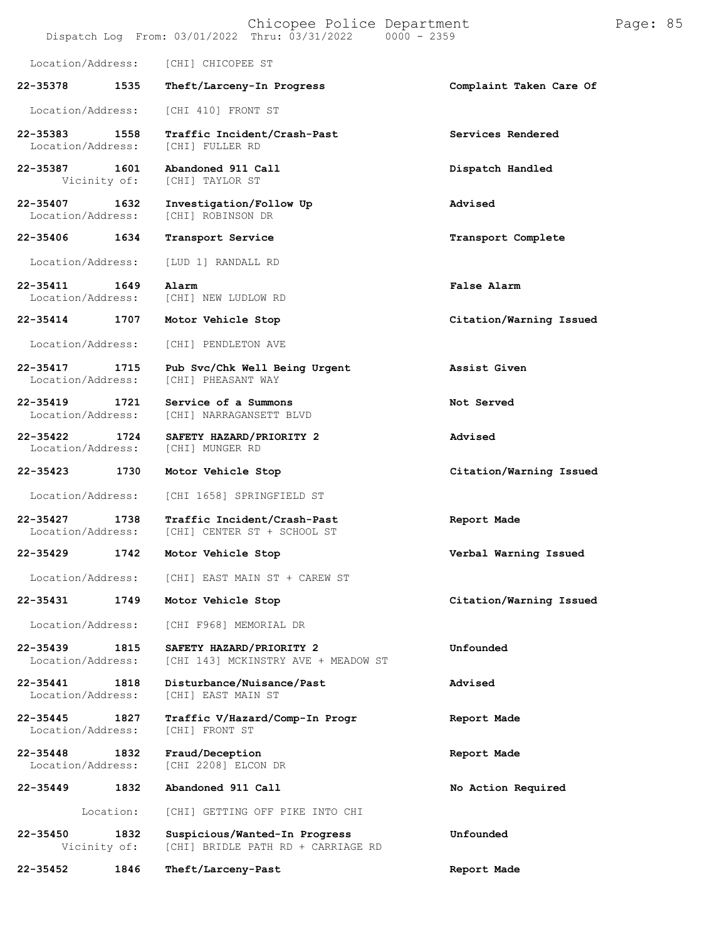|                                   |                      | Chicopee Police Department<br>Dispatch Log From: 03/01/2022 Thru: 03/31/2022<br>$0000 - 2359$ |                         | Page: 85 |  |
|-----------------------------------|----------------------|-----------------------------------------------------------------------------------------------|-------------------------|----------|--|
| Location/Address:                 |                      | [CHI] CHICOPEE ST                                                                             |                         |          |  |
| 22-35378                          | 1535                 | Theft/Larceny-In Progress                                                                     | Complaint Taken Care Of |          |  |
| Location/Address:                 |                      | [CHI 410] FRONT ST                                                                            |                         |          |  |
| 22-35383<br>Location/Address:     | 1558                 | Traffic Incident/Crash-Past<br>[CHI] FULLER RD                                                | Services Rendered       |          |  |
| 22-35387                          | 1601<br>Vicinity of: | Abandoned 911 Call<br>[CHI] TAYLOR ST                                                         | Dispatch Handled        |          |  |
| 22-35407<br>Location/Address:     | 1632                 | Investigation/Follow Up<br>[CHI] ROBINSON DR                                                  | Advised                 |          |  |
| 22-35406                          | 1634                 | Transport Service                                                                             | Transport Complete      |          |  |
| Location/Address:                 |                      | [LUD 1] RANDALL RD                                                                            |                         |          |  |
| $22 - 35411$<br>Location/Address: | 1649                 | Alarm<br>[CHI] NEW LUDLOW RD                                                                  | False Alarm             |          |  |
| 22-35414                          | 1707                 | Motor Vehicle Stop                                                                            | Citation/Warning Issued |          |  |
| Location/Address:                 |                      | [CHI] PENDLETON AVE                                                                           |                         |          |  |
| 22-35417<br>Location/Address:     | 1715                 | Pub Svc/Chk Well Being Urgent<br>[CHI] PHEASANT WAY                                           | Assist Given            |          |  |
| 22-35419<br>Location/Address:     | 1721                 | Service of a Summons<br>[CHI] NARRAGANSETT BLVD                                               | Not Served              |          |  |
| 22-35422<br>Location/Address:     | 1724                 | SAFETY HAZARD/PRIORITY 2<br>[CHI] MUNGER RD                                                   | Advised                 |          |  |
| 22-35423                          | 1730                 | Motor Vehicle Stop                                                                            | Citation/Warning Issued |          |  |
| Location/Address:                 |                      | [CHI 1658] SPRINGFIELD ST                                                                     |                         |          |  |
| 22-35427<br>Location/Address:     | 1738                 | Traffic Incident/Crash-Past<br>[CHI] CENTER ST + SCHOOL ST                                    | Report Made             |          |  |
| 22-35429                          | 1742                 | Motor Vehicle Stop                                                                            | Verbal Warning Issued   |          |  |
| Location/Address:                 |                      | [CHI] EAST MAIN ST + CAREW ST                                                                 |                         |          |  |
| $22 - 35431$                      | 1749                 | Motor Vehicle Stop                                                                            | Citation/Warning Issued |          |  |
| Location/Address:                 |                      | [CHI F968] MEMORIAL DR                                                                        |                         |          |  |
| $22 - 35439$<br>Location/Address: | 1815                 | SAFETY HAZARD/PRIORITY 2<br>[CHI 143] MCKINSTRY AVE + MEADOW ST                               | Unfounded               |          |  |
| 22-35441<br>Location/Address:     | 1818                 | Disturbance/Nuisance/Past<br>[CHI] EAST MAIN ST                                               | Advised                 |          |  |
| $22 - 35445$<br>Location/Address: | 1827                 | Traffic V/Hazard/Comp-In Progr<br>[CHI] FRONT ST                                              | Report Made             |          |  |
| $22 - 35448$<br>Location/Address: | 1832                 | Fraud/Deception<br>[CHI 2208] ELCON DR                                                        | Report Made             |          |  |
| 22-35449                          | 1832                 | Abandoned 911 Call                                                                            | No Action Required      |          |  |
|                                   | Location:            | [CHI] GETTING OFF PIKE INTO CHI                                                               |                         |          |  |
| 22-35450                          | 1832<br>Vicinity of: | Suspicious/Wanted-In Progress<br>[CHI] BRIDLE PATH RD + CARRIAGE RD                           | Unfounded               |          |  |
| 22-35452                          | 1846                 | Theft/Larceny-Past                                                                            | Report Made             |          |  |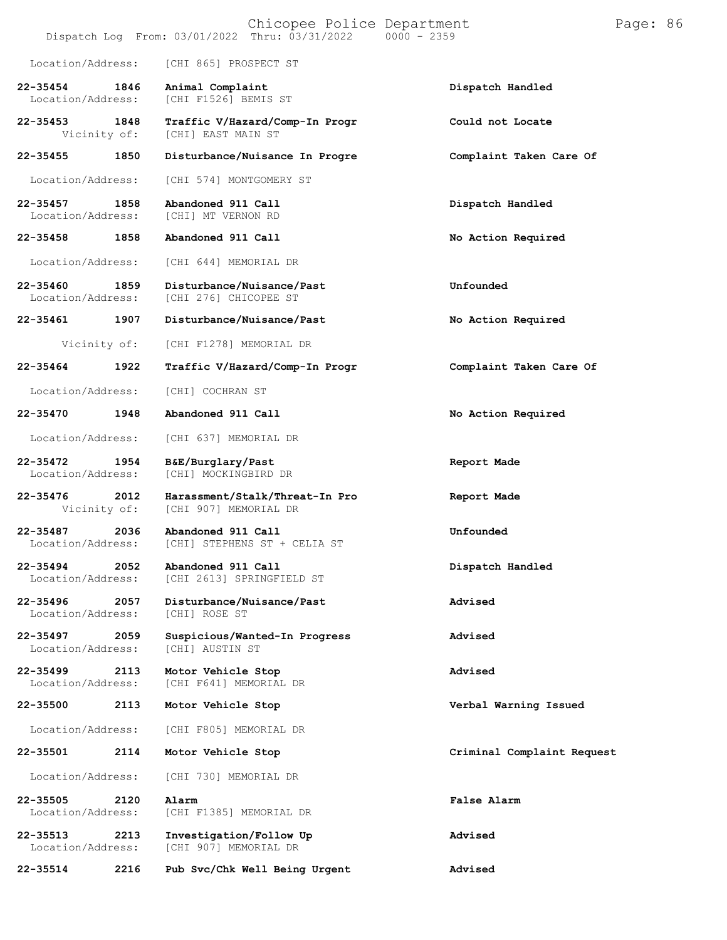|                                   |      | Chicopee Police Department<br>Dispatch Log From: 03/01/2022 Thru: 03/31/2022<br>$0000 - 2359$ |                            | Page: 86 |  |
|-----------------------------------|------|-----------------------------------------------------------------------------------------------|----------------------------|----------|--|
| Location/Address:                 |      | [CHI 865] PROSPECT ST                                                                         |                            |          |  |
| $22 - 35454$<br>Location/Address: | 1846 | Animal Complaint<br>[CHI F1526] BEMIS ST                                                      | Dispatch Handled           |          |  |
| $22 - 35453$<br>Vicinity of:      | 1848 | Traffic V/Hazard/Comp-In Progr<br>[CHI] EAST MAIN ST                                          | Could not Locate           |          |  |
| 22-35455                          | 1850 | Disturbance/Nuisance In Progre                                                                | Complaint Taken Care Of    |          |  |
| Location/Address:                 |      | [CHI 574] MONTGOMERY ST                                                                       |                            |          |  |
| $22 - 35457$<br>Location/Address: | 1858 | Abandoned 911 Call<br>[CHI] MT VERNON RD                                                      | Dispatch Handled           |          |  |
| 22-35458                          | 1858 | Abandoned 911 Call                                                                            | No Action Required         |          |  |
| Location/Address:                 |      | [CHI 644] MEMORIAL DR                                                                         |                            |          |  |
| 22-35460<br>Location/Address:     | 1859 | Disturbance/Nuisance/Past<br>[CHI 276] CHICOPEE ST                                            | Unfounded                  |          |  |
| 22-35461                          | 1907 | Disturbance/Nuisance/Past                                                                     | No Action Required         |          |  |
| Vicinity of:                      |      | [CHI F1278] MEMORIAL DR                                                                       |                            |          |  |
| 22-35464                          | 1922 | Traffic V/Hazard/Comp-In Progr                                                                | Complaint Taken Care Of    |          |  |
| Location/Address:                 |      | [CHI] COCHRAN ST                                                                              |                            |          |  |
| 22-35470                          | 1948 | Abandoned 911 Call                                                                            | No Action Required         |          |  |
| Location/Address:                 |      | [CHI 637] MEMORIAL DR                                                                         |                            |          |  |
| 22-35472<br>Location/Address:     | 1954 | B&E/Burglary/Past<br>[CHI] MOCKINGBIRD DR                                                     | Report Made                |          |  |
| 22-35476<br>Vicinity of:          | 2012 | Harassment/Stalk/Threat-In Pro<br>[CHI 907] MEMORIAL DR                                       | Report Made                |          |  |
| 22-35487<br>Location/Address:     | 2036 | Abandoned 911 Call<br>[CHI] STEPHENS ST + CELIA ST                                            | Unfounded                  |          |  |
| 22-35494<br>Location/Address:     | 2052 | Abandoned 911 Call<br>[CHI 2613] SPRINGFIELD ST                                               | Dispatch Handled           |          |  |
| 22-35496<br>Location/Address:     | 2057 | Disturbance/Nuisance/Past<br>[CHI] ROSE ST                                                    | Advised                    |          |  |
| 22-35497<br>Location/Address:     | 2059 | Suspicious/Wanted-In Progress<br>[CHI] AUSTIN ST                                              | Advised                    |          |  |
| $22 - 35499$<br>Location/Address: | 2113 | Motor Vehicle Stop<br>[CHI F641] MEMORIAL DR                                                  | Advised                    |          |  |
| 22-35500                          | 2113 | Motor Vehicle Stop                                                                            | Verbal Warning Issued      |          |  |
| Location/Address:                 |      | [CHI F805] MEMORIAL DR                                                                        |                            |          |  |
| 22-35501                          | 2114 | Motor Vehicle Stop                                                                            | Criminal Complaint Request |          |  |
| Location/Address:                 |      | [CHI 730] MEMORIAL DR                                                                         |                            |          |  |
| 22-35505<br>Location/Address:     | 2120 | Alarm<br>[CHI F1385] MEMORIAL DR                                                              | False Alarm                |          |  |
| 22-35513<br>Location/Address:     | 2213 | Investigation/Follow Up<br>[CHI 907] MEMORIAL DR                                              | Advised                    |          |  |
| 22-35514                          | 2216 | Pub Svc/Chk Well Being Urgent                                                                 | Advised                    |          |  |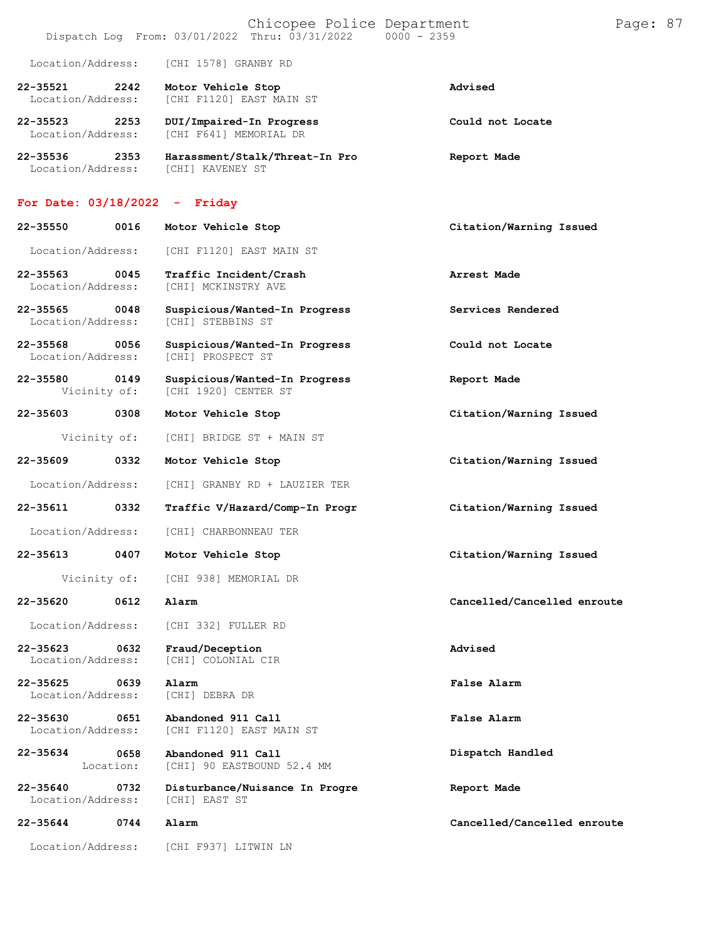|                                   |                   | Chicopee Police Department<br>Dispatch Log From: 03/01/2022 Thru: 03/31/2022<br>$0000 - 2359$ |                             | Page: 87 |  |
|-----------------------------------|-------------------|-----------------------------------------------------------------------------------------------|-----------------------------|----------|--|
| Location/Address:                 |                   | [CHI 1578] GRANBY RD                                                                          |                             |          |  |
| 22-35521<br>Location/Address:     | 2242              | Motor Vehicle Stop<br>[CHI F1120] EAST MAIN ST                                                | Advised                     |          |  |
| 22-35523<br>Location/Address:     | 2253              | DUI/Impaired-In Progress<br>[CHI F641] MEMORIAL DR                                            | Could not Locate            |          |  |
| 22-35536<br>Location/Address:     | 2353              | Harassment/Stalk/Threat-In Pro<br>[CHI] KAVENEY ST                                            | Report Made                 |          |  |
| For Date: $03/18/2022 -$ Friday   |                   |                                                                                               |                             |          |  |
| 22-35550                          | 0016              | Motor Vehicle Stop                                                                            | Citation/Warning Issued     |          |  |
| Location/Address:                 |                   | [CHI F1120] EAST MAIN ST                                                                      |                             |          |  |
| $22 - 35563$<br>Location/Address: | 0045              | Traffic Incident/Crash<br>[CHI] MCKINSTRY AVE                                                 | Arrest Made                 |          |  |
| 22-35565<br>Location/Address:     | 0048              | Suspicious/Wanted-In Progress<br>[CHI] STEBBINS ST                                            | Services Rendered           |          |  |
| 22-35568<br>Location/Address:     | 0056              | Suspicious/Wanted-In Progress<br>[CHI] PROSPECT ST                                            | Could not Locate            |          |  |
| 22-35580<br>Vicinity of:          | 0149              | Suspicious/Wanted-In Progress<br>[CHI 1920] CENTER ST                                         | Report Made                 |          |  |
| 22-35603                          | 0308              | Motor Vehicle Stop                                                                            | Citation/Warning Issued     |          |  |
| Vicinity of:                      |                   | [CHI] BRIDGE ST + MAIN ST                                                                     |                             |          |  |
| 22-35609                          | 0332              | Motor Vehicle Stop                                                                            | Citation/Warning Issued     |          |  |
| Location/Address:                 |                   | [CHI] GRANBY RD + LAUZIER TER                                                                 |                             |          |  |
| 22-35611                          | 0332              | Traffic V/Hazard/Comp-In Progr                                                                | Citation/Warning Issued     |          |  |
| Location/Address:                 |                   | [CHI] CHARBONNEAU TER                                                                         |                             |          |  |
| $22 - 35613$                      | 0407              | Motor Vehicle Stop                                                                            | Citation/Warning Issued     |          |  |
| Vicinity of:                      |                   | [CHI 938] MEMORIAL DR                                                                         |                             |          |  |
| 22-35620                          | 0612              | Alarm                                                                                         | Cancelled/Cancelled enroute |          |  |
| Location/Address:                 |                   | [CHI 332] FULLER RD                                                                           |                             |          |  |
| 22-35623<br>Location/Address:     | 0632              | Fraud/Deception<br>[CHI] COLONIAL CIR                                                         | Advised                     |          |  |
| 22-35625<br>Location/Address:     | 0639              | Alarm<br>[CHI] DEBRA DR                                                                       | False Alarm                 |          |  |
| 22-35630<br>Location/Address:     | 0651              | Abandoned 911 Call<br>[CHI F1120] EAST MAIN ST                                                | False Alarm                 |          |  |
| 22-35634                          | 0658<br>Location: | Abandoned 911 Call<br>[CHI] 90 EASTBOUND 52.4 MM                                              | Dispatch Handled            |          |  |
| 22-35640<br>Location/Address:     | 0732              | Disturbance/Nuisance In Progre<br>[CHI] EAST ST                                               | Report Made                 |          |  |
| 22-35644                          | 0744              | Alarm                                                                                         | Cancelled/Cancelled enroute |          |  |
| Location/Address:                 |                   | [CHI F937] LITWIN LN                                                                          |                             |          |  |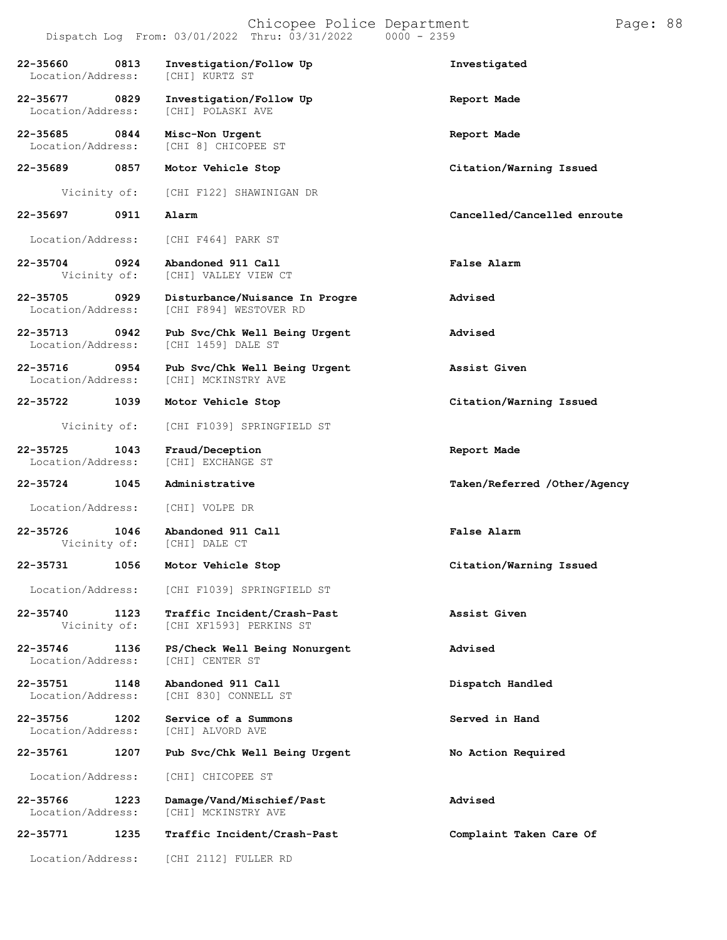|                                   |      | Dispatch Log From: 03/01/2022 Thru: 03/31/2022<br>$0000 - 2359$ |                              |
|-----------------------------------|------|-----------------------------------------------------------------|------------------------------|
| 22-35660<br>Location/Address:     | 0813 | Investigation/Follow Up<br>[CHI] KURTZ ST                       | Investigated                 |
| $22 - 35677$<br>Location/Address: | 0829 | Investigation/Follow Up<br>[CHI] POLASKI AVE                    | Report Made                  |
| 22-35685<br>Location/Address:     | 0844 | Misc-Non Urgent<br>[CHI 8] CHICOPEE ST                          | Report Made                  |
| 22-35689 0857                     |      | Motor Vehicle Stop                                              | Citation/Warning Issued      |
| Vicinity of:                      |      | [CHI F122] SHAWINIGAN DR                                        |                              |
| 22-35697                          | 0911 | Alarm                                                           | Cancelled/Cancelled enroute  |
| Location/Address:                 |      | [CHI F464] PARK ST                                              |                              |
| 22-35704<br>Vicinity of:          | 0924 | Abandoned 911 Call<br>[CHI] VALLEY VIEW CT                      | <b>False Alarm</b>           |
| 22-35705<br>Location/Address:     | 0929 | Disturbance/Nuisance In Progre<br>[CHI F894] WESTOVER RD        | Advised                      |
| 22-35713<br>Location/Address:     | 0942 | Pub Svc/Chk Well Being Urgent<br>[CHI 1459] DALE ST             | Advised                      |
| 22-35716<br>Location/Address:     | 0954 | Pub Svc/Chk Well Being Urgent<br>[CHI] MCKINSTRY AVE            | Assist Given                 |
| 22-35722                          | 1039 | Motor Vehicle Stop                                              | Citation/Warning Issued      |
| Vicinity of:                      |      | [CHI F1039] SPRINGFIELD ST                                      |                              |
| 22-35725<br>Location/Address:     | 1043 | Fraud/Deception<br>[CHI] EXCHANGE ST                            | Report Made                  |
| 22-35724                          | 1045 | Administrative                                                  | Taken/Referred /Other/Agency |
| Location/Address:                 |      | [CHI] VOLPE DR                                                  |                              |
| 22-35726                          | 1046 | Abandoned 911 Call<br>Vicinity of: [CHI] DALE CT                | False Alarm                  |
| 22-35731                          | 1056 | Motor Vehicle Stop                                              | Citation/Warning Issued      |
|                                   |      | Location/Address: [CHI F1039] SPRINGFIELD ST                    |                              |
| 22-35740<br>Vicinity of:          | 1123 | Traffic Incident/Crash-Past<br>[CHI XF1593] PERKINS ST          | Assist Given                 |
| 22-35746<br>Location/Address:     | 1136 | PS/Check Well Being Nonurgent<br>[CHI] CENTER ST                | Advised                      |
| 22-35751<br>Location/Address:     | 1148 | Abandoned 911 Call<br>[CHI 830] CONNELL ST                      | Dispatch Handled             |
| 22-35756<br>Location/Address:     | 1202 | Service of a Summons<br>[CHI] ALVORD AVE                        | Served in Hand               |
| 22-35761                          | 1207 | Pub Svc/Chk Well Being Urgent                                   | No Action Required           |
| Location/Address:                 |      | [CHI] CHICOPEE ST                                               |                              |
| 22-35766<br>Location/Address:     | 1223 | Damage/Vand/Mischief/Past<br>[CHI] MCKINSTRY AVE                | Advised                      |
| 22-35771                          | 1235 | Traffic Incident/Crash-Past                                     | Complaint Taken Care Of      |

Location/Address: [CHI 2112] FULLER RD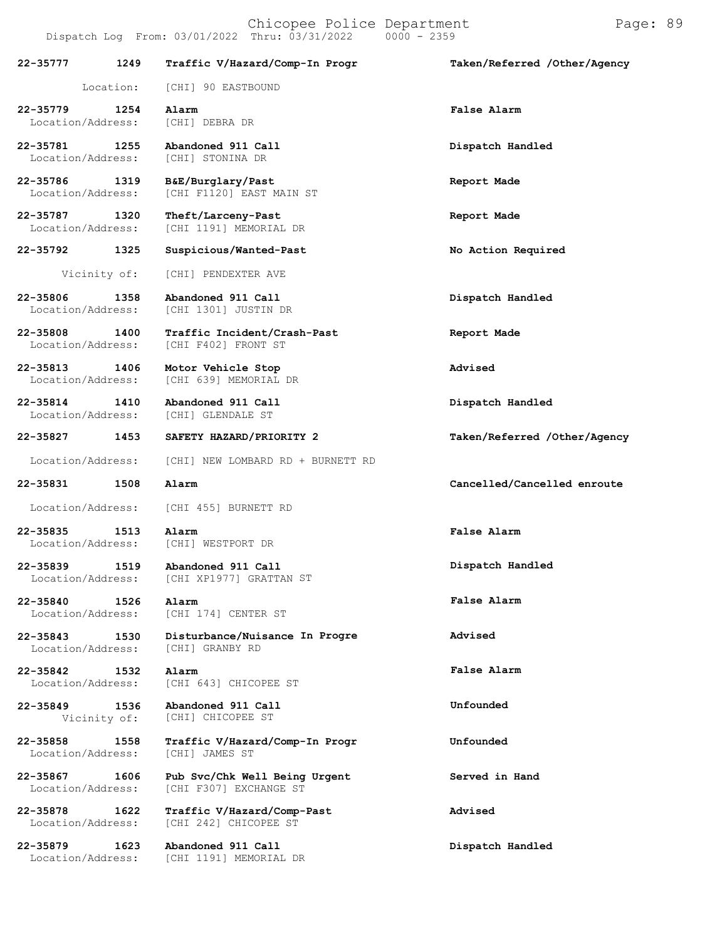**22-35777 1249** Location: **Traffic V/Hazard/Comp-In** [CHI] 90 EASTBOUND **Progr Taken/Referred /Other/Agency 22-35779 1254 Alarm False Alarm** Location/Address: **22-35781 1255 Abandoned 911 Call Dispatch Handled** Location/Address: **22-35786 1319 B&E/Burglary/Past Report Made** [CHI F1120] EAST MAIN ST **22-35787 1320 Theft/Larceny-Past Report Made** [CHI 1191] MEMORIAL DR **22-35792 1325 Suspicious/Wanted-Past No Action Required** Vicinity of: [CHI] PENDEXTER AVE **22-35806 1358 Abandoned 911 Call Dispatch Handled** [CHI 1301] JUSTIN DR **22-35808 1400 Traffic Incident/Crash-Past Report Made** [CHI F402] FRONT ST **22-35813 1406 Motor Vehicle Stop Advised** [CHI 639] MEMORIAL DR **22-35814 1410 Abandoned 911 Call Dispatch Handled** Location/Address: **22-35827 1453 SAFETY HAZARD/PRIORITY 2 Taken/Referred /Other/Agency** Location/Address: [CHI] NEW LOMBARD RD + BURNETT RD **22-35831 1508 Alarm Cancelled/Cancelled enroute** Location/Address: [CHI 455] BURNETT RD **22-35835 1513 Alarm False Alarm** Location/Address: **22-35839 1519** Location/Address: [CHI] WESTPORT DR **Abandoned 911 Call** [CHI XP1977] GRATTAN ST **Dispatch Handled**

**22-35840 1526** Location/Address: **Alarm** [CHI 174] CENTER ST

**22-35843 1530**

Location/Address: **22-35842 1532**

**22-35849 1536** Vicinity of:

Location/Address:

**Disturbance/Nuisance In Progre Advised** [CHI] GRANBY RD

Location/Address: [CHI 643] CHICOPEE ST **Alarm**

> **Abandoned 911 Call** [CHI] CHICOPEE ST

**22-35858 1558 Traffic V/Hazard/Comp-In Progr Unfounded**

**22-35867 1606 Pub Svc/Chk Well Being Urgent Served in Hand** Location/Address: [CHI F307] EXCHANGE ST

**22-35878 1622 Traffic V/Hazard/Comp-Past Advised** [CHI 242] CHICOPEE ST

**22-35879 1623 Abandoned 911 Call Dispatch Handled** Location/Address: [CHI 1191] MEMORIAL DR

**False Alarm**

**False Alarm**

**Unfounded**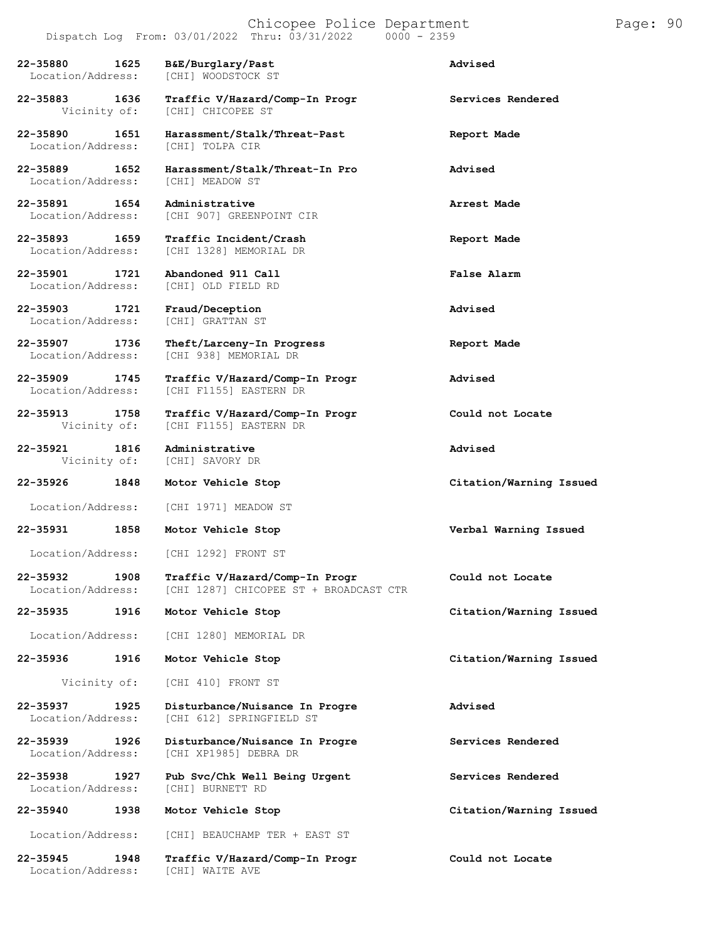|                                                    | Dispatch Log From: $03/01/2022$ Thru: $03/31/2022$ 0000 - 2359           |                         |
|----------------------------------------------------|--------------------------------------------------------------------------|-------------------------|
| 22-35880<br>1625<br>Location/Address:              | B&E/Burglary/Past<br>[CHI] WOODSTOCK ST                                  | Advised                 |
| 22-35883 1636                                      | Traffic V/Hazard/Comp-In Progr<br>Vicinity of: [CHI] CHICOPEE ST         | Services Rendered       |
| 22-35890<br>1651<br>Location/Address:              | Harassment/Stalk/Threat-Past<br>[CHI] TOLPA CIR                          | Report Made             |
| 22-35889 1652<br>Location/Address: [CHI] MEADOW ST | Harassment/Stalk/Threat-In Pro                                           | Advised                 |
| 22-35891 1654                                      | Administrative<br>Location/Address: [CHI 907] GREENPOINT CIR             | Arrest Made             |
| 22-35893 1659                                      | Traffic Incident/Crash<br>Location/Address: [CHI 1328] MEMORIAL DR       | Report Made             |
| 1721<br>22-35901                                   | Abandoned 911 Call<br>Location/Address: [CHI] OLD FIELD RD               | <b>False Alarm</b>      |
| 22-35903 1721<br>Location/Address:                 | Fraud/Deception<br>[CHI] GRATTAN ST                                      | Advised                 |
| 22-35907 1736<br>Location/Address:                 | Theft/Larceny-In Progress<br>[CHI 938] MEMORIAL DR                       | Report Made             |
| 22-35909 1745<br>Location/Address:                 | Traffic V/Hazard/Comp-In Progr<br>[CHI F1155] EASTERN DR                 | Advised                 |
| 22-35913<br>1758                                   | Traffic V/Hazard/Comp-In Progr<br>Vicinity of: [CHI F1155] EASTERN DR    | Could not Locate        |
| 22-35921                                           | 1816 Administrative<br>Vicinity of: [CHI] SAVORY DR                      | Advised                 |
| 22-35926<br>1848                                   | Motor Vehicle Stop                                                       | Citation/Warning Issued |
|                                                    | Location/Address: [CHI 1971] MEADOW ST                                   |                         |
| 22-35931<br>1858                                   | Motor Vehicle Stop                                                       | Verbal Warning Issued   |
|                                                    | Location/Address: [CHI 1292] FRONT ST                                    |                         |
| 22-35932<br>1908<br>Location/Address:              | Traffic V/Hazard/Comp-In Progr<br>[CHI 1287] CHICOPEE ST + BROADCAST CTR | Could not Locate        |
| 22-35935<br>1916                                   | Motor Vehicle Stop                                                       | Citation/Warning Issued |
| Location/Address:                                  | [CHI 1280] MEMORIAL DR                                                   |                         |
| 22-35936<br>1916                                   | Motor Vehicle Stop                                                       | Citation/Warning Issued |
| Vicinity of:                                       | [CHI 410] FRONT ST                                                       |                         |
| 22-35937<br>1925<br>Location/Address:              | Disturbance/Nuisance In Progre<br>[CHI 612] SPRINGFIELD ST               | Advised                 |
| 22-35939<br>1926<br>Location/Address:              | Disturbance/Nuisance In Progre<br>[CHI XP1985] DEBRA DR                  | Services Rendered       |
| 22-35938<br>1927<br>Location/Address:              | Pub Svc/Chk Well Being Urgent<br>[CHI] BURNETT RD                        | Services Rendered       |
| 22-35940<br>1938                                   | Motor Vehicle Stop                                                       | Citation/Warning Issued |
| Location/Address:                                  | [CHI] BEAUCHAMP TER + EAST ST                                            |                         |
| 22-35945<br>1948<br>Location/Address:              | Traffic V/Hazard/Comp-In Progr<br>[CHI] WAITE AVE                        | Could not Locate        |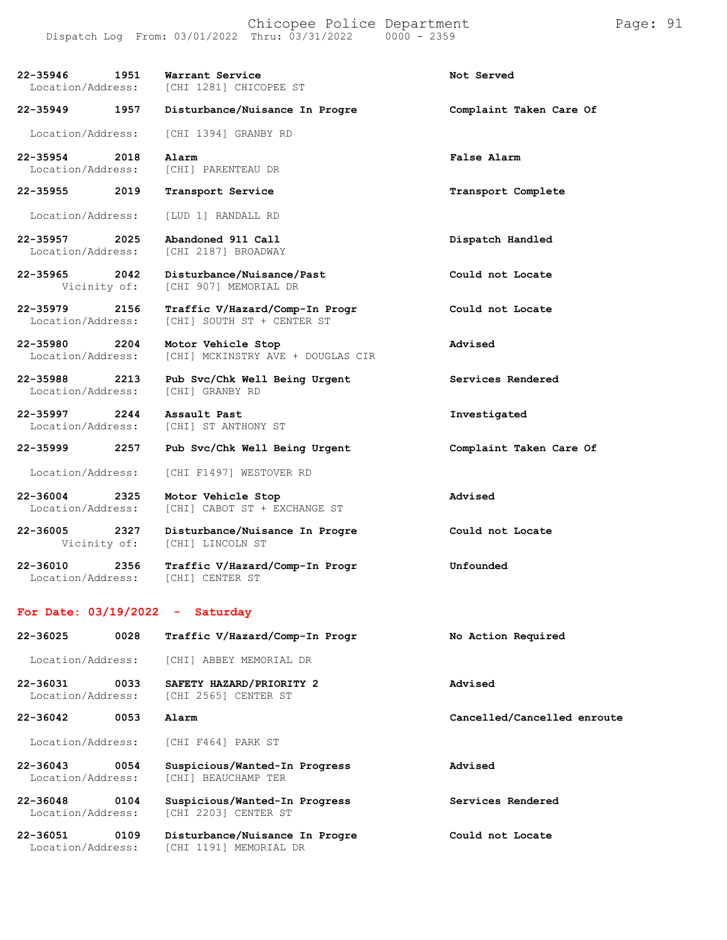| 22-35946<br>Location/Address: | 1951 | Warrant Service<br>[CHI 1281] CHICOPEE ST                    | Not Served                  |
|-------------------------------|------|--------------------------------------------------------------|-----------------------------|
| $22 - 35949$                  | 1957 | Disturbance/Nuisance In Progre                               | Complaint Taken Care Of     |
| Location/Address:             |      | [CHI 1394] GRANBY RD                                         |                             |
| 22-35954<br>Location/Address: | 2018 | Alarm<br>[CHI] PARENTEAU DR                                  | False Alarm                 |
| 22-35955                      | 2019 | Transport Service                                            | Transport Complete          |
| Location/Address:             |      | [LUD 1] RANDALL RD                                           |                             |
| 22-35957<br>Location/Address: | 2025 | Abandoned 911 Call<br>[CHI 2187] BROADWAY                    | Dispatch Handled            |
| 22-35965<br>Vicinity of:      | 2042 | Disturbance/Nuisance/Past<br>[CHI 907] MEMORIAL DR           | Could not Locate            |
| 22-35979<br>Location/Address: | 2156 | Traffic V/Hazard/Comp-In Progr<br>[CHI] SOUTH ST + CENTER ST | Could not Locate            |
| 22-35980<br>Location/Address: | 2204 | Motor Vehicle Stop<br>[CHI] MCKINSTRY AVE + DOUGLAS CIR      | Advised                     |
| 22-35988<br>Location/Address: | 2213 | Pub Svc/Chk Well Being Urgent<br>[CHI] GRANBY RD             | Services Rendered           |
| 22-35997<br>Location/Address: | 2244 | Assault Past<br>[CHI] ST ANTHONY ST                          | Investigated                |
| 22-35999                      | 2257 | Pub Svc/Chk Well Being Urgent                                | Complaint Taken Care Of     |
| Location/Address:             |      | [CHI F1497] WESTOVER RD                                      |                             |
| 22-36004<br>Location/Address: | 2325 | Motor Vehicle Stop<br>[CHI] CABOT ST + EXCHANGE ST           | Advised                     |
| 22-36005<br>Vicinity of:      | 2327 | Disturbance/Nuisance In Progre<br>[CHI] LINCOLN ST           | Could not Locate            |
| 22-36010<br>Location/Address: | 2356 | Traffic V/Hazard/Comp-In Progr<br>[CHI] CENTER ST            | Unfounded                   |
|                               |      | For Date: $03/19/2022 - Saturday$                            |                             |
| 22-36025                      | 0028 | Traffic V/Hazard/Comp-In Progr                               | No Action Required          |
| Location/Address:             |      | [CHI] ABBEY MEMORIAL DR                                      |                             |
| 22-36031<br>Location/Address: | 0033 | SAFETY HAZARD/PRIORITY 2<br>[CHI 2565] CENTER ST             | Advised                     |
| 22-36042                      | 0053 | Alarm                                                        | Cancelled/Cancelled enroute |
| Location/Address:             |      | [CHI F464] PARK ST                                           |                             |
| 22-36043                      | 0054 | Suspicious/Wanted-In Progress                                | Advised                     |

**22-36048 0104 Suspicious/Wanted-In Progress Services Rendered** Location/Address: [CHI 2203] CENTER ST

**22-36051 0109 Disturbance/Nuisance In Progre Could not Locate** Location/Address: [CHI 1191] MEMORIAL DR

Location/Address: [CHI] BEAUCHAMP TER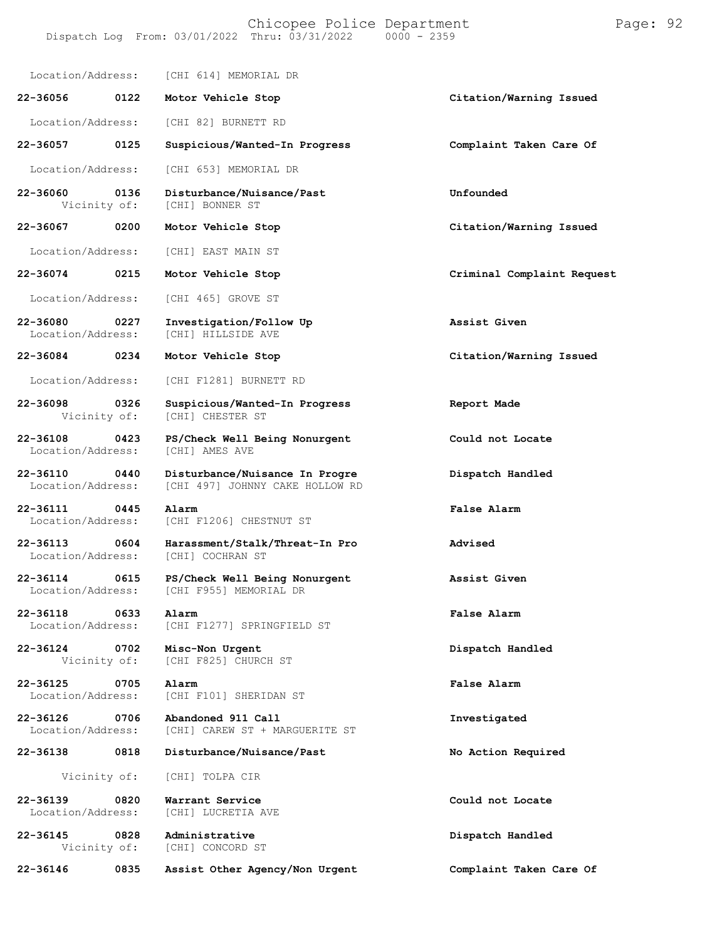#### Chicopee Police Department Page: 92 Dispatch Log From:  $03/01/2022$  Thru:  $03/31/2022$

Location/Address: [CHI 614] MEMORIAL DR **22-36056 0122 Motor Vehicle Stop Citation/Warning Issued** Location/Address: [CHI 82] BURNETT RD **22-36057 0125 Suspicious/Wanted-In Progress Complaint Taken Care Of** Location/Address: [CHI 653] MEMORIAL DR **22-36060 0136 Disturbance/Nuisance/Past Unfounded** Vicinity of: **22-36067 0200 Motor Vehicle Stop Citation/Warning Issued** Location/Address: [CHI] EAST MAIN ST **22-36074 0215 Motor Vehicle Stop Criminal Complaint Request** Location/Address: [CHI 465] GROVE ST **22-36080 0227 Investigation/Follow Up Assist Given** [CHI] HILLSIDE AVE **22-36084 0234 Motor Vehicle Stop Citation/Warning Issued** Location/Address: [CHI F1281] BURNETT RD **22-36098 0326 Suspicious/Wanted-In Progress Report Made** [CHI] CHESTER ST **22-36108 0423 PS/Check Well Being Nonurgent Could not Locate** Location/Address: **22-36110 0440 Disturbance/Nuisance In Progre Dispatch Handled** [CHI 497] JOHNNY CAKE HOLLOW RD **22-36111 0445 Alarm False Alarm** Location/Address: [CHI F1206] CHESTNUT ST **22-36113 0604 Harassment/Stalk/Threat-In Pro Advised** [CHI] COCHRAN ST **22-36114 0615 PS/Check Well Being Nonurgent Assist Given** [CHI F955] MEMORIAL DR **22-36118 0633 Alarm False Alarm** [CHI F1277] SPRINGFIELD ST **22-36124 0702 Misc-Non Urgent Dispatch Handled** [CHI F825] CHURCH ST **22-36125 0705 Alarm False Alarm** Location/Address: [CHI F101] SHERIDAN ST **22-36126 0706 Abandoned 911 Call Investigated** [CHI] CAREW ST + MARGUERITE ST **22-36138 0818 Disturbance/Nuisance/Past No Action Required** Vicinity of: [CHI] TOLPA CIR **22-36139 0820 Warrant Service Could not Locate** [CHI] LUCRETIA AVE **22-36145 0828 Administrative Dispatch Handled** [CHI] CONCORD ST **22-36146 0835 Assist Other Agency/Non Urgent Complaint Taken Care Of**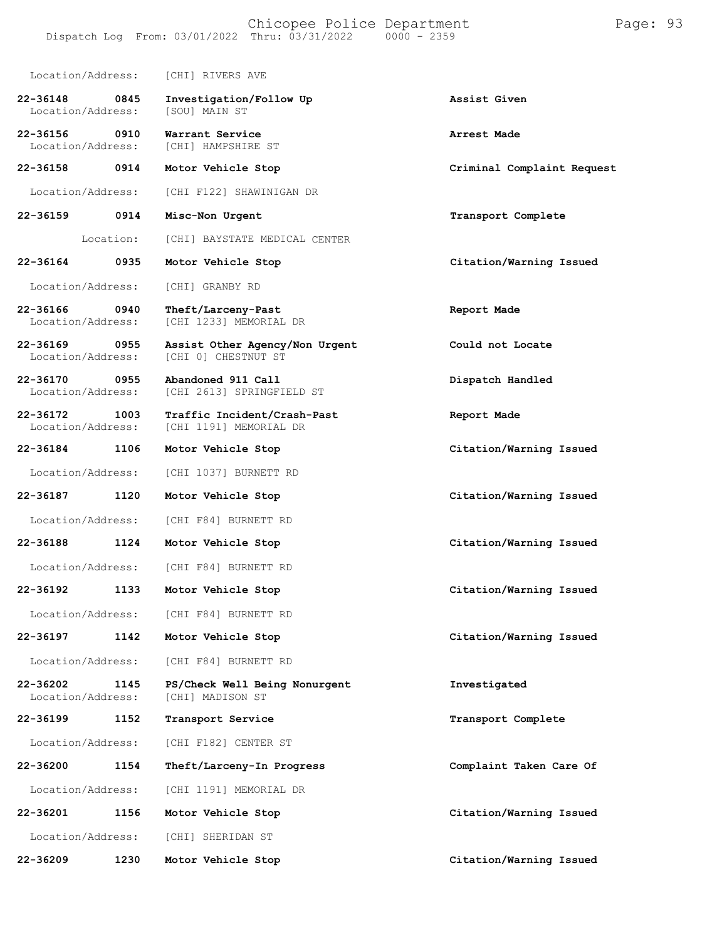Location/Address: [CHI] RIVERS AVE **22-36148 0845 Investigation/Follow Up Assist Given** Location/Address: **22-36156 0910 Warrant Service Arrest Made** Location/Address: [CHI] HAMPSHIRE ST **22-36158 0914 Motor Vehicle Stop Criminal Complaint Request** Location/Address: [CHI F122] SHAWINIGAN DR **22-36159 0914** Location: **Misc-Non Urgent** [CHI] BAYSTATE MEDICAL CENTER **Transport Complete 22-36164 0935 Motor Vehicle Stop Citation/Warning Issued** Location/Address: [CHI] GRANBY RD **22-36166 0940 Theft/Larceny-Past Report Made** [CHI 1233] MEMORIAL DR **22-36169 0955 Assist Other Agency/Non Urgent Could not Locate** [CHI 0] CHESTNUT ST **22-36170 0955 Abandoned 911 Call Dispatch Handled** [CHI 2613] SPRINGFIELD ST **22-36172 1003 Traffic Incident/Crash-Past Report Made** [CHI 1191] MEMORIAL DR **22-36184 1106 Motor Vehicle Stop Citation/Warning Issued** Location/Address: [CHI 1037] BURNETT RD **22-36187 1120 Motor Vehicle Stop Citation/Warning Issued** Location/Address: [CHI F84] BURNETT RD **22-36188 1124 Motor Vehicle Stop Citation/Warning Issued** Location/Address: [CHI F84] BURNETT RD **22-36192 1133 Motor Vehicle Stop Citation/Warning Issued** Location/Address: [CHI F84] BURNETT RD **22-36197 1142 Motor Vehicle Stop Citation/Warning Issued** Location/Address: [CHI F84] BURNETT RD **22-36202 1145 PS/Check Well Being Nonurgent Investigated** [CHI] MADISON ST **22-36199 1152 Transport Service Transport Complete** Location/Address: [CHI F182] CENTER ST **22-36200 1154 Theft/Larceny-In Progress Complaint Taken Care Of** Location/Address: [CHI 1191] MEMORIAL DR **22-36201 1156 Motor Vehicle Stop Citation/Warning Issued** Location/Address: [CHI] SHERIDAN ST **22-36209 1230 Motor Vehicle Stop Citation/Warning Issued**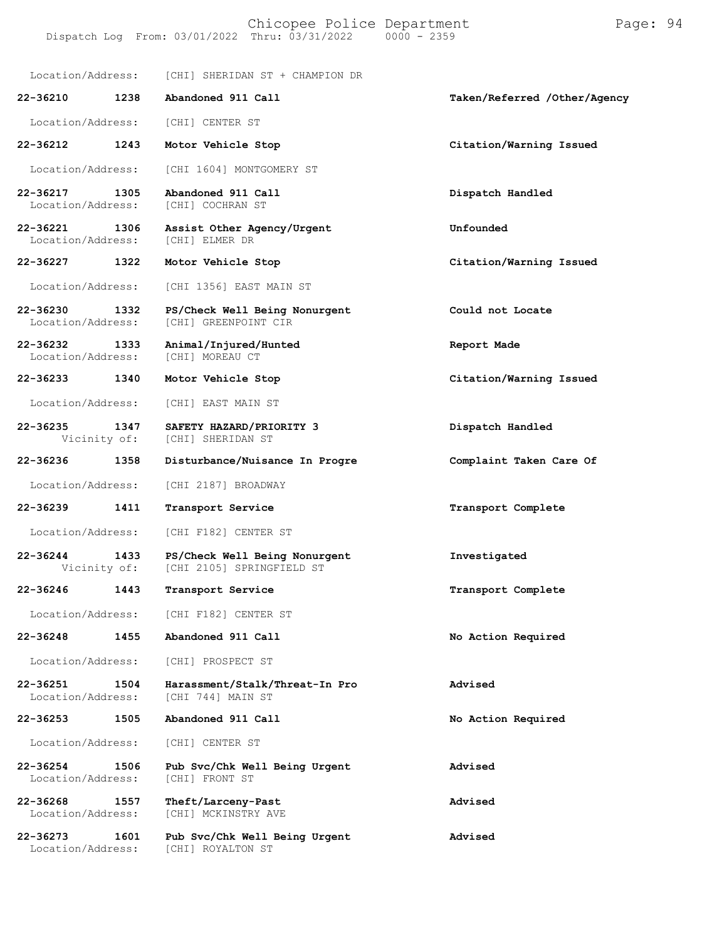#### Chicopee Police Department Page: 94 Dispatch Log From: 03/01/2022 Thru: 03/31/2022

Location/Address: [CHI] SHERIDAN ST + CHAMPION DR **22-36210 1238 Abandoned 911 Call Taken/Referred /Other/Agency** Location/Address: [CHI] CENTER ST **22-36212 1243 Motor Vehicle Stop Citation/Warning Issued** Location/Address: [CHI 1604] MONTGOMERY ST **22-36217 1305 Abandoned 911 Call Dispatch Handled** [CHI] COCHRAN ST **22-36221 1306 Assist Other Agency/Urgent Unfounded** Location/Address: **22-36227 1322 Motor Vehicle Stop Citation/Warning Issued** Location/Address: [CHI 1356] EAST MAIN ST **22-36230 1332 PS/Check Well Being Nonurgent Could not Locate** [CHI] GREENPOINT CIR **22-36232 1333 Animal/Injured/Hunted Report Made** Location/Address: **22-36233 1340 Motor Vehicle Stop Citation/Warning Issued** Location/Address: [CHI] EAST MAIN ST **22-36235 1347 SAFETY HAZARD/PRIORITY 3 Dispatch Handled** [CHI] SHERIDAN ST **22-36236 1358 Disturbance/Nuisance In Progre Complaint Taken Care Of** Location/Address: [CHI 2187] BROADWAY **22-36239 1411 Transport Service Transport Complete** Location/Address: [CHI F182] CENTER ST **22-36244 1433 PS/Check Well Being Nonurgent Investigated** [CHI 2105] SPRINGFIELD ST **22-36246 1443 Transport Service Transport Complete** Location/Address: [CHI F182] CENTER ST **22-36248 1455 Abandoned 911 Call No Action Required** Location/Address: [CHI] PROSPECT ST **22-36251 1504 Harassment/Stalk/Threat-In Pro Advised** [CHI 744] MAIN ST **22-36253 1505 Abandoned 911 Call No Action Required** Location/Address: [CHI] CENTER ST **22-36254 1506 Pub Svc/Chk Well Being Urgent Advised** Location/Address: **22-36268 1557 Theft/Larceny-Past Advised** [CHI] MCKINSTRY AVE **22-36273 1601 Pub Svc/Chk Well Being Urgent Advised** [CHI] ROYALTON ST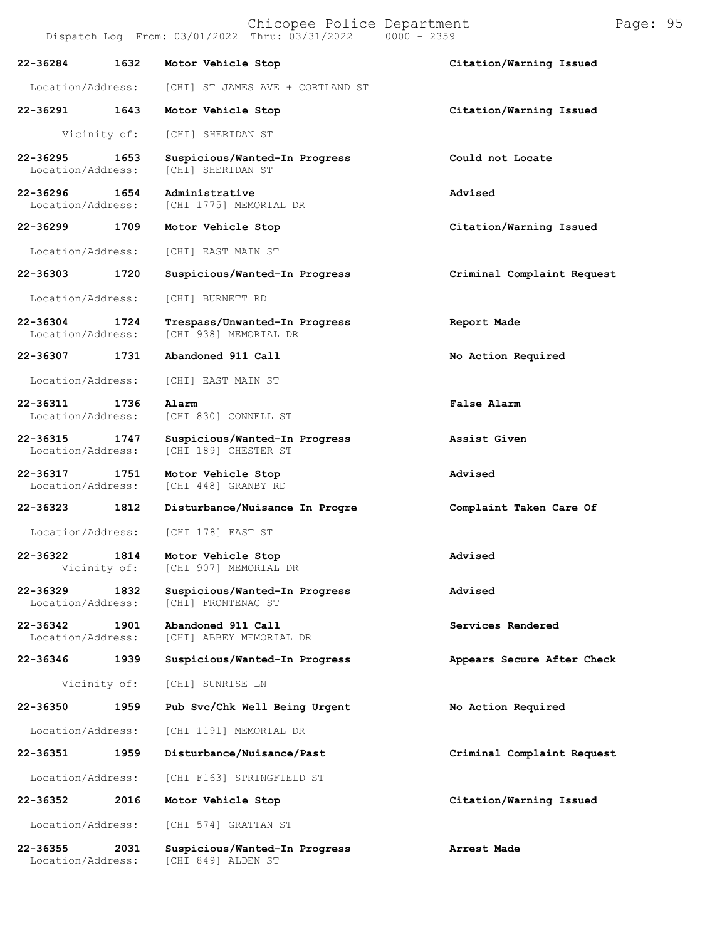|                               |                      | Dispatch Log From: 03/01/2022 Thru: 03/31/2022         | $0000 - 2359$              |
|-------------------------------|----------------------|--------------------------------------------------------|----------------------------|
| 22-36284                      | 1632                 | Motor Vehicle Stop                                     | Citation/Warning Issued    |
| Location/Address:             |                      | [CHI] ST JAMES AVE + CORTLAND ST                       |                            |
| 22-36291                      | 1643                 | Motor Vehicle Stop                                     | Citation/Warning Issued    |
|                               | Vicinity of:         | [CHI] SHERIDAN ST                                      |                            |
| 22-36295<br>Location/Address: | 1653                 | Suspicious/Wanted-In Progress<br>[CHI] SHERIDAN ST     | Could not Locate           |
| 22-36296<br>Location/Address: | 1654                 | Administrative<br>[CHI 1775] MEMORIAL DR               | Advised                    |
| 22-36299                      | 1709                 | Motor Vehicle Stop                                     | Citation/Warning Issued    |
| Location/Address:             |                      | [CHI] EAST MAIN ST                                     |                            |
| 22-36303                      | 1720                 | Suspicious/Wanted-In Progress                          | Criminal Complaint Request |
| Location/Address:             |                      | [CHI] BURNETT RD                                       |                            |
| 22-36304<br>Location/Address: | 1724                 | Trespass/Unwanted-In Progress<br>[CHI 938] MEMORIAL DR | Report Made                |
| 22-36307                      | 1731                 | Abandoned 911 Call                                     | No Action Required         |
| Location/Address:             |                      | [CHI] EAST MAIN ST                                     |                            |
| 22-36311<br>Location/Address: | 1736                 | Alarm<br>[CHI 830] CONNELL ST                          | False Alarm                |
| 22-36315<br>Location/Address: | 1747                 | Suspicious/Wanted-In Progress<br>[CHI 189] CHESTER ST  | Assist Given               |
| 22-36317<br>Location/Address: | 1751                 | Motor Vehicle Stop<br>[CHI 448] GRANBY RD              | Advised                    |
| 22-36323                      | 1812                 | Disturbance/Nuisance In Progre                         | Complaint Taken Care Of    |
| Location/Address:             |                      | [CHI 178] EAST ST                                      |                            |
| 22-36322                      | 1814<br>Vicinity of: | Motor Vehicle Stop<br>[CHI 907] MEMORIAL DR            | Advised                    |
| 22-36329<br>Location/Address: | 1832                 | Suspicious/Wanted-In Progress<br>[CHI] FRONTENAC ST    | Advised                    |
| 22-36342<br>Location/Address: | 1901                 | Abandoned 911 Call<br>[CHI] ABBEY MEMORIAL DR          | Services Rendered          |
| 22-36346                      | 1939                 | Suspicious/Wanted-In Progress                          | Appears Secure After Check |
|                               | Vicinity of:         | [CHI] SUNRISE LN                                       |                            |
| 22-36350                      | 1959                 | Pub Svc/Chk Well Being Urgent                          | No Action Required         |
| Location/Address:             |                      | [CHI 1191] MEMORIAL DR                                 |                            |
| 22-36351                      | 1959                 | Disturbance/Nuisance/Past                              | Criminal Complaint Request |
| Location/Address:             |                      | [CHI F163] SPRINGFIELD ST                              |                            |
| 22-36352                      | 2016                 | Motor Vehicle Stop                                     | Citation/Warning Issued    |
| Location/Address:             |                      | [CHI 574] GRATTAN ST                                   |                            |
| 22-36355                      | 2031                 | Suspicious/Wanted-In Progress                          | Arrest Made                |

Location/Address: [CHI 849] ALDEN ST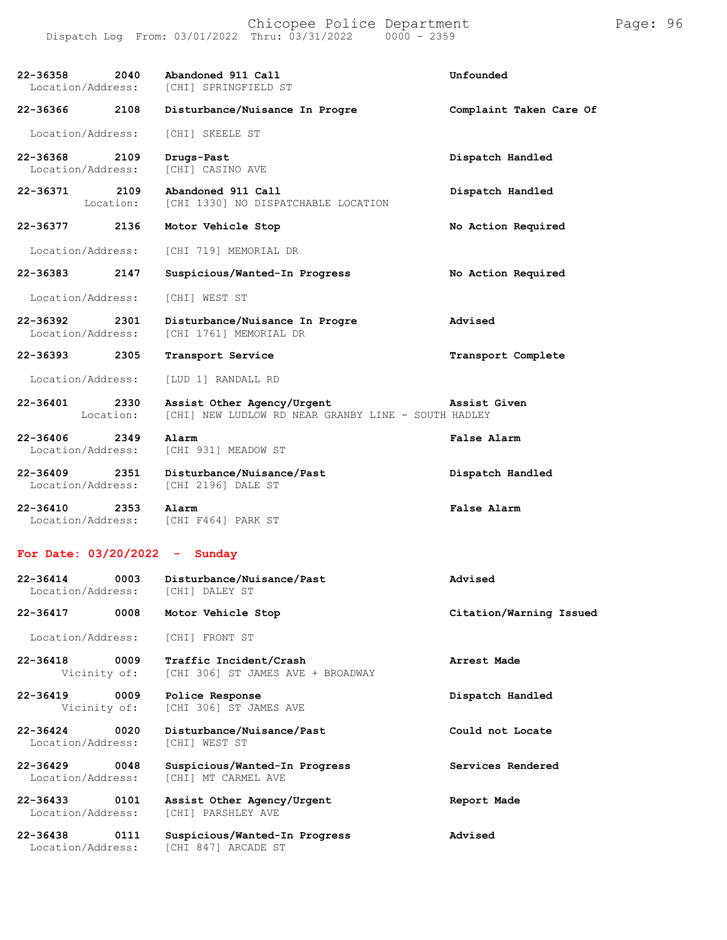Chicopee Police Department Page: 96 Dispatch Log From: 03/01/2022 Thru: 03/31/2022 0000 - 2359

**22-36358 2040 Abandoned 911 Call Unfounded** [CHI] SPRINGFIELD ST **22-36366 2108 Disturbance/Nuisance In Progre Complaint Taken Care Of** Location/Address: [CHI] SKEELE ST **22-36368 2109 Drugs-Past Dispatch Handled** [CHI] CASINO AVE **22-36371 2109 Abandoned 911 Call Dispatch Handled** [CHI 1330] NO DISPATCHABLE LOCATION **22-36377 2136 Motor Vehicle Stop No Action Required** Location/Address: [CHI 719] MEMORIAL DR **22-36383 2147 Suspicious/Wanted-In Progress No Action Required** Location/Address: [CHI] WEST ST **22-36392 2301 Disturbance/Nuisance In Progre Advised** Location/Address: [CHI 1761] MEMORIAL DR **22-36393 2305 Transport Service Transport Complete** Location/Address: [LUD 1] RANDALL RD **22-36401 2330 Assist Other Agency/Urgent Assist Given** [CHI] NEW LUDLOW RD NEAR GRANBY LINE - SOUTH HADLEY **22-36406 2349 Alarm False Alarm** Location/Address: **22-36409 2351 Disturbance/Nuisance/Past Dispatch Handled** Location/Address: [CHI 2196] DALE ST **22-36410 2353 Alarm False Alarm** Location/Address: [CHI F464] PARK ST

#### **For Date: 03/20/2022 - Sunday**

| $22 - 36414$<br>0003<br>Location/Address: | Disturbance/Nuisance/Past<br>[CHI] DALEY ST                 | Advised                 |
|-------------------------------------------|-------------------------------------------------------------|-------------------------|
| $22 - 36417$<br>0008                      | Motor Vehicle Stop                                          | Citation/Warning Issued |
| Location/Address:                         | [CHI] FRONT ST                                              |                         |
| $22 - 36418$<br>0009<br>Vicinity of:      | Traffic Incident/Crash<br>[CHI 306] ST JAMES AVE + BROADWAY | Arrest Made             |
| $22 - 36419$<br>0009<br>Vicinity of:      | Police Response<br>[CHI 306] ST JAMES AVE                   | Dispatch Handled        |
| 0020<br>$22 - 36424$<br>Location/Address: | Disturbance/Nuisance/Past<br>[CHI] WEST ST                  | Could not Locate        |
| $22 - 36429$<br>0048<br>Location/Address: | Suspicious/Wanted-In Progress<br>[CHI] MT CARMEL AVE        | Services Rendered       |
| $22 - 36433$<br>0101<br>Location/Address: | Assist Other Agency/Urgent<br>[CHI] PARSHLEY AVE            | Report Made             |
| $22 - 36438$<br>0111<br>Location/Address: | Suspicious/Wanted-In Progress<br>[CHI 847] ARCADE ST        | Advised                 |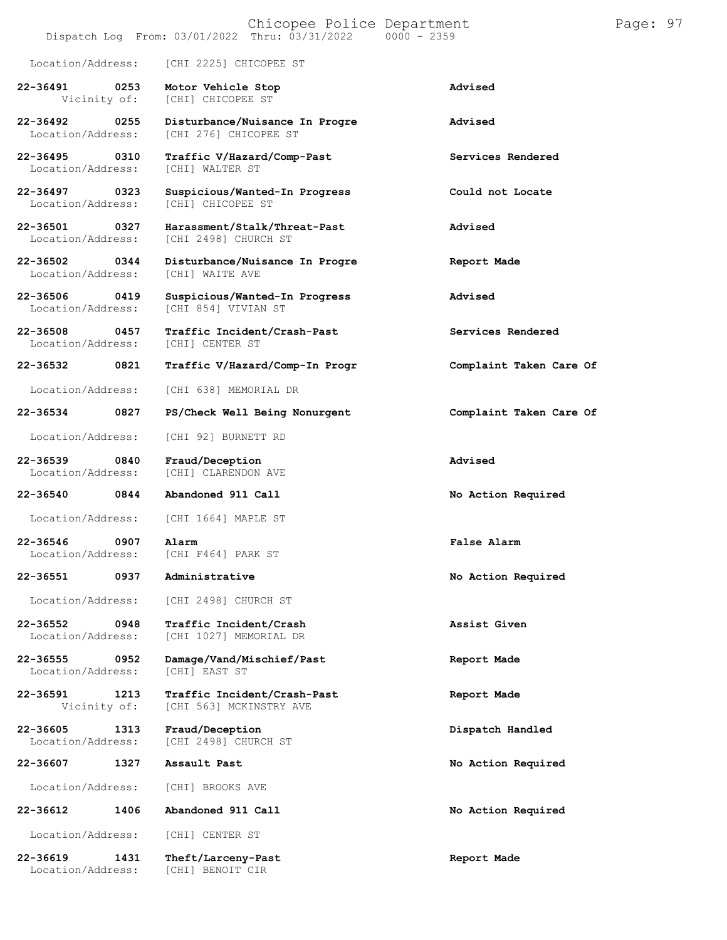#### Chicopee Police Department Page: 97 Dispatch Log From:  $03/01/2022$  Thru:  $03/31/2022$

Location/Address: [CHI 2225] CHICOPEE ST

**22-36491 0253 Motor Vehicle Stop Advised** [CHI] CHICOPEE ST

**22-36492 0255 Disturbance/Nuisance In Progre Advised**

Location/Address:

Location/Address:

Location/Address:

Location/Address:

**22-36551 0937 Administrative No Action Required**

Location/Address: [CHI 2498] CHURCH ST

**22-36552 0948 Traffic Incident/Crash Assist Given**

**22-36555 0952 Damage/Vand/Mischief/Past Report Made**

**22-36591 1213 Traffic Incident/Crash-Past Report Made**

**22-36605 1313 Fraud/Deception Dispatch Handled**

**22-36607 1327 Assault Past No Action Required**

Location/Address: [CHI] BROOKS AVE

**22-36612 1406 Abandoned 911 Call No Action Required**

[CHI 276] CHICOPEE ST **22-36495 0310 Traffic V/Hazard/Comp-Past Services Rendered** Location/Address: [CHI] WALTER ST

**22-36497 0323 Suspicious/Wanted-In Progress Could not Locate**

**22-36501 0327 Harassment/Stalk/Threat-Past Advised** [CHI 2498] CHURCH ST

**22-36502 0344 Disturbance/Nuisance In Progre Report Made**

**22-36506 0419 Suspicious/Wanted-In Progress Advised** [CHI 854] VIVIAN ST

**22-36508 0457 Traffic Incident/Crash-Past Services Rendered**

**22-36532 0821 Traffic V/Hazard/Comp-In Progr Complaint Taken Care Of**

Location/Address: [CHI 638] MEMORIAL DR

**22-36534 0827 PS/Check Well Being Nonurgent Complaint Taken Care Of**

Location/Address: [CHI 92] BURNETT RD

**22-36539 0840 Fraud/Deception Advised** [CHI] CLARENDON AVE

**22-36540 0844 Abandoned 911 Call No Action Required**

Location/Address: [CHI 1664] MAPLE ST

**22-36546 0907 Alarm False Alarm** [CHI F464] PARK ST

[CHI 1027] MEMORIAL DR

[CHI 563] MCKINSTRY AVE

[CHI 2498] CHURCH ST

Location/Address: [CHI] CENTER ST

**22-36619 1431 Theft/Larceny-Past Report Made** Location/Address: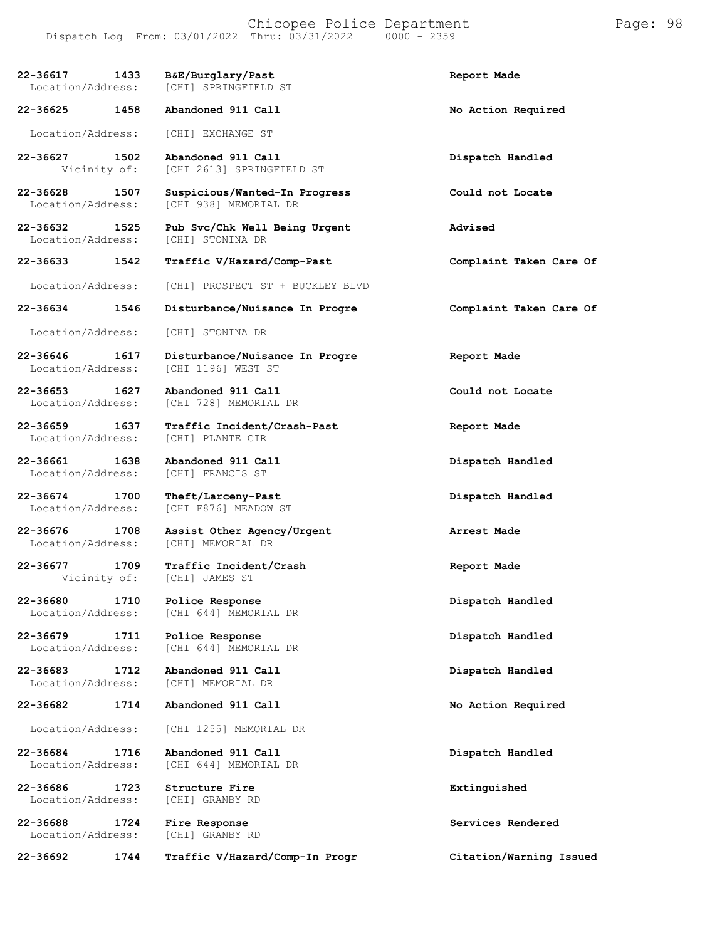Dispatch Log From: 03/01/2022 Thru: 03/31/2022 **22-36617 1433 B&E/Burglary/Past Report Made** [CHI] SPRINGFIELD ST **22-36625 1458 Abandoned 911 Call No Action Required** Location/Address: [CHI] EXCHANGE ST **22-36627 1502 Abandoned 911 Call Dispatch Handled** [CHI 2613] SPRINGFIELD ST **22-36628 1507 Suspicious/Wanted-In Progress Could not Locate** [CHI 938] MEMORIAL DR **22-36632 1525 Pub Svc/Chk Well Being Urgent Advised** Location/Address: **22-36633 1542 Traffic V/Hazard/Comp-Past Complaint Taken Care Of** Location/Address: [CHI] PROSPECT ST + BUCKLEY BLVD **22-36634 1546 Disturbance/Nuisance In Progre Complaint Taken Care Of** Location/Address: [CHI] STONINA DR **22-36646 1617 Disturbance/Nuisance In Progre Report Made** LOCAI 1196] WEST ST **22-36653 1627 Abandoned 911 Call Could not Locate** Location/Address: [CHI 728] MEMORIAL DR **22-36659 1637 Traffic Incident/Crash-Past Report Made** Location/Address: **22-36661 1638 Abandoned 911 Call Dispatch Handled** Location/Address: **22-36674 1700 Theft/Larceny-Past Dispatch Handled** Location/Address: [CHI F876] MEADOW ST **22-36676 1708 Assist Other Agency/Urgent Arrest Made** [CHI] MEMORIAL DR **22-36677 1709 Traffic Incident/Crash Report Made** [CHI] JAMES ST **22-36680 1710 Police Response Dispatch Handled** [CHI 644] MEMORIAL DR **22-36679 1711 Police Response Dispatch Handled** [CHI 644] MEMORIAL DR **22-36683 1712 Abandoned 911 Call Dispatch Handled** [CHI] MEMORIAL DR **22-36682 1714 Abandoned 911 Call No Action Required** Location/Address: [CHI 1255] MEMORIAL DR

**22-36684 1716 Abandoned 911 Call Dispatch Handled**

**22-36686 1723 Structure Fire Extinguished** Location/Address:

**22-36688 1724 Fire Response Services Rendered** Location/Address:

**22-36692 1744 Traffic V/Hazard/Comp-In Progr Citation/Warning Issued**

[CHI 644] MEMORIAL DR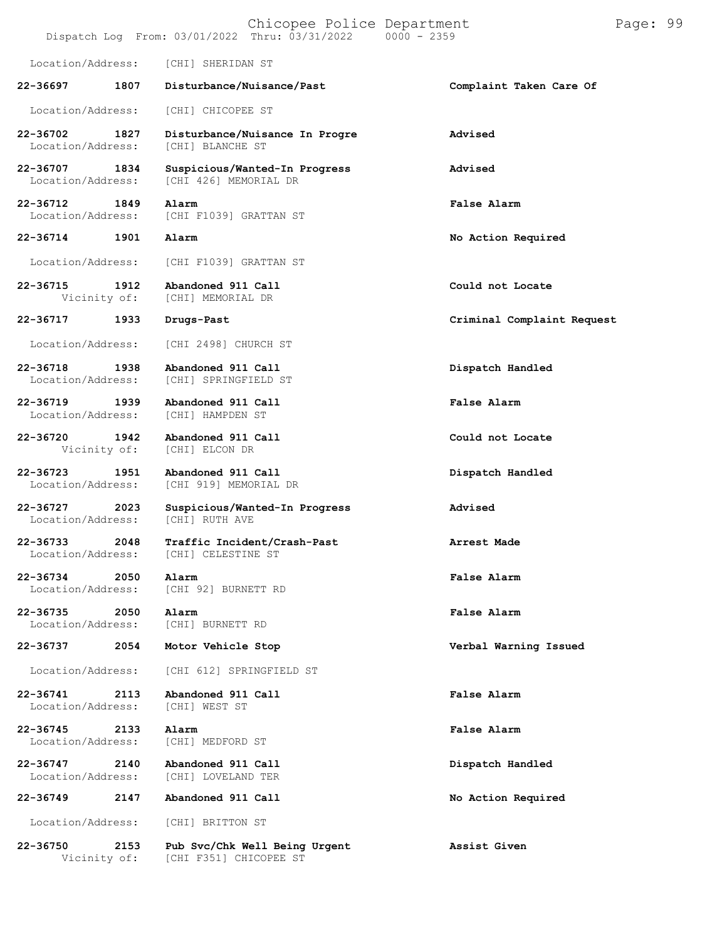|                                   |      | Chicopee Police Department<br>Dispatch Log From: 03/01/2022 Thru: 03/31/2022<br>$0000 - 2359$ |                            | Page: 99 |  |
|-----------------------------------|------|-----------------------------------------------------------------------------------------------|----------------------------|----------|--|
| Location/Address:                 |      | [CHI] SHERIDAN ST                                                                             |                            |          |  |
| 22-36697                          | 1807 | Disturbance/Nuisance/Past                                                                     | Complaint Taken Care Of    |          |  |
| Location/Address:                 |      | [CHI] CHICOPEE ST                                                                             |                            |          |  |
| 22-36702<br>Location/Address:     | 1827 | Disturbance/Nuisance In Progre<br>[CHI] BLANCHE ST                                            | Advised                    |          |  |
| 22-36707<br>Location/Address:     | 1834 | Suspicious/Wanted-In Progress<br>[CHI 426] MEMORIAL DR                                        | Advised                    |          |  |
| 22-36712<br>Location/Address:     | 1849 | Alarm<br>[CHI F1039] GRATTAN ST                                                               | <b>False Alarm</b>         |          |  |
| 22-36714                          | 1901 | Alarm                                                                                         | No Action Required         |          |  |
| Location/Address:                 |      | [CHI F1039] GRATTAN ST                                                                        |                            |          |  |
| 22-36715<br>Vicinity of:          | 1912 | Abandoned 911 Call<br>[CHI] MEMORIAL DR                                                       | Could not Locate           |          |  |
| 22-36717                          | 1933 | Drugs-Past                                                                                    | Criminal Complaint Request |          |  |
| Location/Address:                 |      | [CHI 2498] CHURCH ST                                                                          |                            |          |  |
| 22-36718<br>Location/Address:     | 1938 | Abandoned 911 Call<br>[CHI] SPRINGFIELD ST                                                    | Dispatch Handled           |          |  |
| 22-36719<br>Location/Address:     | 1939 | Abandoned 911 Call<br>[CHI] HAMPDEN ST                                                        | False Alarm                |          |  |
| 22-36720<br>Vicinity of:          | 1942 | Abandoned 911 Call<br>[CHI] ELCON DR                                                          | Could not Locate           |          |  |
| 22-36723<br>Location/Address:     | 1951 | Abandoned 911 Call<br>[CHI 919] MEMORIAL DR                                                   | Dispatch Handled           |          |  |
| 22-36727<br>Location/Address:     | 2023 | Suspicious/Wanted-In Progress<br>[CHI] RUTH AVE                                               | Advised                    |          |  |
| 22-36733<br>Location/Address:     | 2048 | Traffic Incident/Crash-Past<br>[CHI] CELESTINE ST                                             | Arrest Made                |          |  |
| $22 - 36734$<br>Location/Address: | 2050 | Alarm<br>[CHI 92] BURNETT RD                                                                  | False Alarm                |          |  |
| 22-36735<br>Location/Address:     | 2050 | Alarm<br>[CHI] BURNETT RD                                                                     | <b>False Alarm</b>         |          |  |
| 22-36737                          | 2054 | Motor Vehicle Stop                                                                            | Verbal Warning Issued      |          |  |
| Location/Address:                 |      | [CHI 612] SPRINGFIELD ST                                                                      |                            |          |  |
| 22-36741<br>Location/Address:     | 2113 | Abandoned 911 Call<br>[CHI] WEST ST                                                           | False Alarm                |          |  |
| $22 - 36745$<br>Location/Address: | 2133 | Alarm<br>[CHI] MEDFORD ST                                                                     | False Alarm                |          |  |
| 22-36747<br>Location/Address:     | 2140 | Abandoned 911 Call<br>[CHI] LOVELAND TER                                                      | Dispatch Handled           |          |  |
| 22-36749                          | 2147 | Abandoned 911 Call                                                                            | No Action Required         |          |  |
| Location/Address:                 |      | [CHI] BRITTON ST                                                                              |                            |          |  |
| 22-36750<br>Vicinity of:          | 2153 | Pub Svc/Chk Well Being Urgent<br>[CHI F351] CHICOPEE ST                                       | Assist Given               |          |  |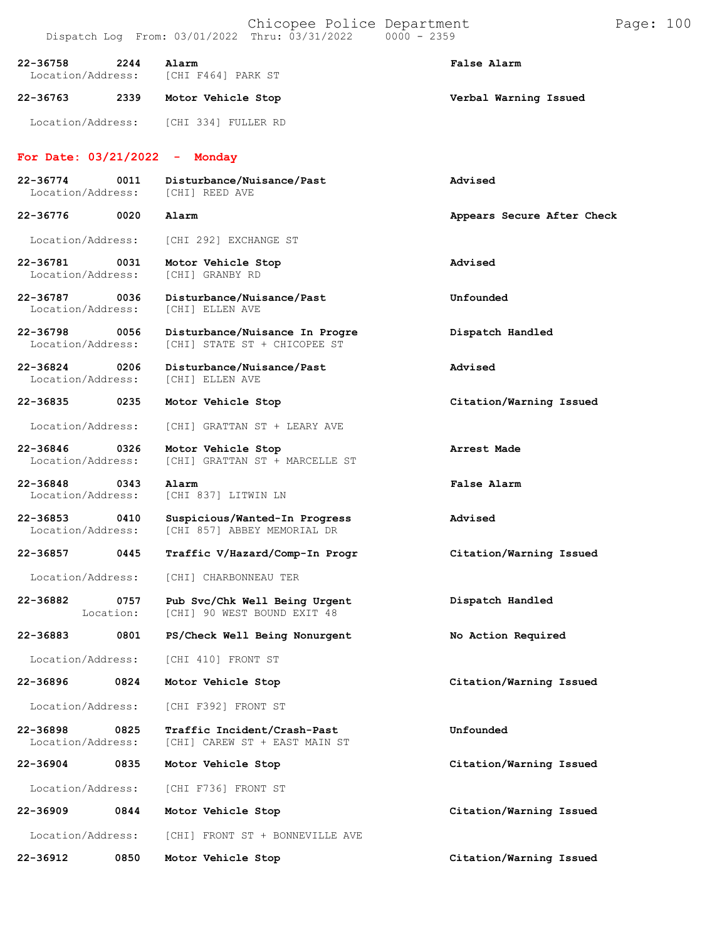| Chicopee Police Department |            |  |
|----------------------------|------------|--|
| Thm: 03/31/2022            | AAAA LARRA |  |

Location/Address: [CHI 334] FULLER RD

#### **For Date: 03/21/2022 - Monday**

| 22-36774<br>Location/Address: | 0011 | Disturbance/Nuisance/Past<br>[CHI] REED AVE | Advised                    |
|-------------------------------|------|---------------------------------------------|----------------------------|
| 22-36776                      | 0020 | Alarm                                       | Appears Secure After Check |
| Location/Address:             |      | [CHI 292] EXCHANGE ST                       |                            |
| 22-36781<br>Location/Address: | 0031 | Motor Vehicle Stop<br>[CHI] GRANBY RD       | Advised                    |

Location/Address:

**22-36787 0036 Disturbance/Nuisance/Past Unfounded** Location/Address: [CHI] ELLEN AVE

**22-36798 0056 Disturbance/Nuisance In Progre Dispatch Handled** Location/Address: [CHI] STATE ST + CHICOPEE ST

**22-36824 0206 Disturbance/Nuisance/Past Advised** [CHI] ELLEN AVE

**22-36835 0235 Motor Vehicle Stop Citation/Warning Issued**

Location/Address: [CHI] GRATTAN ST + LEARY AVE

**22-36846 0326 Motor Vehicle Stop Arrest Made**

**22-36848 0343 Alarm False Alarm** Location/Address: [CHI 837] LITWIN LN

[CHI] GRATTAN ST + MARCELLE ST

**22-36853 0410 Suspicious/Wanted-In Progress Advised** [CHI 857] ABBEY MEMORIAL DR

**22-36857 0445 Traffic V/Hazard/Comp-In Progr Citation/Warning Issued**

Location/Address: [CHI] CHARBONNEAU TER

**22-36882 0757** Location: **Pub Svc/Chk Well Being Urgent** [CHI] 90 WEST BOUND EXIT 48

**22-36883 0801 PS/Check Well Being Nonurgent No Action Required**

Location/Address: [CHI 410] FRONT ST

**22-36896 0824 Motor Vehicle Stop Citation/Warning Issued**

Location/Address: [CHI F392] FRONT ST

**22-36898 0825 Traffic Incident/Crash-Past Unfounded** [CHI] CAREW ST + EAST MAIN ST

**22-36904 0835 Motor Vehicle Stop Citation/Warning Issued**

Location/Address: [CHI F736] FRONT ST

**22-36909 0844 Motor Vehicle Stop Citation/Warning Issued**

Location/Address: [CHI] FRONT ST + BONNEVILLE AVE

**22-36912 0850 Motor Vehicle Stop Citation/Warning Issued**

**Dispatch Handled**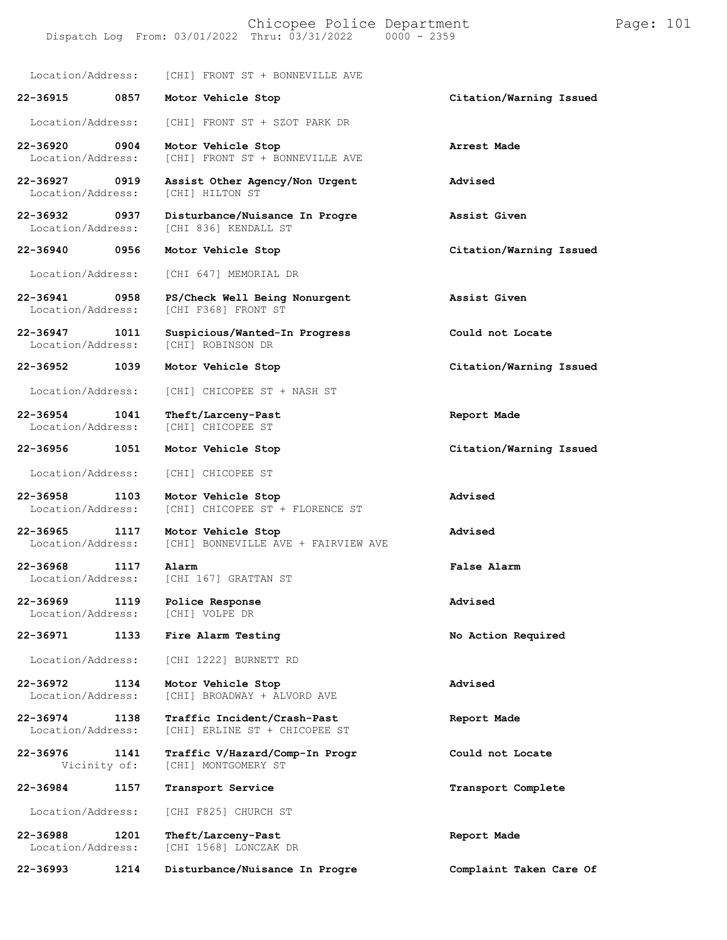Chicopee Police Department Page: 101 Dispatch Log From: 03/01/2022 Thru: 03/31/2022 Location/Address: [CHI] FRONT ST + BONNEVILLE AVE **22-36915 0857 Motor Vehicle Stop Citation/Warning Issued** Location/Address: [CHI] FRONT ST + SZOT PARK DR **22-36920 0904 Motor Vehicle Stop Arrest Made** [CHI] FRONT ST + BONNEVILLE AVE **22-36927 0919 Assist Other Agency/Non Urgent Advised** Location/Address: **22-36932 0937 Disturbance/Nuisance In Progre Assist Given** [CHI 836] KENDALL ST **22-36940 0956 Motor Vehicle Stop Citation/Warning Issued** Location/Address: [CHI 647] MEMORIAL DR **22-36941 0958 PS/Check Well Being Nonurgent Assist Given** [CHI F368] FRONT ST **22-36947 1011 Suspicious/Wanted-In Progress Could not Locate** [CHI] ROBINSON DR **22-36952 1039 Motor Vehicle Stop Citation/Warning Issued** Location/Address: [CHI] CHICOPEE ST + NASH ST **22-36954 1041 Theft/Larceny-Past Report Made** Location/Address: **22-36956 1051 Motor Vehicle Stop Citation/Warning Issued** Location/Address: [CHI] CHICOPEE ST **22-36958 1103 Motor Vehicle Stop Advised** [CHI] CHICOPEE ST + FLORENCE ST **22-36965 1117 Motor Vehicle Stop Advised** [CHI] BONNEVILLE AVE + FAIRVIEW AVE **22-36968 1117 Alarm False Alarm** [CHI 167] GRATTAN ST

**22-36969 1119 Police Response Advised**

Location/Address:

**22-36971 1133 Fire Alarm Testing No Action Required**

Location/Address: [CHI 1222] BURNETT RD

**22-36972 1134 Motor Vehicle Stop Advised** [CHI] BROADWAY + ALVORD AVE

**22-36974 1138 Traffic Incident/Crash-Past Report Made** [CHI] ERLINE ST + CHICOPEE ST

**22-36976 1141 Traffic V/Hazard/Comp-In Progr Could not Locate** [CHI] MONTGOMERY ST

**22-36984 1157 Transport Service Transport Complete**

Location/Address: [CHI F825] CHURCH ST

**22-36988 1201 Theft/Larceny-Past Report Made** [CHI 1568] LONCZAK DR

**22-36993 1214 Disturbance/Nuisance In Progre Complaint Taken Care Of**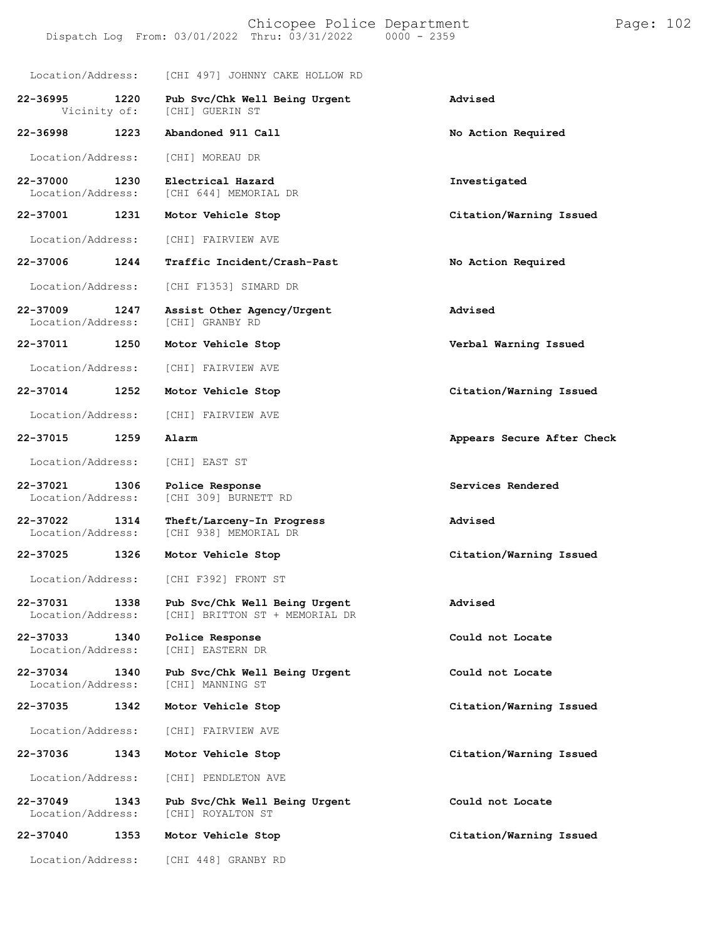| Location/Address:                     | [CHI 497] JOHNNY CAKE HOLLOW RD                                 |                            |
|---------------------------------------|-----------------------------------------------------------------|----------------------------|
| 22-36995<br>1220<br>Vicinity of:      | Pub Svc/Chk Well Being Urgent<br>[CHI] GUERIN ST                | Advised                    |
| 22-36998<br>1223                      | Abandoned 911 Call                                              | No Action Required         |
| Location/Address:                     | [CHI] MOREAU DR                                                 |                            |
| 22-37000<br>1230<br>Location/Address: | Electrical Hazard<br>[CHI 644] MEMORIAL DR                      | Investigated               |
| 22-37001<br>1231                      | Motor Vehicle Stop                                              | Citation/Warning Issued    |
| Location/Address:                     | [CHI] FAIRVIEW AVE                                              |                            |
| 22-37006<br>1244                      | Traffic Incident/Crash-Past                                     | No Action Required         |
| Location/Address:                     | [CHI F1353] SIMARD DR                                           |                            |
| 22-37009<br>1247<br>Location/Address: | Assist Other Agency/Urgent<br>[CHI] GRANBY RD                   | Advised                    |
| 22-37011<br>1250                      | Motor Vehicle Stop                                              | Verbal Warning Issued      |
| Location/Address:                     | [CHI] FAIRVIEW AVE                                              |                            |
| 22-37014<br>1252                      | Motor Vehicle Stop                                              | Citation/Warning Issued    |
| Location/Address:                     | [CHI] FAIRVIEW AVE                                              |                            |
| 1259<br>22-37015                      | Alarm                                                           | Appears Secure After Check |
| Location/Address:                     | [CHI] EAST ST                                                   |                            |
| 22-37021<br>1306<br>Location/Address: | Police Response<br>[CHI 309] BURNETT RD                         | Services Rendered          |
| 22-37022<br>1314<br>Location/Address: | Theft/Larceny-In Progress<br>[CHI 938] MEMORIAL DR              | Advised                    |
| 22-37025<br>1326                      | Motor Vehicle Stop                                              | Citation/Warning Issued    |
| Location/Address:                     | [CHI F392] FRONT ST                                             |                            |
| 22-37031<br>1338<br>Location/Address: | Pub Svc/Chk Well Being Urgent<br>[CHI] BRITTON ST + MEMORIAL DR | Advised                    |
| 22-37033<br>1340<br>Location/Address: | Police Response<br>[CHI] EASTERN DR                             | Could not Locate           |
| 22-37034<br>1340<br>Location/Address: | Pub Svc/Chk Well Being Urgent<br>[CHI] MANNING ST               | Could not Locate           |
| 22-37035<br>1342                      | Motor Vehicle Stop                                              | Citation/Warning Issued    |
| Location/Address:                     | [CHI] FAIRVIEW AVE                                              |                            |
| 22-37036<br>1343                      | Motor Vehicle Stop                                              | Citation/Warning Issued    |
| Location/Address:                     | [CHI] PENDLETON AVE                                             |                            |
| 22-37049<br>1343<br>Location/Address: | Pub Svc/Chk Well Being Urgent<br>[CHI] ROYALTON ST              | Could not Locate           |
| 22-37040<br>1353                      | Motor Vehicle Stop                                              | Citation/Warning Issued    |
| Location/Address:                     | [CHI 448] GRANBY RD                                             |                            |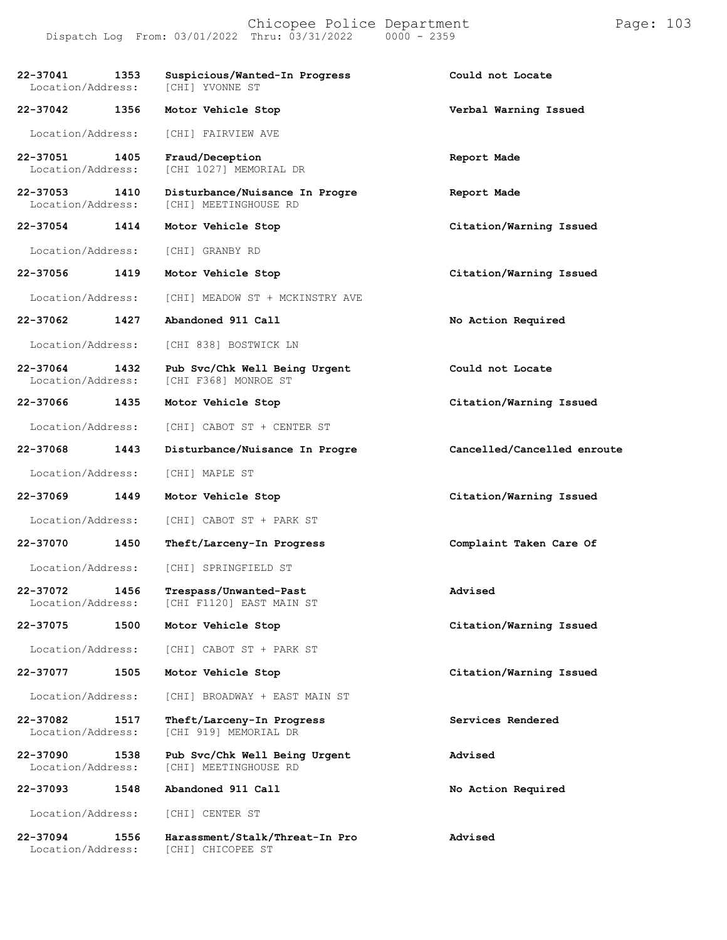Chicopee Police Department Page: 103 Dispatch Log From: 03/01/2022 Thru: 03/31/2022

**22-37041 1353 Suspicious/Wanted-In Progress Could not Locate** Location/Address: **22-37042 1356 Motor Vehicle Stop Verbal Warning Issued** Location/Address: [CHI] FAIRVIEW AVE **22-37051 1405 Fraud/Deception Report Made** [CHI 1027] MEMORIAL DR **22-37053 1410 Disturbance/Nuisance In Progre Report Made** [CHI] MEETINGHOUSE RD **22-37054 1414 Motor Vehicle Stop Citation/Warning Issued** Location/Address: [CHI] GRANBY RD **22-37056 1419 Motor Vehicle Stop Citation/Warning Issued** Location/Address: [CHI] MEADOW ST + MCKINSTRY AVE **22-37062 1427 Abandoned 911 Call No Action Required** Location/Address: [CHI 838] BOSTWICK LN **22-37064 1432 Pub Svc/Chk Well Being Urgent Could not Locate** [CHI F368] MONROE ST **22-37066 1435 Motor Vehicle Stop Citation/Warning Issued** Location/Address: [CHI] CABOT ST + CENTER ST **22-37068 1443 Disturbance/Nuisance In Progre Cancelled/Cancelled enroute** Location/Address: [CHI] MAPLE ST **22-37069 1449 Motor Vehicle Stop Citation/Warning Issued** Location/Address: [CHI] CABOT ST + PARK ST **22-37070 1450 Theft/Larceny-In Progress Complaint Taken Care Of** Location/Address: [CHI] SPRINGFIELD ST **22-37072 1456 Trespass/Unwanted-Past Advised** [CHI F1120] EAST MAIN ST **22-37075 1500 Motor Vehicle Stop Citation/Warning Issued** Location/Address: [CHI] CABOT ST + PARK ST **22-37077 1505 Motor Vehicle Stop Citation/Warning Issued** Location/Address: [CHI] BROADWAY + EAST MAIN ST **22-37082 1517 Theft/Larceny-In Progress Services Rendered** [CHI 919] MEMORIAL DR **22-37090 1538 Pub Svc/Chk Well Being Urgent Advised** [CHI] MEETINGHOUSE RD **22-37093 1548 Abandoned 911 Call No Action Required** Location/Address: [CHI] CENTER ST **22-37094 1556 Harassment/Stalk/Threat-In Pro Advised**

[CHI] CHICOPEE ST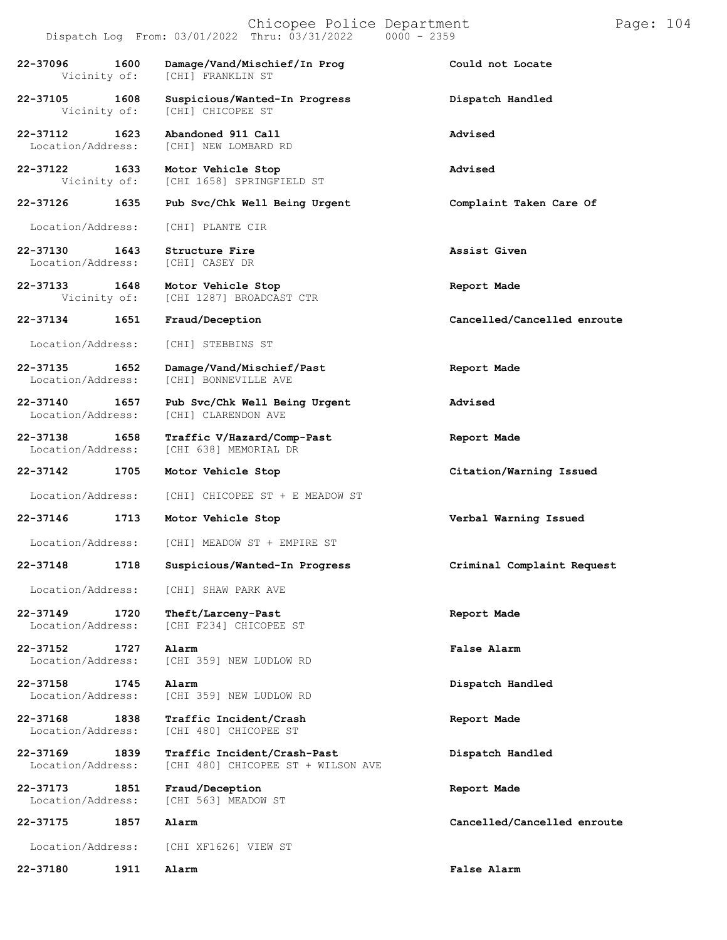|                                       | Dispatch Log From: 03/01/2022 Thru: 03/31/2022<br>$0000 - 2359$   |                             |
|---------------------------------------|-------------------------------------------------------------------|-----------------------------|
| 22-37096<br>1600<br>Vicinity of:      | Damage/Vand/Mischief/In Prog<br>[CHI] FRANKLIN ST                 | Could not Locate            |
| 22-37105<br>1608<br>Vicinity of:      | Suspicious/Wanted-In Progress<br>[CHI] CHICOPEE ST                | Dispatch Handled            |
| 1623<br>22-37112<br>Location/Address: | Abandoned 911 Call<br>[CHI] NEW LOMBARD RD                        | Advised                     |
| 22-37122<br>1633<br>Vicinity of:      | Motor Vehicle Stop<br>[CHI 1658] SPRINGFIELD ST                   | Advised                     |
| 22-37126<br>1635                      | Pub Svc/Chk Well Being Urgent                                     | Complaint Taken Care Of     |
| Location/Address:                     | [CHI] PLANTE CIR                                                  |                             |
| 22-37130<br>1643<br>Location/Address: | Structure Fire<br>[CHI] CASEY DR                                  | Assist Given                |
| 22-37133 1648<br>Vicinity of:         | Motor Vehicle Stop<br>[CHI 1287] BROADCAST CTR                    | Report Made                 |
| 1651<br>22-37134                      | Fraud/Deception                                                   | Cancelled/Cancelled enroute |
| Location/Address:                     | [CHI] STEBBINS ST                                                 |                             |
| 22-37135<br>1652<br>Location/Address: | Damage/Vand/Mischief/Past<br>[CHI] BONNEVILLE AVE                 | Report Made                 |
| 22-37140<br>1657<br>Location/Address: | Pub Svc/Chk Well Being Urgent<br>[CHI] CLARENDON AVE              | Advised                     |
| 22-37138<br>1658<br>Location/Address: | Traffic V/Hazard/Comp-Past<br>[CHI 638] MEMORIAL DR               | Report Made                 |
| 22-37142<br>1705                      | Motor Vehicle Stop                                                | Citation/Warning Issued     |
| Location/Address:                     | [CHI] CHICOPEE ST + E MEADOW ST                                   |                             |
| 22-37146<br>1713                      | Motor Vehicle Stop                                                | Verbal Warning Issued       |
| Location/Address:                     | [CHI] MEADOW ST + EMPIRE ST                                       |                             |
| 22-37148<br>1718                      | Suspicious/Wanted-In Progress                                     | Criminal Complaint Request  |
| Location/Address:                     | [CHI] SHAW PARK AVE                                               |                             |
| 22-37149<br>1720<br>Location/Address: | Theft/Larceny-Past<br>[CHI F234] CHICOPEE ST                      | Report Made                 |
| 22-37152<br>1727<br>Location/Address: | Alarm<br>[CHI 359] NEW LUDLOW RD                                  | False Alarm                 |
| 22-37158<br>1745<br>Location/Address: | Alarm<br>[CHI 359] NEW LUDLOW RD                                  | Dispatch Handled            |
| 22-37168<br>1838<br>Location/Address: | Traffic Incident/Crash<br>[CHI 480] CHICOPEE ST                   | Report Made                 |
| 22-37169<br>1839<br>Location/Address: | Traffic Incident/Crash-Past<br>[CHI 480] CHICOPEE ST + WILSON AVE | Dispatch Handled            |
| 22-37173<br>1851<br>Location/Address: | Fraud/Deception<br>[CHI 563] MEADOW ST                            | Report Made                 |
| 22-37175<br>1857                      | Alarm                                                             | Cancelled/Cancelled enroute |
| Location/Address:                     | [CHI XF1626] VIEW ST                                              |                             |
| 22-37180<br>1911                      | Alarm                                                             | False Alarm                 |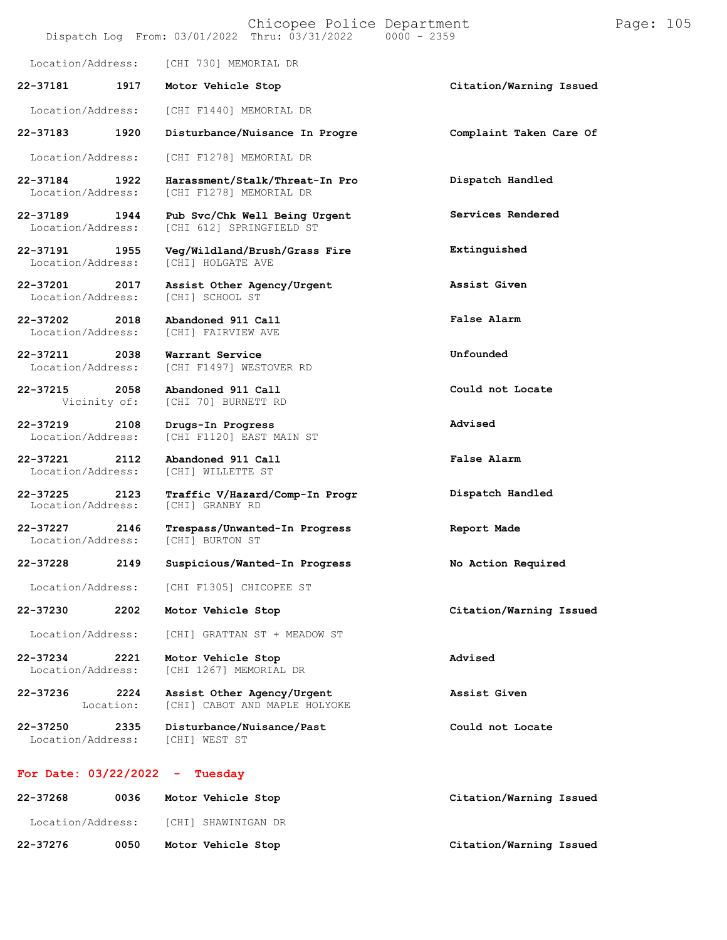#### Chicopee Police Department Page: 105 Dispatch Log From:  $03/01/2022$  Thru:  $03/31/2022$

Location/Address: [CHI 730] MEMORIAL DR

**22-37181 1917 Motor Vehicle Stop Citation/Warning Issued**

Location/Address: [CHI F1440] MEMORIAL DR

**22-37184 1922 Harassment/Stalk/Threat-In Pro**

Location/Address:

Location/Address:

**22-37202 2018 Abandoned 911 Call**

**22-37211 2038 Warrant Service**

**22-37215 2058 Abandoned 911 Call**

**22-37219 2108 Drugs-In Progress**

**22-37221 2112 Abandoned 911 Call** Location/Address: [CHI] WILLETTE ST

**22-37225 2123 Traffic V/Hazard/Comp-In Progr** [CHI] GRANBY RD

**22-37227 2146 Trespass/Unwanted-In Progress Report Made**

Location/Address:

Location/Address: [CHI F1305] CHICOPEE ST

**22-37230 2202 Motor Vehicle Stop Citation/Warning Issued**

Location/Address: [CHI] GRATTAN ST + MEADOW ST

[CHI 70] BURNETT RD

[CHI F1120] EAST MAIN ST

**22-37234 2221 Motor Vehicle Stop Advised** [CHI 1267] MEMORIAL DR

**Assist Other Agency/Urgent**

**22-37236 2224** Location: [CHI] CABOT AND MAPLE HOLYOKE

**22-37250 2335 Disturbance/Nuisance/Past Could not Locate**

Location/Address:

#### **For Date: 03/22/2022 - Tuesday**

| 22-37268          | 0036 | Motor Vehicle Stop  | Citation/Warning Issued |
|-------------------|------|---------------------|-------------------------|
| Location/Address: |      | [CHI] SHAWINIGAN DR |                         |
| 22-37276          | 0050 | Motor Vehicle Stop  | Citation/Warning Issued |

**22-37183 1920 Disturbance/Nuisance In Progre Complaint Taken Care Of** Location/Address: [CHI F1278] MEMORIAL DR [CHI F1278] MEMORIAL DR **Dispatch Handled 22-37189 1944 Pub Svc/Chk Well Being Urgent** Location/Address: [CHI 612] SPRINGFIELD ST **Services Rendered 22-37191 1955 Veg/Wildland/Brush/Grass Fire Extinguished 22-37201 2017 Assist Other Agency/Urgent Assist Given** [CHI] FAIRVIEW AVE **False Alarm** [CHI F1497] WESTOVER RD **Unfounded**

**Could not Locate**

**Advised**

**False Alarm**

**Dispatch Handled**

**22-37228 2149 Suspicious/Wanted-In Progress No Action Required**

**Assist Given**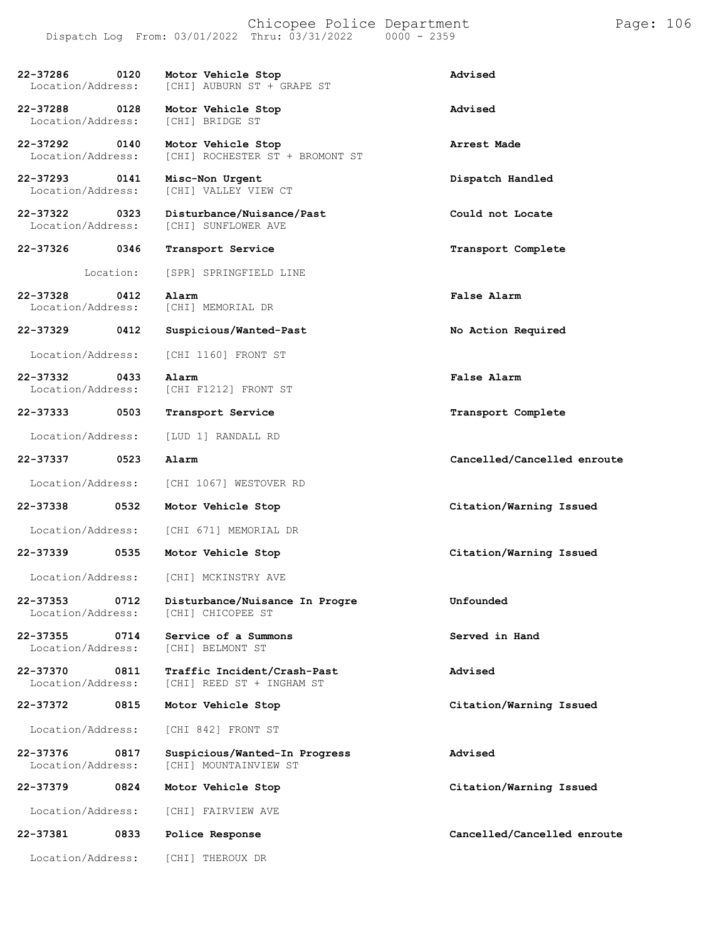### Chicopee Police Department Form Page: 106 Dispatch Log From: 03/01/2022 Thru: 03/31/2022 0000 - 2359

| 22-37286<br>0120<br>Location/Address: | Motor Vehicle Stop<br>[CHI] AUBURN ST + GRAPE ST         | Advised                     |
|---------------------------------------|----------------------------------------------------------|-----------------------------|
| 22-37288<br>0128<br>Location/Address: | Motor Vehicle Stop<br>[CHI] BRIDGE ST                    | Advised                     |
| 22-37292<br>0140<br>Location/Address: | Motor Vehicle Stop<br>[CHI] ROCHESTER ST + BROMONT ST    | Arrest Made                 |
| 22-37293<br>0141<br>Location/Address: | Misc-Non Urgent<br>[CHI] VALLEY VIEW CT                  | Dispatch Handled            |
| 22-37322<br>0323<br>Location/Address: | Disturbance/Nuisance/Past<br><b>[CHI] SUNFLOWER AVE</b>  | Could not Locate            |
| 22-37326<br>0346                      | Transport Service                                        | Transport Complete          |
| Location:                             | [SPR] SPRINGFIELD LINE                                   |                             |
| 22-37328<br>0412<br>Location/Address: | Alarm<br>[CHI] MEMORIAL DR                               | False Alarm                 |
| 22-37329<br>0412                      | Suspicious/Wanted-Past                                   | No Action Required          |
| Location/Address:                     | [CHI 1160] FRONT ST                                      |                             |
| 22-37332<br>0433<br>Location/Address: | Alarm<br>[CHI F1212] FRONT ST                            | False Alarm                 |
| 22-37333<br>0503                      | Transport Service                                        | Transport Complete          |
| Location/Address:                     | [LUD 1] RANDALL RD                                       |                             |
| 22-37337<br>0523                      | Alarm                                                    | Cancelled/Cancelled enroute |
| Location/Address:                     | [CHI 1067] WESTOVER RD                                   |                             |
| 22-37338<br>0532                      | Motor Vehicle Stop                                       | Citation/Warning Issued     |
| Location/Address:                     | [CHI 671] MEMORIAL DR                                    |                             |
| 22-37339<br>0535                      | Motor Vehicle Stop                                       | Citation/Warning Issued     |
| Location/Address:                     | [CHI] MCKINSTRY AVE                                      |                             |
| 0712<br>22-37353<br>Location/Address: | Disturbance/Nuisance In Progre<br>[CHI] CHICOPEE ST      | Unfounded                   |
| 22-37355<br>0714<br>Location/Address: | Service of a Summons<br>[CHI] BELMONT ST                 | Served in Hand              |
| 0811<br>22-37370<br>Location/Address: | Traffic Incident/Crash-Past<br>[CHI] REED ST + INGHAM ST | Advised                     |
| 22-37372<br>0815                      | Motor Vehicle Stop                                       | Citation/Warning Issued     |
| Location/Address:                     | [CHI 842] FRONT ST                                       |                             |
| 22-37376<br>0817<br>Location/Address: | Suspicious/Wanted-In Progress<br>[CHI] MOUNTAINVIEW ST   | Advised                     |
| 22-37379<br>0824                      | Motor Vehicle Stop                                       | Citation/Warning Issued     |
| Location/Address:                     | [CHI] FAIRVIEW AVE                                       |                             |
| 22-37381<br>0833                      | Police Response                                          | Cancelled/Cancelled enroute |
| Location/Address:                     | [CHI] THEROUX DR                                         |                             |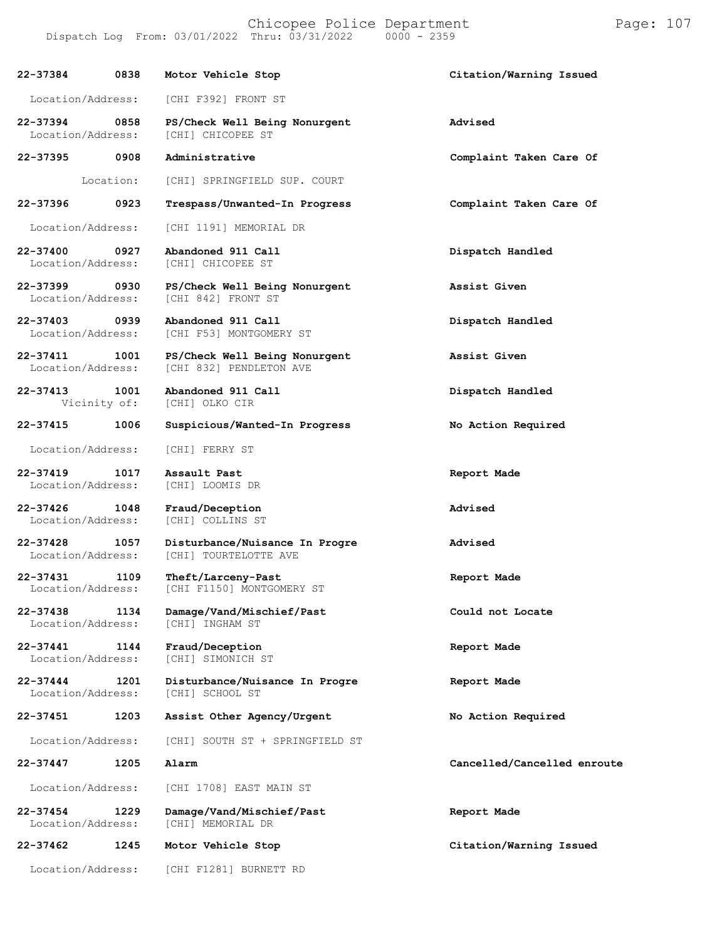**22-37384 0838 Motor Vehicle Stop Citation/Warning Issued** Location/Address: [CHI F392] FRONT ST **22-37394 0858 PS/Check Well Being Nonurgent Advised** [CHI] CHICOPEE ST **22-37395 0908 Administrative Complaint Taken Care Of 22-37396** Location: **0923** [CHI] SPRINGFIELD SUP. COURT **Trespass/Unwanted-In Progress Complaint Taken Care Of** Location/Address: [CHI 1191] MEMORIAL DR **22-37400 0927 Abandoned 911 Call Dispatch Handled** [CHI] CHICOPEE ST **22-37399 0930 PS/Check Well Being Nonurgent Assist Given** [CHI 842] FRONT ST **22-37403 0939 Abandoned 911 Call Dispatch Handled** [CHI F53] MONTGOMERY ST **22-37411 1001 PS/Check Well Being Nonurgent Assist Given** [CHI 832] PENDLETON AVE **22-37413 1001 Abandoned 911 Call Dispatch Handled** Vicinity of: **22-37415 1006 Suspicious/Wanted-In Progress No Action Required** Location/Address: [CHI] FERRY ST **22-37419 1017 Assault Past Report Made** Location/Address: **22-37426 1048 Fraud/Deception Advised** Location/Address: **22-37428 1057 Disturbance/Nuisance In Progre Advised** [CHI] TOURTELOTTE AVE **22-37431 1109 Theft/Larceny-Past Report Made** [CHI F1150] MONTGOMERY ST **22-37438 1134 Damage/Vand/Mischief/Past Could not Locate** Location/Address: **22-37441 1144 Fraud/Deception Report Made** Location/Address: [CHI] SIMONICH ST **22-37444 1201 Disturbance/Nuisance In Progre Report Made** Location/Address: **22-37451 1203 Assist Other Agency/Urgent No Action Required** Location/Address: [CHI] SOUTH ST + SPRINGFIELD ST **22-37447 1205 Alarm Cancelled/Cancelled enroute** Location/Address: [CHI 1708] EAST MAIN ST **22-37454 1229 Damage/Vand/Mischief/Past Report Made** [CHI] MEMORIAL DR **22-37462 1245 Motor Vehicle Stop Citation/Warning Issued** Location/Address: [CHI F1281] BURNETT RD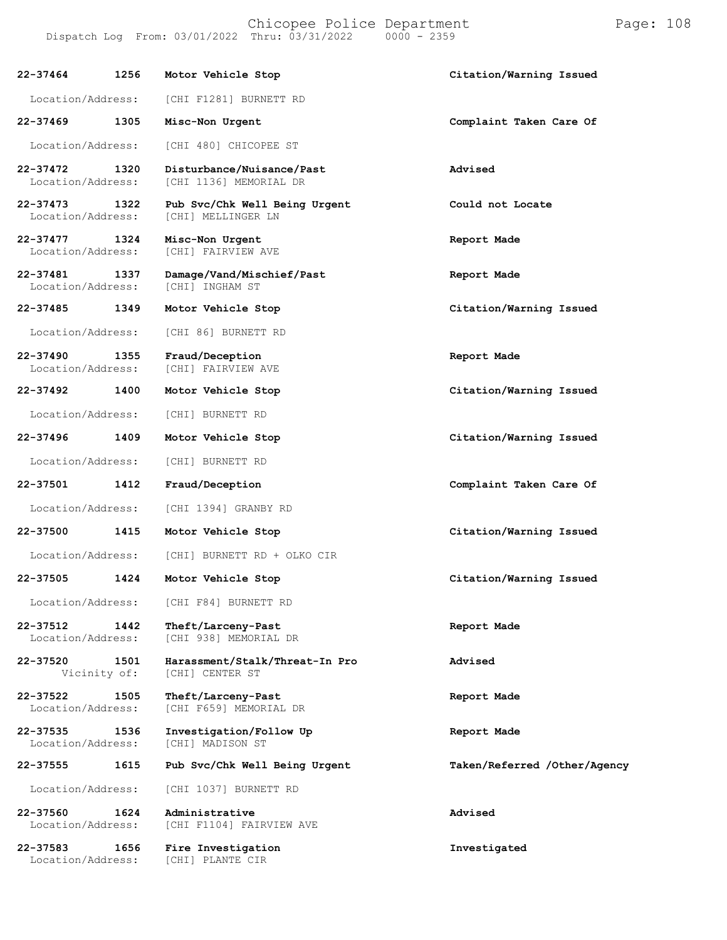Chicopee Police Department Form Page: 108 Dispatch Log From: 03/01/2022 Thru: 03/31/2022 0000 - 2359

| 22-37464                      | 1256                 | Motor Vehicle Stop                                  | Citation/Warning Issued      |
|-------------------------------|----------------------|-----------------------------------------------------|------------------------------|
| Location/Address:             |                      | [CHI F1281] BURNETT RD                              |                              |
| 22-37469                      | 1305                 | Misc-Non Urgent                                     | Complaint Taken Care Of      |
| Location/Address:             |                      | [CHI 480] CHICOPEE ST                               |                              |
| 22-37472<br>Location/Address: | 1320                 | Disturbance/Nuisance/Past<br>[CHI 1136] MEMORIAL DR | Advised                      |
| 22-37473<br>Location/Address: | 1322                 | Pub Svc/Chk Well Being Urgent<br>[CHI] MELLINGER LN | Could not Locate             |
| 22-37477<br>Location/Address: | 1324                 | Misc-Non Urgent<br>[CHI] FAIRVIEW AVE               | Report Made                  |
| 22-37481<br>Location/Address: | 1337                 | Damage/Vand/Mischief/Past<br>[CHI] INGHAM ST        | Report Made                  |
| 22-37485                      | 1349                 | Motor Vehicle Stop                                  | Citation/Warning Issued      |
| Location/Address:             |                      | [CHI 86] BURNETT RD                                 |                              |
| 22-37490<br>Location/Address: | 1355                 | Fraud/Deception<br>[CHI] FAIRVIEW AVE               | Report Made                  |
| 22-37492                      | 1400                 | Motor Vehicle Stop                                  | Citation/Warning Issued      |
| Location/Address:             |                      | [CHI] BURNETT RD                                    |                              |
| 22-37496                      | 1409                 | Motor Vehicle Stop                                  | Citation/Warning Issued      |
| Location/Address:             |                      | [CHI] BURNETT RD                                    |                              |
| 22-37501                      | 1412                 | Fraud/Deception                                     | Complaint Taken Care Of      |
| Location/Address:             |                      | [CHI 1394] GRANBY RD                                |                              |
| 22-37500                      | 1415                 | Motor Vehicle Stop                                  | Citation/Warning Issued      |
| Location/Address:             |                      | [CHI] BURNETT RD + OLKO CIR                         |                              |
| 22-37505                      | 1424                 | Motor Vehicle Stop                                  | Citation/Warning Issued      |
| Location/Address:             |                      | [CHI F84] BURNETT RD                                |                              |
| 22-37512<br>Location/Address: | 1442                 | Theft/Larceny-Past<br>[CHI 938] MEMORIAL DR         | Report Made                  |
| 22-37520                      | 1501<br>Vicinity of: | Harassment/Stalk/Threat-In Pro<br>[CHI] CENTER ST   | Advised                      |
| 22-37522<br>Location/Address: | 1505                 | Theft/Larceny-Past<br>[CHI F659] MEMORIAL DR        | Report Made                  |
| 22-37535<br>Location/Address: | 1536                 | Investigation/Follow Up<br>[CHI] MADISON ST         | Report Made                  |
| 22-37555                      | 1615                 | Pub Svc/Chk Well Being Urgent                       | Taken/Referred /Other/Agency |
| Location/Address:             |                      | [CHI 1037] BURNETT RD                               |                              |
| 22-37560<br>Location/Address: | 1624                 | Administrative<br>[CHI F1104] FAIRVIEW AVE          | Advised                      |
| 22-37583<br>Location/Address: | 1656                 | Fire Investigation<br>[CHI] PLANTE CIR              | Investigated                 |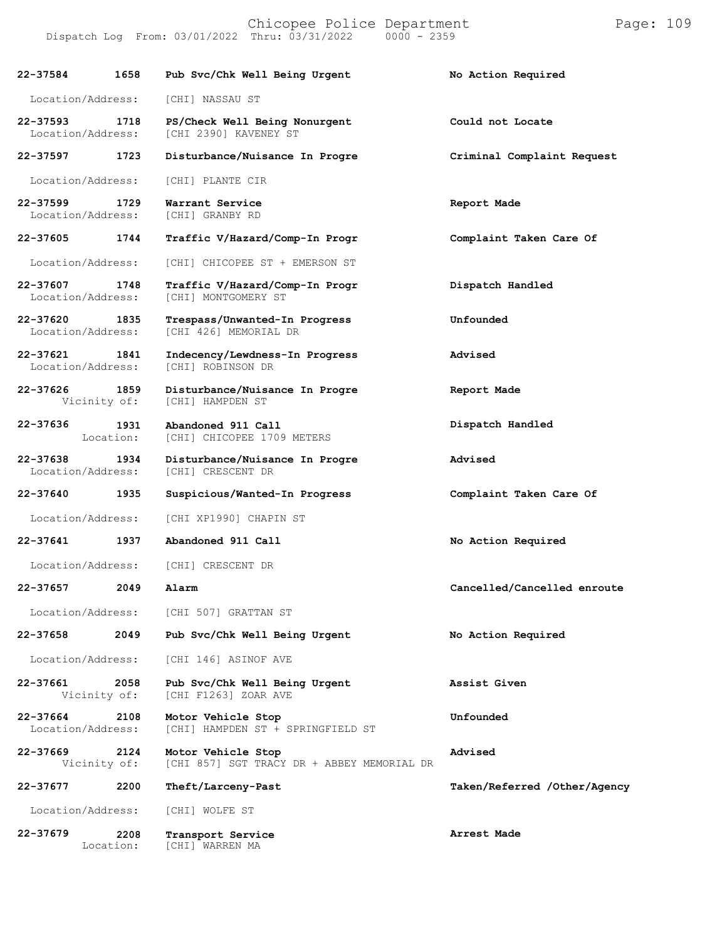Chicopee Police Department Page: 109

Dispatch Log From:  $03/01/2022$  Thru:  $03/31/2022$ 

**22-37584 1658 Pub Svc/Chk Well Being Urgent No Action Required** Location/Address: [CHI] NASSAU ST **22-37593 1718 PS/Check Well Being Nonurgent Could not Locate** [CHI 2390] KAVENEY ST **22-37597 1723 Disturbance/Nuisance In Progre Criminal Complaint Request** Location/Address: [CHI] PLANTE CIR **22-37599 1729 Warrant Service Report Made** Location/Address: **22-37605 1744 Traffic V/Hazard/Comp-In Progr Complaint Taken Care Of** Location/Address: [CHI] CHICOPEE ST + EMERSON ST **22-37607 1748 Traffic V/Hazard/Comp-In Progr Dispatch Handled** [CHI] MONTGOMERY ST **22-37620 1835 Trespass/Unwanted-In Progress Unfounded** [CHI 426] MEMORIAL DR **22-37621 1841 Indecency/Lewdness-In Progress Advised** Location/Address: **22-37626 1859 Disturbance/Nuisance In Progre Report Made** [CHI] HAMPDEN ST **22-37636 1931** Location: **Abandoned 911 Call** [CHI] CHICOPEE 1709 METERS **Dispatch Handled 22-37638 1934 Disturbance/Nuisance In Progre Advised** [CHI] CRESCENT DR **22-37640 1935 Suspicious/Wanted-In Progress Complaint Taken Care Of** Location/Address: [CHI XP1990] CHAPIN ST **22-37641 1937 Abandoned 911 Call No Action Required** Location/Address: [CHI] CRESCENT DR **22-37657 2049 Alarm Cancelled/Cancelled enroute** Location/Address: [CHI 507] GRATTAN ST **22-37658 2049 Pub Svc/Chk Well Being Urgent No Action Required** Location/Address: [CHI 146] ASINOF AVE **22-37661 2058 Pub Svc/Chk Well Being Urgent Assist Given** [CHI F1263] ZOAR AVE **22-37664 2108 Motor Vehicle Stop Unfounded** [CHI] HAMPDEN ST + SPRINGFIELD ST **22-37669 2124 Motor Vehicle Stop Advised** [CHI 857] SGT TRACY DR + ABBEY MEMORIAL DR **22-37677 2200 Theft/Larceny-Past Taken/Referred /Other/Agency** Location/Address: [CHI] WOLFE ST **22-37679 2208 Transport Service Arrest Made**

Location:

[CHI] WARREN MA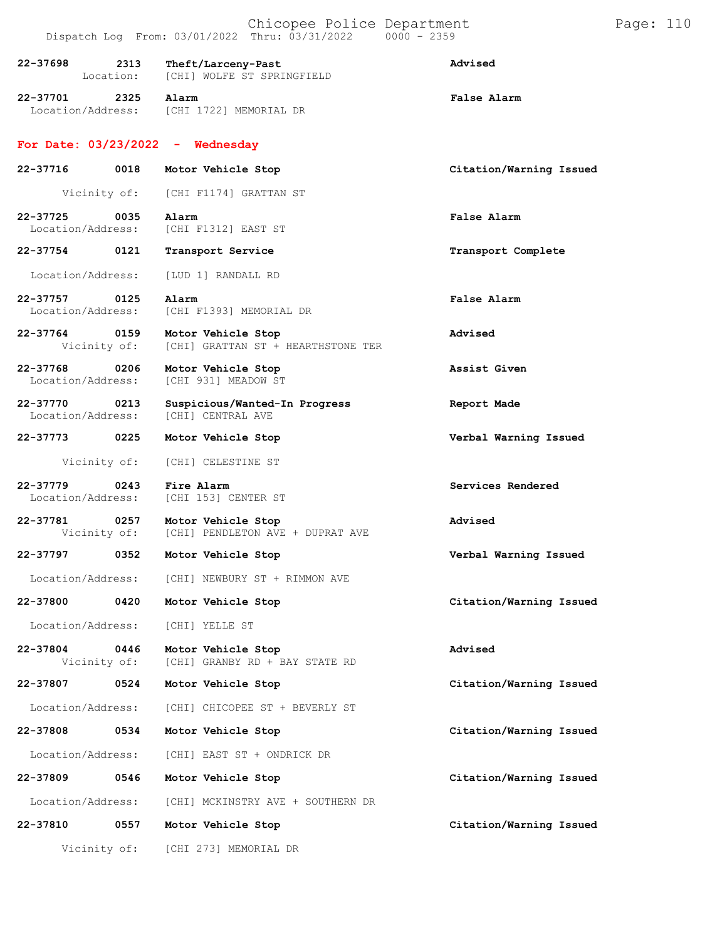|          |                                    | Chicopee Police Department<br>Dispatch Log From: 03/01/2022 Thru: 03/31/2022 0000 - 2359 |                         | Page: 110 |  |
|----------|------------------------------------|------------------------------------------------------------------------------------------|-------------------------|-----------|--|
| 22-37698 | 2313<br>Location:                  | Theft/Larceny-Past<br>[CHI] WOLFE ST SPRINGFIELD                                         | Advised                 |           |  |
| 22-37701 | 2325                               | Alarm<br>Location/Address: [CHI 1722] MEMORIAL DR                                        | False Alarm             |           |  |
|          |                                    | For Date: $03/23/2022 -$ Wednesday                                                       |                         |           |  |
| 22-37716 | 0018                               | Motor Vehicle Stop                                                                       | Citation/Warning Issued |           |  |
|          | Vicinity of:                       | [CHI F1174] GRATTAN ST                                                                   |                         |           |  |
| 22-37725 | 0035<br>Location/Address:          | Alarm<br>[CHI F1312] EAST ST                                                             | False Alarm             |           |  |
| 22-37754 | 0121                               | Transport Service                                                                        | Transport Complete      |           |  |
|          | Location/Address:                  | [LUD 1] RANDALL RD                                                                       |                         |           |  |
|          | 22-37757 0125<br>Location/Address: | Alarm<br>[CHI F1393] MEMORIAL DR                                                         | False Alarm             |           |  |
| 22-37764 | 0159<br>Vicinity of:               | Motor Vehicle Stop<br>[CHI] GRATTAN ST + HEARTHSTONE TER                                 | Advised                 |           |  |
| 22-37768 | 0206<br>Location/Address:          | Motor Vehicle Stop<br>[CHI 931] MEADOW ST                                                | Assist Given            |           |  |
| 22-37770 | 0213<br>Location/Address:          | Suspicious/Wanted-In Progress<br>[CHI] CENTRAL AVE                                       | Report Made             |           |  |
| 22-37773 | 0225                               | Motor Vehicle Stop                                                                       | Verbal Warning Issued   |           |  |
|          | Vicinity of:                       | [CHI] CELESTINE ST                                                                       |                         |           |  |
| 22-37779 | 0243<br>Location/Address:          | Fire Alarm<br>[CHI 153] CENTER ST                                                        | Services Rendered       |           |  |
| 22-37781 |                                    | 0257 Motor Vehicle Stop<br>Vicinity of: [CHI] PENDLETON AVE + DUPRAT AVE                 | Advised                 |           |  |
|          |                                    | 22-37797 0352 Motor Vehicle Stop                                                         | Verbal Warning Issued   |           |  |
|          | Location/Address:                  | [CHI] NEWBURY ST + RIMMON AVE                                                            |                         |           |  |
| 22-37800 | 0420                               | Motor Vehicle Stop                                                                       | Citation/Warning Issued |           |  |
|          | Location/Address:                  | [CHI] YELLE ST                                                                           |                         |           |  |
| 22-37804 | 0446<br>Vicinity of:               | Motor Vehicle Stop<br>[CHI] GRANBY RD + BAY STATE RD                                     | Advised                 |           |  |
| 22-37807 | 0524                               | Motor Vehicle Stop                                                                       | Citation/Warning Issued |           |  |
|          | Location/Address:                  | [CHI] CHICOPEE ST + BEVERLY ST                                                           |                         |           |  |
| 22-37808 | 0534                               | Motor Vehicle Stop                                                                       | Citation/Warning Issued |           |  |
|          | Location/Address:                  | [CHI] EAST ST + ONDRICK DR                                                               |                         |           |  |
| 22-37809 | 0546                               | Motor Vehicle Stop                                                                       | Citation/Warning Issued |           |  |
|          | Location/Address:                  | [CHI] MCKINSTRY AVE + SOUTHERN DR                                                        |                         |           |  |
| 22-37810 | 0557                               | Motor Vehicle Stop                                                                       | Citation/Warning Issued |           |  |
|          | Vicinity of:                       | [CHI 273] MEMORIAL DR                                                                    |                         |           |  |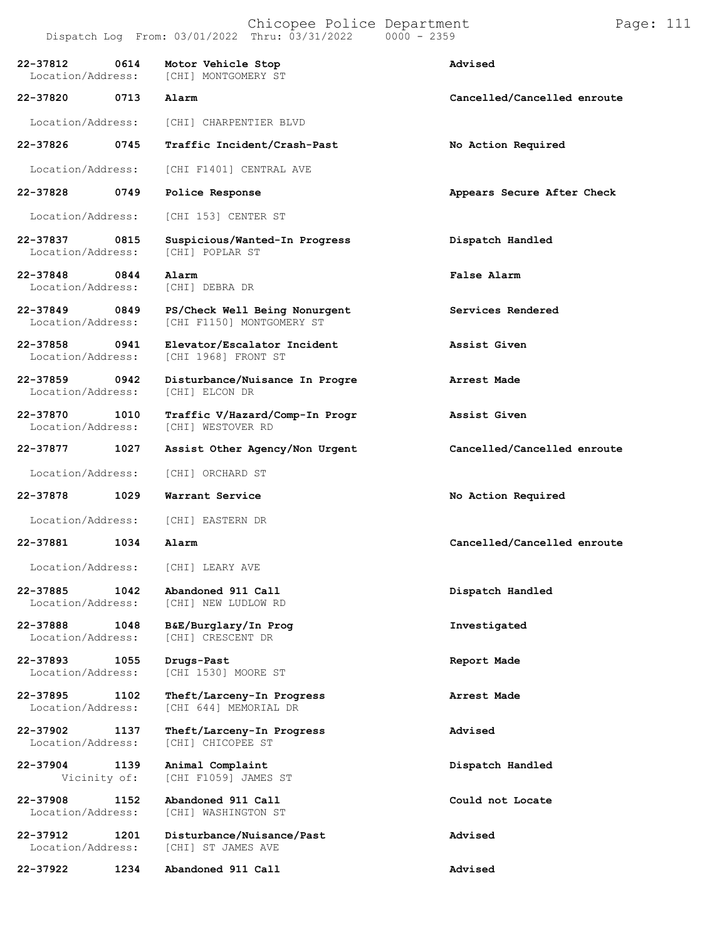| 22-37812<br>0614<br>Location/Address: | Motor Vehicle Stop<br>[CHI] MONTGOMERY ST                  | Advised                     |
|---------------------------------------|------------------------------------------------------------|-----------------------------|
| 22-37820<br>0713                      | Alarm                                                      | Cancelled/Cancelled enroute |
| Location/Address:                     | [CHI] CHARPENTIER BLVD                                     |                             |
| 22-37826<br>0745                      | Traffic Incident/Crash-Past                                | No Action Required          |
| Location/Address:                     | [CHI F1401] CENTRAL AVE                                    |                             |
| 22-37828<br>0749                      | Police Response                                            | Appears Secure After Check  |
| Location/Address:                     | [CHI 153] CENTER ST                                        |                             |
| 22-37837<br>0815<br>Location/Address: | Suspicious/Wanted-In Progress<br>[CHI] POPLAR ST           | Dispatch Handled            |
| 22-37848<br>0844<br>Location/Address: | Alarm<br>[CHI] DEBRA DR                                    | False Alarm                 |
| 22-37849<br>0849<br>Location/Address: | PS/Check Well Being Nonurgent<br>[CHI F1150] MONTGOMERY ST | Services Rendered           |
| 22-37858<br>0941<br>Location/Address: | Elevator/Escalator Incident<br>[CHI 1968] FRONT ST         | Assist Given                |
| 22-37859<br>0942<br>Location/Address: | Disturbance/Nuisance In Progre<br>[CHI] ELCON DR           | Arrest Made                 |
| 22-37870<br>1010<br>Location/Address: | Traffic V/Hazard/Comp-In Progr<br>[CHI] WESTOVER RD        | Assist Given                |
| 22-37877<br>1027                      | Assist Other Agency/Non Urgent                             | Cancelled/Cancelled enroute |
| Location/Address:                     | [CHI] ORCHARD ST                                           |                             |
| 1029<br>22-37878                      | Warrant Service                                            | No Action Required          |
| Location/Address:                     | [CHI] EASTERN DR                                           |                             |
| 22-37881<br>1034                      | Alarm                                                      | Cancelled/Cancelled enroute |
| Location/Address:                     | [CHI] LEARY AVE                                            |                             |
| 22-37885<br>1042<br>Location/Address: | Abandoned 911 Call<br>[CHI] NEW LUDLOW RD                  | Dispatch Handled            |
| 22-37888<br>1048<br>Location/Address: | B&E/Burglary/In Prog<br>[CHI] CRESCENT DR                  | Investigated                |
| 22-37893<br>1055<br>Location/Address: | Drugs-Past<br>[CHI 1530] MOORE ST                          | Report Made                 |
| 22-37895<br>1102<br>Location/Address: | Theft/Larceny-In Progress<br>[CHI 644] MEMORIAL DR         | Arrest Made                 |
| 22-37902<br>1137<br>Location/Address: | Theft/Larceny-In Progress<br>[CHI] CHICOPEE ST             | Advised                     |
| 22-37904<br>1139<br>Vicinity of:      | Animal Complaint<br>[CHI F1059] JAMES ST                   | Dispatch Handled            |
| 22-37908<br>1152<br>Location/Address: | Abandoned 911 Call<br>[CHI] WASHINGTON ST                  | Could not Locate            |
| 22-37912<br>1201<br>Location/Address: | Disturbance/Nuisance/Past<br>[CHI] ST JAMES AVE            | Advised                     |
| 1234<br>22-37922                      | Abandoned 911 Call                                         | Advised                     |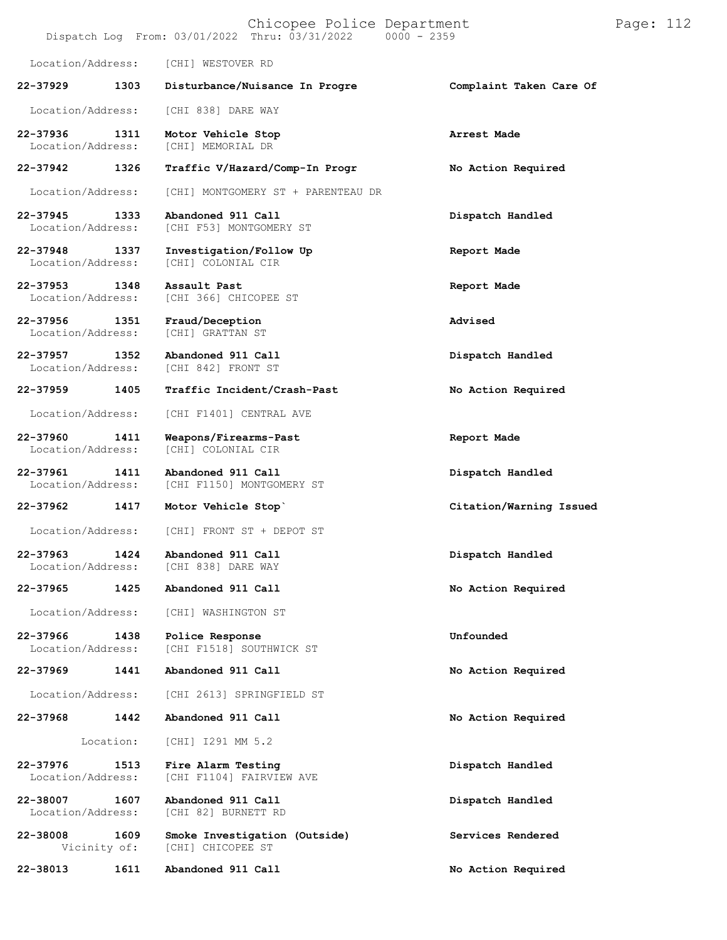| Chicopee Police Department<br>Dispatch Log From: 03/01/2022 Thru: 03/31/2022<br>$0000 - 2359$ |           |                                                    |                         | Page: 112 |  |
|-----------------------------------------------------------------------------------------------|-----------|----------------------------------------------------|-------------------------|-----------|--|
| Location/Address:                                                                             |           | [CHI] WESTOVER RD                                  |                         |           |  |
| 22-37929                                                                                      | 1303      | Disturbance/Nuisance In Progre                     | Complaint Taken Care Of |           |  |
| Location/Address:                                                                             |           | [CHI 838] DARE WAY                                 |                         |           |  |
| 22-37936<br>Location/Address:                                                                 | 1311      | Motor Vehicle Stop<br>[CHI] MEMORIAL DR            | Arrest Made             |           |  |
| 22-37942                                                                                      | 1326      | Traffic V/Hazard/Comp-In Progr                     | No Action Required      |           |  |
| Location/Address:                                                                             |           | [CHI] MONTGOMERY ST + PARENTEAU DR                 |                         |           |  |
| 22-37945<br>Location/Address:                                                                 | 1333      | Abandoned 911 Call<br>[CHI F53] MONTGOMERY ST      | Dispatch Handled        |           |  |
| 22-37948<br>Location/Address:                                                                 | 1337      | Investigation/Follow Up<br>[CHI] COLONIAL CIR      | Report Made             |           |  |
| 22-37953<br>Location/Address:                                                                 | 1348      | Assault Past<br>[CHI 366] CHICOPEE ST              | Report Made             |           |  |
| 22-37956<br>Location/Address:                                                                 | 1351      | Fraud/Deception<br>[CHI] GRATTAN ST                | Advised                 |           |  |
| $22 - 37957$<br>Location/Address:                                                             | 1352      | Abandoned 911 Call<br>[CHI 842] FRONT ST           | Dispatch Handled        |           |  |
| 22-37959                                                                                      | 1405      | Traffic Incident/Crash-Past                        | No Action Required      |           |  |
| Location/Address:                                                                             |           | [CHI F1401] CENTRAL AVE                            |                         |           |  |
| 22-37960<br>Location/Address:                                                                 | 1411      | Weapons/Firearms-Past<br>[CHI] COLONIAL CIR        | Report Made             |           |  |
| 22-37961<br>Location/Address:                                                                 | 1411      | Abandoned 911 Call<br>[CHI F1150] MONTGOMERY ST    | Dispatch Handled        |           |  |
| 22-37962                                                                                      | 1417      | Motor Vehicle Stop`                                | Citation/Warning Issued |           |  |
| Location/Address:                                                                             |           | [CHI] FRONT ST + DEPOT ST                          |                         |           |  |
| 22-37963<br>Location/Address:                                                                 | 1424      | Abandoned 911 Call<br>[CHI 838] DARE WAY           | Dispatch Handled        |           |  |
| 22-37965                                                                                      | 1425      | Abandoned 911 Call                                 | No Action Required      |           |  |
| Location/Address:                                                                             |           | [CHI] WASHINGTON ST                                |                         |           |  |
| 22-37966<br>Location/Address:                                                                 | 1438      | Police Response<br>[CHI F1518] SOUTHWICK ST        | Unfounded               |           |  |
| 22-37969                                                                                      | 1441      | Abandoned 911 Call                                 | No Action Required      |           |  |
| Location/Address:                                                                             |           | [CHI 2613] SPRINGFIELD ST                          |                         |           |  |
| 22-37968                                                                                      | 1442      | Abandoned 911 Call                                 | No Action Required      |           |  |
|                                                                                               | Location: | [CHI] I291 MM 5.2                                  |                         |           |  |
| 22-37976<br>Location/Address:                                                                 | 1513      | Fire Alarm Testing<br>[CHI F1104] FAIRVIEW AVE     | Dispatch Handled        |           |  |
| 22-38007<br>Location/Address:                                                                 | 1607      | Abandoned 911 Call<br>[CHI 82] BURNETT RD          | Dispatch Handled        |           |  |
| 22-38008<br>Vicinity of:                                                                      | 1609      | Smoke Investigation (Outside)<br>[CHI] CHICOPEE ST | Services Rendered       |           |  |
| 22-38013                                                                                      | 1611      | Abandoned 911 Call                                 | No Action Required      |           |  |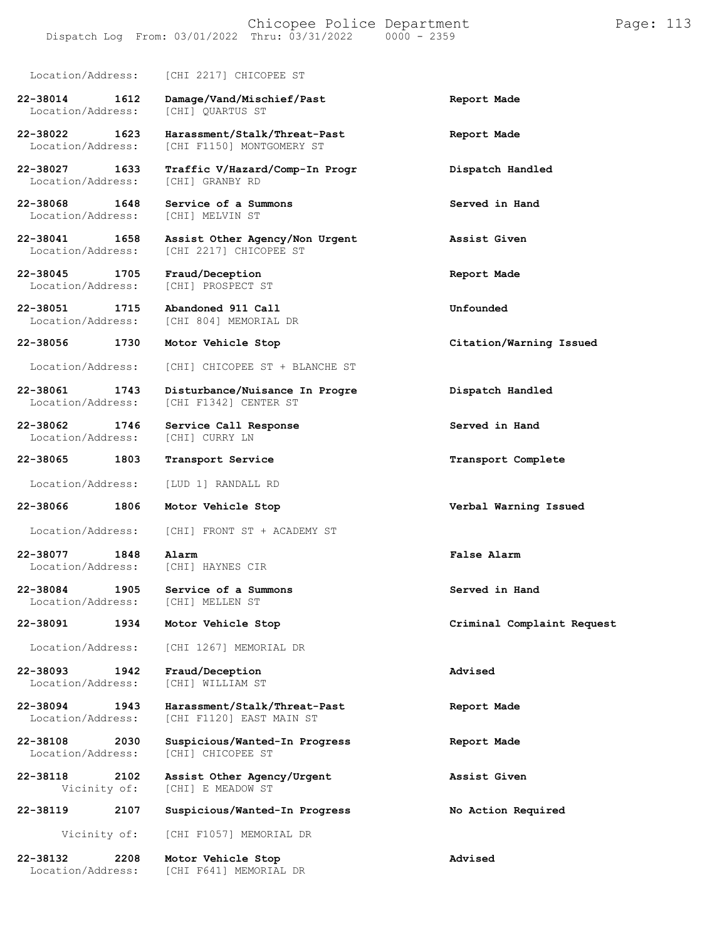Dispatch Log From:  $03/01/2022$  Thru:  $03/31/2022$ Location/Address: [CHI 2217] CHICOPEE ST **22-38014 1612 Damage/Vand/Mischief/Past Report Made** Location/Address: [CHI] QUARTUS ST **22-38022 1623 Harassment/Stalk/Threat-Past Report Made** [CHI F1150] MONTGOMERY ST **22-38027 1633 Traffic V/Hazard/Comp-In Progr Dispatch Handled** Location/Address: **22-38068 1648 Service of a Summons Served in Hand** Location/Address: **22-38041 1658 Assist Other Agency/Non Urgent Assist Given** [CHI 2217] CHICOPEE ST **22-38045 1705 Fraud/Deception Report Made** [CHI] PROSPECT ST **22-38051 1715 Abandoned 911 Call Unfounded** [CHI 804] MEMORIAL DR **22-38056 1730 Motor Vehicle Stop Citation/Warning Issued** Location/Address: [CHI] CHICOPEE ST + BLANCHE ST **22-38061 1743 Disturbance/Nuisance In Progre Dispatch Handled** [CHI F1342] CENTER ST **22-38062 1746 Service Call Response Served in Hand** Location/Address: **22-38065 1803 Transport Service Transport Complete** Location/Address: [LUD 1] RANDALL RD **22-38066 1806 Motor Vehicle Stop Verbal Warning Issued** Location/Address: [CHI] FRONT ST + ACADEMY ST **22-38077 1848 Alarm False Alarm** Location/Address: **22-38084 1905 Service of a Summons Served in Hand** Location/Address: **22-38091 1934 Motor Vehicle Stop Criminal Complaint Request** Location/Address: [CHI 1267] MEMORIAL DR **22-38093 1942 Fraud/Deception Advised** Location/Address: [CHI] WILLIAM ST **22-38094 1943 Harassment/Stalk/Threat-Past Report Made** [CHI F1120] EAST MAIN ST **22-38108 2030 Suspicious/Wanted-In Progress Report Made** [CHI] CHICOPEE ST **22-38118 2102 Assist Other Agency/Urgent Assist Given** [CHI] E MEADOW ST **22-38119 2107 Suspicious/Wanted-In Progress No Action Required** Vicinity of: [CHI F1057] MEMORIAL DR **22-38132 2208 Motor Vehicle Stop Advised** [CHI F641] MEMORIAL DR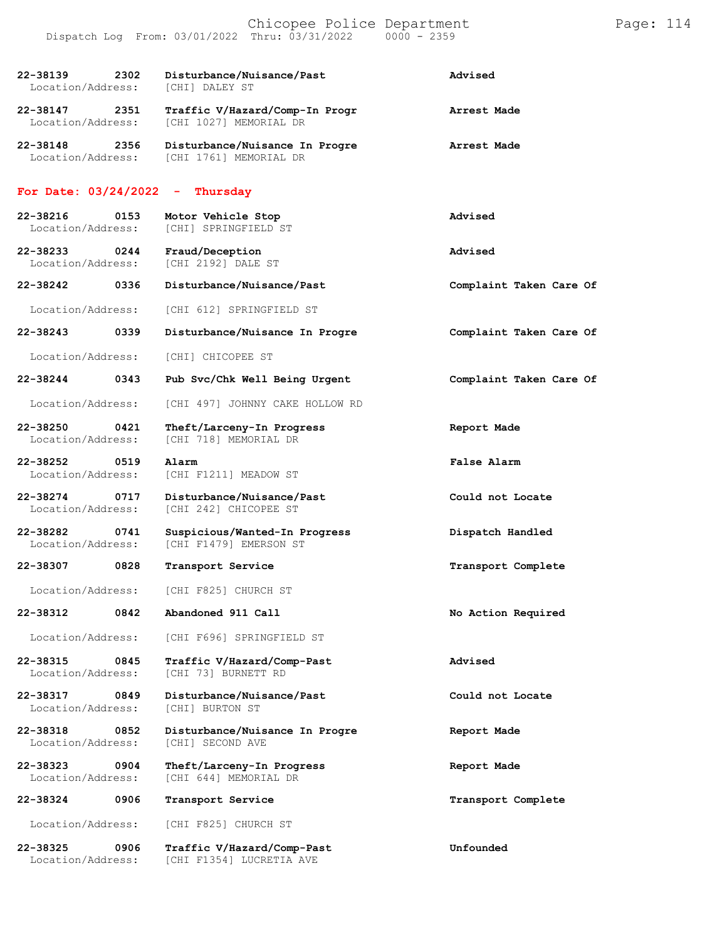| 2302<br>22-38139<br>Location/Address: | Disturbance/Nuisance/Past<br>[CHI] DALEY ST              | Advised                 |
|---------------------------------------|----------------------------------------------------------|-------------------------|
| 22-38147<br>2351<br>Location/Address: | Traffic V/Hazard/Comp-In Progr<br>[CHI 1027] MEMORIAL DR | Arrest Made             |
| 22-38148<br>2356<br>Location/Address: | Disturbance/Nuisance In Progre<br>[CHI 1761] MEMORIAL DR | Arrest Made             |
| For Date: $03/24/2022 -$              | Thursday                                                 |                         |
| 22-38216<br>0153<br>Location/Address: | Motor Vehicle Stop<br>[CHI] SPRINGFIELD ST               | Advised                 |
| 22-38233 0244<br>Location/Address:    | Fraud/Deception<br>[CHI 2192] DALE ST                    | Advised                 |
| 22-38242<br>0336                      | Disturbance/Nuisance/Past                                | Complaint Taken Care Of |
| Location/Address:                     | [CHI 612] SPRINGFIELD ST                                 |                         |
| 22-38243<br>0339                      | Disturbance/Nuisance In Progre                           | Complaint Taken Care Of |
| Location/Address:                     | [CHI] CHICOPEE ST                                        |                         |
| 22-38244<br>0343                      | Pub Svc/Chk Well Being Urgent                            | Complaint Taken Care Of |
| Location/Address:                     | [CHI 497] JOHNNY CAKE HOLLOW RD                          |                         |
| 22-38250<br>0421<br>Location/Address: | Theft/Larceny-In Progress<br>[CHI 718] MEMORIAL DR       | Report Made             |
| 22-38252 0519<br>Location/Address:    | Alarm<br>[CHI F1211] MEADOW ST                           | False Alarm             |
| 22-38274<br>0717<br>Location/Address: | Disturbance/Nuisance/Past<br>[CHI 242] CHICOPEE ST       | Could not Locate        |
| 22-38282<br>0741<br>Location/Address: | Suspicious/Wanted-In Progress<br>[CHI F1479] EMERSON ST  | Dispatch Handled        |
| 22-38307<br>0828                      | Transport Service                                        | Transport Complete      |
| Location/Address:                     | [CHI F825] CHURCH ST                                     |                         |
| 22-38312<br>0842                      | Abandoned 911 Call                                       | No Action Required      |
| Location/Address:                     | [CHI F696] SPRINGFIELD ST                                |                         |
| 22-38315<br>0845<br>Location/Address: | Traffic V/Hazard/Comp-Past<br>[CHI 73] BURNETT RD        | Advised                 |
| 22-38317<br>0849<br>Location/Address: | Disturbance/Nuisance/Past<br>[CHI] BURTON ST             | Could not Locate        |
| 22-38318<br>0852<br>Location/Address: | Disturbance/Nuisance In Progre<br>[CHI] SECOND AVE       | Report Made             |
| 22-38323<br>0904<br>Location/Address: | Theft/Larceny-In Progress<br>[CHI 644] MEMORIAL DR       | Report Made             |
| 22-38324<br>0906                      | Transport Service                                        | Transport Complete      |
| Location/Address:                     | [CHI F825] CHURCH ST                                     |                         |
| 22-38325<br>0906<br>Location/Address: | Traffic V/Hazard/Comp-Past<br>[CHI F1354] LUCRETIA AVE   | Unfounded               |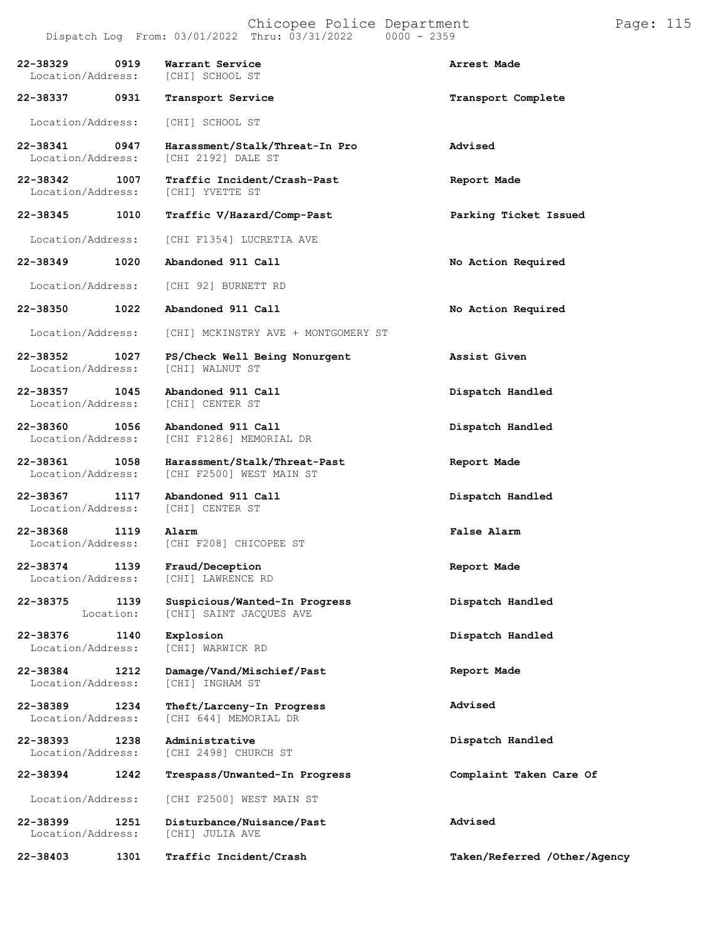Chicopee Police Department Page: 115 Dispatch Log From:  $03/01/2022$  Thru:  $03/31/2022$ **22-38329 0919 Warrant Service Arrest Made** Location/Address: **22-38337 0931 Transport Service Transport Complete** Location/Address: [CHI] SCHOOL ST **22-38341 0947 Harassment/Stalk/Threat-In Pro Advised** [CHI 2192] DALE ST **22-38342 1007 Traffic Incident/Crash-Past Report Made** Location/Address: **22-38345 1010 Traffic V/Hazard/Comp-Past Parking Ticket Issued** Location/Address: [CHI F1354] LUCRETIA AVE **22-38349 1020 Abandoned 911 Call No Action Required** Location/Address: [CHI 92] BURNETT RD **22-38350 1022 Abandoned 911 Call No Action Required** Location/Address: [CHI] MCKINSTRY AVE + MONTGOMERY ST **22-38352 1027 PS/Check Well Being Nonurgent Assist Given** Location/Address: **22-38357 1045 Abandoned 911 Call Dispatch Handled** Location/Address: **22-38360 1056 Abandoned 911 Call Dispatch Handled** [CHI F1286] MEMORIAL DR **22-38361 1058 Harassment/Stalk/Threat-Past Report Made** [CHI F2500] WEST MAIN ST **22-38367 1117 Abandoned 911 Call Dispatch Handled** Location/Address: **22-38368 1119 Alarm False Alarm** [CHI F208] CHICOPEE ST **22-38374 1139 Fraud/Deception Report Made** [CHI] LAWRENCE RD **22-38375 1139** Location: **Suspicious/Wanted-In Progress** [CHI] SAINT JACQUES AVE **Dispatch Handled 22-38376 1140 Explosion Dispatch Handled** Location/Address: **22-38384 1212 Damage/Vand/Mischief/Past** Location/Address: **Report Made 22-38389 1234 Theft/Larceny-In Progress** [CHI 644] MEMORIAL DR **Advised 22-38393 1238 Administrative** [CHI 2498] CHURCH ST **Dispatch Handled 22-38394 1242 Trespass/Unwanted-In Progress Complaint Taken Care Of** Location/Address: [CHI F2500] WEST MAIN ST **22-38399 1251 Disturbance/Nuisance/Past** Location/Address: **Advised 22-38403 1301 Traffic Incident/Crash Taken/Referred /Other/Agency**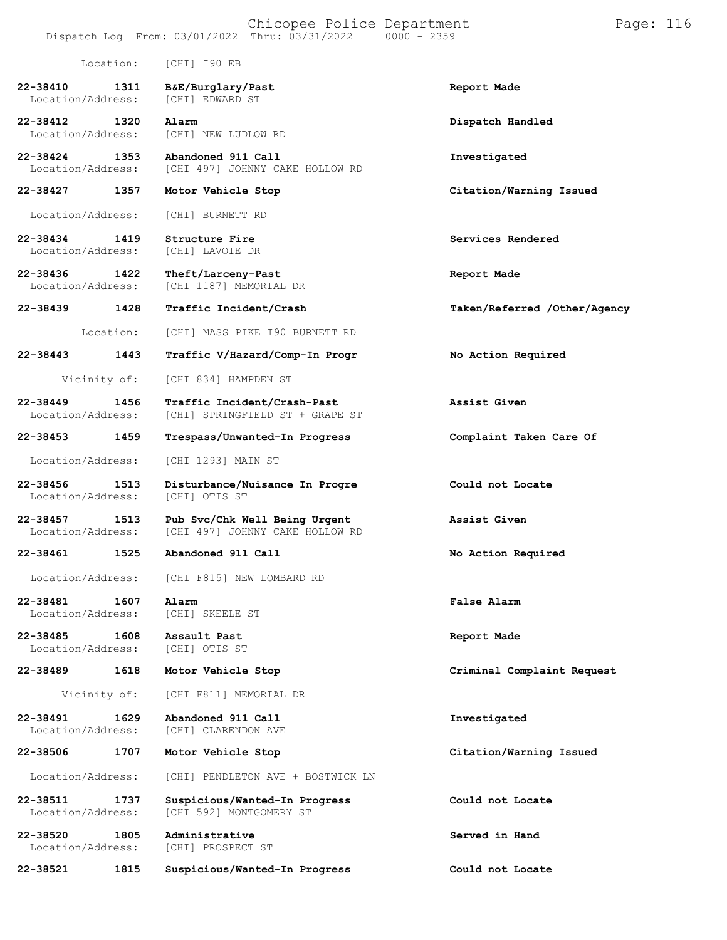|                                   |              | Dispatch Log From: 03/01/2022 Thru: 03/31/2022                   | $0000 - 2359$                |
|-----------------------------------|--------------|------------------------------------------------------------------|------------------------------|
|                                   | Location:    | [CHI] I90 EB                                                     |                              |
| 22-38410<br>Location/Address:     | 1311         | B&E/Burglary/Past<br>[CHI] EDWARD ST                             | Report Made                  |
| 22-38412<br>Location/Address:     | 1320         | Alarm<br>[CHI] NEW LUDLOW RD                                     | Dispatch Handled             |
| 22-38424<br>Location/Address:     | 1353         | Abandoned 911 Call<br>[CHI 497] JOHNNY CAKE HOLLOW RD            | Investigated                 |
| 22-38427                          | 1357         | Motor Vehicle Stop                                               | Citation/Warning Issued      |
| Location/Address:                 |              | [CHI] BURNETT RD                                                 |                              |
| 22-38434<br>Location/Address:     | 1419         | Structure Fire<br>[CHI] LAVOIE DR                                | Services Rendered            |
| 22-38436<br>Location/Address:     | 1422         | Theft/Larceny-Past<br>[CHI 1187] MEMORIAL DR                     | Report Made                  |
| 22-38439                          | 1428         | Traffic Incident/Crash                                           | Taken/Referred /Other/Agency |
|                                   | Location:    | [CHI] MASS PIKE I90 BURNETT RD                                   |                              |
| 22-38443                          | 1443         | Traffic V/Hazard/Comp-In Progr                                   | No Action Required           |
|                                   | Vicinity of: | [CHI 834] HAMPDEN ST                                             |                              |
| $22 - 38449$<br>Location/Address: | 1456         | Traffic Incident/Crash-Past<br>[CHI] SPRINGFIELD ST + GRAPE ST   | Assist Given                 |
| 22-38453                          | 1459         | Trespass/Unwanted-In Progress                                    | Complaint Taken Care Of      |
| Location/Address:                 |              | [CHI 1293] MAIN ST                                               |                              |
| 22-38456<br>Location/Address:     | 1513         | Disturbance/Nuisance In Progre<br>[CHI] OTIS ST                  | Could not Locate             |
| 22-38457<br>Location/Address:     | 1513         | Pub Svc/Chk Well Being Urgent<br>[CHI 497] JOHNNY CAKE HOLLOW RD | Assist Given                 |
| 22-38461                          | 1525         | Abandoned 911 Call                                               | No Action Required           |
| Location/Address:                 |              | [CHI F815] NEW LOMBARD RD                                        |                              |
| 22-38481<br>Location/Address:     | 1607         | Alarm<br>[CHI] SKEELE ST                                         | False Alarm                  |
| 22-38485<br>Location/Address:     | 1608         | Assault Past<br>[CHI] OTIS ST                                    | Report Made                  |
| 22-38489                          | 1618         | Motor Vehicle Stop                                               | Criminal Complaint Request   |
|                                   | Vicinity of: | [CHI F811] MEMORIAL DR                                           |                              |
| 22-38491<br>Location/Address:     | 1629         | Abandoned 911 Call<br>[CHI] CLARENDON AVE                        | Investigated                 |
| 22-38506                          | 1707         | Motor Vehicle Stop                                               | Citation/Warning Issued      |
| Location/Address:                 |              | [CHI] PENDLETON AVE + BOSTWICK LN                                |                              |
| 22-38511<br>Location/Address:     | 1737         | Suspicious/Wanted-In Progress<br>[CHI 592] MONTGOMERY ST         | Could not Locate             |
| 22-38520<br>Location/Address:     | 1805         | Administrative<br>[CHI] PROSPECT ST                              | Served in Hand               |

**22-38521 1815 Suspicious/Wanted-In Progress Could not Locate**

Chicopee Police Department Page: 116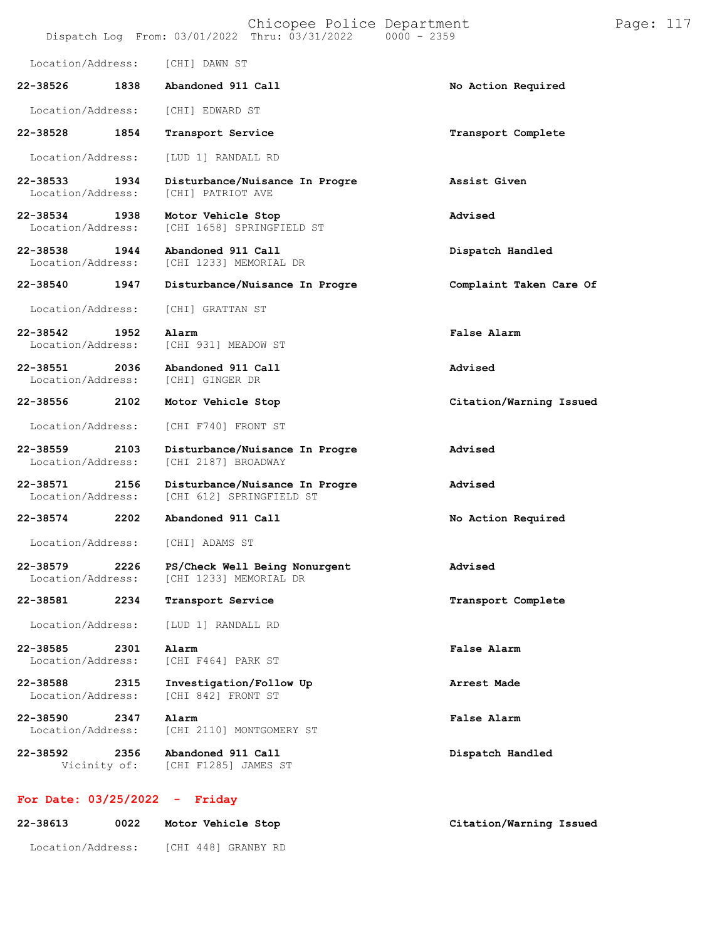|                                   |                      | Chicopee Police Department<br>Dispatch Log From: 03/01/2022 Thru: 03/31/2022 | $0000 - 2359$           | Page: 117 |
|-----------------------------------|----------------------|------------------------------------------------------------------------------|-------------------------|-----------|
| Location/Address:                 |                      | [CHI] DAWN ST                                                                |                         |           |
| 22-38526                          | 1838                 | Abandoned 911 Call                                                           | No Action Required      |           |
| Location/Address:                 |                      | [CHI] EDWARD ST                                                              |                         |           |
| 22-38528                          | 1854                 | Transport Service                                                            | Transport Complete      |           |
| Location/Address:                 |                      | [LUD 1] RANDALL RD                                                           |                         |           |
| $22 - 38533$<br>Location/Address: | 1934                 | Disturbance/Nuisance In Progre<br>[CHI] PATRIOT AVE                          | Assist Given            |           |
| 22-38534<br>Location/Address:     | 1938                 | Motor Vehicle Stop<br>[CHI 1658] SPRINGFIELD ST                              | Advised                 |           |
| 22-38538<br>Location/Address:     | 1944                 | Abandoned 911 Call<br>[CHI 1233] MEMORIAL DR                                 | Dispatch Handled        |           |
| 22-38540                          | 1947                 | Disturbance/Nuisance In Progre                                               | Complaint Taken Care Of |           |
| Location/Address:                 |                      | [CHI] GRATTAN ST                                                             |                         |           |
| 22-38542<br>Location/Address:     | 1952                 | Alarm<br>[CHI 931] MEADOW ST                                                 | False Alarm             |           |
| 22-38551<br>Location/Address:     | 2036                 | Abandoned 911 Call<br>[CHI] GINGER DR                                        | Advised                 |           |
| 22-38556                          | 2102                 | Motor Vehicle Stop                                                           | Citation/Warning Issued |           |
| Location/Address:                 |                      | [CHI F740] FRONT ST                                                          |                         |           |
| 22-38559<br>Location/Address:     | 2103                 | Disturbance/Nuisance In Progre<br>[CHI 2187] BROADWAY                        | Advised                 |           |
| 22-38571<br>Location/Address:     | 2156                 | Disturbance/Nuisance In Progre<br>[CHI 612] SPRINGFIELD ST                   | Advised                 |           |
| 22-38574                          | 2202                 | Abandoned 911 Call                                                           | No Action Required      |           |
| Location/Address:                 |                      | [CHI] ADAMS ST                                                               |                         |           |
| 22-38579<br>Location/Address:     | 2226                 | PS/Check Well Being Nonurgent<br>[CHI 1233] MEMORIAL DR                      | Advised                 |           |
| 22-38581                          | 2234                 | Transport Service                                                            | Transport Complete      |           |
| Location/Address:                 |                      | [LUD 1] RANDALL RD                                                           |                         |           |
| 22-38585<br>Location/Address:     | 2301                 | Alarm<br>[CHI F464] PARK ST                                                  | False Alarm             |           |
| 22-38588<br>Location/Address:     | 2315                 | Investigation/Follow Up<br>[CHI 842] FRONT ST                                | Arrest Made             |           |
| 22-38590<br>Location/Address:     | 2347                 | Alarm<br>[CHI 2110] MONTGOMERY ST                                            | False Alarm             |           |
| 22-38592                          | 2356<br>Vicinity of: | Abandoned 911 Call<br>[CHI F1285] JAMES ST                                   | Dispatch Handled        |           |
|                                   |                      |                                                                              |                         |           |

# **For Date: 03/25/2022 - Friday**

| 22-38613          | 0022 | Motor Vehicle Stop  | Citation/Warning Issued |  |
|-------------------|------|---------------------|-------------------------|--|
| Location/Address: |      | ICHI 4481 GRANBY RD |                         |  |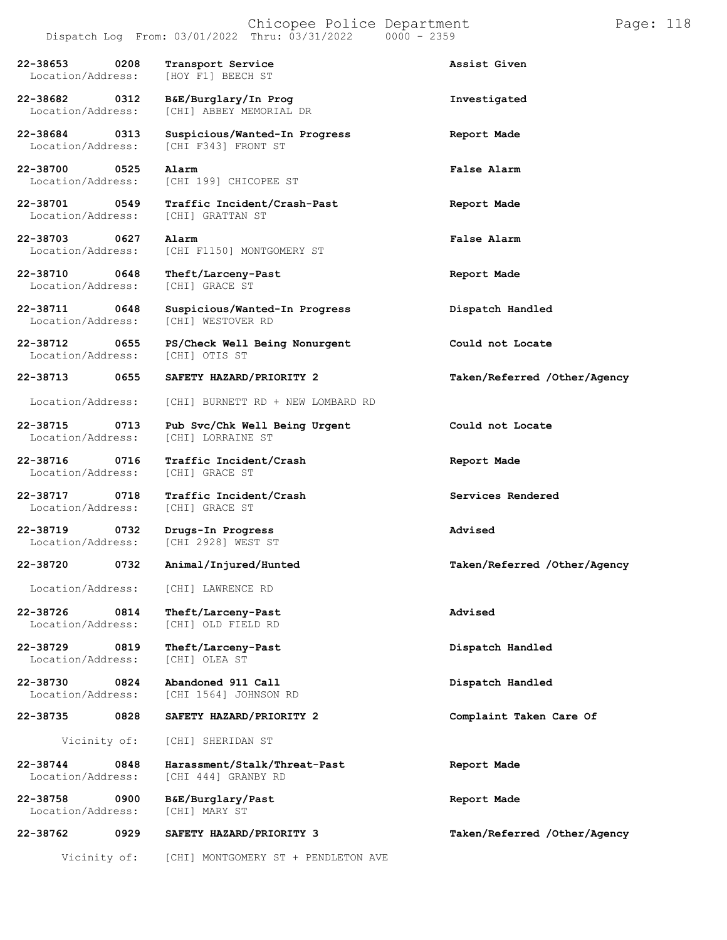### Chicopee Police Department Page: 118 Dispatch Log From:  $03/01/2022$  Thru:  $03/31/2022$

**22-38653 0208 Transport Service Assist Given** Location/Address: [HOY F1] BEECH ST **22-38682 0312 B&E/Burglary/In Prog Investigated** [CHI] ABBEY MEMORIAL DR **22-38684 0313 Suspicious/Wanted-In Progress Report Made** [CHI F343] FRONT ST **22-38700 0525 Alarm False Alarm** [CHI 199] CHICOPEE ST **22-38701 0549 Traffic Incident/Crash-Past Report Made** Location/Address: **22-38703 0627 Alarm False Alarm** Location/Address: [CHI F1150] MONTGOMERY ST **22-38710 0648 Theft/Larceny-Past Report Made** Location/Address: **22-38711 0648 Suspicious/Wanted-In Progress Dispatch Handled** [CHI] WESTOVER RD **22-38712 0655 PS/Check Well Being Nonurgent Could not Locate** Location/Address: **22-38713 0655 SAFETY HAZARD/PRIORITY 2 Taken/Referred /Other/Agency** Location/Address: [CHI] BURNETT RD + NEW LOMBARD RD **22-38715 0713 Pub Svc/Chk Well Being Urgent Could not Locate** Location/Address: **22-38716 0716 Traffic Incident/Crash Report Made** Location/Address: **22-38717 0718 Traffic Incident/Crash Services Rendered** Location/Address: **22-38719 0732 Drugs-In Progress Advised** [CHI 2928] WEST ST **22-38720 0732 Animal/Injured/Hunted Taken/Referred /Other/Agency** Location/Address: [CHI] LAWRENCE RD **22-38726 0814 Theft/Larceny-Past Advised** [CHI] OLD FIELD RD **22-38729 0819 Theft/Larceny-Past Dispatch Handled** Location/Address: **22-38730 0824 Abandoned 911 Call Dispatch Handled** Location/Address: [CHI 1564] JOHNSON RD **22-38735 0828 SAFETY HAZARD/PRIORITY 2 Complaint Taken Care Of** Vicinity of: [CHI] SHERIDAN ST **22-38744 0848 Harassment/Stalk/Threat-Past Report Made** [CHI 444] GRANBY RD **22-38758 0900 B&E/Burglary/Past Report Made** Location/Address: **22-38762 0929 SAFETY HAZARD/PRIORITY 3 Taken/Referred /Other/Agency**

Vicinity of: [CHI] MONTGOMERY ST + PENDLETON AVE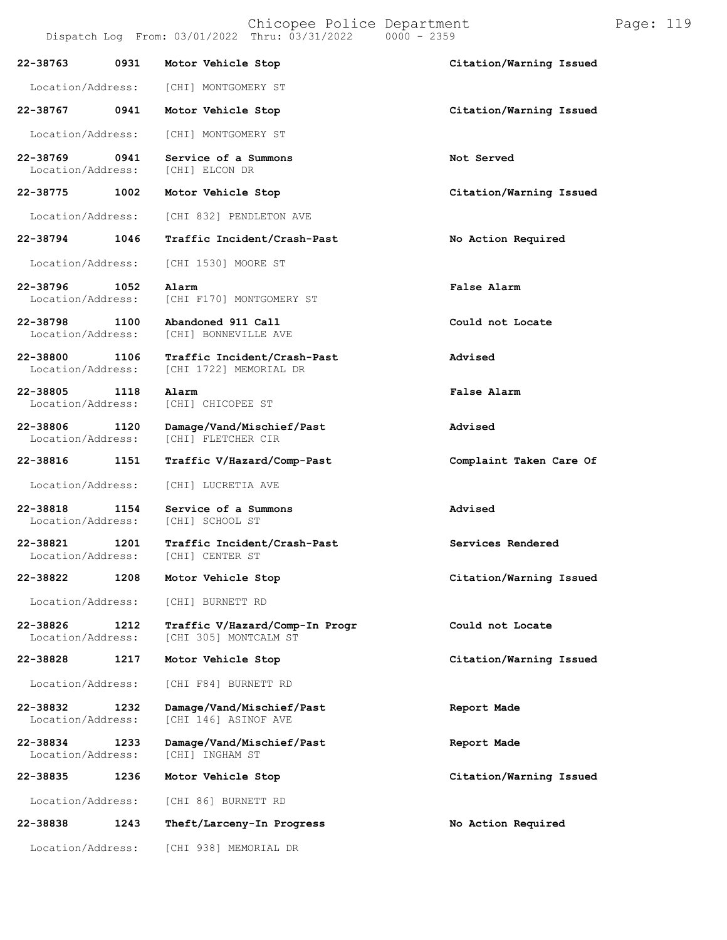Chicopee Police Department Page: 119 Dispatch Log From:  $03/01/2022$  Thru:  $03/31/2022$ **22-38763 0931 Motor Vehicle Stop Citation/Warning Issued** Location/Address: [CHI] MONTGOMERY ST **22-38767 0941 Motor Vehicle Stop Citation/Warning Issued** Location/Address: [CHI] MONTGOMERY ST **22-38769 0941 Service of a Summons Not Served** Location/Address: **22-38775 1002 Motor Vehicle Stop Citation/Warning Issued** Location/Address: [CHI 832] PENDLETON AVE **22-38794 1046 Traffic Incident/Crash-Past No Action Required** Location/Address: [CHI 1530] MOORE ST **22-38796 1052 Alarm False Alarm** Location/Address: [CHI F170] MONTGOMERY ST **22-38798 1100 Abandoned 911 Call Could not Locate** [CHI] BONNEVILLE AVE **22-38800 1106 Traffic Incident/Crash-Past Advised** [CHI 1722] MEMORIAL DR **22-38805 1118 Alarm False Alarm** [CHI] CHICOPEE ST **22-38806 1120 Damage/Vand/Mischief/Past Advised** [CHI] FLETCHER CIR **22-38816 1151 Traffic V/Hazard/Comp-Past Complaint Taken Care Of** Location/Address: [CHI] LUCRETIA AVE **22-38818 1154 Service of a Summons Advised** [CHI] SCHOOL ST **22-38821 1201 Traffic Incident/Crash-Past Services Rendered** Location/Address: **22-38822 1208 Motor Vehicle Stop Citation/Warning Issued** Location/Address: [CHI] BURNETT RD

**22-38826 1212 Traffic V/Hazard/Comp-In Progr Could not Locate**

Location/Address: [CHI F84] BURNETT RD

**22-38832 1232 Damage/Vand/Mischief/Past Report Made**

**22-38834 1233 Damage/Vand/Mischief/Past Report Made** Location/Address:

Location/Address: [CHI 86] BURNETT RD

**22-38838 1243 Theft/Larceny-In Progress No Action Required**

Location/Address: [CHI 938] MEMORIAL DR

[CHI 305] MONTCALM ST

[CHI 146] ASINOF AVE

**22-38828 1217 Motor Vehicle Stop Citation/Warning Issued**

**22-38835 1236 Motor Vehicle Stop Citation/Warning Issued**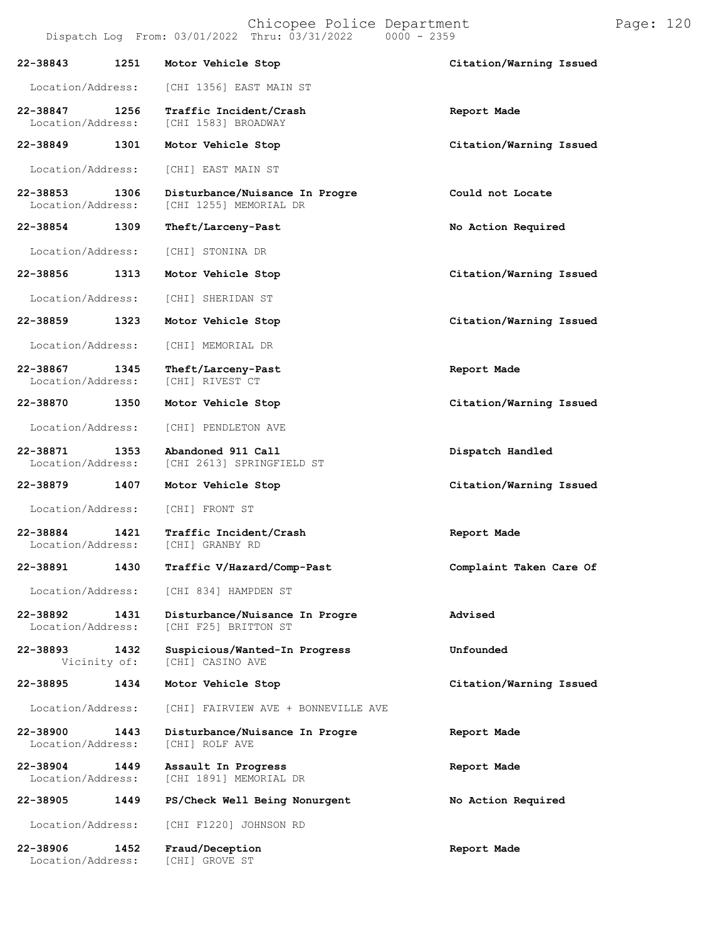|                               |      | Chicopee Police Department<br>Dispatch Log From: 03/01/2022 Thru: 03/31/2022<br>$0000 - 2359$ |                         | Page: 120 |  |
|-------------------------------|------|-----------------------------------------------------------------------------------------------|-------------------------|-----------|--|
| 22-38843                      | 1251 | Motor Vehicle Stop                                                                            | Citation/Warning Issued |           |  |
| Location/Address:             |      | [CHI 1356] EAST MAIN ST                                                                       |                         |           |  |
| 22-38847<br>Location/Address: | 1256 | Traffic Incident/Crash<br>[CHI 1583] BROADWAY                                                 | Report Made             |           |  |
| 22-38849                      | 1301 | Motor Vehicle Stop                                                                            | Citation/Warning Issued |           |  |
| Location/Address:             |      | [CHI] EAST MAIN ST                                                                            |                         |           |  |
| 22-38853<br>Location/Address: | 1306 | Disturbance/Nuisance In Progre<br>[CHI 1255] MEMORIAL DR                                      | Could not Locate        |           |  |
| 22-38854                      | 1309 | Theft/Larceny-Past                                                                            | No Action Required      |           |  |
| Location/Address:             |      | [CHI] STONINA DR                                                                              |                         |           |  |
| 22-38856                      | 1313 | Motor Vehicle Stop                                                                            | Citation/Warning Issued |           |  |
| Location/Address:             |      | [CHI] SHERIDAN ST                                                                             |                         |           |  |
| 22-38859                      | 1323 | Motor Vehicle Stop                                                                            | Citation/Warning Issued |           |  |
| Location/Address:             |      | [CHI] MEMORIAL DR                                                                             |                         |           |  |
| 22-38867<br>Location/Address: | 1345 | Theft/Larceny-Past<br>[CHI] RIVEST CT                                                         | Report Made             |           |  |
| 22-38870                      | 1350 | Motor Vehicle Stop                                                                            | Citation/Warning Issued |           |  |
| Location/Address:             |      | [CHI] PENDLETON AVE                                                                           |                         |           |  |
| 22-38871<br>Location/Address: | 1353 | Abandoned 911 Call<br>[CHI 2613] SPRINGFIELD ST                                               | Dispatch Handled        |           |  |
| 22-38879                      | 1407 | Motor Vehicle Stop                                                                            | Citation/Warning Issued |           |  |
| Location/Address:             |      | [CHI] FRONT ST                                                                                |                         |           |  |
| 22-38884<br>Location/Address: | 1421 | Traffic Incident/Crash<br>[CHI] GRANBY RD                                                     | Report Made             |           |  |
| 22-38891                      | 1430 | Traffic V/Hazard/Comp-Past                                                                    | Complaint Taken Care Of |           |  |
| Location/Address:             |      | [CHI 834] HAMPDEN ST                                                                          |                         |           |  |
| 22-38892<br>Location/Address: | 1431 | Disturbance/Nuisance In Progre<br>[CHI F25] BRITTON ST                                        | Advised                 |           |  |
| 22-38893<br>Vicinity of:      | 1432 | Suspicious/Wanted-In Progress<br>[CHI] CASINO AVE                                             | Unfounded               |           |  |
| 22-38895                      | 1434 | Motor Vehicle Stop                                                                            | Citation/Warning Issued |           |  |
| Location/Address:             |      | [CHI] FAIRVIEW AVE + BONNEVILLE AVE                                                           |                         |           |  |
| 22-38900<br>Location/Address: | 1443 | Disturbance/Nuisance In Progre<br>[CHI] ROLF AVE                                              | Report Made             |           |  |
| 22-38904<br>Location/Address: | 1449 | Assault In Progress<br>[CHI 1891] MEMORIAL DR                                                 | Report Made             |           |  |
| 22-38905                      | 1449 | PS/Check Well Being Nonurgent                                                                 | No Action Required      |           |  |
| Location/Address:             |      | [CHI F1220] JOHNSON RD                                                                        |                         |           |  |
| 22-38906<br>Location/Address: | 1452 | Fraud/Deception<br>[CHI] GROVE ST                                                             | Report Made             |           |  |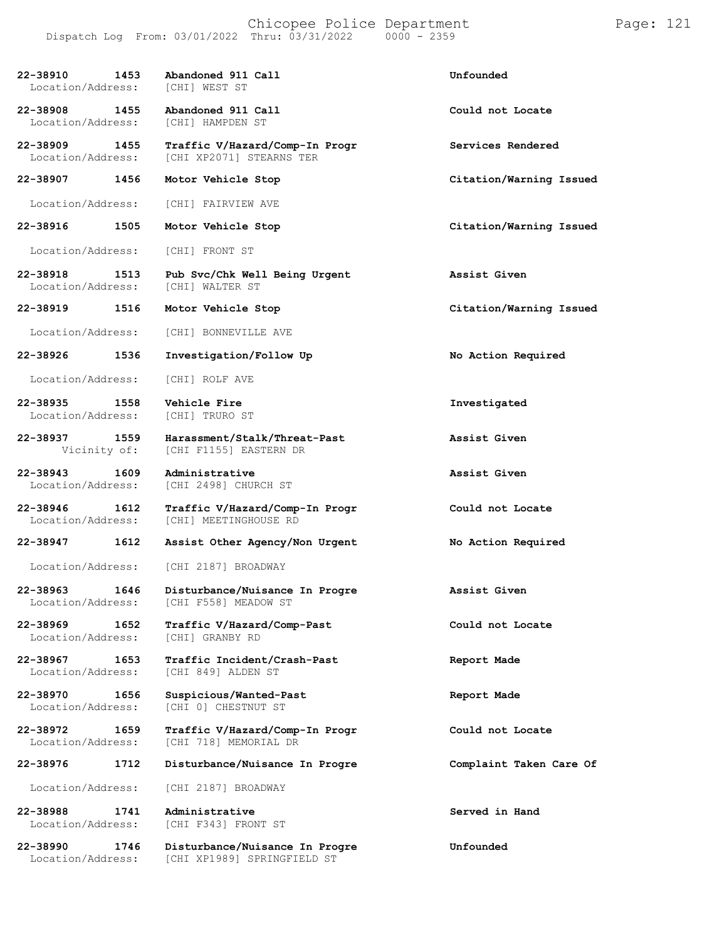| 22-38910<br>1453<br>Location/Address: | Abandoned 911 Call<br>[CHI] WEST ST                                  | Unfounded               |
|---------------------------------------|----------------------------------------------------------------------|-------------------------|
| 22-38908 1455<br>Location/Address:    | Abandoned 911 Call<br>[CHI] HAMPDEN ST                               | Could not Locate        |
| 22-38909 1455<br>Location/Address:    | Traffic V/Hazard/Comp-In Progr<br>[CHI XP2071] STEARNS TER           | Services Rendered       |
| 22-38907 1456                         | Motor Vehicle Stop                                                   | Citation/Warning Issued |
| Location/Address:                     | [CHI] FAIRVIEW AVE                                                   |                         |
| 22-38916<br>1505                      | Motor Vehicle Stop                                                   | Citation/Warning Issued |
| Location/Address:                     | [CHI] FRONT ST                                                       |                         |
| 22-38918 1513<br>Location/Address:    | Pub Svc/Chk Well Being Urgent<br>[CHI] WALTER ST                     | Assist Given            |
| 22-38919<br>1516                      | Motor Vehicle Stop                                                   | Citation/Warning Issued |
| Location/Address:                     | [CHI] BONNEVILLE AVE                                                 |                         |
| 22-38926<br>1536                      | Investigation/Follow Up                                              | No Action Required      |
| Location/Address:                     | [CHI] ROLF AVE                                                       |                         |
| 22-38935 1558<br>Location/Address:    | Vehicle Fire<br>[CHI] TRURO ST                                       | Investigated            |
| 22-38937 1559<br>Vicinity of:         | Harassment/Stalk/Threat-Past<br>[CHI F1155] EASTERN DR               | Assist Given            |
| 22-38943<br>1609<br>Location/Address: | Administrative<br>[CHI 2498] CHURCH ST                               | Assist Given            |
|                                       | Traffic V/Hazard/Comp-In Progr                                       | Could not Locate        |
| 22-38946<br>1612<br>Location/Address: | [CHI] MEETINGHOUSE RD                                                |                         |
| 22-38947<br>1612                      | Assist Other Agency/Non Urgent                                       | No Action Required      |
|                                       | Location/Address: [CHI 2187] BROADWAY                                |                         |
| Location/Address:                     | 22-38963 1646 Disturbance/Nuisance In Progre<br>[CHI F558] MEADOW ST | Assist Given            |
| 22-38969<br>1652<br>Location/Address: | Traffic V/Hazard/Comp-Past<br>[CHI] GRANBY RD                        | Could not Locate        |
| 22-38967<br>1653<br>Location/Address: | Traffic Incident/Crash-Past<br>[CHI 849] ALDEN ST                    | Report Made             |
| 22-38970<br>1656<br>Location/Address: | Suspicious/Wanted-Past<br>[CHI 0] CHESTNUT ST                        | Report Made             |
| 22-38972<br>1659<br>Location/Address: | Traffic V/Hazard/Comp-In Progr<br>[CHI 718] MEMORIAL DR              | Could not Locate        |
| 22-38976<br>1712                      | Disturbance/Nuisance In Progre                                       | Complaint Taken Care Of |
| Location/Address:                     | [CHI 2187] BROADWAY                                                  |                         |
| 22-38988<br>1741<br>Location/Address: | Administrative<br>[CHI F343] FRONT ST                                | Served in Hand          |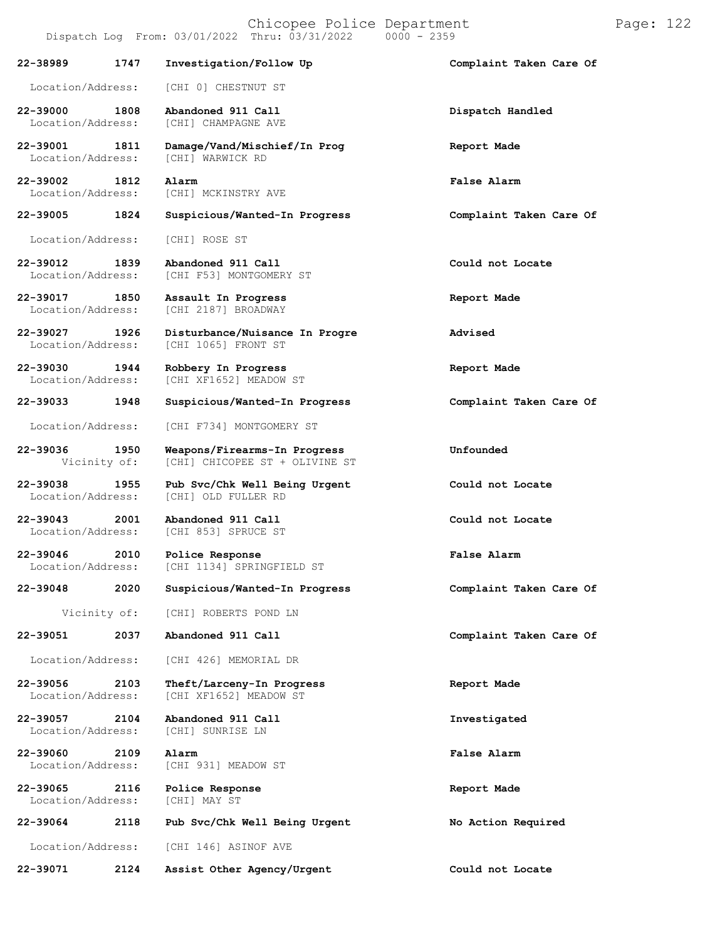Chicopee Police Department Page: 122 Dispatch Log From: 03/01/2022 Thru: 03/31/2022 **22-38989 1747 Investigation/Follow Up Complaint Taken Care Of** Location/Address: [CHI 0] CHESTNUT ST **22-39000 1808 Abandoned 911 Call Dispatch Handled** [CHI] CHAMPAGNE AVE **22-39001 1811 Damage/Vand/Mischief/In Prog Report Made** Location/Address: **22-39002 1812 Alarm False Alarm** [CHI] MCKINSTRY AVE **22-39005 1824 Suspicious/Wanted-In Progress Complaint Taken Care Of** Location/Address: [CHI] ROSE ST **22-39012 1839 Abandoned 911 Call Could not Locate** [CHI F53] MONTGOMERY ST **22-39017 1850 Assault In Progress Report Made** [CHI 2187] BROADWAY **22-39027 1926 Disturbance/Nuisance In Progre Advised** [CHI 1065] FRONT ST **22-39030 1944 Robbery In Progress Report Made** [CHI XF1652] MEADOW ST **22-39033 1948 Suspicious/Wanted-In Progress Complaint Taken Care Of** Location/Address: [CHI F734] MONTGOMERY ST **22-39036 1950 Weapons/Firearms-In Progress Unfounded** [CHI] CHICOPEE ST + OLIVINE ST **22-39038 1955 Pub Svc/Chk Well Being Urgent Could not Locate** [CHI] OLD FULLER RD **22-39043 2001 Abandoned 911 Call Could not Locate** [CHI 853] SPRUCE ST **22-39046 2010 Police Response False Alarm** [CHI 1134] SPRINGFIELD ST **22-39048 2020 Suspicious/Wanted-In Progress Complaint Taken Care Of** Vicinity of: [CHI] ROBERTS POND LN **22-39051 2037 Abandoned 911 Call Complaint Taken Care Of** Location/Address: [CHI 426] MEMORIAL DR **22-39056 2103 Theft/Larceny-In Progress Report Made** [CHI XF1652] MEADOW ST **22-39057 2104 Abandoned 911 Call Investigated** Location/Address: **22-39060 2109 Alarm False Alarm** Location/Address: [CHI 931] MEADOW ST **22-39065 2116 Police Response Report Made** Location/Address: **22-39064 2118 Pub Svc/Chk Well Being Urgent No Action Required** Location/Address: [CHI 146] ASINOF AVE **22-39071 2124 Assist Other Agency/Urgent Could not Locate**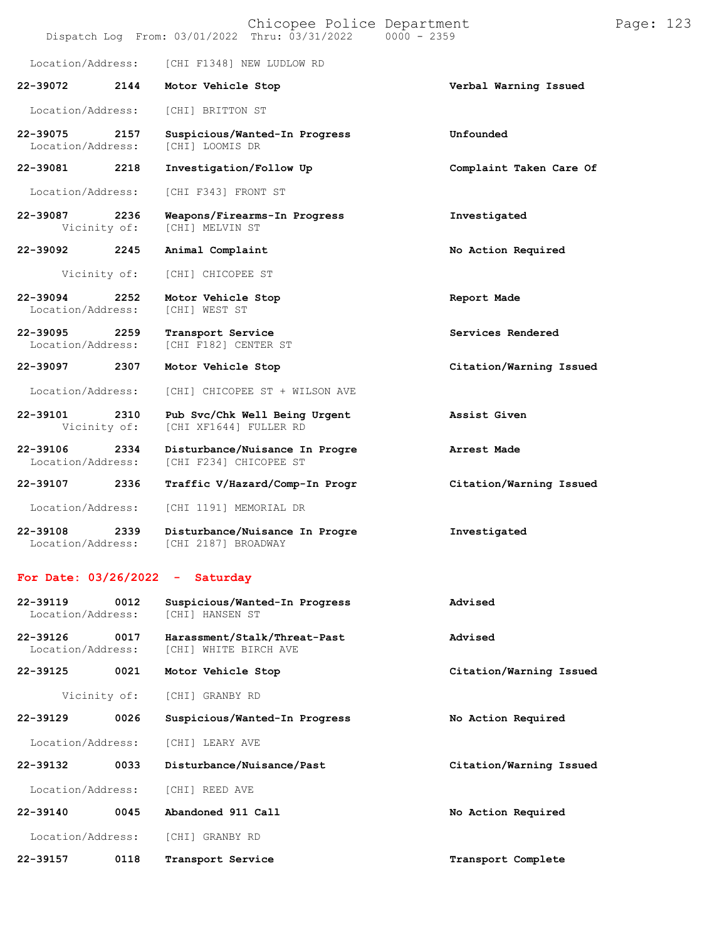|                                  |      | Chicopee Police Department<br>Dispatch Log From: 03/01/2022 Thru: 03/31/2022<br>$0000 - 2359$ |                         |
|----------------------------------|------|-----------------------------------------------------------------------------------------------|-------------------------|
| Location/Address:                |      | [CHI F1348] NEW LUDLOW RD                                                                     |                         |
| 22-39072                         | 2144 | Motor Vehicle Stop                                                                            | Verbal Warning Issued   |
| Location/Address:                |      | [CHI] BRITTON ST                                                                              |                         |
| 22-39075<br>Location/Address:    | 2157 | Suspicious/Wanted-In Progress<br>[CHI] LOOMIS DR                                              | Unfounded               |
| 22-39081                         | 2218 | Investigation/Follow Up                                                                       | Complaint Taken Care Of |
| Location/Address:                |      | [CHI F343] FRONT ST                                                                           |                         |
| 22-39087<br>2236<br>Vicinity of: |      | Weapons/Firearms-In Progress<br>[CHI] MELVIN ST                                               | Investigated            |
| 22-39092                         | 2245 | Animal Complaint                                                                              | No Action Required      |
| Vicinity of:                     |      | [CHI] CHICOPEE ST                                                                             |                         |
| 22-39094<br>Location/Address:    | 2252 | Motor Vehicle Stop<br><b>[CHI] WEST ST</b>                                                    | Report Made             |
| 22-39095<br>Location/Address:    | 2259 | Transport Service<br>[CHI F182] CENTER ST                                                     | Services Rendered       |
| 22-39097                         | 2307 | Motor Vehicle Stop                                                                            | Citation/Warning Issued |
| Location/Address:                |      | [CHI] CHICOPEE ST + WILSON AVE                                                                |                         |
| 22-39101<br>Vicinity of:         | 2310 | Pub Svc/Chk Well Being Urgent<br>[CHI XF1644] FULLER RD                                       | Assist Given            |
| 22-39106<br>Location/Address:    | 2334 | Disturbance/Nuisance In Progre<br>[CHI F234] CHICOPEE ST                                      | Arrest Made             |
| 22-39107 2336                    |      | Traffic V/Hazard/Comp-In Progr                                                                | Citation/Warning Issued |
| Location/Address:                |      | [CHI 1191] MEMORIAL DR                                                                        |                         |
| 22-39108<br>Location/Address:    | 2339 | Disturbance/Nuisance In Progre<br>[CHI 2187] BROADWAY                                         | Investigated            |
| For Date: $03/26/2022 -$         |      | Saturday                                                                                      |                         |
| 22-39119<br>Location/Address:    | 0012 | Suspicious/Wanted-In Progress<br>[CHI] HANSEN ST                                              | Advised                 |
| 22-39126<br>Location/Address:    | 0017 | Harassment/Stalk/Threat-Past<br>[CHI] WHITE BIRCH AVE                                         | Advised                 |
| 22-39125                         | 0021 | Motor Vehicle Stop                                                                            | Citation/Warning Issued |
| Vicinity of:                     |      | [CHI] GRANBY RD                                                                               |                         |
| 22-39129                         | 0026 | Suspicious/Wanted-In Progress                                                                 | No Action Required      |
| Location/Address:                |      | [CHI] LEARY AVE                                                                               |                         |
| 22-39132                         | 0033 | Disturbance/Nuisance/Past                                                                     | Citation/Warning Issued |
| Location/Address:                |      | [CHI] REED AVE                                                                                |                         |
| 22-39140                         | 0045 | Abandoned 911 Call                                                                            | No Action Required      |

Location/Address: [CHI] GRANBY RD

**22-39157 0118 Transport Service Transport Complete**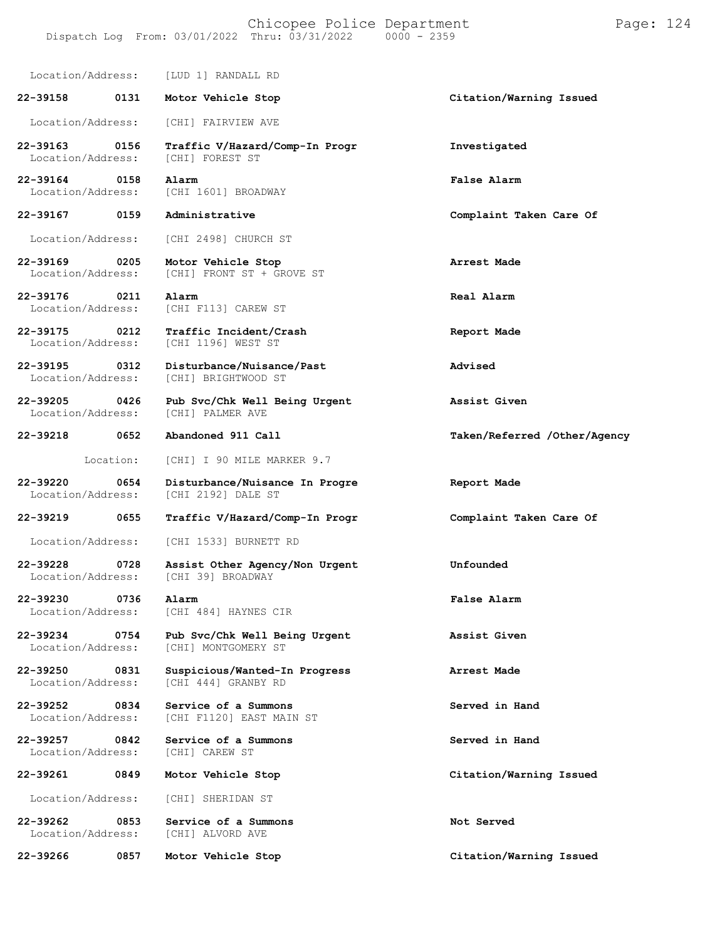Location/Address: [LUD 1] RANDALL RD

**22-39158 0131 Motor Vehicle Stop Citation/Warning Issued** Location/Address: [CHI] FAIRVIEW AVE

Location/Address:

**22-39164 0158 Alarm False Alarm** Location/Address: [CHI 1601] BROADWAY

**22-39167 0159 Administrative Complaint Taken Care Of**

Location/Address: [CHI 2498] CHURCH ST

**22-39169 0205 Motor Vehicle Stop Arrest Made**

**22-39176 0211 Alarm Real Alarm** Location/Address: [CHI F113] CAREW ST

**22-39175 0212 Traffic Incident/Crash Report Made**

**22-39195 0312 Disturbance/Nuisance/Past Advised**

Location/Address: [CHI] BRIGHTWOOD ST

**22-39205 0426 Pub Svc/Chk Well Being Urgent Assist Given** Location/Address:

Location/Address:

**22-39230 0736 Alarm False Alarm** Location/Address: [CHI 484] HAYNES CIR

Location/Address:

Location/Address:

**22-39218 0652 Abandoned 911 Call Taken/Referred /Other/Agency**

[CHI] FRONT ST + GROVE ST

[CHI 1196] WEST ST

Location: [CHI] I 90 MILE MARKER 9.7

**22-39220 0654 Disturbance/Nuisance In Progre Report Made** [CHI 2192] DALE ST

**22-39219 0655 Traffic V/Hazard/Comp-In Progr Complaint Taken Care Of**

Location/Address: [CHI 1533] BURNETT RD

**22-39228 0728 Assist Other Agency/Non Urgent Unfounded**

**22-39234 0754 Pub Svc/Chk Well Being Urgent Assist Given** [CHI] MONTGOMERY ST

**22-39250 0831 Suspicious/Wanted-In Progress Arrest Made** [CHI 444] GRANBY RD

**22-39252 0834 Service of a Summons Served in Hand** [CHI F1120] EAST MAIN ST

**22-39257 0842 Service of a Summons Served in Hand**

Location/Address: [CHI] SHERIDAN ST

**22-39262 0853 Service of a Summons Not Served**

**22-39266 0857 Motor Vehicle Stop Citation/Warning Issued**

**22-39163 0156 Traffic V/Hazard/Comp-In Progr Investigated**

**22-39261 0849 Motor Vehicle Stop Citation/Warning Issued**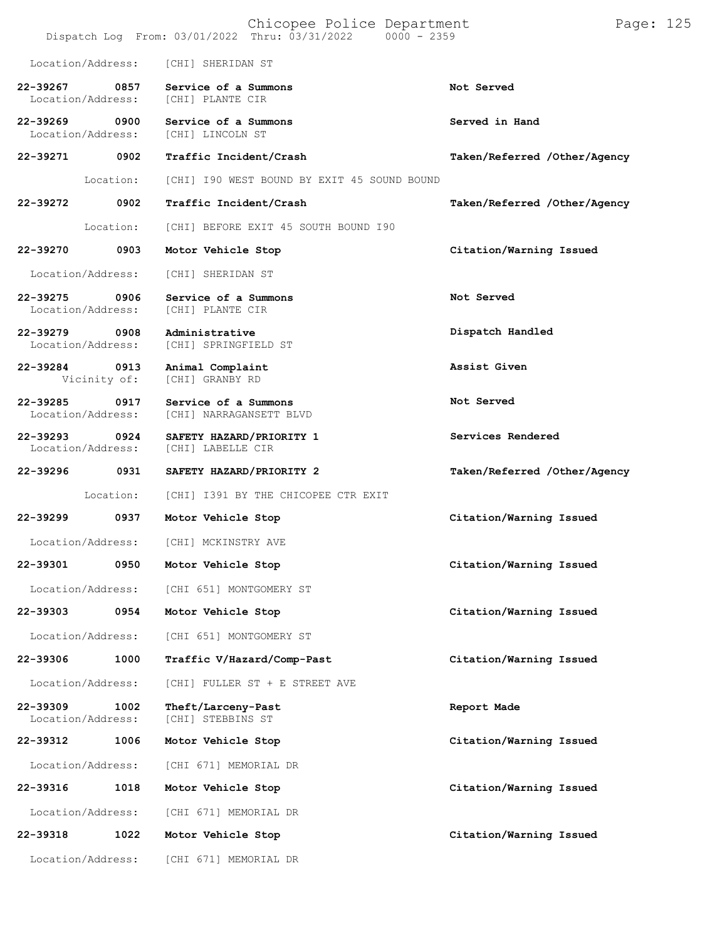|                                    |                      | Chicopee Police Department<br>Dispatch Log From: 03/01/2022 Thru: 03/31/2022 0000 - 2359 | Page: 125                    |
|------------------------------------|----------------------|------------------------------------------------------------------------------------------|------------------------------|
| Location/Address:                  |                      | [CHI] SHERIDAN ST                                                                        |                              |
| 22-39267<br>Location/Address:      | 0857                 | Service of a Summons<br>[CHI] PLANTE CIR                                                 | Not Served                   |
| 22-39269 0900<br>Location/Address: |                      | Service of a Summons<br>[CHI] LINCOLN ST                                                 | Served in Hand               |
| 22-39271 0902                      |                      | Traffic Incident/Crash                                                                   | Taken/Referred /Other/Agency |
|                                    | Location:            | [CHI] I90 WEST BOUND BY EXIT 45 SOUND BOUND                                              |                              |
| 22-39272                           | 0902                 | Traffic Incident/Crash                                                                   | Taken/Referred /Other/Agency |
|                                    | Location:            | [CHI] BEFORE EXIT 45 SOUTH BOUND 190                                                     |                              |
| 22-39270                           | 0903                 | Motor Vehicle Stop                                                                       | Citation/Warning Issued      |
| Location/Address:                  |                      | [CHI] SHERIDAN ST                                                                        |                              |
| 22-39275<br>Location/Address:      | 0906                 | Service of a Summons<br>[CHI] PLANTE CIR                                                 | Not Served                   |
| 22-39279 0908<br>Location/Address: |                      | Administrative<br>[CHI] SPRINGFIELD ST                                                   | Dispatch Handled             |
| 22-39284                           | 0913<br>Vicinity of: | Animal Complaint<br>[CHI] GRANBY RD                                                      | Assist Given                 |
| 22-39285<br>Location/Address:      | 0917                 | Service of a Summons<br>[CHI] NARRAGANSETT BLVD                                          | Not Served                   |
| 22-39293<br>Location/Address:      | $\overline{0924}$    | SAFETY HAZARD/PRIORITY 1<br>[CHI] LABELLE CIR                                            | Services Rendered            |
| 22-39296                           | 0931                 | SAFETY HAZARD/PRIORITY 2                                                                 | Taken/Referred /Other/Agency |
|                                    | Location:            | [CHI] I391 BY THE CHICOPEE CTR EXIT                                                      |                              |
| 22-39299                           | 0937                 | Motor Vehicle Stop                                                                       | Citation/Warning Issued      |
|                                    |                      | Location/Address: [CHI] MCKINSTRY AVE                                                    |                              |
| 22-39301                           | 0950                 | Motor Vehicle Stop                                                                       | Citation/Warning Issued      |
| Location/Address:                  |                      | [CHI 651] MONTGOMERY ST                                                                  |                              |
| 22-39303                           | 0954                 | Motor Vehicle Stop                                                                       | Citation/Warning Issued      |
| Location/Address:                  |                      | [CHI 651] MONTGOMERY ST                                                                  |                              |
| 22-39306                           | 1000                 | Traffic V/Hazard/Comp-Past                                                               | Citation/Warning Issued      |
| Location/Address:                  |                      | [CHI] FULLER ST + E STREET AVE                                                           |                              |
| 22-39309<br>Location/Address:      | 1002                 | Theft/Larceny-Past<br>[CHI] STEBBINS ST                                                  | Report Made                  |
| 22-39312                           | 1006                 | Motor Vehicle Stop                                                                       | Citation/Warning Issued      |
| Location/Address:                  |                      | [CHI 671] MEMORIAL DR                                                                    |                              |
| 22-39316                           | 1018                 | Motor Vehicle Stop                                                                       | Citation/Warning Issued      |
| Location/Address:                  |                      | [CHI 671] MEMORIAL DR                                                                    |                              |
| 22-39318                           | 1022                 | Motor Vehicle Stop                                                                       | Citation/Warning Issued      |
| Location/Address:                  |                      | [CHI 671] MEMORIAL DR                                                                    |                              |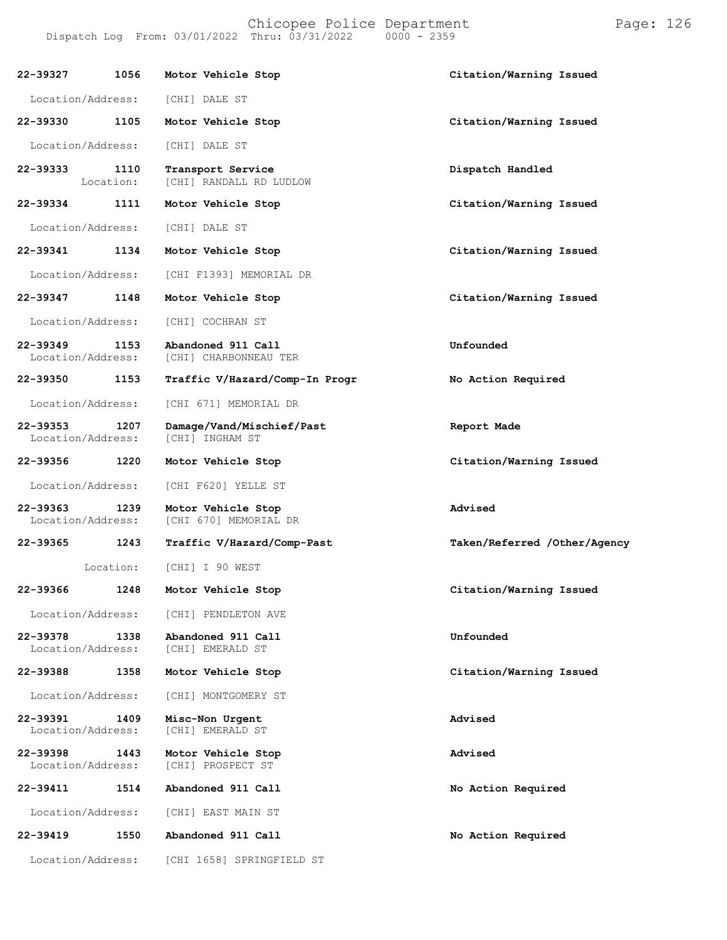Chicopee Police Department Page: 126 Dispatch Log From: 03/01/2022 Thru: 03/31/2022 **22-39327 1056 Motor Vehicle Stop Citation/Warning Issued** Location/Address: [CHI] DALE ST **22-39330 1105 Motor Vehicle Stop Citation/Warning Issued** Location/Address: [CHI] DALE ST **22-39333 1110 Transport Service Dispatch Handled** [CHI] RANDALL RD LUDLOW **22-39334 1111 Motor Vehicle Stop Citation/Warning Issued** Location/Address: [CHI] DALE ST **22-39341 1134 Motor Vehicle Stop Citation/Warning Issued** Location/Address: [CHI F1393] MEMORIAL DR **22-39347 1148 Motor Vehicle Stop Citation/Warning Issued** Location/Address: [CHI] COCHRAN ST **22-39349 1153 Abandoned 911 Call Unfounded** [CHI] CHARBONNEAU TER **22-39350 1153 Traffic V/Hazard/Comp-In Progr No Action Required** Location/Address: [CHI 671] MEMORIAL DR **22-39353 1207 Damage/Vand/Mischief/Past Report Made** Location/Address: **22-39356 1220 Motor Vehicle Stop Citation/Warning Issued** Location/Address: [CHI F620] YELLE ST **22-39363 1239 Motor Vehicle Stop Advised** [CHI 670] MEMORIAL DR **22-39365 1243 Traffic V/Hazard/Comp-Past Taken/Referred /Other/Agency** Location: [CHI] I 90 WEST **22-39366 1248 Motor Vehicle Stop Citation/Warning Issued** Location/Address: [CHI] PENDLETON AVE

**22-39378 1338 Abandoned 911 Call Unfounded** Location/Address:

**22-39388 1358 Motor Vehicle Stop Citation/Warning Issued**

Location/Address: [CHI] MONTGOMERY ST

**22-39391 1409 Misc-Non Urgent Advised** [CHI] EMERALD ST

**22-39398 1443 Motor Vehicle Stop Advised** [CHI] PROSPECT ST

**22-39411 1514 Abandoned 911 Call No Action Required**

Location/Address: [CHI] EAST MAIN ST

**22-39419 1550 Abandoned 911 Call No Action Required**

Location/Address: [CHI 1658] SPRINGFIELD ST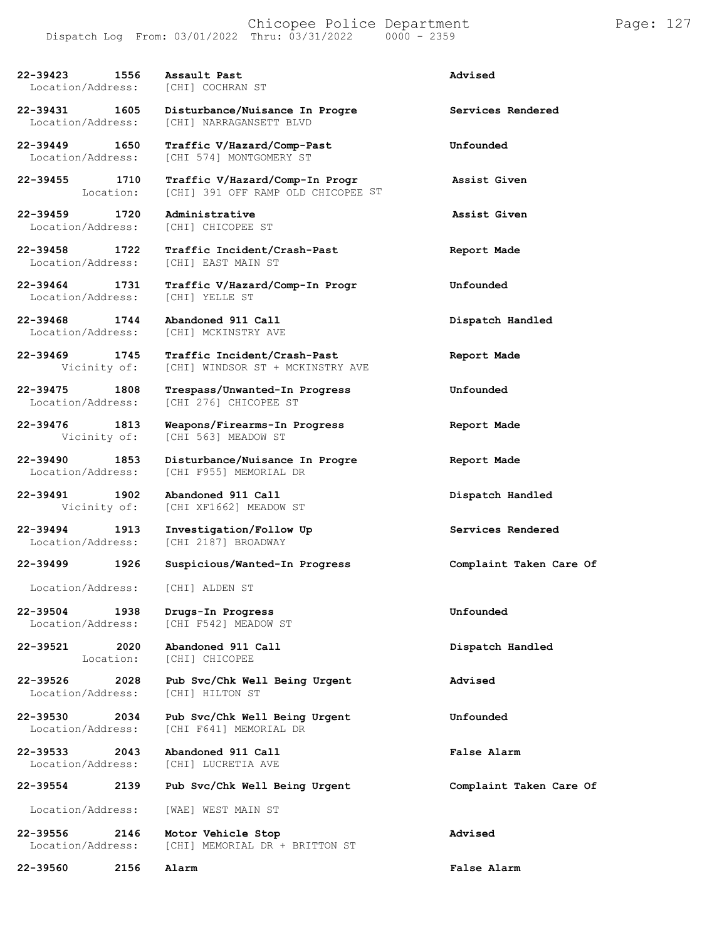| 22-39423 1556<br>Location/Address:        | Assault Past<br>[CHI] COCHRAN ST                                     | Advised                 |
|-------------------------------------------|----------------------------------------------------------------------|-------------------------|
| 22-39431 1605<br>Location/Address:        | Disturbance/Nuisance In Progre<br>[CHI] NARRAGANSETT BLVD            | Services Rendered       |
| 22-39449<br>1650<br>Location/Address:     | Traffic V/Hazard/Comp-Past<br>[CHI 574] MONTGOMERY ST                | Unfounded               |
| 22-39455 1710<br>Location:                | Traffic V/Hazard/Comp-In Progr<br>[CHI] 391 OFF RAMP OLD CHICOPEE ST | Assist Given            |
| 22-39459 1720<br>Location/Address:        | Administrative<br>[CHI] CHICOPEE ST                                  | Assist Given            |
| 22-39458 1722<br>Location/Address:        | Traffic Incident/Crash-Past<br>[CHI] EAST MAIN ST                    | Report Made             |
| 22-39464 1731<br>Location/Address:        | Traffic V/Hazard/Comp-In Progr<br>[CHI] YELLE ST                     | Unfounded               |
| 22-39468 1744<br>Location/Address:        | Abandoned 911 Call<br>[CHI] MCKINSTRY AVE                            | Dispatch Handled        |
| 22-39469 1745<br>Vicinity of:             | Traffic Incident/Crash-Past<br>[CHI] WINDSOR ST + MCKINSTRY AVE      | Report Made             |
| 22-39475 1808<br>Location/Address:        | Trespass/Unwanted-In Progress<br>[CHI 276] CHICOPEE ST               | Unfounded               |
| 22-39476 1813<br>Vicinity of:             | Weapons/Firearms-In Progress<br>[CHI 563] MEADOW ST                  | Report Made             |
| 22-39490 1853<br>Location/Address:        | Disturbance/Nuisance In Progre<br>[CHI F955] MEMORIAL DR             | Report Made             |
| 22-39491<br>1902<br>Vicinity of:          | Abandoned 911 Call<br>[CHI XF1662] MEADOW ST                         | Dispatch Handled        |
| 22-39494<br>1913<br>Location/Address:     | Investigation/Follow Up<br>[CHI 2187] BROADWAY                       | Services Rendered       |
| 22-39499<br>1926                          | Suspicious/Wanted-In Progress                                        | Complaint Taken Care Of |
| Location/Address:                         | [CHI] ALDEN ST                                                       |                         |
| 22-39504<br>1938<br>Location/Address:     | Drugs-In Progress<br>[CHI F542] MEADOW ST                            | Unfounded               |
| 22-39521<br>2020<br>Location:             | Abandoned 911 Call<br>[CHI] CHICOPEE                                 | Dispatch Handled        |
| $22 - 39526$<br>2028<br>Location/Address: | Pub Svc/Chk Well Being Urgent<br>[CHI] HILTON ST                     | Advised                 |
| 22-39530<br>2034<br>Location/Address:     | Pub Svc/Chk Well Being Urgent<br>[CHI F641] MEMORIAL DR              | Unfounded               |
| 22-39533<br>2043<br>Location/Address:     | Abandoned 911 Call<br>[CHI] LUCRETIA AVE                             | <b>False Alarm</b>      |
| 2139<br>22-39554                          | Pub Svc/Chk Well Being Urgent                                        | Complaint Taken Care Of |
| Location/Address:                         | [WAE] WEST MAIN ST                                                   |                         |
| 22-39556<br>2146<br>Location/Address:     | Motor Vehicle Stop<br>[CHI] MEMORIAL DR + BRITTON ST                 | Advised                 |
| 22-39560<br>2156                          | Alarm                                                                | False Alarm             |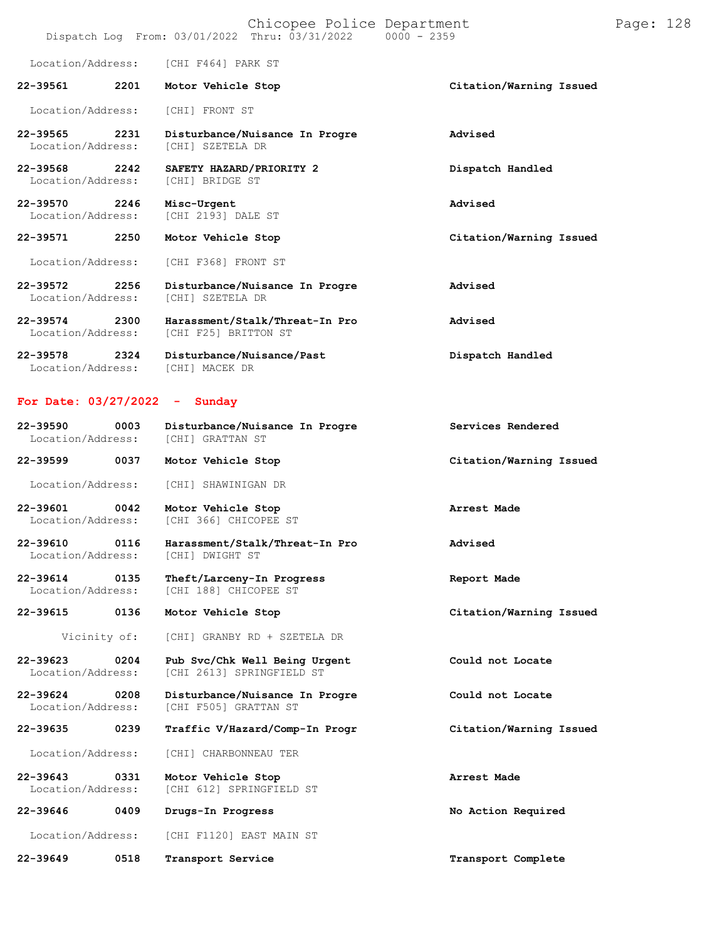### Chicopee Police Department Page: 128 Dispatch Log From:  $03/01/2022$  Thru:  $03/31/2022$

Location/Address: [CHI F464] PARK ST

**22-39561 2201 Motor Vehicle Stop Citation/Warning Issued** Location/Address: [CHI] FRONT ST

**22-39565 2231 Disturbance/Nuisance In Progre Advised** Location/Address:

**22-39568 2242 SAFETY HAZARD/PRIORITY 2 Dispatch Handled** Location/Address:

**22-39570 2246 Misc-Urgent Advised** [CHI 2193] DALE ST

Location/Address: [CHI F368] FRONT ST

**22-39572 2256 Disturbance/Nuisance In Progre Advised** Location/Address:

**22-39574 2300 Harassment/Stalk/Threat-In Pro Advised** [CHI F25] BRITTON ST

**22-39578 2324 Disturbance/Nuisance/Past Dispatch Handled** Location/Address: [CHI] MACEK DR

### **For Date: 03/27/2022 - Sunday**

| 22-39590          | 0003 | Disturbance/Nuisance In Progre | Services Rendered       |
|-------------------|------|--------------------------------|-------------------------|
| Location/Address: |      | [CHI] GRATTAN ST               |                         |
| 22-39599          | 0037 | Motor Vehicle Stop             | Citation/Warning Issued |

Location/Address: [CHI] SHAWINIGAN DR

**22-39601 0042 Motor Vehicle Stop Arrest Made** [CHI 366] CHICOPEE ST

**22-39610 0116 Harassment/Stalk/Threat-In Pro Advised** Location/Address:

**22-39614 0135 Theft/Larceny-In Progress Report Made** [CHI 188] CHICOPEE ST

**22-39615 0136 Motor Vehicle Stop Citation/Warning Issued**

Vicinity of: [CHI] GRANBY RD + SZETELA DR

**22-39623 0204 Pub Svc/Chk Well Being Urgent Could not Locate** [CHI 2613] SPRINGFIELD ST

**22-39624 0208 Disturbance/Nuisance In Progre Could not Locate** [CHI F505] GRATTAN ST

**22-39635 0239 Traffic V/Hazard/Comp-In Progr Citation/Warning Issued**

Location/Address: [CHI] CHARBONNEAU TER

**22-39643 0331 Motor Vehicle Stop Arrest Made** [CHI 612] SPRINGFIELD ST

**22-39646 0409 Drugs-In Progress No Action Required**

Location/Address: [CHI F1120] EAST MAIN ST

**22-39649 0518 Transport Service Transport Complete**

**22-39571 2250 Motor Vehicle Stop Citation/Warning Issued**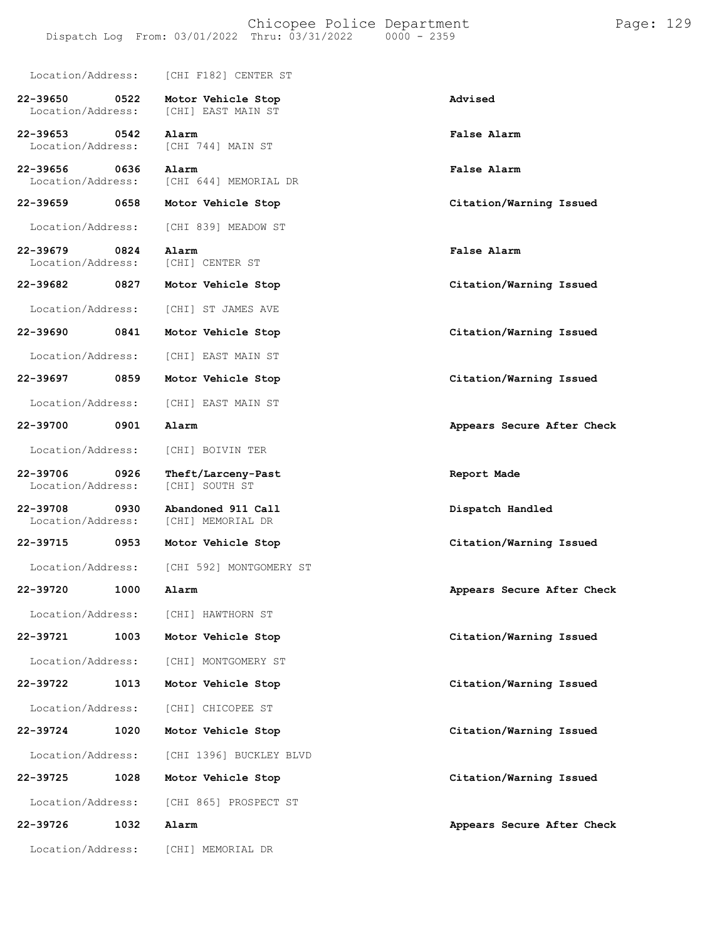|                               |      | Location/Address: [CHI F182] CENTER ST           |                            |
|-------------------------------|------|--------------------------------------------------|----------------------------|
| 22-39650<br>Location/Address: | 0522 | Motor Vehicle Stop<br>[CHI] EAST MAIN ST         | Advised                    |
| 22-39653                      | 0542 | Alarm<br>Location/Address: [CHI 744] MAIN ST     | False Alarm                |
| 22-39656                      | 0636 | Alarm<br>Location/Address: [CHI 644] MEMORIAL DR | False Alarm                |
| 22-39659 2014                 | 0658 | Motor Vehicle Stop                               | Citation/Warning Issued    |
| Location/Address:             |      | [CHI 839] MEADOW ST                              |                            |
| 22-39679<br>Location/Address: | 0824 | Alarm<br>[CHI] CENTER ST                         | <b>False Alarm</b>         |
|                               |      | 22-39682 0827 Motor Vehicle Stop                 | Citation/Warning Issued    |
| Location/Address:             |      | [CHI] ST JAMES AVE                               |                            |
| 22-39690                      | 0841 | Motor Vehicle Stop                               | Citation/Warning Issued    |
| Location/Address:             |      | [CHI] EAST MAIN ST                               |                            |
| 22-39697 0859                 |      | Motor Vehicle Stop                               | Citation/Warning Issued    |
|                               |      | Location/Address: [CHI] EAST MAIN ST             |                            |
| 22-39700                      | 0901 | Alarm                                            | Appears Secure After Check |
| Location/Address:             |      | [CHI] BOIVIN TER                                 |                            |
| 22-39706<br>Location/Address: | 0926 | Theft/Larceny-Past<br>[CHI] SOUTH ST             | Report Made                |
| 22-39708<br>Location/Address: | 0930 | Abandoned 911 Call<br>[CHI] MEMORIAL DR          | Dispatch Handled           |
| 22-39715                      | 0953 | Motor Vehicle Stop                               | Citation/Warning Issued    |
|                               |      | Location/Address: [CHI 592] MONTGOMERY ST        |                            |
| 22-39720                      | 1000 | Alarm                                            | Appears Secure After Check |
|                               |      | Location/Address: [CHI] HAWTHORN ST              |                            |
| 22-39721                      | 1003 | Motor Vehicle Stop                               | Citation/Warning Issued    |
| Location/Address:             |      | [CHI] MONTGOMERY ST                              |                            |
| 22-39722                      | 1013 | Motor Vehicle Stop                               | Citation/Warning Issued    |
| Location/Address:             |      | [CHI] CHICOPEE ST                                |                            |
| 22-39724                      | 1020 | Motor Vehicle Stop                               | Citation/Warning Issued    |
| Location/Address:             |      | [CHI 1396] BUCKLEY BLVD                          |                            |
| 22-39725                      | 1028 | Motor Vehicle Stop                               | Citation/Warning Issued    |
| Location/Address:             |      | [CHI 865] PROSPECT ST                            |                            |
| 22-39726                      | 1032 | Alarm                                            | Appears Secure After Check |
|                               |      | Location/Address: [CHI] MEMORIAL DR              |                            |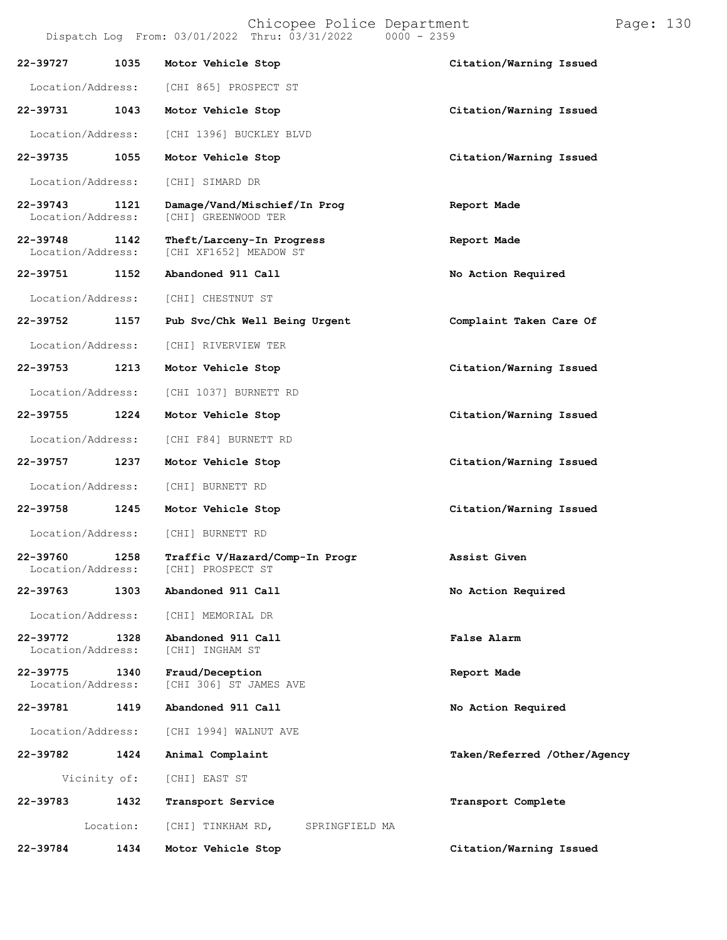| 22-39727                      | 1035         | Motor Vehicle Stop                                         | Citation/Warning Issued      |
|-------------------------------|--------------|------------------------------------------------------------|------------------------------|
| Location/Address:             |              | [CHI 865] PROSPECT ST                                      |                              |
| 22-39731                      | 1043         | Motor Vehicle Stop                                         | Citation/Warning Issued      |
| Location/Address:             |              | [CHI 1396] BUCKLEY BLVD                                    |                              |
| 22-39735                      | 1055         | Motor Vehicle Stop                                         | Citation/Warning Issued      |
| Location/Address:             |              | [CHI] SIMARD DR                                            |                              |
| 22-39743<br>Location/Address: | 1121         | Damage/Vand/Mischief/In Prog<br>[CHI] GREENWOOD TER        | Report Made                  |
| 22-39748<br>Location/Address: | 1142         | Theft/Larceny-In Progress<br>[CHI XF1652] MEADOW ST        | Report Made                  |
| 22-39751                      | 1152         | Abandoned 911 Call                                         | No Action Required           |
| Location/Address:             |              | [CHI] CHESTNUT ST                                          |                              |
| 22-39752                      | 1157         | Pub Svc/Chk Well Being Urgent                              | Complaint Taken Care Of      |
| Location/Address:             |              | [CHI] RIVERVIEW TER                                        |                              |
| 22-39753                      | 1213         | Motor Vehicle Stop                                         | Citation/Warning Issued      |
| Location/Address:             |              | [CHI 1037] BURNETT RD                                      |                              |
| 22-39755                      | 1224         | Motor Vehicle Stop                                         | Citation/Warning Issued      |
| Location/Address:             |              | [CHI F84] BURNETT RD                                       |                              |
| 22-39757                      | 1237         | Motor Vehicle Stop                                         | Citation/Warning Issued      |
| Location/Address:             |              | [CHI] BURNETT RD                                           |                              |
| 22-39758                      | 1245         | Motor Vehicle Stop                                         | Citation/Warning Issued      |
| Location/Address:             |              | [CHI] BURNETT RD                                           |                              |
| 22-39760<br>Location/Address: | 1258         | Traffic V/Hazard/Comp-In Progr<br><b>[CHI] PROSPECT ST</b> | Assist Given                 |
| 22-39763                      | 1303         | Abandoned 911 Call                                         | No Action Required           |
| Location/Address:             |              | [CHI] MEMORIAL DR                                          |                              |
| 22-39772<br>Location/Address: | 1328         | Abandoned 911 Call<br>[CHI] INGHAM ST                      | False Alarm                  |
| 22-39775<br>Location/Address: | 1340         | Fraud/Deception<br>[CHI 306] ST JAMES AVE                  | Report Made                  |
| 22-39781                      | 1419         | Abandoned 911 Call                                         | No Action Required           |
| Location/Address:             |              | [CHI 1994] WALNUT AVE                                      |                              |
| 22-39782                      | 1424         | Animal Complaint                                           | Taken/Referred /Other/Agency |
|                               | Vicinity of: | [CHI] EAST ST                                              |                              |
| 22-39783                      | 1432         | Transport Service                                          | Transport Complete           |
|                               | Location:    | [CHI] TINKHAM RD,<br>SPRINGFIELD MA                        |                              |
| 22-39784                      | 1434         | Motor Vehicle Stop                                         | Citation/Warning Issued      |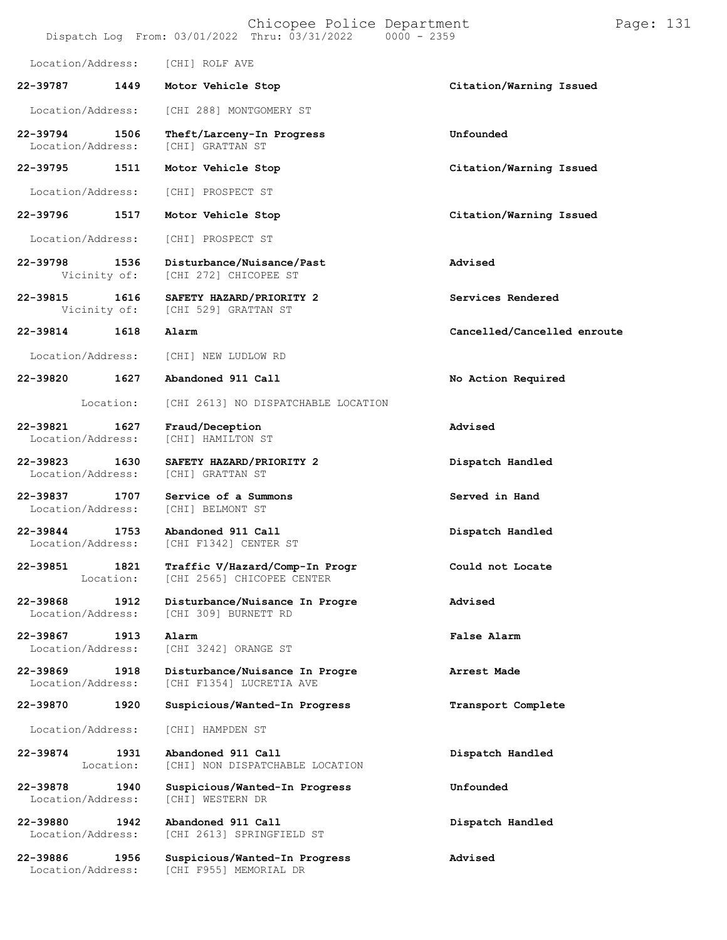|                               |                      | Chicopee Police Department<br>Dispatch Log From: 03/01/2022 Thru: 03/31/2022 0000 - 2359 | Page: 131                   |
|-------------------------------|----------------------|------------------------------------------------------------------------------------------|-----------------------------|
| Location/Address:             |                      | [CHI] ROLF AVE                                                                           |                             |
| 22-39787                      | 1449                 | Motor Vehicle Stop                                                                       | Citation/Warning Issued     |
| Location/Address:             |                      | [CHI 288] MONTGOMERY ST                                                                  |                             |
| 22-39794<br>Location/Address: | 1506                 | Theft/Larceny-In Progress<br>[CHI] GRATTAN ST                                            | Unfounded                   |
| 22-39795                      | 1511                 | Motor Vehicle Stop                                                                       | Citation/Warning Issued     |
| Location/Address:             |                      | [CHI] PROSPECT ST                                                                        |                             |
| 22-39796                      | 1517                 | Motor Vehicle Stop                                                                       | Citation/Warning Issued     |
| Location/Address:             |                      | [CHI] PROSPECT ST                                                                        |                             |
| 22-39798<br>Vicinity of:      | 1536                 | Disturbance/Nuisance/Past<br>[CHI 272] CHICOPEE ST                                       | Advised                     |
| 22-39815                      | 1616<br>Vicinity of: | SAFETY HAZARD/PRIORITY 2<br>[CHI 529] GRATTAN ST                                         | Services Rendered           |
| 22-39814                      | 1618                 | Alarm                                                                                    | Cancelled/Cancelled enroute |
| Location/Address:             |                      | [CHI] NEW LUDLOW RD                                                                      |                             |
| 22-39820                      | 1627                 | Abandoned 911 Call                                                                       | No Action Required          |
|                               | Location:            | [CHI 2613] NO DISPATCHABLE LOCATION                                                      |                             |
| 22-39821<br>Location/Address: | 1627                 | Fraud/Deception<br>[CHI] HAMILTON ST                                                     | Advised                     |
| 22-39823<br>Location/Address: | 1630                 | SAFETY HAZARD/PRIORITY 2<br>[CHI] GRATTAN ST                                             | Dispatch Handled            |
| 22-39837<br>Location/Address: | 1707                 | Service of a Summons<br>[CHI] BELMONT ST                                                 | Served in Hand              |
| 22-39844<br>Location/Address: | 1753                 | Abandoned 911 Call<br>[CHI F1342] CENTER ST                                              | Dispatch Handled            |
| 22-39851                      | 1821<br>Location:    | Traffic V/Hazard/Comp-In Progr<br>[CHI 2565] CHICOPEE CENTER                             | Could not Locate            |
| 22-39868<br>Location/Address: | 1912                 | Disturbance/Nuisance In Progre<br>[CHI 309] BURNETT RD                                   | Advised                     |
| 22-39867<br>Location/Address: | 1913                 | Alarm<br>[CHI 3242] ORANGE ST                                                            | False Alarm                 |
| 22-39869<br>Location/Address: | 1918                 | Disturbance/Nuisance In Progre<br>[CHI F1354] LUCRETIA AVE                               | Arrest Made                 |
| 22-39870                      | 1920                 | Suspicious/Wanted-In Progress                                                            | Transport Complete          |
| Location/Address:             |                      | [CHI] HAMPDEN ST                                                                         |                             |
| 22-39874                      | 1931<br>Location:    | Abandoned 911 Call<br>[CHI] NON DISPATCHABLE LOCATION                                    | Dispatch Handled            |
| 22-39878<br>Location/Address: | 1940                 | Suspicious/Wanted-In Progress<br>[CHI] WESTERN DR                                        | Unfounded                   |
| 22-39880<br>Location/Address: | 1942                 | Abandoned 911 Call<br>[CHI 2613] SPRINGFIELD ST                                          | Dispatch Handled            |
| 22-39886                      | 1956                 | Suspicious/Wanted-In Progress                                                            | Advised                     |

Location/Address: [CHI F955] MEMORIAL DR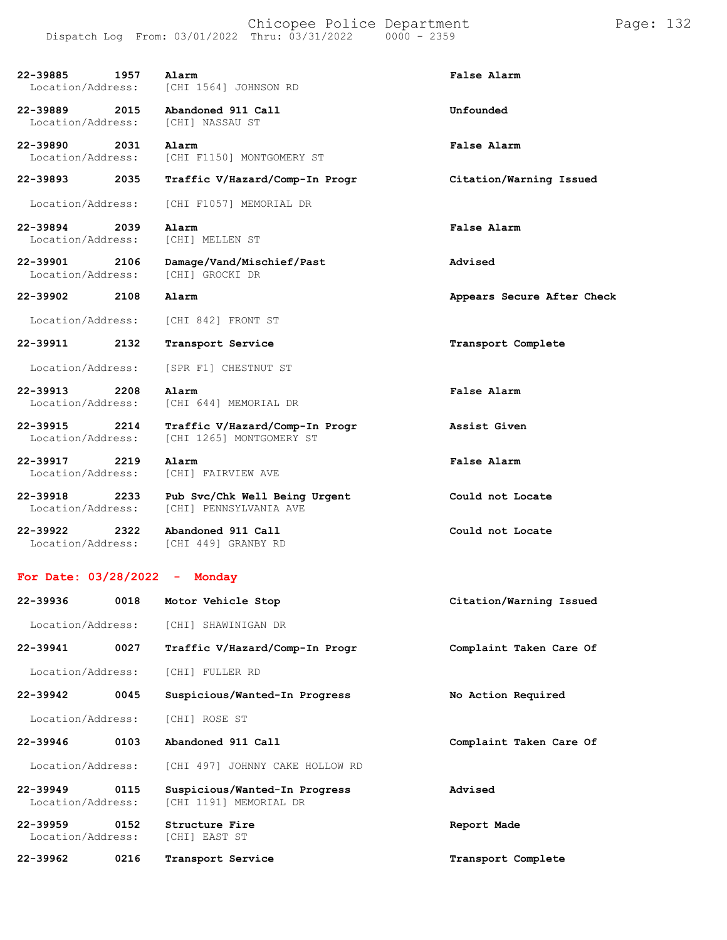**22-39885 1957 Alarm False Alarm** Location/Address: [CHI 1564] JOHNSON RD

**22-39889 2015 Abandoned 911 Call Unfounded** Location/Address: [CHI] NASSAU ST

**22-39890 2031 Alarm False Alarm** Location/Address: [CHI F1150] MONTGOMERY ST

Location/Address: [CHI F1057] MEMORIAL DR

**22-39894 2039 Alarm False Alarm** Location/Address:

**22-39901 2106 Damage/Vand/Mischief/Past Advised** Location/Address:

Location/Address: [CHI 842] FRONT ST

Location/Address: [SPR F1] CHESTNUT ST

**22-39913 2208 Alarm False Alarm** Location/Address: [CHI 644] MEMORIAL DR

**22-39915 2214 Traffic V/Hazard/Comp-In Progr Assist Given** Location/Address: [CHI 1265] MONTGOMERY ST

**22-39917 2219 Alarm False Alarm** Location/Address: [CHI] FAIRVIEW AVE

**22-39918 2233 Pub Svc/Chk Well Being Urgent Could not Locate** Location/Address: [CHI] PENNSYLVANIA AVE

**22-39922 2322 Abandoned 911 Call Could not Locate** Location/Address: [CHI 449] GRANBY RD

**For Date: 03/28/2022 - Monday**

| 22-39936                          | 0018 | Citation/Warning Issued<br>Motor Vehicle Stop           |                         |
|-----------------------------------|------|---------------------------------------------------------|-------------------------|
| Location/Address:                 |      | [CHI] SHAWINIGAN DR                                     |                         |
| 22-39941                          | 0027 | Traffic V/Hazard/Comp-In Progr                          | Complaint Taken Care Of |
| Location/Address:                 |      | [CHI] FULLER RD                                         |                         |
| 22-39942                          | 0045 | Suspicious/Wanted-In Progress                           | No Action Required      |
| Location/Address:                 |      | [CHI] ROSE ST                                           |                         |
| 22-39946                          | 0103 | Abandoned 911 Call                                      | Complaint Taken Care Of |
| Location/Address:                 |      | [CHI 497] JOHNNY CAKE HOLLOW RD                         |                         |
| $22 - 39949$<br>Location/Address: | 0115 | Suspicious/Wanted-In Progress<br>[CHI 1191] MEMORIAL DR | Advised                 |
| $22 - 39959$<br>Location/Address: | 0152 | Structure Fire<br>[CHI] EAST ST                         | Report Made             |
| 22-39962                          | 0216 | Transport Service                                       | Transport Complete      |

**22-39893 2035 Traffic V/Hazard/Comp-In Progr Citation/Warning Issued**

**22-39902 2108 Alarm Appears Secure After Check**

**22-39911 2132 Transport Service Transport Complete**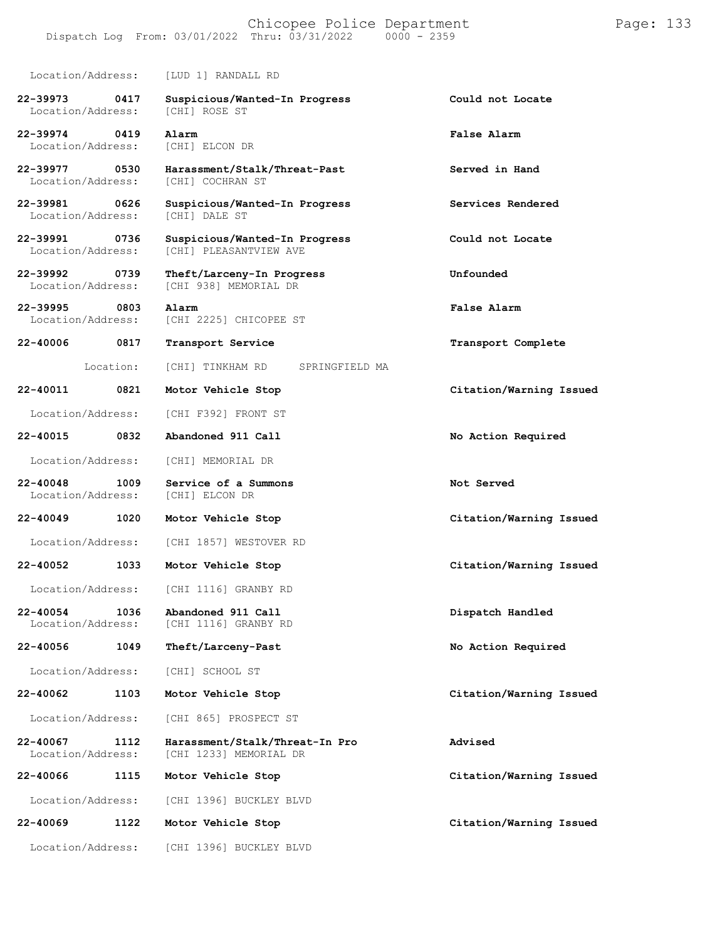### Chicopee Police Department Page: 133 Dispatch Log From: 03/01/2022 Thru: 03/31/2022

Location/Address: [LUD 1] RANDALL RD

[CHI 938] MEMORIAL DR

**22-39973 0417 Suspicious/Wanted-In Progress Could not Locate** Location/Address:

**22-39974 0419 Alarm False Alarm** Location/Address:

**22-39977 0530 Harassment/Stalk/Threat-Past Served in Hand** Location/Address:

**22-39981 0626 Suspicious/Wanted-In Progress Services Rendered** Location/Address:

**22-39991 0736 Suspicious/Wanted-In Progress Could not Locate** [CHI] PLEASANTVIEW AVE

**22-39992 0739 Theft/Larceny-In Progress Unfounded**

**22-39995 0803 Alarm False Alarm**

Location/Address: [CHI 2225] CHICOPEE ST

Location: [CHI] TINKHAM RD SPRINGFIELD MA

Location/Address: [CHI F392] FRONT ST

Location/Address: [CHI] MEMORIAL DR

**22-40048 1009 Service of a Summons Not Served** Location/Address:

**22-40049 1020 Motor Vehicle Stop Citation/Warning Issued**

Location/Address: [CHI 1857] WESTOVER RD

**22-40052 1033 Motor Vehicle Stop Citation/Warning Issued**

Location/Address: [CHI 1116] GRANBY RD

**22-40054 1036 Abandoned 911 Call Dispatch Handled**

Location/Address: [CHI] SCHOOL ST

**22-40062 1103 Motor Vehicle Stop Citation/Warning Issued**

Location/Address: [CHI 865] PROSPECT ST

[CHI 1116] GRANBY RD

**22-40067 1112 Harassment/Stalk/Threat-In Pro Advised** [CHI 1233] MEMORIAL DR

**22-40066 1115 Motor Vehicle Stop Citation/Warning Issued**

Location/Address: [CHI 1396] BUCKLEY BLVD

**22-40069 1122 Motor Vehicle Stop Citation/Warning Issued**

Location/Address: [CHI 1396] BUCKLEY BLVD

**22-40006 0817 Transport Service Transport Complete**

**22-40011 0821 Motor Vehicle Stop Citation/Warning Issued**

**22-40015 0832 Abandoned 911 Call No Action Required**

**22-40056 1049 Theft/Larceny-Past No Action Required**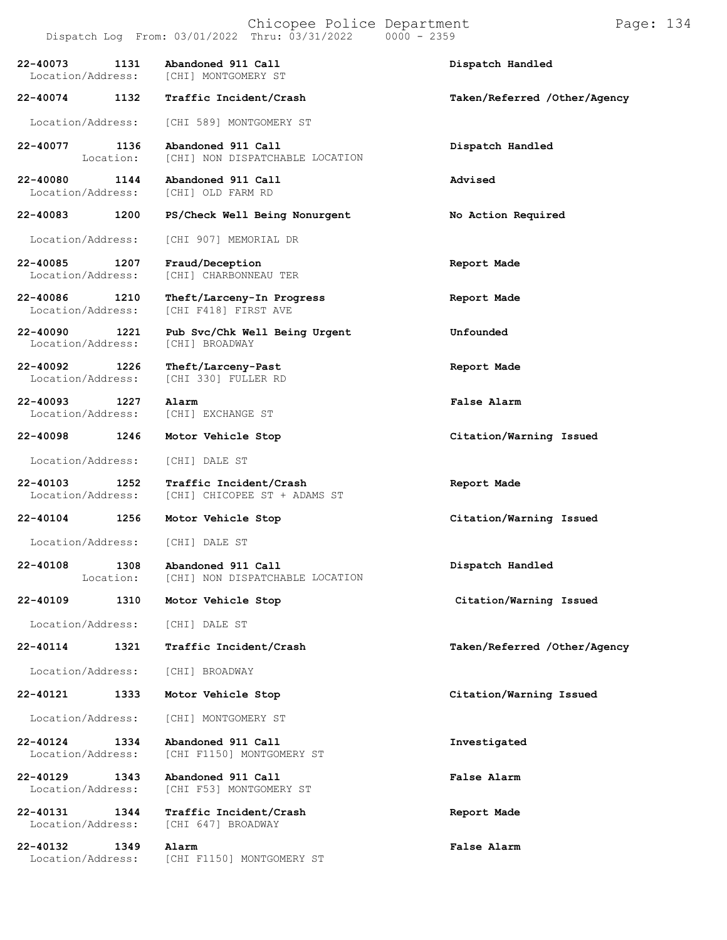# Chicopee Police Department Form Page: 134

| 22-40073                           | 1131              | Abandoned 911 Call<br>Location/Address: [CHI] MONTGOMERY ST | Dispatch Handled             |
|------------------------------------|-------------------|-------------------------------------------------------------|------------------------------|
| 22-40074                           | 1132              | Traffic Incident/Crash                                      | Taken/Referred /Other/Agency |
| Location/Address:                  |                   | [CHI 589] MONTGOMERY ST                                     |                              |
| 22-40077                           | 1136<br>Location: | Abandoned 911 Call<br>[CHI] NON DISPATCHABLE LOCATION       | Dispatch Handled             |
| 22-40080                           | 1144              | Abandoned 911 Call<br>Location/Address: [CHI] OLD FARM RD   | Advised                      |
| 22-40083                           | 1200              | PS/Check Well Being Nonurgent                               | No Action Required           |
| Location/Address:                  |                   | [CHI 907] MEMORIAL DR                                       |                              |
| 22-40085<br>Location/Address:      | 1207              | Fraud/Deception<br>[CHI] CHARBONNEAU TER                    | Report Made                  |
| 22-40086<br>Location/Address:      | 1210              | Theft/Larceny-In Progress<br>[CHI F418] FIRST AVE           | Report Made                  |
| 22-40090<br>Location/Address:      | 1221              | Pub Svc/Chk Well Being Urgent<br>[CHI] BROADWAY             | Unfounded                    |
| 22-40092 1226<br>Location/Address: |                   | Theft/Larceny-Past<br>[CHI 330] FULLER RD                   | Report Made                  |
| 22-40093<br>Location/Address:      | 1227              | Alarm<br>[CHI] EXCHANGE ST                                  | False Alarm                  |
| 22-40098                           | 1246              | Motor Vehicle Stop                                          | Citation/Warning Issued      |
| Location/Address:                  |                   | [CHI] DALE ST                                               |                              |
| 22-40103<br>Location/Address:      | 1252              | Traffic Incident/Crash<br>[CHI] CHICOPEE ST + ADAMS ST      | Report Made                  |
| 22-40104 1256                      |                   | Motor Vehicle Stop                                          | Citation/Warning Issued      |
| Location/Address: [CHI] DALE ST    |                   |                                                             |                              |
| 22-40108<br>Location:              | 1308              | Abandoned 911 Call<br>[CHI] NON DISPATCHABLE LOCATION       | Dispatch Handled             |
| 22-40109                           | 1310              | Motor Vehicle Stop                                          | Citation/Warning Issued      |
| Location/Address:                  |                   | [CHI] DALE ST                                               |                              |
| 22-40114                           | 1321              | Traffic Incident/Crash                                      | Taken/Referred /Other/Agency |
| Location/Address:                  |                   | [CHI] BROADWAY                                              |                              |
| 22-40121                           | 1333              | Motor Vehicle Stop                                          | Citation/Warning Issued      |
| Location/Address:                  |                   | [CHI] MONTGOMERY ST                                         |                              |
| 22-40124<br>Location/Address:      | 1334              | Abandoned 911 Call<br>[CHI F1150] MONTGOMERY ST             | Investigated                 |
| 22-40129<br>Location/Address:      | 1343              | Abandoned 911 Call<br>[CHI F53] MONTGOMERY ST               | <b>False Alarm</b>           |
| 22-40131<br>Location/Address:      | 1344              | Traffic Incident/Crash<br>[CHI 647] BROADWAY                | Report Made                  |
| 22-40132<br>Location/Address:      | 1349              | Alarm<br>[CHI F1150] MONTGOMERY ST                          | False Alarm                  |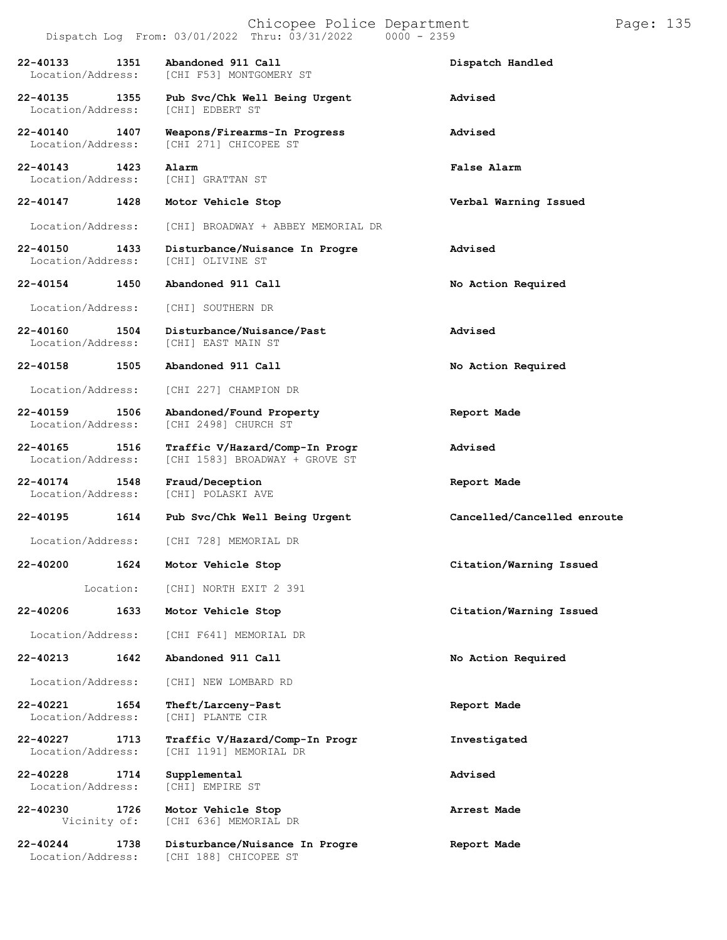|                                   |                      | Chicopee Police Department<br>Dispatch Log From: 03/01/2022 Thru: 03/31/2022<br>$0000 - 2359$ | Page: 135                   |
|-----------------------------------|----------------------|-----------------------------------------------------------------------------------------------|-----------------------------|
| 22-40133<br>Location/Address:     | 1351                 | Abandoned 911 Call<br>[CHI F53] MONTGOMERY ST                                                 | Dispatch Handled            |
| 22-40135<br>Location/Address:     | 1355                 | Pub Svc/Chk Well Being Urgent<br>[CHI] EDBERT ST                                              | Advised                     |
| 22-40140<br>Location/Address:     | 1407                 | Weapons/Firearms-In Progress<br>[CHI 271] CHICOPEE ST                                         | Advised                     |
| $22 - 40143$<br>Location/Address: | 1423                 | Alarm<br>[CHI] GRATTAN ST                                                                     | False Alarm                 |
| 22-40147                          | 1428                 | Motor Vehicle Stop                                                                            | Verbal Warning Issued       |
| Location/Address:                 |                      | [CHI] BROADWAY + ABBEY MEMORIAL DR                                                            |                             |
| 22-40150<br>Location/Address:     | 1433                 | Disturbance/Nuisance In Progre<br>[CHI] OLIVINE ST                                            | Advised                     |
| 22-40154                          | 1450                 | Abandoned 911 Call                                                                            | No Action Required          |
| Location/Address:                 |                      | [CHI] SOUTHERN DR                                                                             |                             |
| 22-40160<br>Location/Address:     | 1504                 | Disturbance/Nuisance/Past<br>[CHI] EAST MAIN ST                                               | Advised                     |
| 22-40158                          | 1505                 | Abandoned 911 Call                                                                            | No Action Required          |
| Location/Address:                 |                      | [CHI 227] CHAMPION DR                                                                         |                             |
| 22-40159<br>Location/Address:     | 1506                 | Abandoned/Found Property<br>[CHI 2498] CHURCH ST                                              | Report Made                 |
| 22-40165<br>Location/Address:     | 1516                 | Traffic V/Hazard/Comp-In Progr<br>[CHI 1583] BROADWAY + GROVE ST                              | Advised                     |
| 22-40174<br>Location/Address:     | 1548                 | Fraud/Deception<br>[CHI] POLASKI AVE                                                          | Report Made                 |
| 22-40195                          | 1614                 | Pub Svc/Chk Well Being Urgent                                                                 | Cancelled/Cancelled enroute |
| Location/Address:                 |                      | [CHI 728] MEMORIAL DR                                                                         |                             |
| 22-40200                          | 1624                 | Motor Vehicle Stop                                                                            | Citation/Warning Issued     |
|                                   | Location:            | [CHI] NORTH EXIT 2 391                                                                        |                             |
| 22-40206                          | 1633                 | Motor Vehicle Stop                                                                            | Citation/Warning Issued     |
| Location/Address:                 |                      | [CHI F641] MEMORIAL DR                                                                        |                             |
| 22-40213                          | 1642                 | Abandoned 911 Call                                                                            | No Action Required          |
| Location/Address:                 |                      | [CHI] NEW LOMBARD RD                                                                          |                             |
| 22-40221<br>Location/Address:     | 1654                 | Theft/Larceny-Past<br>[CHI] PLANTE CIR                                                        | Report Made                 |
| 22-40227<br>Location/Address:     | 1713                 | Traffic V/Hazard/Comp-In Progr<br>[CHI 1191] MEMORIAL DR                                      | Investigated                |
| 22-40228<br>Location/Address:     | 1714                 | Supplemental<br>[CHI] EMPIRE ST                                                               | Advised                     |
| 22-40230                          | 1726<br>Vicinity of: | Motor Vehicle Stop<br>[CHI 636] MEMORIAL DR                                                   | Arrest Made                 |
| $22 - 40244$<br>Location/Address: | 1738                 | Disturbance/Nuisance In Progre<br>[CHI 188] CHICOPEE ST                                       | Report Made                 |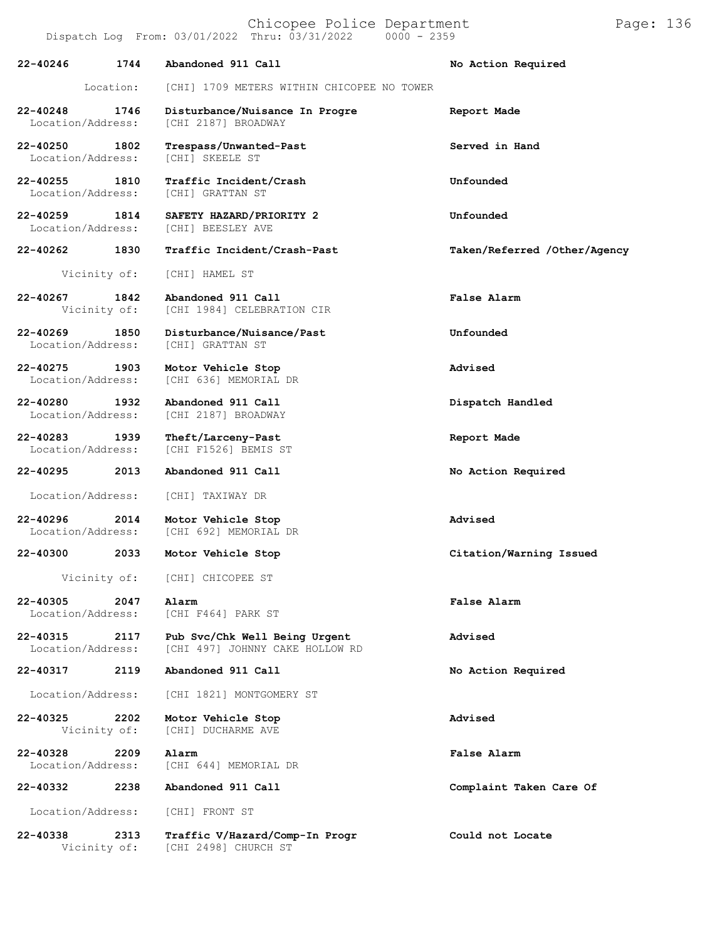Chicopee Police Department Page: 136 Dispatch Log From:  $03/01/2022$  Thru:  $03/31/2022$ **22-40246 1744 Abandoned 911 Call No Action Required** Location: [CHI] 1709 METERS WITHIN CHICOPEE NO TOWER **22-40248 1746 Disturbance/Nuisance In Progre Report Made** [CHI 2187] BROADWAY **22-40250 1802 Trespass/Unwanted-Past Served in Hand** Location/Address: **22-40255 1810 Traffic Incident/Crash Unfounded** Location/Address: **22-40259 1814 SAFETY HAZARD/PRIORITY 2 Unfounded** Location/Address: **22-40262 1830 Traffic Incident/Crash-Past Taken/Referred /Other/Agency** Vicinity of: [CHI] HAMEL ST **22-40267 1842 Abandoned 911 Call False Alarm** [CHI 1984] CELEBRATION CIR **22-40269 1850 Disturbance/Nuisance/Past Unfounded** Location/Address: **22-40275 1903 Motor Vehicle Stop Advised** [CHI 636] MEMORIAL DR **22-40280 1932 Abandoned 911 Call Dispatch Handled** [CHI 2187] BROADWAY **22-40283 1939 Theft/Larceny-Past Report Made** [CHI F1526] BEMIS ST **22-40295 2013 Abandoned 911 Call No Action Required** Location/Address: [CHI] TAXIWAY DR **22-40296 2014 Motor Vehicle Stop Advised** [CHI 692] MEMORIAL DR **22-40300 2033 Motor Vehicle Stop Citation/Warning Issued** Vicinity of: [CHI] CHICOPEE ST **22-40305 2047 Alarm False Alarm** [CHI F464] PARK ST **22-40315 2117 Pub Svc/Chk Well Being Urgent Advised** [CHI 497] JOHNNY CAKE HOLLOW RD **22-40317 2119 Abandoned 911 Call No Action Required** Location/Address: [CHI 1821] MONTGOMERY ST **22-40325 2202 Motor Vehicle Stop Advised** [CHI] DUCHARME AVE **22-40328 2209 Alarm False Alarm** Location/Address: [CHI 644] MEMORIAL DR **22-40332 2238 Abandoned 911 Call Complaint Taken Care Of** Location/Address: [CHI] FRONT ST

**22-40338 2313 Traffic V/Hazard/Comp-In Progr Could not Locate** [CHI 2498] CHURCH ST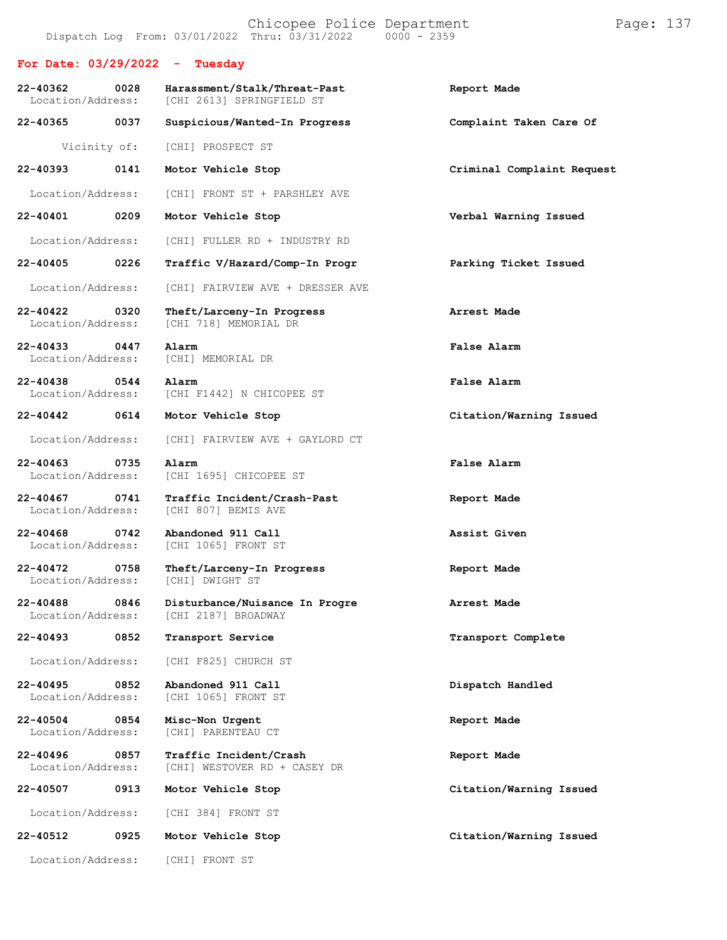**For Date: 03/29/2022 - Tuesday 22-40362 0028 Harassment/Stalk/Threat-Past Report Made** [CHI 2613] SPRINGFIELD ST **22-40365 0037 Suspicious/Wanted-In Progress Complaint Taken Care Of** Vicinity of: [CHI] PROSPECT ST **22-40393 0141 Motor Vehicle Stop Criminal Complaint Request** Location/Address: [CHI] FRONT ST + PARSHLEY AVE **22-40401 0209 Motor Vehicle Stop Verbal Warning Issued** Location/Address: [CHI] FULLER RD + INDUSTRY RD **22-40405 0226 Traffic V/Hazard/Comp-In Progr Parking Ticket Issued** Location/Address: [CHI] FAIRVIEW AVE + DRESSER AVE **22-40422 0320 Theft/Larceny-In Progress Arrest Made** [CHI 718] MEMORIAL DR **22-40433 0447 Alarm False Alarm** Location/Address: **22-40438 0544 Alarm False Alarm** Location/Address: [CHI F1442] N CHICOPEE ST **22-40442 0614 Motor Vehicle Stop Citation/Warning Issued** Location/Address: [CHI] FAIRVIEW AVE + GAYLORD CT **22-40463 0735 Alarm False Alarm** [CHI 1695] CHICOPEE ST **22-40467 0741 Traffic Incident/Crash-Past Report Made** [CHI 807] BEMIS AVE **22-40468 0742 Abandoned 911 Call Assist Given** [CHI 1065] FRONT ST **22-40472 0758 Theft/Larceny-In Progress Report Made** Location/Address: **22-40488 0846 Disturbance/Nuisance In Progre Arrest Made** [CHI 2187] BROADWAY **22-40493 0852 Transport Service Transport Complete** Location/Address: [CHI F825] CHURCH ST **22-40495 0852 Abandoned 911 Call Dispatch Handled** [CHI 1065] FRONT ST **22-40504 0854 Misc-Non Urgent Report Made** [CHI] PARENTEAU CT **22-40496 0857 Traffic Incident/Crash Report Made** [CHI] WESTOVER RD + CASEY DR **22-40507 0913 Motor Vehicle Stop Citation/Warning Issued** Location/Address: [CHI 384] FRONT ST **22-40512 0925 Motor Vehicle Stop Citation/Warning Issued** Location/Address: [CHI] FRONT ST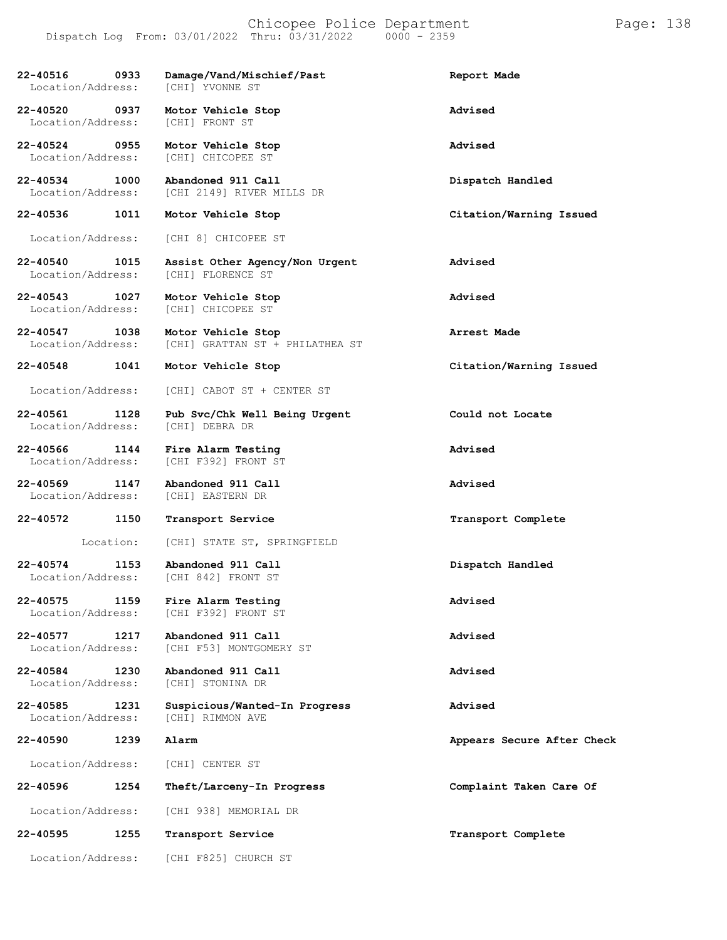### Chicopee Police Department Form Page: 138 Dispatch Log From: 03/01/2022 Thru: 03/31/2022 0000 - 2359

| 22-40516 0933<br>Location/Address:        | Damage/Vand/Mischief/Past<br>[CHI] YVONNE ST               | Report Made                |
|-------------------------------------------|------------------------------------------------------------|----------------------------|
| 22-40520 0937<br>Location/Address:        | Motor Vehicle Stop<br>[CHI] FRONT ST                       | Advised                    |
| 22-40524 0955<br>Location/Address:        | Motor Vehicle Stop<br>[CHI] CHICOPEE ST                    | Advised                    |
| 22-40534<br>1000<br>Location/Address:     | Abandoned 911 Call<br>[CHI 2149] RIVER MILLS DR            | Dispatch Handled           |
| $22 - 40536$<br>1011                      | Motor Vehicle Stop                                         | Citation/Warning Issued    |
| Location/Address:                         | [CHI 8] CHICOPEE ST                                        |                            |
| 22-40540 1015<br>Location/Address:        | Assist Other Agency/Non Urgent<br>[CHI] FLORENCE ST        | Advised                    |
| 22-40543 1027<br>Location/Address:        | Motor Vehicle Stop<br>[CHI] CHICOPEE ST                    | Advised                    |
| 22-40547 1038<br>Location/Address:        | Motor Vehicle Stop<br>[CHI] GRATTAN ST + PHILATHEA ST      | Arrest Made                |
| 22-40548 1041                             | Motor Vehicle Stop                                         | Citation/Warning Issued    |
| Location/Address:                         | [CHI] CABOT ST + CENTER ST                                 |                            |
| 22-40561<br>1128<br>Location/Address:     | Pub Svc/Chk Well Being Urgent<br>[CHI] DEBRA DR            | Could not Locate           |
| 22-40566<br>1144<br>Location/Address:     | Fire Alarm Testing<br>[CHI F392] FRONT ST                  | Advised                    |
| $22 - 40569$<br>1147<br>Location/Address: | Abandoned 911 Call<br>[CHI] EASTERN DR                     | Advised                    |
| 22-40572<br>1150                          | Transport Service                                          | Transport Complete         |
| Location:                                 | [CHI] STATE ST, SPRINGFIELD                                |                            |
| 22-40574<br>1153                          | Abandoned 911 Call<br>Location/Address: [CHI 842] FRONT ST | Dispatch Handled           |
| $22 - 40575$<br>1159<br>Location/Address: | Fire Alarm Testing<br>[CHI F392] FRONT ST                  | Advised                    |
| 1217<br>22-40577<br>Location/Address:     | Abandoned 911 Call<br>[CHI F53] MONTGOMERY ST              | Advised                    |
| 22-40584<br>1230<br>Location/Address:     | Abandoned 911 Call<br>[CHI] STONINA DR                     | Advised                    |
| 22-40585<br>1231<br>Location/Address:     | Suspicious/Wanted-In Progress<br>[CHI] RIMMON AVE          | Advised                    |
| 22-40590<br>1239                          | Alarm                                                      | Appears Secure After Check |
| Location/Address:                         | [CHI] CENTER ST                                            |                            |
| 1254<br>22-40596                          | Theft/Larceny-In Progress                                  | Complaint Taken Care Of    |
| Location/Address:                         | [CHI 938] MEMORIAL DR                                      |                            |
| 22-40595<br>1255                          | Transport Service                                          | Transport Complete         |
| Location/Address:                         | [CHI F825] CHURCH ST                                       |                            |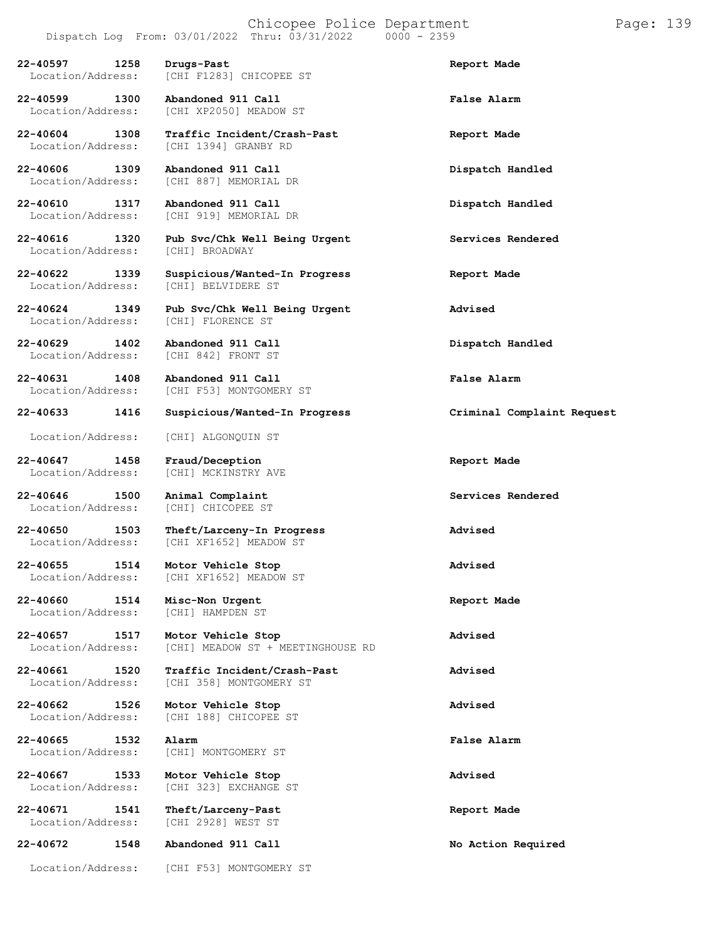# Chicopee Police Department Page: 139

# Dispatch Log From:  $03/01/2022$  Thru:  $03/31/2022$

**22-40597 1258 Drugs-Past Report Made**

**22-40599 1300 Abandoned 911 Call False Alarm**

Location/Address:

Location/Address:

**22-40647 1458 Fraud/Deception Report Made**

**22-40646 1500 Animal Complaint Services Rendered**

**22-40660 1514 Misc-Non Urgent Report Made** Location/Address:

**22-40672 1548 Abandoned 911 Call No Action Required**

**22-40604 1308 Traffic Incident/Crash-Past Report Made** Location/Address: [CHI 1394] GRANBY RD

[CHI F1283] CHICOPEE ST

[CHI XP2050] MEADOW ST

**22-40606 1309 Abandoned 911 Call Dispatch Handled** Location/Address: [CHI 887] MEMORIAL DR

**22-40610 1317 Abandoned 911 Call Dispatch Handled** [CHI 919] MEMORIAL DR

**22-40616 1320 Pub Svc/Chk Well Being Urgent Services Rendered**

- **22-40622 1339 Suspicious/Wanted-In Progress Report Made** [CHI] BELVIDERE ST
- **22-40624 1349 Pub Svc/Chk Well Being Urgent Advised**

**22-40629 1402 Abandoned 911 Call Dispatch Handled** [CHI 842] FRONT ST

**22-40631 1408 Abandoned 911 Call False Alarm** [CHI F53] MONTGOMERY ST

**22-40633 1416 Suspicious/Wanted-In Progress Criminal Complaint Request**

Location/Address: [CHI] ALGONQUIN ST

[CHI] MCKINSTRY AVE

[CHI] CHICOPEE ST

**22-40650 1503 Theft/Larceny-In Progress Advised** [CHI XF1652] MEADOW ST

**22-40655 1514 Motor Vehicle Stop Advised** Location/Address: [CHI XF1652] MEADOW ST

**22-40657 1517 Motor Vehicle Stop Advised** [CHI] MEADOW ST + MEETINGHOUSE RD

**22-40661 1520 Traffic Incident/Crash-Past Advised** [CHI 358] MONTGOMERY ST

**22-40662 1526 Motor Vehicle Stop Advised** [CHI 188] CHICOPEE ST

**22-40665 1532 Alarm False Alarm** [CHI] MONTGOMERY ST

**22-40667 1533 Motor Vehicle Stop Advised** [CHI 323] EXCHANGE ST

**22-40671 1541 Theft/Larceny-Past Report Made** [CHI 2928] WEST ST

Location/Address: [CHI F53] MONTGOMERY ST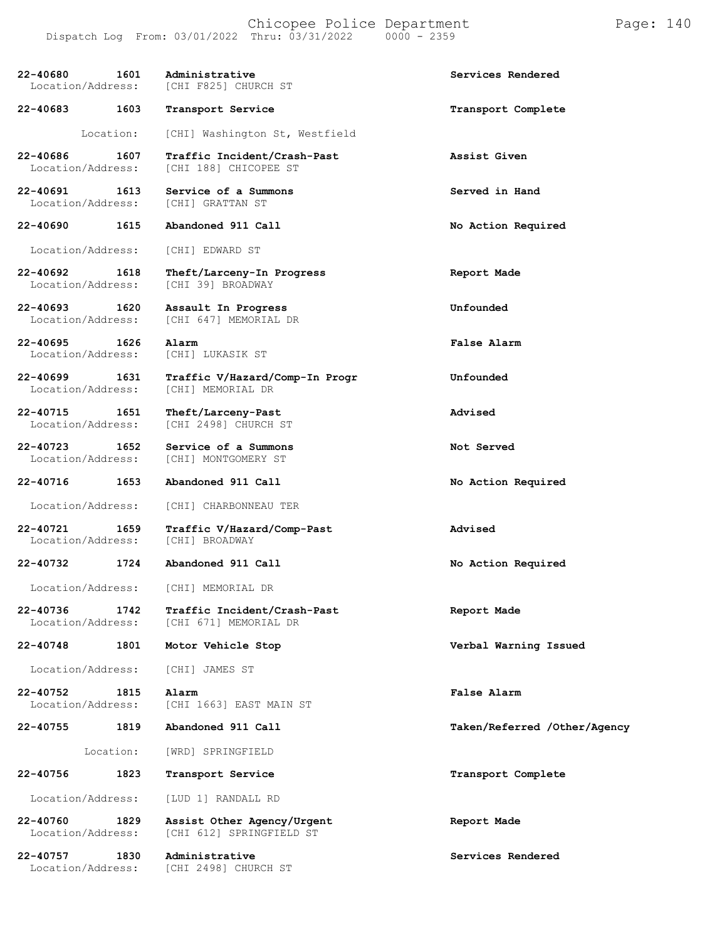**22-40680 1601 Administrative Services Rendered** [CHI F825] CHURCH ST **22-40683 1603 Transport Service Transport Complete** Location: [CHI] Washington St, Westfield **22-40686 1607 Traffic Incident/Crash-Past Assist Given** [CHI 188] CHICOPEE ST **22-40691 1613 Service of a Summons Served in Hand Location/Address:** [CHI] GRATTAN ST Location/Address: [CHI] GRATTAN ST **22-40690 1615 Abandoned 911 Call No Action Required** Location/Address: [CHI] EDWARD ST **22-40692 1618 Theft/Larceny-In Progress Report Made** [CHI 39] BROADWAY **22-40693 1620 Assault In Progress Unfounded** [CHI 647] MEMORIAL DR **22-40695 1626 Alarm False Alarm** Location/Address: [CHI] LUKASIK ST **22-40699 1631 Traffic V/Hazard/Comp-In Progr Unfounded** Location/Address: [CHI] MEMORIAL DR **22-40715 1651 Theft/Larceny-Past Advised** [CHI 2498] CHURCH ST **22-40723 1652 Service of a Summons Not Served** [CHI] MONTGOMERY ST **22-40716 1653 Abandoned 911 Call No Action Required** Location/Address: [CHI] CHARBONNEAU TER **22-40721 1659 Traffic V/Hazard/Comp-Past Advised** Location/Address: **22-40732 1724 Abandoned 911 Call No Action Required** Location/Address: [CHI] MEMORIAL DR **22-40736 1742 Traffic Incident/Crash-Past Report Made** [CHI 671] MEMORIAL DR **22-40748 1801 Motor Vehicle Stop Verbal Warning Issued** Location/Address: [CHI] JAMES ST **22-40752 1815 Alarm False Alarm** [CHI 1663] EAST MAIN ST **22-40755 1819 Abandoned 911 Call Taken/Referred /Other/Agency** Location: [WRD] SPRINGFIELD **22-40756 1823 Transport Service Transport Complete** Location/Address: [LUD 1] RANDALL RD **22-40760 1829 Assist Other Agency/Urgent Report Made** [CHI 612] SPRINGFIELD ST **22-40757 1830 Administrative Services Rendered** [CHI 2498] CHURCH ST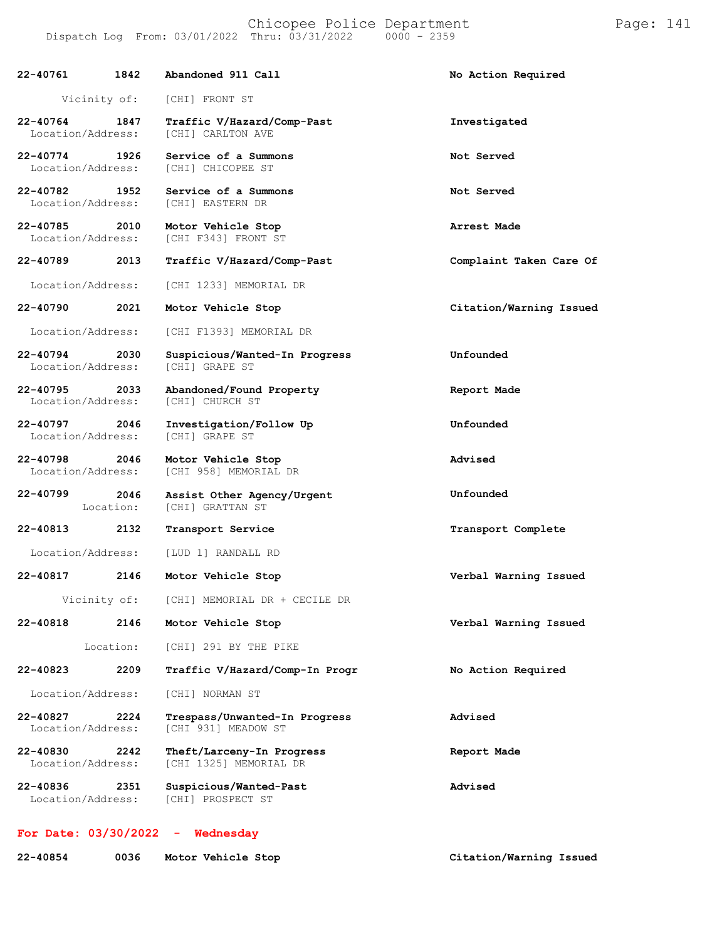### Chicopee Police Department Page: 141 Dispatch Log From:  $03/01/2022$  Thru:  $03/31/2022$

**22-40764 1847 Traffic V/Hazard/Comp-Past Investigated**

Vicinity of: [CHI] FRONT ST

Location/Address: [CHI] CARLTON AVE

**22-40761 1842 Abandoned 911 Call No Action Required**

**22-40774 1926 Service of a Summons Not Served** [CHI] CHICOPEE ST **22-40782 1952 Service of a Summons Not Served** Location/Address: [CHI] EASTERN DR **22-40785 2010 Motor Vehicle Stop Arrest Made** [CHI F343] FRONT ST **22-40789 2013 Traffic V/Hazard/Comp-Past Complaint Taken Care Of** Location/Address: [CHI 1233] MEMORIAL DR **22-40790 2021 Motor Vehicle Stop Citation/Warning Issued** Location/Address: [CHI F1393] MEMORIAL DR **22-40794 2030 Suspicious/Wanted-In Progress Unfounded** Location/Address: **22-40795 2033 Abandoned/Found Property Report Made** Location/Address: [CHI] CHURCH ST **22-40797 2046 Investigation/Follow Up Unfounded** Location/Address: **22-40798 2046 Motor Vehicle Stop Advised** Location/Address: [CHI 958] MEMORIAL DR **22-40799 2046** Location: **Assist Other Agency/Urgent** [CHI] GRATTAN ST **Unfounded 22-40813 2132 Transport Service Transport Complete** Location/Address: [LUD 1] RANDALL RD **22-40817 2146 Motor Vehicle Stop Verbal Warning Issued** Vicinity of: [CHI] MEMORIAL DR + CECILE DR **22-40818 2146 Motor Vehicle Stop Verbal Warning Issued** Location: [CHI] 291 BY THE PIKE **22-40823 2209 Traffic V/Hazard/Comp-In Progr No Action Required** Location/Address: [CHI] NORMAN ST **22-40827 2224 Trespass/Unwanted-In Progress Advised** Location/Address: [CHI 931] MEADOW ST **22-40830 2242 Theft/Larceny-In Progress Report Made** [CHI 1325] MEMORIAL DR **22-40836 2351 Suspicious/Wanted-Past Advised** Location/Address: [CHI] PROSPECT ST

## **For Date: 03/30/2022 - Wednesday**

| 22-40854 | 0036 | Motor Vehicle Stop | Citation/Warning Issued |
|----------|------|--------------------|-------------------------|
|----------|------|--------------------|-------------------------|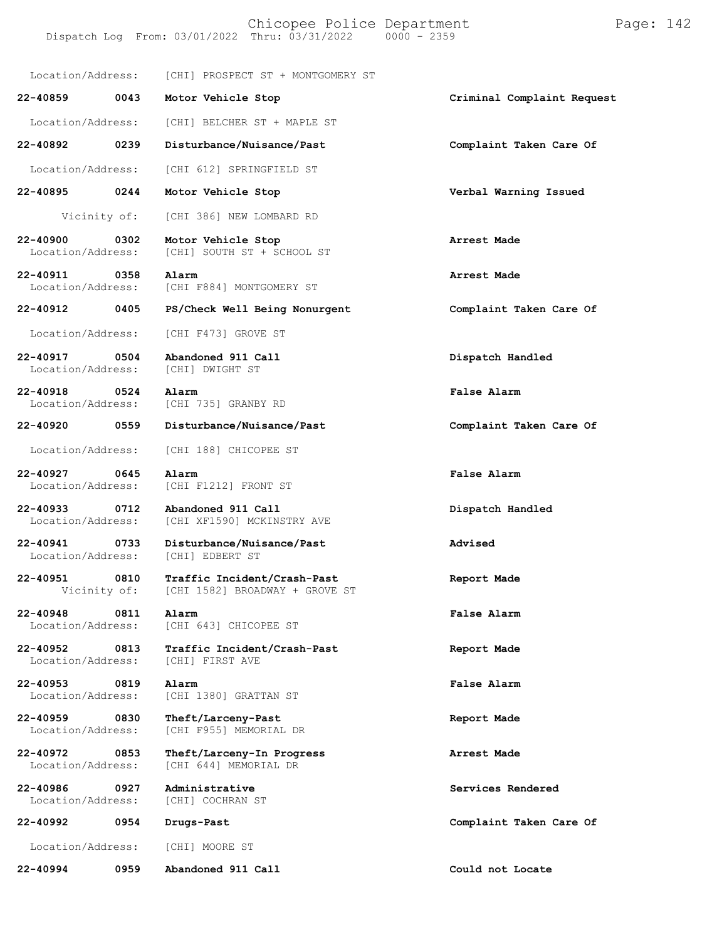Location/Address: [CHI] PROSPECT ST + MONTGOMERY ST

**22-40859 0043 Motor Vehicle Stop Criminal Complaint Request** Location/Address: [CHI] BELCHER ST + MAPLE ST

**22-40892 0239 Disturbance/Nuisance/Past Complaint Taken Care Of**

Location/Address: [CHI 612] SPRINGFIELD ST

**22-40895 0244 Motor Vehicle Stop Verbal Warning Issued**

Vicinity of: [CHI 386] NEW LOMBARD RD

**22-40900 0302 Motor Vehicle Stop Arrest Made** [CHI] SOUTH ST + SCHOOL ST

**22-40911 0358 Alarm Arrest Made** [CHI F884] MONTGOMERY ST

**22-40912 0405 PS/Check Well Being Nonurgent Complaint Taken Care Of**

Location/Address: [CHI F473] GROVE ST

**22-40917 0504 Abandoned 911 Call Dispatch Handled** Location/Address:

**22-40918 0524 Alarm False Alarm**

**22-40920 0559 Disturbance/Nuisance/Past Complaint Taken Care Of**

Location/Address: [CHI 188] CHICOPEE ST

**22-40927 0645 Alarm False Alarm**

Location/Address:

Location/Address:

**22-40986 0927 Administrative Services Rendered**

**22-40992 0954 Drugs-Past Complaint Taken Care Of**

**22-40994 0959 Abandoned 911 Call Could not Locate**

Location/Address: [CHI F1212] FRONT ST

[CHI 735] GRANBY RD

**22-40933 0712 Abandoned 911 Call Dispatch Handled** [CHI XF1590] MCKINSTRY AVE

**22-40941 0733 Disturbance/Nuisance/Past Advised**

**22-40951 0810 Traffic Incident/Crash-Past Report Made** [CHI 1582] BROADWAY + GROVE ST

**22-40948 0811 Alarm False Alarm** [CHI 643] CHICOPEE ST

**22-40952 0813 Traffic Incident/Crash-Past Report Made**

**22-40953 0819 Alarm False Alarm** Location/Address: [CHI 1380] GRATTAN ST

**22-40959 0830 Theft/Larceny-Past Report Made** [CHI F955] MEMORIAL DR

**22-40972 0853 Theft/Larceny-In Progress Arrest Made** [CHI 644] MEMORIAL DR

[CHI] COCHRAN ST

Location/Address: [CHI] MOORE ST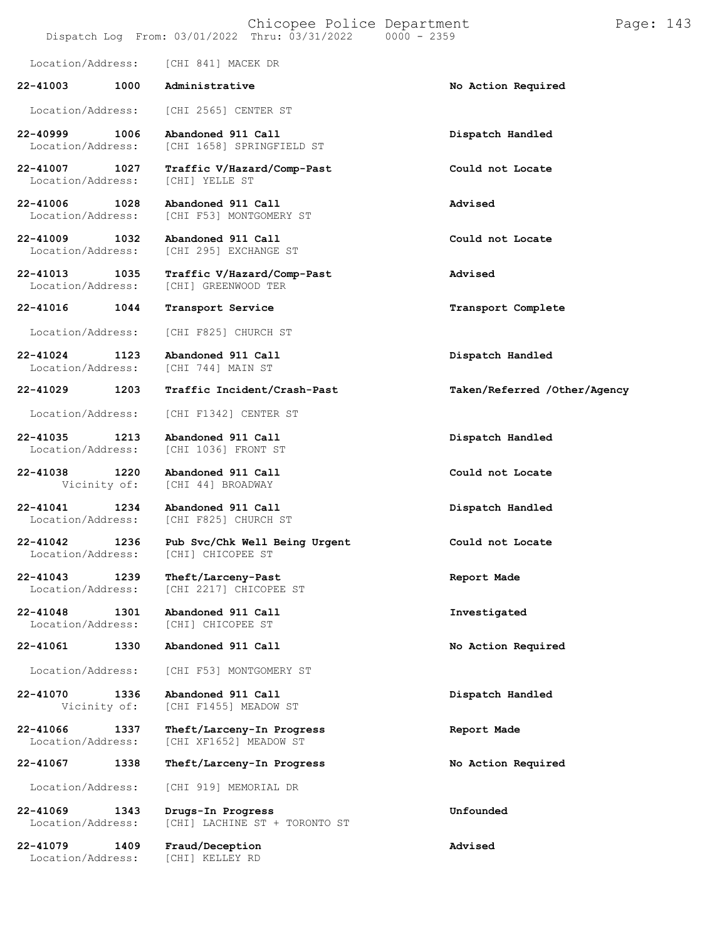### Chicopee Police Department Page: 143 Dispatch Log From:  $03/01/2022$  Thru:  $03/31/2022$

Location/Address: [CHI 841] MACEK DR **22-41003 1000 Administrative No Action Required** Location/Address: [CHI 2565] CENTER ST **22-40999 1006 Abandoned 911 Call Dispatch Handled** [CHI 1658] SPRINGFIELD ST **22-41007 1027 Traffic V/Hazard/Comp-Past Could not Locate** Location/Address: **22-41006 1028 Abandoned 911 Call Advised** [CHI F53] MONTGOMERY ST **22-41009 1032 Abandoned 911 Call Could not Locate** [CHI 295] EXCHANGE ST **22-41013 1035 Traffic V/Hazard/Comp-Past Advised** Location/Address: [CHI] GREENWOOD TER **22-41016 1044 Transport Service Transport Complete** Location/Address: [CHI F825] CHURCH ST **22-41024 1123 Abandoned 911 Call Dispatch Handled** Location/Address: **22-41029 1203 Traffic Incident/Crash-Past Taken/Referred /Other/Agency** Location/Address: [CHI F1342] CENTER ST **22-41035 1213 Abandoned 911 Call Dispatch Handled** [CHI 1036] FRONT ST **22-41038 1220 Abandoned 911 Call Could not Locate** [CHI 44] BROADWAY **22-41041 1234 Abandoned 911 Call Dispatch Handled** [CHI F825] CHURCH ST **22-41042 1236 Pub Svc/Chk Well Being Urgent Could not Locate** Location/Address: [CHI] CHICOPEE ST **22-41043 1239 Theft/Larceny-Past Report Made** [CHI 2217] CHICOPEE ST **22-41048 1301 Abandoned 911 Call Investigated** Location/Address: **22-41061 1330 Abandoned 911 Call No Action Required** Location/Address: [CHI F53] MONTGOMERY ST **22-41070 1336 Abandoned 911 Call Dispatch Handled** [CHI F1455] MEADOW ST **22-41066 1337 Theft/Larceny-In Progress Report Made** [CHI XF1652] MEADOW ST **22-41067 1338 Theft/Larceny-In Progress No Action Required** Location/Address: [CHI 919] MEMORIAL DR **22-41069 1343 Drugs-In Progress Unfounded**

[CHI] LACHINE ST + TORONTO ST

**22-41079 1409 Fraud/Deception Advised** Location/Address: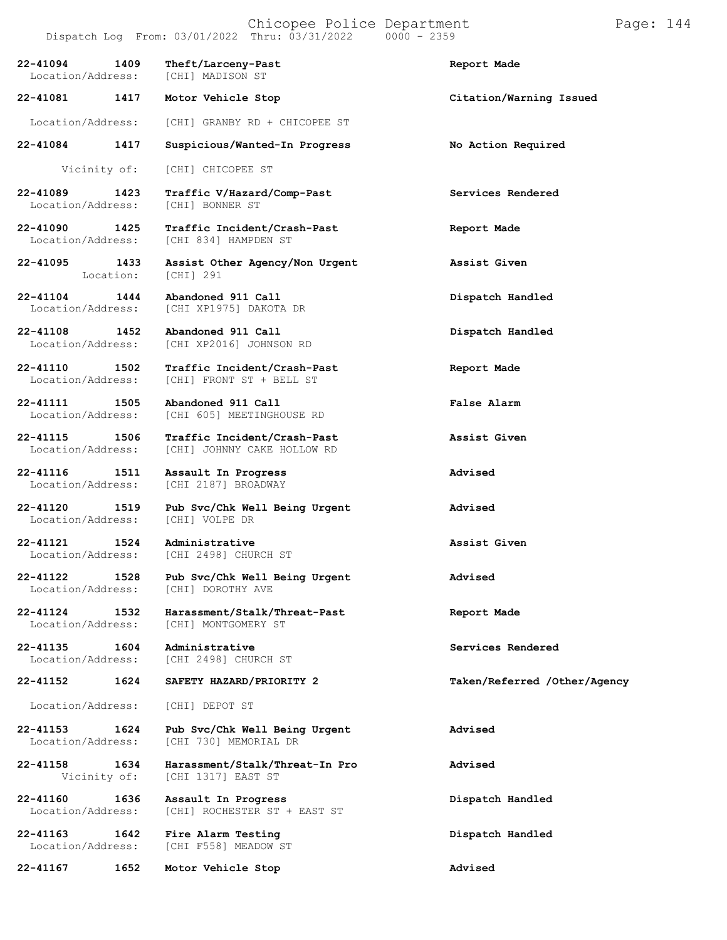# Chicopee Police Department Page: 144

Dispatch Log From:  $03/01/2022$  Thru:  $03/31/2022$ 

**Assist Other Agency/Non**

[CHI XP2016] JOHNSON RD

[CHI 605] MEETINGHOUSE RD

[CHI 2498] CHURCH ST

[CHI] MONTGOMERY ST

[CHI 2498] CHURCH ST

**22-41094 1409 Theft/Larceny-Past Report Made** Location/Address: **22-41081 1417 Motor Vehicle Stop Citation/Warning Issued** Location/Address: [CHI] GRANBY RD + CHICOPEE ST

**22-41084 1417 Suspicious/Wanted-In Progress No Action Required**

Vicinity of: [CHI] CHICOPEE ST

[CHI] 291

**22-41089 1423 Traffic V/Hazard/Comp-Past Services Rendered** [CHI] BONNER ST

**22-41090 1425 Traffic Incident/Crash-Past Report Made** [CHI 834] HAMPDEN ST

**22-41095 1433** Location:

**22-41104 1444 Abandoned 911 Call Dispatch Handled** Location/Address: [CHI XP1975] DAKOTA DR

**22-41108 1452 Abandoned 911 Call Dispatch Handled**

**22-41110 1502 Traffic Incident/Crash-Past Report Made** Location/Address: [CHI] FRONT ST + BELL ST

**22-41111 1505 Abandoned 911 Call False Alarm**

**22-41115 1506 Traffic Incident/Crash-Past Assist Given** Location/Address: [CHI] JOHNNY CAKE HOLLOW RD

**22-41116 1511 Assault In Progress Advised** Location/Address: [CHI 2187] BROADWAY

**22-41120 1519 Pub Svc/Chk Well Being Urgent Advised** Location/Address:

**22-41121 1524 Administrative Assist Given**

**22-41122 1528 Pub Svc/Chk Well Being Urgent Advised** Location/Address:

**22-41124 1532 Harassment/Stalk/Threat-Past Report Made**

**22-41135 1604 Administrative Services Rendered**

**22-41152 1624 SAFETY HAZARD/PRIORITY 2 Taken/Referred /Other/Agency**

Location/Address: [CHI] DEPOT ST

**22-41153 1624 Pub Svc/Chk Well Being Urgent Advised** [CHI 730] MEMORIAL DR

**22-41158 1634 Harassment/Stalk/Threat-In Pro Advised**

**22-41160 1636 Assault In Progress Dispatch Handled** Location/Address: [CHI] ROCHESTER ST + EAST ST

**22-41163 1642 Fire Alarm Testing Dispatch Handled** [CHI F558] MEADOW ST

**22-41167 1652 Motor Vehicle Stop Advised**

[CHI 1317] EAST ST

**Assist Given**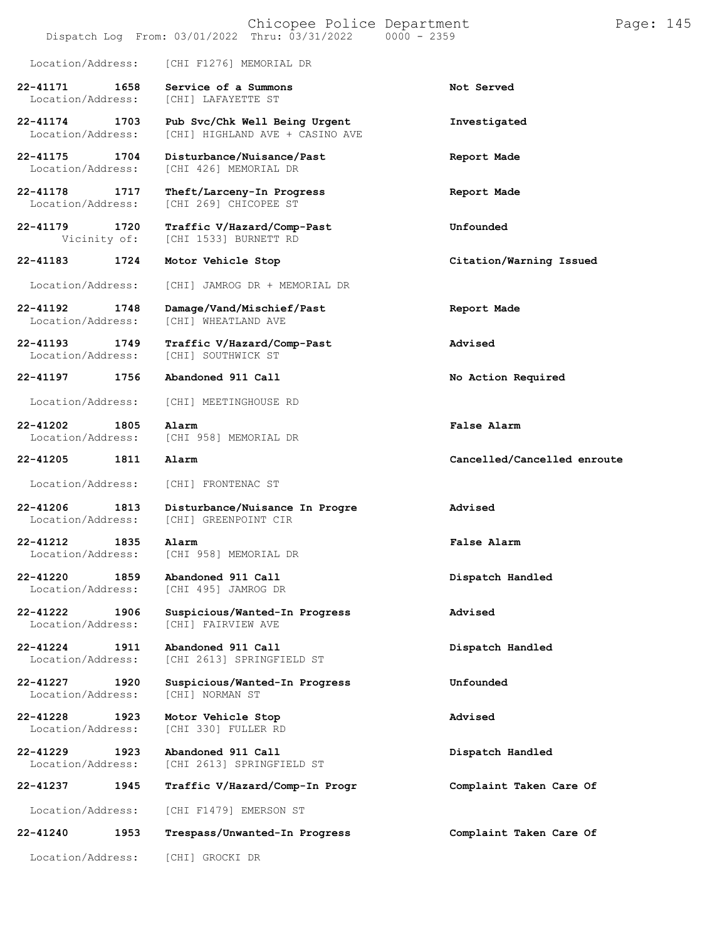| Chicopee Police Department<br>Page: 145<br>Thru: 03/31/2022<br>$0000 - 2359$<br>Dispatch Log From: 03/01/2022 |      |                                                                  |                             |  |
|---------------------------------------------------------------------------------------------------------------|------|------------------------------------------------------------------|-----------------------------|--|
| Location/Address:                                                                                             |      | [CHI F1276] MEMORIAL DR                                          |                             |  |
| 22-41171<br>Location/Address:                                                                                 | 1658 | Service of a Summons<br>[CHI] LAFAYETTE ST                       | Not Served                  |  |
| 22-41174<br>Location/Address:                                                                                 | 1703 | Pub Svc/Chk Well Being Urgent<br>[CHI] HIGHLAND AVE + CASINO AVE | Investigated                |  |
| 22-41175<br>Location/Address:                                                                                 | 1704 | Disturbance/Nuisance/Past<br>[CHI 426] MEMORIAL DR               | Report Made                 |  |
| 22-41178<br>Location/Address:                                                                                 | 1717 | Theft/Larceny-In Progress<br>[CHI 269] CHICOPEE ST               | Report Made                 |  |
| 22-41179<br>Vicinity of:                                                                                      | 1720 | Traffic V/Hazard/Comp-Past<br>[CHI 1533] BURNETT RD              | Unfounded                   |  |
| 22-41183                                                                                                      | 1724 | Motor Vehicle Stop                                               | Citation/Warning Issued     |  |
| Location/Address:                                                                                             |      | [CHI] JAMROG DR + MEMORIAL DR                                    |                             |  |
| 22-41192<br>Location/Address:                                                                                 | 1748 | Damage/Vand/Mischief/Past<br>[CHI] WHEATLAND AVE                 | Report Made                 |  |
| 22-41193<br>Location/Address:                                                                                 | 1749 | Traffic V/Hazard/Comp-Past<br>[CHI] SOUTHWICK ST                 | Advised                     |  |
| 22-41197                                                                                                      | 1756 | Abandoned 911 Call                                               | No Action Required          |  |
| Location/Address:                                                                                             |      | [CHI] MEETINGHOUSE RD                                            |                             |  |
| 22-41202<br>Location/Address:                                                                                 | 1805 | Alarm<br>[CHI 958] MEMORIAL DR                                   | False Alarm                 |  |
| 22-41205                                                                                                      | 1811 | Alarm                                                            | Cancelled/Cancelled enroute |  |
| Location/Address:                                                                                             |      | [CHI] FRONTENAC ST                                               |                             |  |
| 22-41206<br>Location/Address:                                                                                 | 1813 | Disturbance/Nuisance In Progre<br>[CHI] GREENPOINT CIR           | Advised                     |  |
| 22-41212<br>Location/Address:                                                                                 | 1835 | Alarm<br>[CHI 958] MEMORIAL DR                                   | False Alarm                 |  |
| 22-41220<br>Location/Address:                                                                                 | 1859 | Abandoned 911 Call<br>[CHI 495] JAMROG DR                        | Dispatch Handled            |  |
| 22-41222<br>Location/Address:                                                                                 | 1906 | Suspicious/Wanted-In Progress<br>[CHI] FAIRVIEW AVE              | Advised                     |  |
| 22-41224<br>Location/Address:                                                                                 | 1911 | Abandoned 911 Call<br>[CHI 2613] SPRINGFIELD ST                  | Dispatch Handled            |  |
| 22-41227<br>Location/Address:                                                                                 | 1920 | Suspicious/Wanted-In Progress<br>[CHI] NORMAN ST                 | Unfounded                   |  |
| 22-41228<br>Location/Address:                                                                                 | 1923 | Motor Vehicle Stop<br>[CHI 330] FULLER RD                        | Advised                     |  |
| 22-41229<br>Location/Address:                                                                                 | 1923 | Abandoned 911 Call<br>[CHI 2613] SPRINGFIELD ST                  | Dispatch Handled            |  |
| 22-41237                                                                                                      | 1945 | Traffic V/Hazard/Comp-In Progr                                   | Complaint Taken Care Of     |  |
| Location/Address:                                                                                             |      | [CHI F1479] EMERSON ST                                           |                             |  |
| 22-41240                                                                                                      | 1953 | Trespass/Unwanted-In Progress                                    | Complaint Taken Care Of     |  |
| Location/Address:                                                                                             |      | [CHI] GROCKI DR                                                  |                             |  |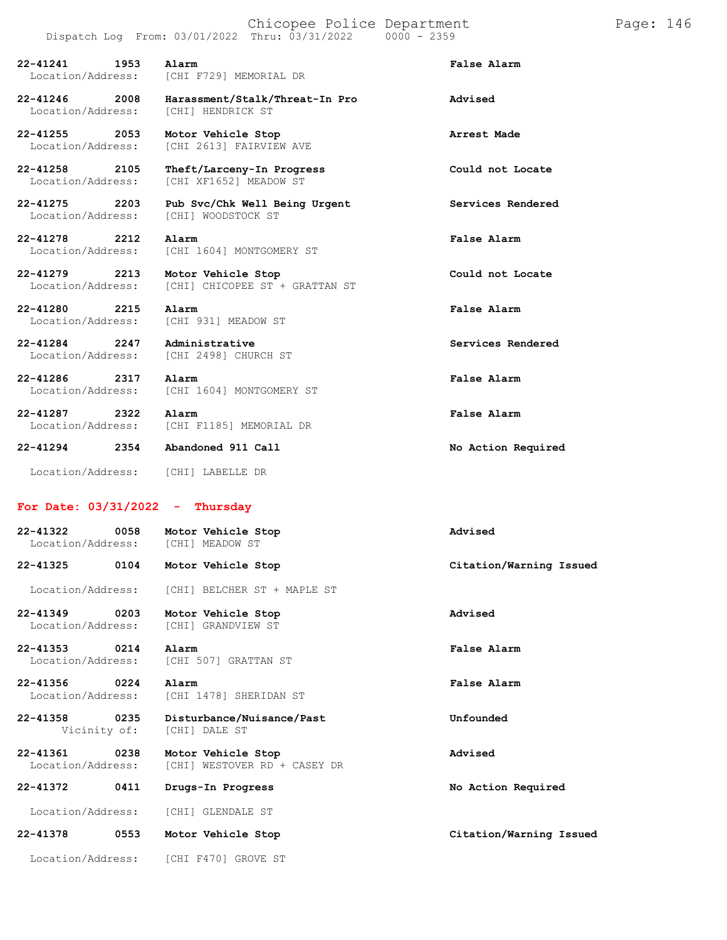## Chicopee Police Department Page: 146

| Alarm                                               | False Alarm            |
|-----------------------------------------------------|------------------------|
| Harassment/Stalk/Threat-In Pro<br>[CHI] HENDRICK ST | Advised                |
| Motor Vehicle Stop<br>[CHI 2613] FAIRVIEW AVE       | Arrest Made            |
|                                                     | [CHI F729] MEMORIAL DR |

**22-41258 2105 Theft/Larceny-In Progress Could not Locate** Location/Address: [CHI XF1652] MEADOW ST

**22-41275 2203 Pub Svc/Chk Well Being Urgent Services Rendered** Location/Address: [CHI] WOODSTOCK ST

**22-41278 2212 Alarm False Alarm** Location/Address: [CHI 1604] MONTGOMERY ST

**22-41279 2213 Motor Vehicle Stop Could not Locate** Location/Address: [CHI] CHICOPEE ST + GRATTAN ST

**22-41280 2215 Alarm False Alarm** Location/Address: [CHI 931] MEADOW ST

**22-41284 2247 Administrative Services Rendered** Location/Address: [CHI 2498] CHURCH ST

**22-41286 2317 Alarm False Alarm** Location/Address: [CHI 1604] MONTGOMERY ST

**22-41287 2322 Alarm False Alarm** Location/Address: [CHI F1185] MEMORIAL DR

**22-41294 2354 Abandoned 911 Call No Action Required**

Location/Address: [CHI] LABELLE DR

## **For Date: 03/31/2022 - Thursday**

| $22 - 41322$<br>0058<br>Location/Address: | Motor Vehicle Stop<br>[CHI] MEADOW ST     | Advised                 |
|-------------------------------------------|-------------------------------------------|-------------------------|
| $22 - 41325$<br>0104                      | Motor Vehicle Stop                        | Citation/Warning Issued |
| Location/Address:                         | [CHI] BELCHER ST + MAPLE ST               |                         |
| 22-41349<br>0203<br>Location/Address:     | Motor Vehicle Stop<br>[CHI] GRANDVIEW ST  | Advised                 |
| $22 - 41353$<br>0214<br>Location/Address: | Alarm<br>[CHI 507] GRATTAN ST             | False Alarm             |
| 22-41356<br>0224<br>Location/Address:     | Alarm<br>[CHI 1478] SHERIDAN ST           | False Alarm             |
| 22-41358<br>0235<br>Vicinity of:          | Disturbance/Nuisance/Past<br>CHI] DALE ST | Unfounded               |

[CHI] DALE ST **22-41361 0238 Motor Vehicle Stop Advised**

[CHI] WESTOVER RD + CASEY DR

**22-41372 0411 Drugs-In Progress No Action Required**

Location/Address: [CHI] GLENDALE ST

**22-41378 0553 Motor Vehicle Stop Citation/Warning Issued**

Location/Address: [CHI F470] GROVE ST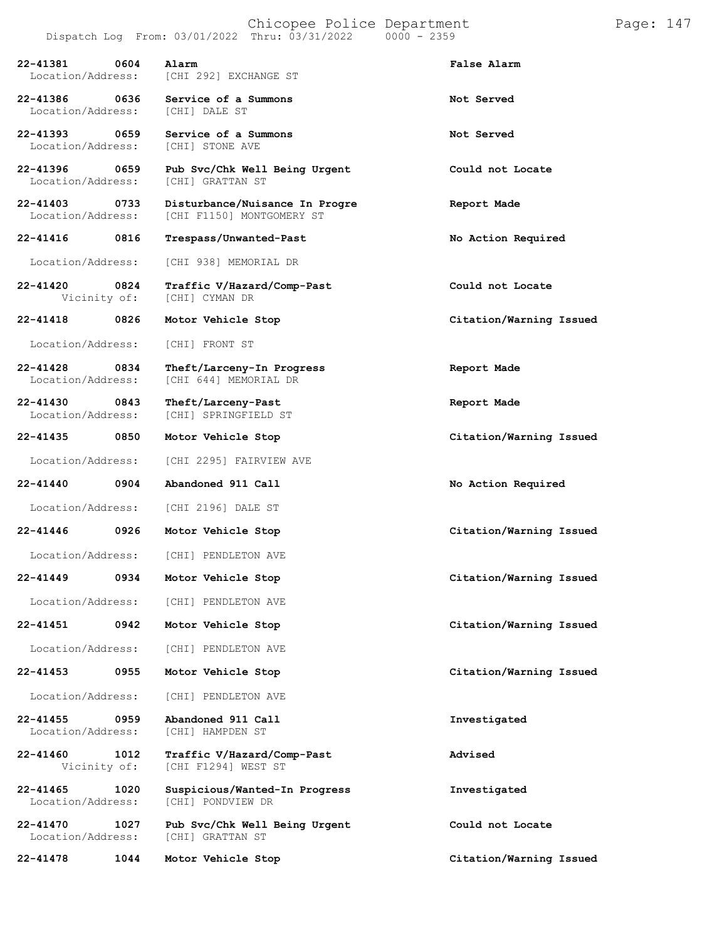| 0604<br>22-41381<br>Location/Address: |      | Alarm<br>[CHI 292] EXCHANGE ST                              | False Alarm             |
|---------------------------------------|------|-------------------------------------------------------------|-------------------------|
| 0636<br>22-41386<br>Location/Address: |      | Service of a Summons<br>[CHI] DALE ST                       | Not Served              |
| 22-41393 0659<br>Location/Address:    |      | Service of a Summons<br>[CHI] STONE AVE                     | Not Served              |
| 22-41396<br>0659<br>Location/Address: |      | Pub Svc/Chk Well Being Urgent<br>[CHI] GRATTAN ST           | Could not Locate        |
| 22-41403 0733<br>Location/Address:    |      | Disturbance/Nuisance In Progre<br>[CHI F1150] MONTGOMERY ST | Report Made             |
| 22-41416 0816                         |      | Trespass/Unwanted-Past                                      | No Action Required      |
| Location/Address:                     |      | [CHI 938] MEMORIAL DR                                       |                         |
| 22-41420 0824<br>Vicinity of:         |      | Traffic V/Hazard/Comp-Past<br>[CHI] CYMAN DR                | Could not Locate        |
| 22-41418                              | 0826 | Motor Vehicle Stop                                          | Citation/Warning Issued |
| Location/Address:                     |      | [CHI] FRONT ST                                              |                         |
| $22 - 41428$<br>Location/Address:     | 0834 | Theft/Larceny-In Progress<br>[CHI 644] MEMORIAL DR          | Report Made             |
| 22-41430 0843<br>Location/Address:    |      | Theft/Larceny-Past<br>[CHI] SPRINGFIELD ST                  | Report Made             |
| 22-41435 0850                         |      | Motor Vehicle Stop                                          | Citation/Warning Issued |
| Location/Address:                     |      | [CHI 2295] FAIRVIEW AVE                                     |                         |
| 22-41440                              | 0904 | Abandoned 911 Call                                          | No Action Required      |
| Location/Address:                     |      | [CHI 2196] DALE ST                                          |                         |
| 22-41446                              | 0926 | Motor Vehicle Stop                                          | Citation/Warning Issued |
|                                       |      | Location/Address: [CHI] PENDLETON AVE                       |                         |
| 22-41449                              |      | 0934 Motor Vehicle Stop                                     | Citation/Warning Issued |
| Location/Address:                     |      | [CHI] PENDLETON AVE                                         |                         |
| 22-41451                              | 0942 | Motor Vehicle Stop                                          | Citation/Warning Issued |
| Location/Address:                     |      | [CHI] PENDLETON AVE                                         |                         |
| $22 - 41453$                          | 0955 | Motor Vehicle Stop                                          | Citation/Warning Issued |
| Location/Address:                     |      | [CHI] PENDLETON AVE                                         |                         |
| $22 - 41455$<br>Location/Address:     | 0959 | Abandoned 911 Call<br>[CHI] HAMPDEN ST                      | Investigated            |
| 22-41460<br>Vicinity of:              | 1012 | Traffic V/Hazard/Comp-Past<br>[CHI F1294] WEST ST           | Advised                 |
| 22-41465<br>Location/Address:         | 1020 | Suspicious/Wanted-In Progress<br>[CHI] PONDVIEW DR          | Investigated            |
| 22-41470<br>Location/Address:         | 1027 | Pub Svc/Chk Well Being Urgent<br>[CHI] GRATTAN ST           | Could not Locate        |
| 22-41478                              | 1044 | Motor Vehicle Stop                                          | Citation/Warning Issued |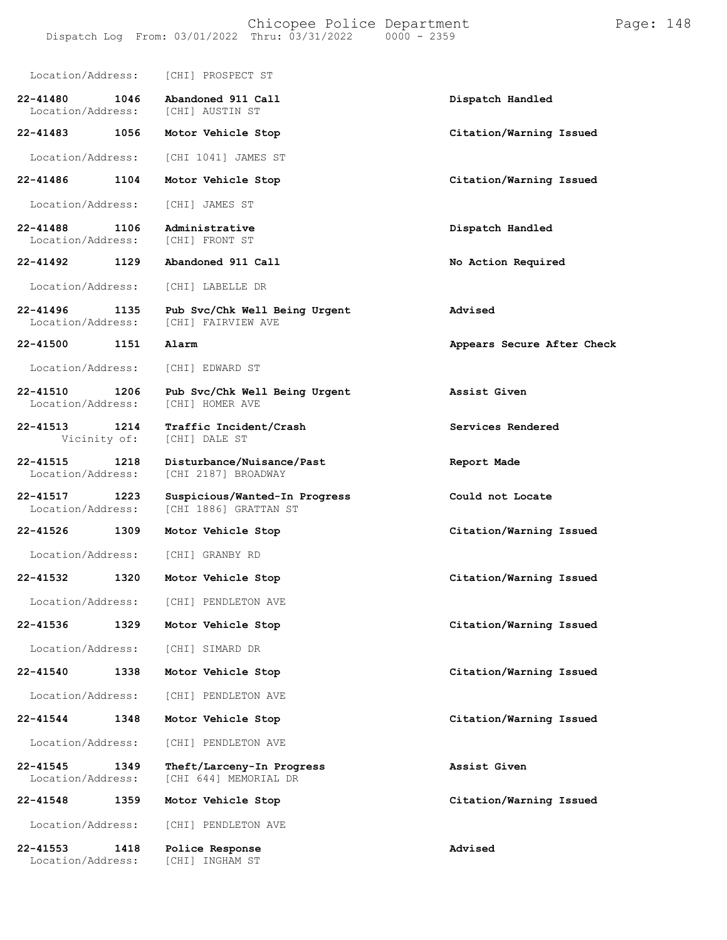| Location/Address:                         | [CHI] PROSPECT ST                                      |                            |
|-------------------------------------------|--------------------------------------------------------|----------------------------|
| 22-41480<br>1046<br>Location/Address:     | Abandoned 911 Call<br>[CHI] AUSTIN ST                  | Dispatch Handled           |
| 22-41483<br>1056                          | Motor Vehicle Stop                                     | Citation/Warning Issued    |
| Location/Address:                         | [CHI 1041] JAMES ST                                    |                            |
| 22-41486<br>1104                          | Motor Vehicle Stop                                     | Citation/Warning Issued    |
| Location/Address:                         | [CHI] JAMES ST                                         |                            |
| 22-41488<br>1106<br>Location/Address:     | Administrative<br>[CHI] FRONT ST                       | Dispatch Handled           |
| 22-41492<br>1129                          | Abandoned 911 Call                                     | No Action Required         |
| Location/Address:                         | [CHI] LABELLE DR                                       |                            |
| $22 - 41496$<br>1135<br>Location/Address: | Pub Svc/Chk Well Being Urgent<br>[CHI] FAIRVIEW AVE    | Advised                    |
| 22-41500<br>1151                          | Alarm                                                  | Appears Secure After Check |
| Location/Address:                         | [CHI] EDWARD ST                                        |                            |
| 22-41510<br>1206<br>Location/Address:     | Pub Svc/Chk Well Being Urgent<br>[CHI] HOMER AVE       | Assist Given               |
| $22 - 41513$<br>1214<br>Vicinity of:      | Traffic Incident/Crash<br>[CHI] DALE ST                | Services Rendered          |
| $22 - 41515$<br>1218<br>Location/Address: | Disturbance/Nuisance/Past<br>[CHI 2187] BROADWAY       | Report Made                |
| 22-41517<br>1223<br>Location/Address:     | Suspicious/Wanted-In Progress<br>[CHI 1886] GRATTAN ST | Could not Locate           |
| 22-41526<br>1309                          | Motor Vehicle Stop                                     | Citation/Warning Issued    |
| Location/Address:                         | [CHI] GRANBY RD                                        |                            |
| 22-41532<br>1320                          | Motor Vehicle Stop                                     | Citation/Warning Issued    |
| Location/Address:                         | [CHI] PENDLETON AVE                                    |                            |
| $22 - 41536$<br>1329                      | Motor Vehicle Stop                                     | Citation/Warning Issued    |
| Location/Address:                         | [CHI] SIMARD DR                                        |                            |
| $22 - 41540$<br>1338                      | Motor Vehicle Stop                                     | Citation/Warning Issued    |
| Location/Address:                         | [CHI] PENDLETON AVE                                    |                            |
| 22-41544<br>1348                          | Motor Vehicle Stop                                     | Citation/Warning Issued    |
| Location/Address:                         | [CHI] PENDLETON AVE                                    |                            |
| 22-41545<br>1349<br>Location/Address:     | Theft/Larceny-In Progress<br>[CHI 644] MEMORIAL DR     | Assist Given               |
| 22-41548<br>1359                          | Motor Vehicle Stop                                     | Citation/Warning Issued    |
| Location/Address:                         | [CHI] PENDLETON AVE                                    |                            |
| 22-41553<br>1418<br>Location/Address:     | Police Response<br>[CHI] INGHAM ST                     | Advised                    |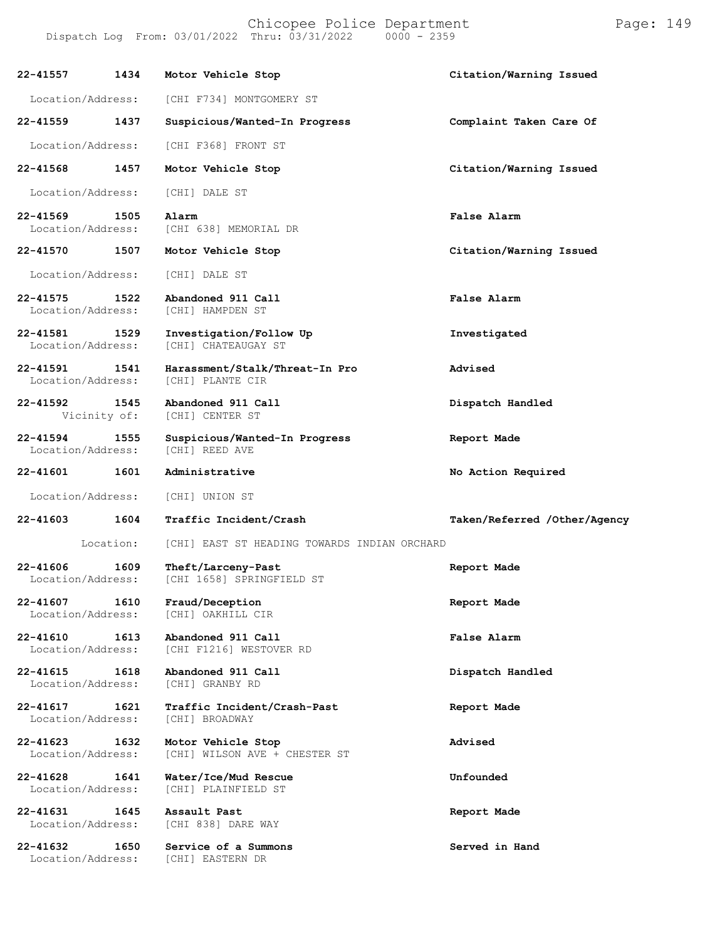Chicopee Police Department Form Page: 149

| 22-41557                          | 1434      | Motor Vehicle Stop                                  | Citation/Warning Issued      |
|-----------------------------------|-----------|-----------------------------------------------------|------------------------------|
| Location/Address:                 |           | [CHI F734] MONTGOMERY ST                            |                              |
| 22-41559                          | 1437      | Suspicious/Wanted-In Progress                       | Complaint Taken Care Of      |
| Location/Address:                 |           | [CHI F368] FRONT ST                                 |                              |
| 22-41568                          | 1457      | Motor Vehicle Stop                                  | Citation/Warning Issued      |
| Location/Address:                 |           | [CHI] DALE ST                                       |                              |
| $22 - 41569$<br>Location/Address: | 1505      | Alarm<br>[CHI 638] MEMORIAL DR                      | False Alarm                  |
| 22-41570                          | 1507      | Motor Vehicle Stop                                  | Citation/Warning Issued      |
| Location/Address:                 |           | [CHI] DALE ST                                       |                              |
| $22 - 41575$<br>Location/Address: | 1522      | Abandoned 911 Call<br>[CHI] HAMPDEN ST              | False Alarm                  |
| $22 - 41581$<br>Location/Address: | 1529      | Investigation/Follow Up<br>[CHI] CHATEAUGAY ST      | Investigated                 |
| 22-41591<br>Location/Address:     | 1541      | Harassment/Stalk/Threat-In Pro<br>[CHI] PLANTE CIR  | Advised                      |
| $22 - 41592$<br>Vicinity of:      | 1545      | Abandoned 911 Call<br>[CHI] CENTER ST               | Dispatch Handled             |
| 22-41594<br>Location/Address:     | 1555      | Suspicious/Wanted-In Progress<br>[CHI] REED AVE     | Report Made                  |
| 22-41601                          | 1601      | Administrative                                      | No Action Required           |
| Location/Address:                 |           | [CHI] UNION ST                                      |                              |
| 22-41603                          | 1604      | Traffic Incident/Crash                              | Taken/Referred /Other/Agency |
|                                   | Location: | [CHI] EAST ST HEADING TOWARDS INDIAN ORCHARD        |                              |
| $22 - 41606$<br>Location/Address: | 1609      | Theft/Larceny-Past<br>[CHI 1658] SPRINGFIELD ST     | Report Made                  |
| 22-41607<br>Location/Address:     | 1610      | Fraud/Deception<br>[CHI] OAKHILL CIR                | Report Made                  |
| 22-41610<br>Location/Address:     | 1613      | Abandoned 911 Call<br>[CHI F1216] WESTOVER RD       | False Alarm                  |
| $22 - 41615$<br>Location/Address: | 1618      | Abandoned 911 Call<br>[CHI] GRANBY RD               | Dispatch Handled             |
| 22-41617<br>Location/Address:     | 1621      | Traffic Incident/Crash-Past<br>[CHI] BROADWAY       | Report Made                  |
| 22-41623<br>Location/Address:     | 1632      | Motor Vehicle Stop<br>[CHI] WILSON AVE + CHESTER ST | Advised                      |
| 22-41628<br>Location/Address:     | 1641      | Water/Ice/Mud Rescue<br>[CHI] PLAINFIELD ST         | Unfounded                    |
| 22-41631<br>Location/Address:     | 1645      | Assault Past<br>[CHI 838] DARE WAY                  | Report Made                  |
| 22-41632<br>Location/Address:     | 1650      | Service of a Summons<br>[CHI] EASTERN DR            | Served in Hand               |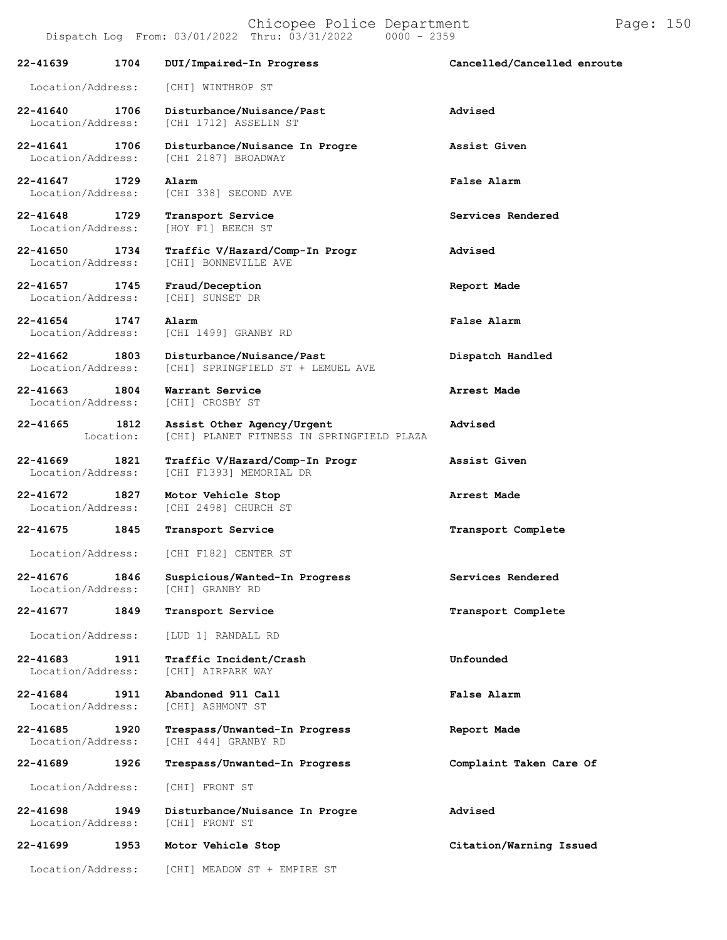**22-41640 1706 Disturbance/Nuisance/Past Advised** [CHI 1712] ASSELIN ST **22-41641 1706 Disturbance/Nuisance In Progre Assist Given** Location/Address: [CHI 2187] BROADWAY **22-41647 1729 Alarm False Alarm** [CHI 338] SECOND AVE **22-41648 1729 Transport Service Services Rendered** [HOY F1] BEECH ST **22-41650 1734 Traffic V/Hazard/Comp-In Progr Advised** [CHI] BONNEVILLE AVE **22-41657 1745 Fraud/Deception Report Made** Location/Address: **22-41654 1747 Alarm False Alarm** Location/Address: [CHI 1499] GRANBY RD **22-41662 1803 Disturbance/Nuisance/Past Dispatch Handled** [CHI] SPRINGFIELD ST + LEMUEL AVE

Location/Address: [CHI] WINTHROP ST

**22-41663 1804 Warrant Service Arrest Made** [CHI] CROSBY ST

**22-41665 1812 Assist Other Agency/Urgent Advised** [CHI] PLANET FITNESS IN SPRINGFIELD PLAZA

**22-41669 1821 Traffic V/Hazard/Comp-In Progr Assist Given** [CHI F1393] MEMORIAL DR

**22-41672 1827 Motor Vehicle Stop Arrest Made** [CHI 2498] CHURCH ST

**22-41675 1845 Transport Service Transport Complete**

Location/Address: [CHI F182] CENTER ST

**22-41676 1846 Suspicious/Wanted-In Progress Services Rendered** Location/Address:

**22-41677 1849 Transport Service Transport Complete**

Location/Address: [LUD 1] RANDALL RD

**22-41683 1911 Traffic Incident/Crash Unfounded** Location/Address:

**22-41684 1911 Abandoned 911 Call False Alarm** Location/Address:

**22-41685 1920 Trespass/Unwanted-In Progress Report Made** [CHI 444] GRANBY RD

Location/Address: [CHI] FRONT ST

**22-41698 1949 Disturbance/Nuisance In Progre Advised** Location/Address:

**22-41699 1953 Motor Vehicle Stop Citation/Warning Issued**

Location/Address: [CHI] MEADOW ST + EMPIRE ST

**22-41689 1926 Trespass/Unwanted-In Progress Complaint Taken Care Of**